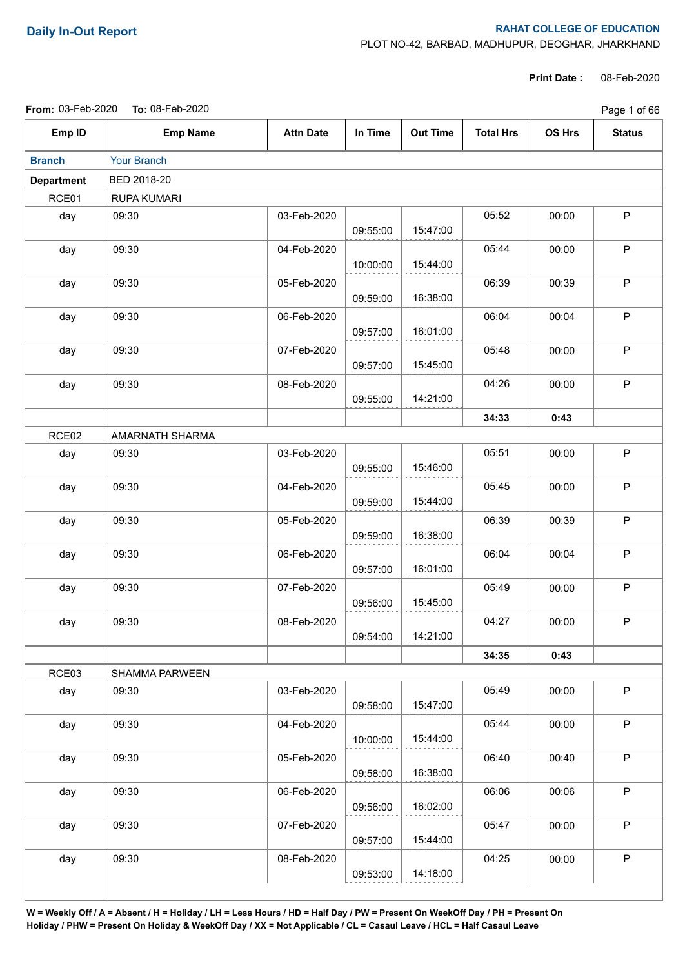## **Daily In-Out Report RAHAT COLLEGE OF EDUCATION**

PLOT NO-42, BARBAD, MADHUPUR, DEOGHAR, JHARKHAND

**Print Date :** 08-Feb-2020

|                   | From: 03-Feb-2020 To: 08-Feb-2020 |                  |          |                 |                  |               |               |  |  |  |
|-------------------|-----------------------------------|------------------|----------|-----------------|------------------|---------------|---------------|--|--|--|
| Emp ID            | <b>Emp Name</b>                   | <b>Attn Date</b> | In Time  | <b>Out Time</b> | <b>Total Hrs</b> | <b>OS Hrs</b> | <b>Status</b> |  |  |  |
| <b>Branch</b>     | Your Branch                       |                  |          |                 |                  |               |               |  |  |  |
| <b>Department</b> | BED 2018-20                       |                  |          |                 |                  |               |               |  |  |  |
| RCE01             | RUPA KUMARI                       |                  |          |                 |                  |               |               |  |  |  |
| day               | 09:30                             | 03-Feb-2020      | 09:55:00 | 15:47:00        | 05:52            | 00:00         | $\mathsf P$   |  |  |  |
| day               | 09:30                             | 04-Feb-2020      | 10:00:00 | 15:44:00        | 05:44            | 00:00         | P             |  |  |  |
| day               | 09:30                             | 05-Feb-2020      | 09:59:00 | 16:38:00        | 06:39            | 00:39         | $\mathsf P$   |  |  |  |
| day               | 09:30                             | 06-Feb-2020      | 09:57:00 | 16:01:00        | 06:04            | 00:04         | $\mathsf P$   |  |  |  |
| day               | 09:30                             | 07-Feb-2020      | 09:57:00 | 15:45:00        | 05:48            | 00:00         | $\mathsf P$   |  |  |  |
| day               | 09:30                             | 08-Feb-2020      | 09:55:00 | 14:21:00        | 04:26            | 00:00         | $\mathsf P$   |  |  |  |
|                   |                                   |                  |          |                 | 34:33            | 0:43          |               |  |  |  |
| RCE02             | AMARNATH SHARMA                   |                  |          |                 |                  |               |               |  |  |  |
| day               | 09:30                             | 03-Feb-2020      | 09:55:00 | 15:46:00        | 05:51            | 00:00         | $\mathsf P$   |  |  |  |
| day               | 09:30                             | 04-Feb-2020      | 09:59:00 | 15:44:00        | 05:45            | 00:00         | $\mathsf P$   |  |  |  |
| day               | 09:30                             | 05-Feb-2020      | 09:59:00 | 16:38:00        | 06:39            | 00:39         | $\mathsf P$   |  |  |  |
| day               | 09:30                             | 06-Feb-2020      | 09:57:00 | 16:01:00        | 06:04            | 00:04         | $\mathsf P$   |  |  |  |
| day               | 09:30                             | 07-Feb-2020      | 09:56:00 | 15:45:00        | 05:49            | 00:00         | $\sf P$       |  |  |  |
| day               | 09:30                             | 08-Feb-2020      | 09:54:00 | 14:21:00        | 04:27            | 00:00         | P.            |  |  |  |
|                   |                                   |                  |          |                 | 34:35            | 0:43          |               |  |  |  |
| RCE03             | SHAMMA PARWEEN                    |                  |          |                 |                  |               |               |  |  |  |
| day               | 09:30                             | 03-Feb-2020      | 09:58:00 | 15:47:00        | 05:49            | 00:00         | P             |  |  |  |
| day               | 09:30                             | 04-Feb-2020      | 10:00:00 | 15:44:00        | 05:44            | 00:00         | $\mathsf P$   |  |  |  |
| day               | 09:30                             | 05-Feb-2020      | 09:58:00 | 16:38:00        | 06:40            | 00:40         | $\mathsf P$   |  |  |  |
| day               | 09:30                             | 06-Feb-2020      | 09:56:00 | 16:02:00        | 06:06            | 00:06         | $\mathsf P$   |  |  |  |
| day               | 09:30                             | 07-Feb-2020      | 09:57:00 | 15:44:00        | 05:47            | 00:00         | $\mathsf{P}$  |  |  |  |
| day               | 09:30                             | 08-Feb-2020      | 09:53:00 | 14:18:00        | 04:25            | 00:00         | $\mathsf P$   |  |  |  |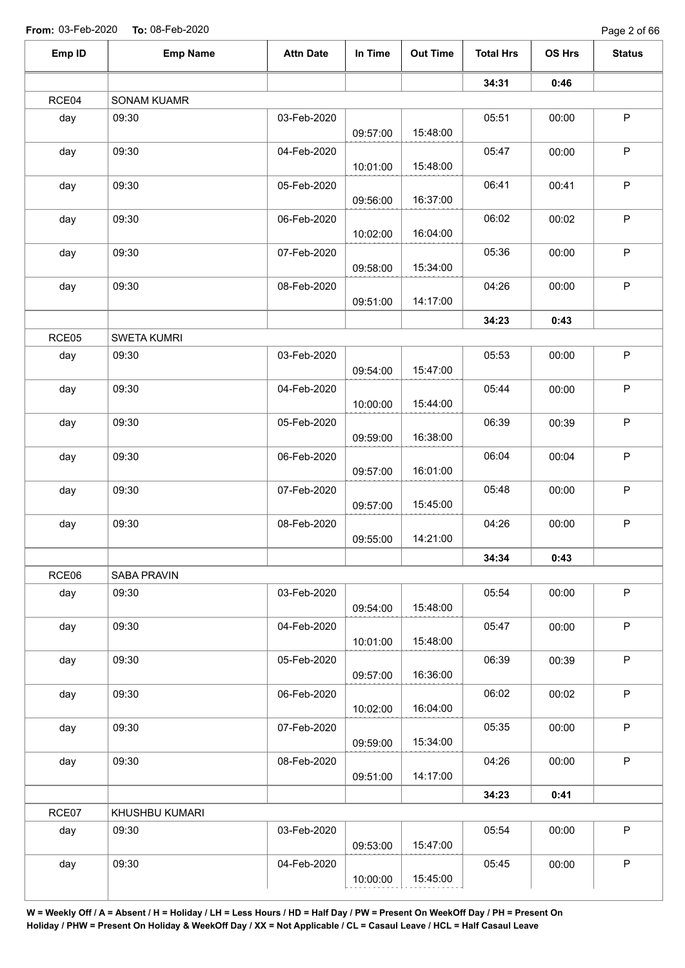Page 2 of 66

|       | <b>Emp Name</b>    | <b>Attn Date</b> | In Time  | <b>Out Time</b> | <b>Total Hrs</b> | OS Hrs | <b>Status</b> |
|-------|--------------------|------------------|----------|-----------------|------------------|--------|---------------|
|       |                    |                  |          |                 | 34:31            | 0:46   |               |
| RCE04 | SONAM KUAMR        |                  |          |                 |                  |        |               |
| day   | 09:30              | 03-Feb-2020      |          |                 | 05:51            | 00:00  | $\mathsf P$   |
|       |                    |                  | 09:57:00 | 15:48:00        |                  |        |               |
| day   | 09:30              | 04-Feb-2020      |          |                 | 05:47            | 00:00  | $\sf P$       |
|       |                    |                  | 10:01:00 | 15:48:00        |                  |        |               |
| day   | 09:30              | 05-Feb-2020      |          | 16:37:00        | 06:41            | 00:41  | $\sf P$       |
|       |                    |                  | 09:56:00 |                 |                  |        |               |
| day   | 09:30              | 06-Feb-2020      | 10:02:00 | 16:04:00        | 06:02            | 00:02  | $\sf P$       |
|       | 09:30              | 07-Feb-2020      |          |                 | 05:36            | 00:00  | $\mathsf P$   |
| day   |                    |                  | 09:58:00 | 15:34:00        |                  |        |               |
| day   | 09:30              | 08-Feb-2020      |          |                 | 04:26            | 00:00  | $\sf P$       |
|       |                    |                  | 09:51:00 | 14:17:00        |                  |        |               |
|       |                    |                  |          |                 | 34:23            | 0:43   |               |
| RCE05 | <b>SWETA KUMRI</b> |                  |          |                 |                  |        |               |
| day   | 09:30              | 03-Feb-2020      |          |                 | 05:53            | 00:00  | $\mathsf P$   |
|       |                    |                  | 09:54:00 | 15:47:00        |                  |        |               |
| day   | 09:30              | 04-Feb-2020      |          |                 | 05:44            | 00:00  | $\sf P$       |
|       |                    |                  | 10:00:00 | 15:44:00        |                  |        |               |
| day   | 09:30              | 05-Feb-2020      |          |                 | 06:39            | 00:39  | $\mathsf P$   |
|       |                    |                  | 09:59:00 | 16:38:00        |                  |        |               |
| day   | 09:30              | 06-Feb-2020      |          |                 | 06:04            | 00:04  | $\mathsf P$   |
|       |                    |                  | 09:57:00 | 16:01:00        |                  |        |               |
| day   | 09:30              | 07-Feb-2020      |          |                 | 05:48            | 00:00  | $\sf P$       |
|       |                    |                  | 09:57:00 | 15:45:00        |                  |        |               |
| day   | 09:30              | 08-Feb-2020      |          |                 | 04:26            | 00:00  | $\sf P$       |
|       |                    |                  | 09:55:00 | 14:21:00        |                  |        |               |
|       |                    |                  |          |                 | 34:34            | 0:43   |               |
| RCE06 | SABA PRAVIN        |                  |          |                 |                  |        |               |
| day   | 09:30              | 03-Feb-2020      |          |                 | 05:54            | 00:00  | $\mathsf P$   |
|       |                    |                  | 09:54:00 | 15:48:00        |                  |        |               |
| day   | 09:30              | 04-Feb-2020      |          |                 | 05:47            | 00:00  | $\mathsf P$   |
|       |                    |                  | 10:01:00 | 15:48:00        |                  |        |               |
| day   | 09:30              | 05-Feb-2020      |          |                 | 06:39            | 00:39  | $\mathsf P$   |
|       |                    |                  | 09:57:00 | 16:36:00        |                  |        |               |
| day   | 09:30              | 06-Feb-2020      |          |                 | 06:02            | 00:02  | $\sf P$       |
|       |                    |                  | 10:02:00 | 16:04:00        |                  |        |               |
| day   | 09:30              | 07-Feb-2020      |          |                 | 05:35            | 00:00  | $\sf P$       |
|       |                    |                  | 09:59:00 | 15:34:00        |                  |        |               |
| day   | 09:30              | 08-Feb-2020      |          |                 | 04:26            | 00:00  | $\mathsf P$   |
|       |                    |                  | 09:51:00 | 14:17:00        |                  |        |               |
|       |                    |                  |          |                 | 34:23            | 0:41   |               |
| RCE07 | KHUSHBU KUMARI     |                  |          |                 |                  |        |               |
| day   | 09:30              | 03-Feb-2020      |          |                 | 05:54            | 00:00  | $\mathsf P$   |
|       |                    |                  | 09:53:00 | 15:47:00        |                  |        |               |
| day   | 09:30              | 04-Feb-2020      |          |                 | 05:45            | 00:00  | $\mathsf P$   |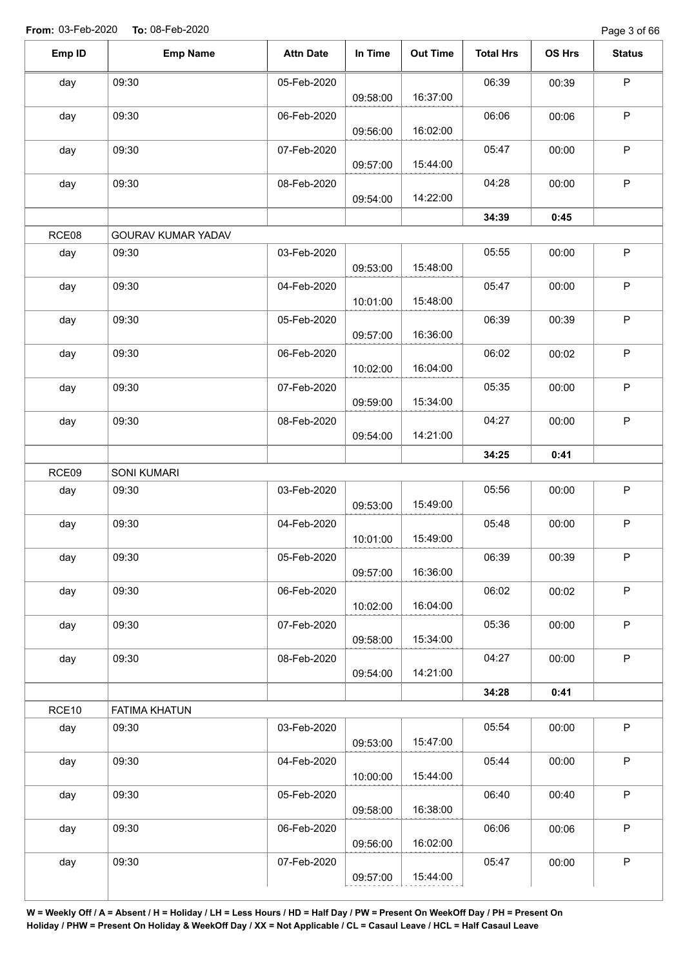| Emp ID | <b>Emp Name</b>      | <b>Attn Date</b> | In Time  | <b>Out Time</b> | <b>Total Hrs</b> | OS Hrs | <b>Status</b> |
|--------|----------------------|------------------|----------|-----------------|------------------|--------|---------------|
| day    | 09:30                | 05-Feb-2020      | 09:58:00 | 16:37:00        | 06:39            | 00:39  | $\mathsf P$   |
| day    | 09:30                | 06-Feb-2020      | 09:56:00 | 16:02:00        | 06:06            | 00:06  | $\sf P$       |
| day    | 09:30                | 07-Feb-2020      | 09:57:00 | 15:44:00        | 05:47            | 00:00  | $\mathsf P$   |
| day    | 09:30                | 08-Feb-2020      | 09:54:00 | 14:22:00        | 04:28            | 00:00  | $\mathsf P$   |
|        |                      |                  |          |                 | 34:39            | 0:45   |               |
| RCE08  | GOURAV KUMAR YADAV   |                  |          |                 |                  |        |               |
| day    | 09:30                | 03-Feb-2020      | 09:53:00 | 15:48:00        | 05:55            | 00:00  | $\mathsf P$   |
| day    | 09:30                | 04-Feb-2020      | 10:01:00 | 15:48:00        | 05:47            | 00:00  | P             |
| day    | 09:30                | 05-Feb-2020      | 09:57:00 | 16:36:00        | 06:39            | 00:39  | $\sf P$       |
| day    | 09:30                | 06-Feb-2020      | 10:02:00 | 16:04:00        | 06:02            | 00:02  | $\mathsf P$   |
| day    | 09:30                | 07-Feb-2020      | 09:59:00 | 15:34:00        | 05:35            | 00:00  | $\sf P$       |
| day    | 09:30                | 08-Feb-2020      | 09:54:00 | 14:21:00        | 04:27            | 00:00  | $\mathsf P$   |
|        |                      |                  |          |                 | 34:25            | 0:41   |               |
| RCE09  | <b>SONI KUMARI</b>   |                  |          |                 |                  |        |               |
| day    | 09:30                | 03-Feb-2020      | 09:53:00 | 15:49:00        | 05:56            | 00:00  | $\mathsf P$   |
| day    | 09:30                | 04-Feb-2020      | 10:01:00 | 15:49:00        | 05:48            | 00:00  | $\mathsf P$   |
| day    | 09:30                | 05-Feb-2020      | 09:57:00 | 16:36:00        | 06:39            | 00:39  | $\mathsf{P}$  |
| day    | 09:30                | 06-Feb-2020      | 10:02:00 | 16:04:00        | 06:02            | 00:02  | $\mathsf P$   |
| day    | 09:30                | 07-Feb-2020      | 09:58:00 | 15:34:00        | 05:36            | 00:00  | $\sf P$       |
| day    | 09:30                | 08-Feb-2020      | 09:54:00 | 14:21:00        | 04:27            | 00:00  | $\sf P$       |
|        |                      |                  |          |                 | 34:28            | 0:41   |               |
| RCE10  | <b>FATIMA KHATUN</b> |                  |          |                 |                  |        |               |
| day    | 09:30                | 03-Feb-2020      | 09:53:00 | 15:47:00        | 05:54            | 00:00  | $\sf P$       |
| day    | 09:30                | 04-Feb-2020      | 10:00:00 | 15:44:00        | 05:44            | 00:00  | $\sf P$       |
| day    | 09:30                | 05-Feb-2020      | 09:58:00 | 16:38:00        | 06:40            | 00:40  | $\sf P$       |
| day    | 09:30                | 06-Feb-2020      | 09:56:00 | 16:02:00        | 06:06            | 00:06  | $\mathsf P$   |
| day    | 09:30                | 07-Feb-2020      | 09:57:00 | 15:44:00        | 05:47            | 00:00  | P             |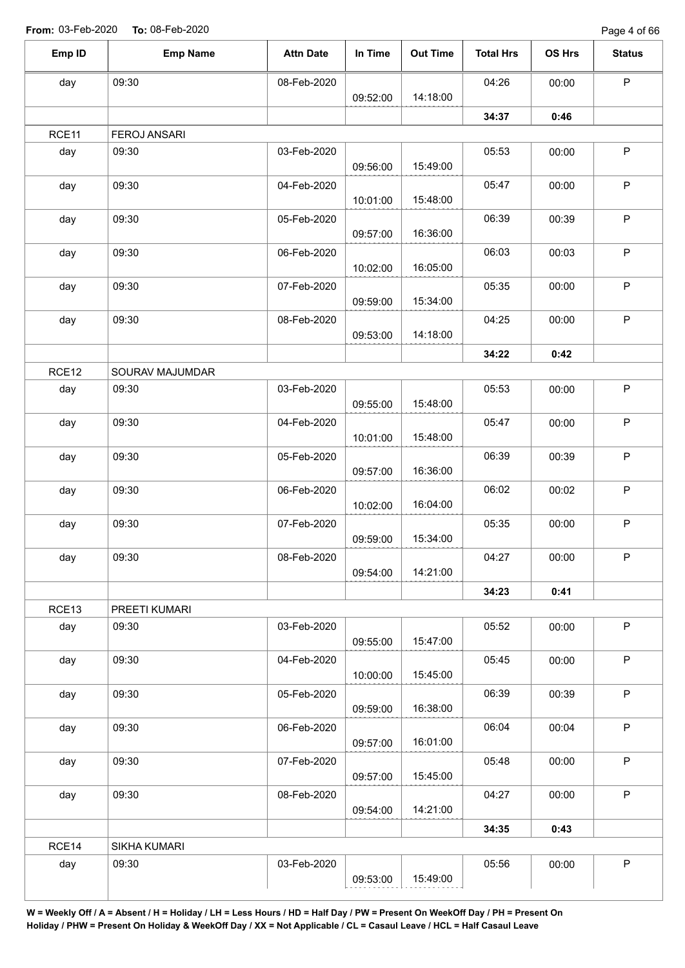| 04:26<br>09:30<br>08-Feb-2020<br>day<br>14:18:00<br>09:52:00<br>34:37<br>RCE11<br><b>FEROJ ANSARI</b><br>09:30<br>03-Feb-2020<br>05:53<br>day<br>15:49:00<br>09:56:00<br>09:30<br>05:47<br>04-Feb-2020<br>day<br>15:48:00<br>10:01:00<br>09:30<br>06:39<br>day<br>05-Feb-2020<br>16:36:00<br>09:57:00 | $\mathsf P$<br>00:00<br>0:46<br>$\sf P$<br>00:00<br>$\mathsf P$<br>00:00<br>$\mathsf P$<br>00:39<br>$\mathsf P$<br>00:03<br>$\mathsf P$<br>00:00 |
|-------------------------------------------------------------------------------------------------------------------------------------------------------------------------------------------------------------------------------------------------------------------------------------------------------|--------------------------------------------------------------------------------------------------------------------------------------------------|
|                                                                                                                                                                                                                                                                                                       |                                                                                                                                                  |
|                                                                                                                                                                                                                                                                                                       |                                                                                                                                                  |
|                                                                                                                                                                                                                                                                                                       |                                                                                                                                                  |
|                                                                                                                                                                                                                                                                                                       |                                                                                                                                                  |
|                                                                                                                                                                                                                                                                                                       |                                                                                                                                                  |
|                                                                                                                                                                                                                                                                                                       |                                                                                                                                                  |
|                                                                                                                                                                                                                                                                                                       |                                                                                                                                                  |
| 09:30<br>06:03<br>day<br>06-Feb-2020<br>16:05:00<br>10:02:00                                                                                                                                                                                                                                          |                                                                                                                                                  |
| 09:30<br>05:35<br>day<br>07-Feb-2020<br>15:34:00<br>09:59:00                                                                                                                                                                                                                                          |                                                                                                                                                  |
| 09:30<br>04:25<br>day<br>08-Feb-2020<br>14:18:00<br>09:53:00                                                                                                                                                                                                                                          | $\mathsf P$<br>00:00                                                                                                                             |
| 34:22                                                                                                                                                                                                                                                                                                 | 0:42                                                                                                                                             |
| RCE12<br>SOURAV MAJUMDAR                                                                                                                                                                                                                                                                              |                                                                                                                                                  |
| 09:30<br>03-Feb-2020<br>05:53<br>day<br>15:48:00<br>09:55:00                                                                                                                                                                                                                                          | $\mathsf P$<br>00:00                                                                                                                             |
| 09:30<br>05:47<br>day<br>04-Feb-2020<br>15:48:00<br>10:01:00                                                                                                                                                                                                                                          | $\mathsf P$<br>00:00                                                                                                                             |
| 09:30<br>06:39<br>05-Feb-2020<br>day<br>16:36:00<br>09:57:00                                                                                                                                                                                                                                          | $\mathsf P$<br>00:39                                                                                                                             |
| 09:30<br>06:02<br>06-Feb-2020<br>day<br>16:04:00<br>10:02:00                                                                                                                                                                                                                                          | $\mathsf P$<br>00:02                                                                                                                             |
| 09:30<br>05:35<br>07-Feb-2020<br>day<br>15:34:00<br>09:59:00                                                                                                                                                                                                                                          | $\mathsf P$<br>00:00                                                                                                                             |
| 09:30<br>08-Feb-2020<br>04:27<br>day<br>14:21:00<br>09:54:00                                                                                                                                                                                                                                          | P<br>00:00                                                                                                                                       |
| 34:23                                                                                                                                                                                                                                                                                                 | 0:41                                                                                                                                             |
| RCE13<br>PREETI KUMARI                                                                                                                                                                                                                                                                                |                                                                                                                                                  |
| 05:52<br>03-Feb-2020<br>09:30<br>day<br>15:47:00<br>09:55:00                                                                                                                                                                                                                                          | $\mathsf P$<br>00:00                                                                                                                             |
| 05:45<br>09:30<br>day<br>04-Feb-2020<br>15:45:00<br>10:00:00                                                                                                                                                                                                                                          | $\sf P$<br>00:00                                                                                                                                 |
| 06:39<br>09:30<br>day<br>05-Feb-2020<br>16:38:00<br>09:59:00                                                                                                                                                                                                                                          | $\mathsf P$<br>00:39                                                                                                                             |
| 06:04<br>day<br>09:30<br>06-Feb-2020<br>09:57:00<br>16:01:00                                                                                                                                                                                                                                          | $\mathsf P$<br>00:04                                                                                                                             |
| 09:30<br>05:48<br>07-Feb-2020<br>day<br>15:45:00<br>09:57:00                                                                                                                                                                                                                                          | $\mathsf P$<br>00:00                                                                                                                             |
| 04:27<br>09:30<br>08-Feb-2020<br>day<br>14:21:00<br>09:54:00                                                                                                                                                                                                                                          | $\sf P$<br>00:00                                                                                                                                 |
| 34:35                                                                                                                                                                                                                                                                                                 | 0:43                                                                                                                                             |
| RCE14<br>SIKHA KUMARI                                                                                                                                                                                                                                                                                 |                                                                                                                                                  |
| 09:30<br>03-Feb-2020<br>05:56<br>day<br>15:49:00<br>09:53:00                                                                                                                                                                                                                                          | $\sf P$<br>00:00                                                                                                                                 |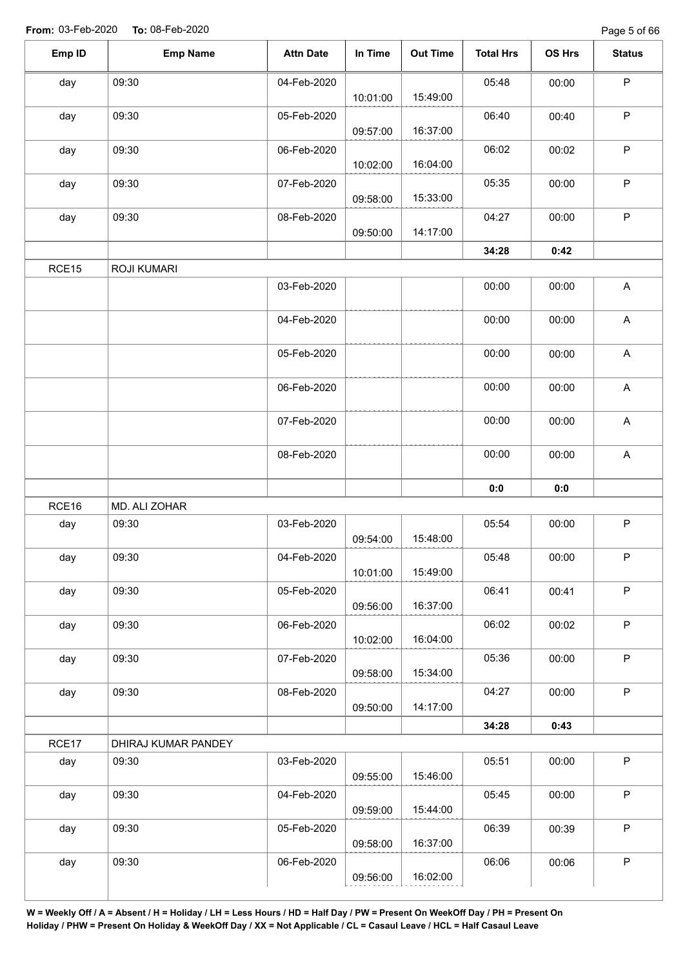| Emp ID | <b>Emp Name</b>     | <b>Attn Date</b> | In Time  | <b>Out Time</b> | <b>Total Hrs</b> | OS Hrs | <b>Status</b> |
|--------|---------------------|------------------|----------|-----------------|------------------|--------|---------------|
| day    | 09:30               | 04-Feb-2020      | 10:01:00 | 15:49:00        | 05:48            | 00:00  | $\mathsf P$   |
| day    | 09:30               | 05-Feb-2020      | 09:57:00 | 16:37:00        | 06:40            | 00:40  | $\sf P$       |
| day    | 09:30               | 06-Feb-2020      | 10:02:00 | 16:04:00        | 06:02            | 00:02  | $\mathsf{P}$  |
| day    | 09:30               | 07-Feb-2020      | 09:58:00 | 15:33:00        | 05:35            | 00:00  | $\mathsf P$   |
| day    | 09:30               | 08-Feb-2020      | 09:50:00 | 14:17:00        | 04:27            | 00:00  | $\mathsf P$   |
|        |                     |                  |          |                 | 34:28            | 0:42   |               |
| RCE15  | <b>ROJI KUMARI</b>  |                  |          |                 |                  |        |               |
|        |                     | 03-Feb-2020      |          |                 | 00:00            | 00:00  | $\mathsf A$   |
|        |                     | 04-Feb-2020      |          |                 | 00:00            | 00:00  | $\mathsf A$   |
|        |                     | 05-Feb-2020      |          |                 | 00:00            | 00:00  | $\mathsf A$   |
|        |                     | 06-Feb-2020      |          |                 | 00:00            | 00:00  | $\mathsf A$   |
|        |                     | 07-Feb-2020      |          |                 | 00:00            | 00:00  | $\mathsf A$   |
|        |                     | 08-Feb-2020      |          |                 | 00:00            | 00:00  | $\mathsf A$   |
|        |                     |                  |          |                 | 0:0              | 0:0    |               |
| RCE16  | MD. ALI ZOHAR       |                  |          |                 |                  |        |               |
| day    | 09:30               | 03-Feb-2020      | 09:54:00 | 15:48:00        | 05:54            | 00:00  | $\mathsf P$   |
| day    | 09:30               | 04-Feb-2020      | 10:01:00 | 15:49:00        | 05:48            | 00:00  | $\sf P$       |
| day    | 09:30               | 05-Feb-2020      | 09:56:00 | 16:37:00        | 06:41            | 00:41  | $\mathsf P$   |
| day    | 09:30               | 06-Feb-2020      | 10:02:00 | 16:04:00        | 06:02            | 00:02  | P             |
| day    | 09:30               | 07-Feb-2020      | 09:58:00 | 15:34:00        | 05:36            | 00:00  | $\mathsf P$   |
| day    | 09:30               | 08-Feb-2020      | 09:50:00 | 14:17:00        | 04:27            | 00:00  | P             |
|        |                     |                  |          |                 | 34:28            | 0:43   |               |
| RCE17  | DHIRAJ KUMAR PANDEY |                  |          |                 |                  |        |               |
| day    | 09:30               | 03-Feb-2020      | 09:55:00 | 15:46:00        | 05:51            | 00:00  | P             |
| day    | 09:30               | 04-Feb-2020      | 09:59:00 | 15:44:00        | 05:45            | 00:00  | $\mathsf{P}$  |
| day    | 09:30               | 05-Feb-2020      | 09:58:00 | 16:37:00        | 06:39            | 00:39  | $\mathsf P$   |
| day    | 09:30               | 06-Feb-2020      |          |                 | 06:06            | 00:06  | $\mathsf P$   |
|        |                     |                  | 09:56:00 | 16:02:00        |                  |        |               |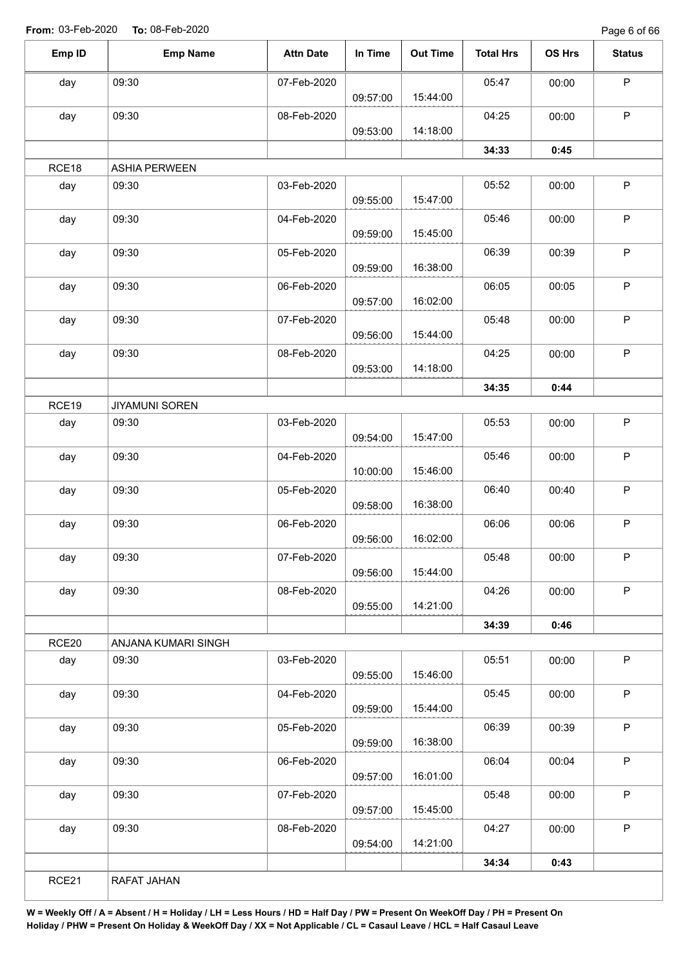Page 6 of 66

| Emp ID | <b>Emp Name</b>       | <b>Attn Date</b> | In Time  | <b>Out Time</b> | <b>Total Hrs</b> | OS Hrs | <b>Status</b> |
|--------|-----------------------|------------------|----------|-----------------|------------------|--------|---------------|
| day    | 09:30                 | 07-Feb-2020      |          |                 | 05:47            | 00:00  | P             |
|        |                       |                  | 09:57:00 | 15:44:00        |                  |        |               |
| day    | 09:30                 | 08-Feb-2020      |          |                 | 04:25            | 00:00  | $\mathsf P$   |
|        |                       |                  | 09:53:00 | 14:18:00        |                  |        |               |
|        |                       |                  |          |                 | 34:33            | 0:45   |               |
| RCE18  | <b>ASHIA PERWEEN</b>  |                  |          |                 |                  |        |               |
| day    | 09:30                 | 03-Feb-2020      | 09:55:00 | 15:47:00        | 05:52            | 00:00  | $\mathsf P$   |
| day    | 09:30                 | 04-Feb-2020      | 09:59:00 | 15:45:00        | 05:46            | 00:00  | $\mathsf P$   |
| day    | 09:30                 | 05-Feb-2020      | 09:59:00 | 16:38:00        | 06:39            | 00:39  | $\mathsf P$   |
|        | 09:30                 | 06-Feb-2020      |          |                 | 06:05            |        | $\sf P$       |
| day    |                       |                  | 09:57:00 | 16:02:00        |                  | 00:05  |               |
| day    | 09:30                 | 07-Feb-2020      |          |                 | 05:48            | 00:00  | $\mathsf P$   |
|        |                       |                  | 09:56:00 | 15:44:00        |                  |        |               |
| day    | 09:30                 | 08-Feb-2020      |          |                 | 04:25            | 00:00  | $\mathsf P$   |
|        |                       |                  | 09:53:00 | 14:18:00        |                  |        |               |
|        |                       |                  |          |                 | 34:35            | 0:44   |               |
| RCE19  | <b>JIYAMUNI SOREN</b> |                  |          |                 |                  |        |               |
| day    | 09:30                 | 03-Feb-2020      | 09:54:00 | 15:47:00        | 05:53            | 00:00  | $\sf P$       |
| day    | 09:30                 | 04-Feb-2020      |          |                 | 05:46            | 00:00  | $\mathsf P$   |
|        |                       |                  | 10:00:00 | 15:46:00        |                  |        |               |
| day    | 09:30                 | 05-Feb-2020      | 09:58:00 | 16:38:00        | 06:40            | 00:40  | $\mathsf P$   |
| day    | 09:30                 | 06-Feb-2020      |          |                 | 06:06            | 00:06  | $\mathsf P$   |
|        |                       |                  | 09:56:00 | 16:02:00        |                  |        |               |
| day    | 09:30                 | 07-Feb-2020      | 09:56:00 | 15:44:00        | 05:48            | 00:00  | P             |
| day    | 09:30                 | 08-Feb-2020      | 09:55:00 | 14:21:00        | 04:26            | 00:00  | $\mathsf P$   |
|        |                       |                  |          |                 | 34:39            | 0:46   |               |
| RCE20  | ANJANA KUMARI SINGH   |                  |          |                 |                  |        |               |
| day    | 09:30                 | 03-Feb-2020      | 09:55:00 | 15:46:00        | 05:51            | 00:00  | $\mathsf P$   |
| day    | 09:30                 | 04-Feb-2020      |          |                 | 05:45            | 00:00  | $\mathsf P$   |
|        |                       |                  | 09:59:00 | 15:44:00        |                  |        |               |
| day    | 09:30                 | 05-Feb-2020      | 09:59:00 | 16:38:00        | 06:39            | 00:39  | $\mathsf{P}$  |
| day    | 09:30                 | 06-Feb-2020      |          |                 | 06:04            | 00:04  | P             |
|        |                       |                  | 09:57:00 | 16:01:00        |                  |        |               |
| day    | 09:30                 | 07-Feb-2020      |          |                 | 05:48            | 00:00  | $\mathsf P$   |
|        |                       |                  | 09:57:00 | 15:45:00        |                  |        |               |
| day    | 09:30                 | 08-Feb-2020      |          |                 | 04:27            | 00:00  | P             |
|        |                       |                  | 09:54:00 | 14:21:00        |                  |        |               |
|        |                       |                  |          |                 | 34:34            | 0:43   |               |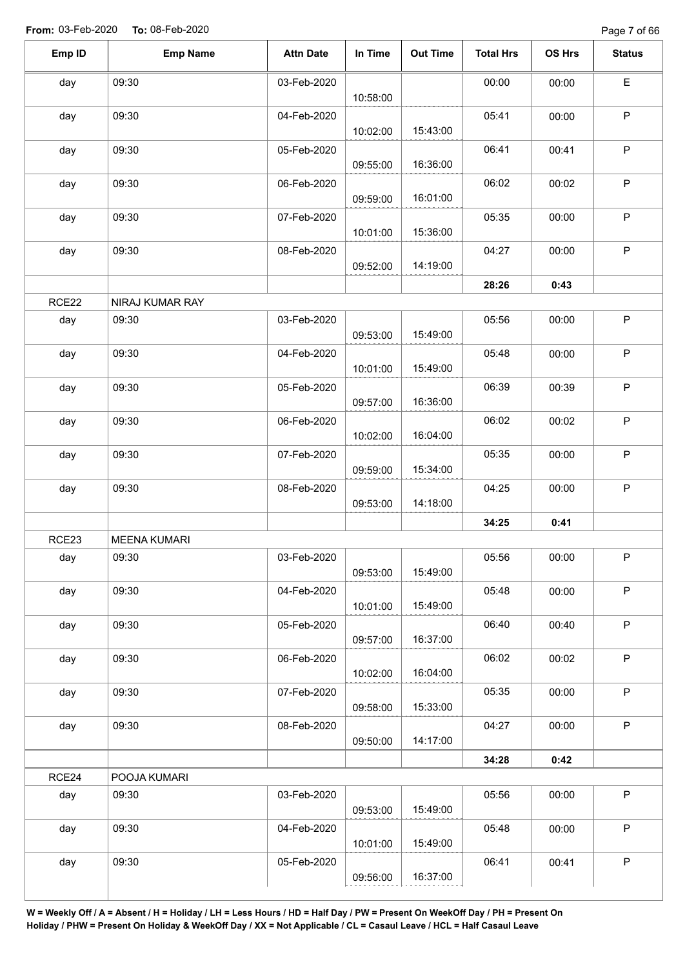Page 7 of 66

| Emp ID | <b>Emp Name</b>     | <b>Attn Date</b>                             | In Time  | <b>Out Time</b> | <b>Total Hrs</b> | OS Hrs | <b>Status</b> |  |  |
|--------|---------------------|----------------------------------------------|----------|-----------------|------------------|--------|---------------|--|--|
| day    | 09:30               | 03-Feb-2020                                  | 10:58:00 |                 | 00:00            | 00:00  | E             |  |  |
| day    | 09:30               | 04-Feb-2020                                  | 10:02:00 | 15:43:00        | 05:41            | 00:00  | $\mathsf P$   |  |  |
| day    | 09:30               | 05-Feb-2020                                  | 09:55:00 | 16:36:00        | 06:41            | 00:41  | $\mathsf P$   |  |  |
| day    | 09:30               | 06-Feb-2020                                  | 09:59:00 | 16:01:00        | 06:02            | 00:02  | $\sf P$       |  |  |
| day    | 09:30               | 07-Feb-2020                                  | 10:01:00 | 15:36:00        | 05:35            | 00:00  | $\mathsf P$   |  |  |
| day    | 09:30               | 08-Feb-2020                                  | 09:52:00 | 14:19:00        | 04:27            | 00:00  | $\mathsf P$   |  |  |
|        |                     |                                              |          |                 | 28:26            | 0:43   |               |  |  |
| RCE22  | NIRAJ KUMAR RAY     | $\mathsf P$<br>03-Feb-2020<br>05:56<br>00:00 |          |                 |                  |        |               |  |  |
| day    | 09:30               |                                              | 09:53:00 | 15:49:00        |                  |        |               |  |  |
| day    | 09:30               | 04-Feb-2020                                  | 10:01:00 | 15:49:00        | 05:48            | 00:00  | $\mathsf P$   |  |  |
| day    | 09:30               | 05-Feb-2020                                  | 09:57:00 | 16:36:00        | 06:39            | 00:39  | $\mathsf P$   |  |  |
| day    | 09:30               | 06-Feb-2020                                  | 10:02:00 | 16:04:00        | 06:02            | 00:02  | $\mathsf P$   |  |  |
| day    | 09:30               | 07-Feb-2020                                  | 09:59:00 | 15:34:00        | 05:35            | 00:00  | $\mathsf P$   |  |  |
| day    | 09:30               | 08-Feb-2020                                  | 09:53:00 | 14:18:00        | 04:25            | 00:00  | $\mathsf P$   |  |  |
|        |                     |                                              |          |                 | 34:25            | 0:41   |               |  |  |
| RCE23  | <b>MEENA KUMARI</b> |                                              |          |                 |                  |        |               |  |  |
| day    | 09:30               | 03-Feb-2020                                  | 09:53:00 | 15:49:00        | 05:56            | 00:00  | P             |  |  |
| day    | 09:30               | 04-Feb-2020                                  | 10:01:00 | 15:49:00        | 05:48            | 00:00  | $\mathsf P$   |  |  |
| day    | 09:30               | 05-Feb-2020                                  | 09:57:00 | 16:37:00        | 06:40            | 00:40  | $\mathsf P$   |  |  |
| day    | 09:30               | 06-Feb-2020                                  | 10:02:00 | 16:04:00        | 06:02            | 00:02  | $\sf P$       |  |  |
| day    | 09:30               | 07-Feb-2020                                  | 09:58:00 | 15:33:00        | 05:35            | 00:00  | $\mathsf P$   |  |  |
| day    | 09:30               | 08-Feb-2020                                  | 09:50:00 | 14:17:00        | 04:27            | 00:00  | $\sf P$       |  |  |
|        |                     |                                              |          |                 | 34:28            | 0:42   |               |  |  |
| RCE24  | POOJA KUMARI        |                                              |          |                 |                  |        |               |  |  |
| day    | 09:30               | 03-Feb-2020                                  | 09:53:00 | 15:49:00        | 05:56            | 00:00  | $\sf P$       |  |  |
| day    | 09:30               | 04-Feb-2020                                  | 10:01:00 | 15:49:00        | 05:48            | 00:00  | $\mathsf P$   |  |  |
| day    | 09:30               | 05-Feb-2020                                  | 09:56:00 | 16:37:00        | 06:41            | 00:41  | P             |  |  |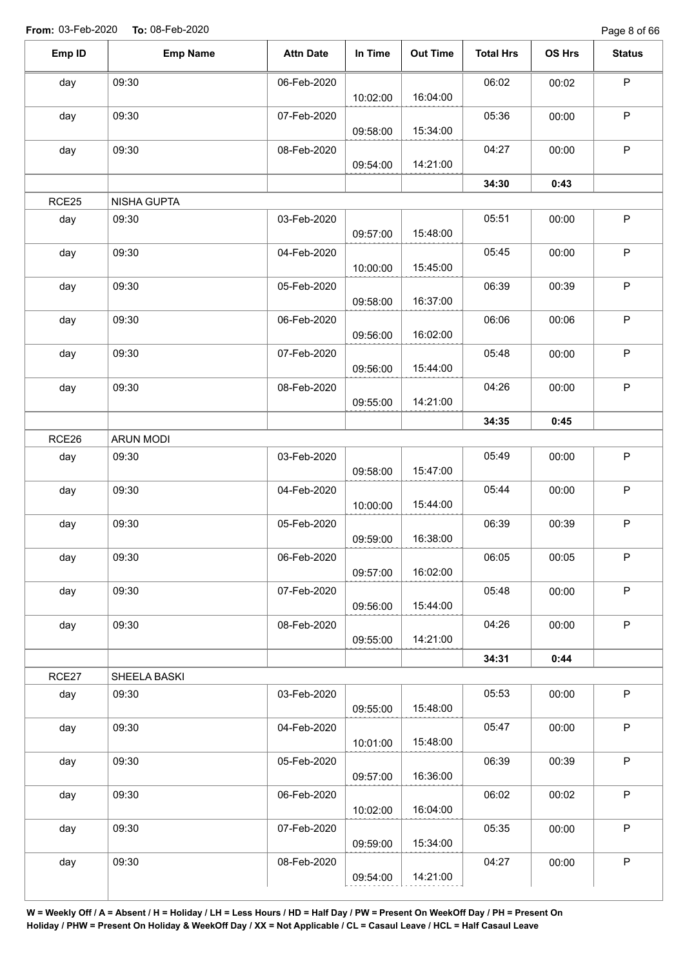Page 8 of 66

| Emp ID | <b>Emp Name</b>    | <b>Attn Date</b> | In Time  | <b>Out Time</b> | <b>Total Hrs</b> | OS Hrs | <b>Status</b> |
|--------|--------------------|------------------|----------|-----------------|------------------|--------|---------------|
| day    | 09:30              | 06-Feb-2020      |          |                 | 06:02            | 00:02  | P             |
|        |                    |                  | 10:02:00 | 16:04:00        |                  |        |               |
| day    | 09:30              | 07-Feb-2020      | 09:58:00 | 15:34:00        | 05:36            | 00:00  | $\mathsf P$   |
| day    | 09:30              | 08-Feb-2020      | 09:54:00 | 14:21:00        | 04:27            | 00:00  | $\mathsf P$   |
|        |                    |                  |          |                 | 34:30            | 0:43   |               |
| RCE25  | <b>NISHA GUPTA</b> |                  |          |                 |                  |        |               |
|        |                    |                  |          |                 |                  |        |               |
| day    | 09:30              | 03-Feb-2020      | 09:57:00 | 15:48:00        | 05:51            | 00:00  | $\sf P$       |
| day    | 09:30              | 04-Feb-2020      | 10:00:00 | 15:45:00        | 05:45            | 00:00  | $\mathsf P$   |
| day    | 09:30              | 05-Feb-2020      |          |                 | 06:39            | 00:39  | $\sf P$       |
|        |                    |                  | 09:58:00 | 16:37:00        |                  |        |               |
| day    | 09:30              | 06-Feb-2020      |          |                 | 06:06            | 00:06  | $\mathsf P$   |
|        |                    |                  | 09:56:00 | 16:02:00        |                  |        |               |
| day    | 09:30              | 07-Feb-2020      |          |                 | 05:48            | 00:00  | $\mathsf P$   |
|        |                    |                  | 09:56:00 | 15:44:00        |                  |        |               |
| day    | 09:30              | 08-Feb-2020      |          | 14:21:00        | 04:26            | 00:00  | P             |
|        |                    |                  | 09:55:00 |                 |                  |        |               |
|        |                    |                  |          |                 | 34:35            | 0:45   |               |
| RCE26  | <b>ARUN MODI</b>   |                  |          |                 |                  |        |               |
| day    | 09:30              | 03-Feb-2020      | 09:58:00 | 15:47:00        | 05:49            | 00:00  | P             |
| day    | 09:30              | 04-Feb-2020      | 10:00:00 | 15:44:00        | 05:44            | 00:00  | P             |
| day    | 09:30              | 05-Feb-2020      |          | 16:38:00        | 06:39            | 00:39  | $\sf P$       |
|        |                    |                  | 09:59:00 |                 |                  |        |               |
| day    | 09:30              | 06-Feb-2020      | 09:57:00 | 16:02:00        | 06:05            | 00:05  | $\mathsf P$   |
| day    | 09:30              | 07-Feb-2020      | 09:56:00 | 15:44:00        | 05:48            | 00:00  | $\mathsf P$   |
| day    | 09:30              | 08-Feb-2020      | 09:55:00 | 14:21:00        | 04:26            | 00:00  | $\mathsf P$   |
|        |                    |                  |          |                 | 34:31            | 0:44   |               |
|        |                    |                  |          |                 |                  |        |               |
| RCE27  | SHEELA BASKI       |                  |          |                 |                  |        |               |
| day    | 09:30              | 03-Feb-2020      | 09:55:00 | 15:48:00        | 05:53            | 00:00  | $\sf P$       |
| day    | 09:30              | 04-Feb-2020      | 10:01:00 | 15:48:00        | 05:47            | 00:00  | $\mathsf P$   |
| day    | 09:30              | 05-Feb-2020      |          |                 | 06:39            | 00:39  | $\mathsf P$   |
|        |                    |                  | 09:57:00 | 16:36:00        |                  |        |               |
| day    | 09:30              | 06-Feb-2020      |          |                 | 06:02            | 00:02  | $\sf P$       |
|        |                    |                  | 10:02:00 | 16:04:00        |                  |        |               |
| day    | 09:30              | 07-Feb-2020      |          |                 | 05:35            | 00:00  | P             |
|        |                    |                  | 09:59:00 | 15:34:00        |                  |        |               |
|        | 09:30              | 08-Feb-2020      |          |                 | 04:27            | 00:00  | P             |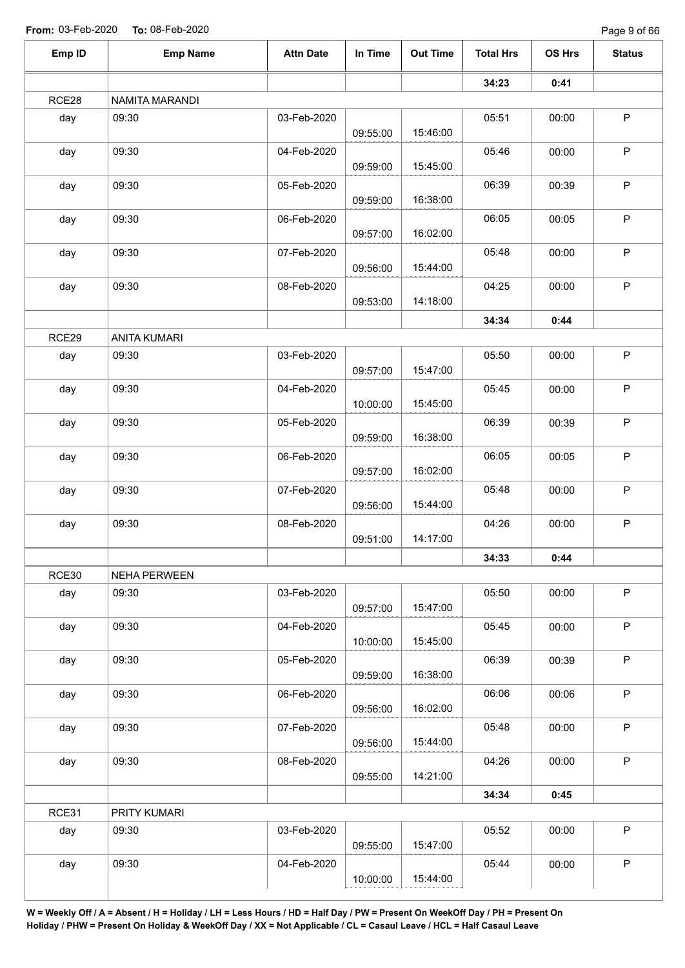Page 9 of 66

| Emp ID | <b>Emp Name</b>     | <b>Attn Date</b> | In Time  | <b>Out Time</b> | <b>Total Hrs</b> | OS Hrs | <b>Status</b> |
|--------|---------------------|------------------|----------|-----------------|------------------|--------|---------------|
|        |                     |                  |          |                 | 34:23            | 0:41   |               |
| RCE28  | NAMITA MARANDI      |                  |          |                 |                  |        |               |
| day    | 09:30               | 03-Feb-2020      |          |                 | 05:51            | 00:00  | $\mathsf P$   |
|        |                     |                  | 09:55:00 | 15:46:00        |                  |        |               |
| day    | 09:30               | 04-Feb-2020      |          |                 | 05:46            | 00:00  | $\mathsf P$   |
|        |                     |                  | 09:59:00 | 15:45:00        |                  |        |               |
| day    | 09:30               | 05-Feb-2020      |          |                 | 06:39            | 00:39  | $\mathsf P$   |
|        |                     |                  | 09:59:00 | 16:38:00        |                  |        |               |
| day    | 09:30               | 06-Feb-2020      |          |                 | 06:05            | 00:05  | $\mathsf P$   |
|        |                     |                  | 09:57:00 | 16:02:00        |                  |        |               |
| day    | 09:30               | 07-Feb-2020      |          |                 | 05:48            | 00:00  | P             |
|        |                     |                  | 09:56:00 | 15:44:00        |                  |        |               |
| day    | 09:30               | 08-Feb-2020      |          |                 | 04:25            | 00:00  | P             |
|        |                     |                  | 09:53:00 | 14:18:00        |                  |        |               |
|        |                     |                  |          |                 | 34:34            | 0:44   |               |
| RCE29  | <b>ANITA KUMARI</b> |                  |          |                 |                  |        |               |
| day    | 09:30               | 03-Feb-2020      |          |                 | 05:50            | 00:00  | $\sf P$       |
|        |                     |                  | 09:57:00 | 15:47:00        |                  |        |               |
| day    | 09:30               | 04-Feb-2020      |          |                 | 05:45            | 00:00  | P             |
|        |                     |                  | 10:00:00 | 15:45:00        |                  |        |               |
| day    | 09:30               | 05-Feb-2020      |          |                 | 06:39            | 00:39  | P             |
|        |                     |                  | 09:59:00 | 16:38:00        |                  |        |               |
| day    | 09:30               | 06-Feb-2020      |          |                 | 06:05            | 00:05  | $\sf P$       |
|        |                     |                  | 09:57:00 | 16:02:00        |                  |        |               |
| day    | 09:30               | 07-Feb-2020      |          |                 | 05:48            | 00:00  | $\sf P$       |
|        |                     |                  | 09:56:00 | 15:44:00        |                  |        |               |
| day    | 09:30               | 08-Feb-2020      |          |                 | 04:26            | 00:00  | $\sf P$       |
|        |                     |                  | 09:51:00 | 14:17:00        |                  |        |               |
|        |                     |                  |          |                 | 34:33            | 0:44   |               |
| RCE30  | NEHA PERWEEN        |                  |          |                 |                  |        |               |
| day    | 09:30               | 03-Feb-2020      |          |                 | 05:50            | 00:00  | $\mathsf P$   |
|        |                     |                  | 09:57:00 | 15:47:00        |                  |        |               |
| day    | 09:30               | 04-Feb-2020      |          |                 | 05:45            | 00:00  | $\mathsf P$   |
|        |                     |                  | 10:00:00 | 15:45:00        |                  |        |               |
| day    | 09:30               | 05-Feb-2020      |          |                 | 06:39            | 00:39  | P             |
|        |                     |                  | 09:59:00 | 16:38:00        |                  |        |               |
| day    | 09:30               | 06-Feb-2020      |          |                 | 06:06            | 00:06  | $\sf P$       |
|        |                     |                  | 09:56:00 | 16:02:00        |                  |        |               |
| day    | 09:30               | 07-Feb-2020      |          |                 | 05:48            | 00:00  | P             |
|        |                     |                  | 09:56:00 | 15:44:00        |                  |        |               |
| day    | 09:30               | 08-Feb-2020      |          |                 | 04:26            | 00:00  | $\mathsf P$   |
|        |                     |                  | 09:55:00 | 14:21:00        |                  |        |               |
|        |                     |                  |          |                 | 34:34            | 0:45   |               |
| RCE31  | PRITY KUMARI        |                  |          |                 |                  |        |               |
| day    | 09:30               | 03-Feb-2020      |          |                 | 05:52            | 00:00  | $\mathsf P$   |
|        |                     |                  | 09:55:00 | 15:47:00        |                  |        |               |
| day    | 09:30               | 04-Feb-2020      |          |                 | 05:44            | 00:00  | P             |
|        |                     |                  |          | 15:44:00        |                  |        |               |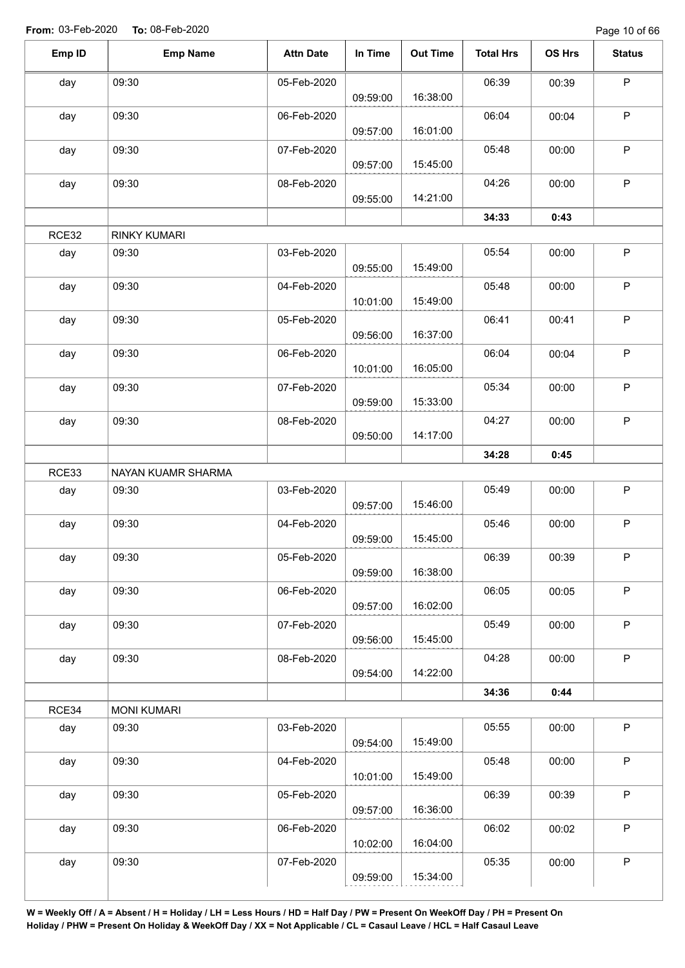Page 10 of 66

| Emp ID | <b>Emp Name</b>     | <b>Attn Date</b> | In Time  | <b>Out Time</b> | <b>Total Hrs</b> | OS Hrs | <b>Status</b> |
|--------|---------------------|------------------|----------|-----------------|------------------|--------|---------------|
| day    | 09:30               | 05-Feb-2020      |          |                 | 06:39            | 00:39  | $\mathsf P$   |
|        |                     |                  | 09:59:00 | 16:38:00        |                  |        |               |
| day    | 09:30               | 06-Feb-2020      | 09:57:00 | 16:01:00        | 06:04            | 00:04  | $\mathsf P$   |
|        |                     |                  |          |                 |                  |        | $\mathsf P$   |
| day    | 09:30               | 07-Feb-2020      | 09:57:00 | 15:45:00        | 05:48            | 00:00  |               |
| day    | 09:30               | 08-Feb-2020      |          |                 | 04:26            | 00:00  | $\mathsf P$   |
|        |                     |                  | 09:55:00 | 14:21:00        |                  |        |               |
|        |                     |                  |          |                 | 34:33            | 0:43   |               |
| RCE32  | <b>RINKY KUMARI</b> |                  |          |                 |                  |        |               |
| day    | 09:30               | 03-Feb-2020      | 09:55:00 | 15:49:00        | 05:54            | 00:00  | $\mathsf P$   |
| day    | 09:30               | 04-Feb-2020      |          |                 | 05:48            | 00:00  | $\mathsf P$   |
|        |                     |                  | 10:01:00 | 15:49:00        |                  |        |               |
| day    | 09:30               | 05-Feb-2020      |          |                 | 06:41            | 00:41  | $\sf P$       |
|        |                     |                  | 09:56:00 | 16:37:00        |                  |        |               |
| day    | 09:30               | 06-Feb-2020      |          |                 | 06:04            | 00:04  | $\mathsf P$   |
|        |                     |                  | 10:01:00 | 16:05:00        |                  |        |               |
| day    | 09:30               | 07-Feb-2020      | 09:59:00 | 15:33:00        | 05:34            | 00:00  | $\sf P$       |
| day    | 09:30               | 08-Feb-2020      |          |                 | 04:27            | 00:00  | $\mathsf P$   |
|        |                     |                  | 09:50:00 | 14:17:00        |                  |        |               |
|        |                     |                  |          |                 | 34:28            | 0:45   |               |
| RCE33  | NAYAN KUAMR SHARMA  |                  |          |                 |                  |        |               |
| day    | 09:30               | 03-Feb-2020      |          |                 | 05:49            | 00:00  | $\mathsf P$   |
|        |                     |                  | 09:57:00 | 15:46:00        |                  |        |               |
| day    | 09:30               | 04-Feb-2020      |          |                 | 05:46            | 00:00  | $\sf P$       |
|        |                     |                  | 09:59:00 | 15:45:00        |                  |        |               |
| day    | 09:30               | 05-Feb-2020      |          |                 | 06:39            | 00:39  | P             |
|        |                     |                  | 09:59:00 | 16:38:00        |                  |        |               |
| day    | 09:30               | 06-Feb-2020      |          |                 | 06:05            | 00:05  | $\sf P$       |
|        |                     |                  | 09:57:00 | 16:02:00        |                  |        |               |
| day    | 09:30               | 07-Feb-2020      |          |                 | 05:49            | 00:00  | $\mathsf P$   |
|        |                     |                  | 09:56:00 | 15:45:00        |                  |        |               |
| day    | 09:30               | 08-Feb-2020      |          |                 | 04:28            | 00:00  | $\sf P$       |
|        |                     |                  | 09:54:00 | 14:22:00        |                  |        |               |
|        |                     |                  |          |                 | 34:36            | 0:44   |               |
| RCE34  | <b>MONI KUMARI</b>  |                  |          |                 |                  |        |               |
| day    | 09:30               | 03-Feb-2020      |          |                 | 05:55            | 00:00  | $\mathsf{P}$  |
|        |                     |                  | 09:54:00 | 15:49:00        |                  |        |               |
| day    | 09:30               | 04-Feb-2020      |          |                 | 05:48            | 00:00  | P             |
|        |                     |                  | 10:01:00 | 15:49:00        |                  |        |               |
| day    | 09:30               | 05-Feb-2020      |          |                 | 06:39            | 00:39  | $\sf P$       |
|        |                     |                  | 09:57:00 | 16:36:00        |                  |        |               |
| day    | 09:30               | 06-Feb-2020      |          |                 | 06:02            | 00:02  | P             |
|        |                     |                  | 10:02:00 | 16:04:00        |                  |        |               |
| day    | 09:30               | 07-Feb-2020      |          |                 | 05:35            | 00:00  | P             |
|        |                     |                  | 09:59:00 | 15:34:00        |                  |        |               |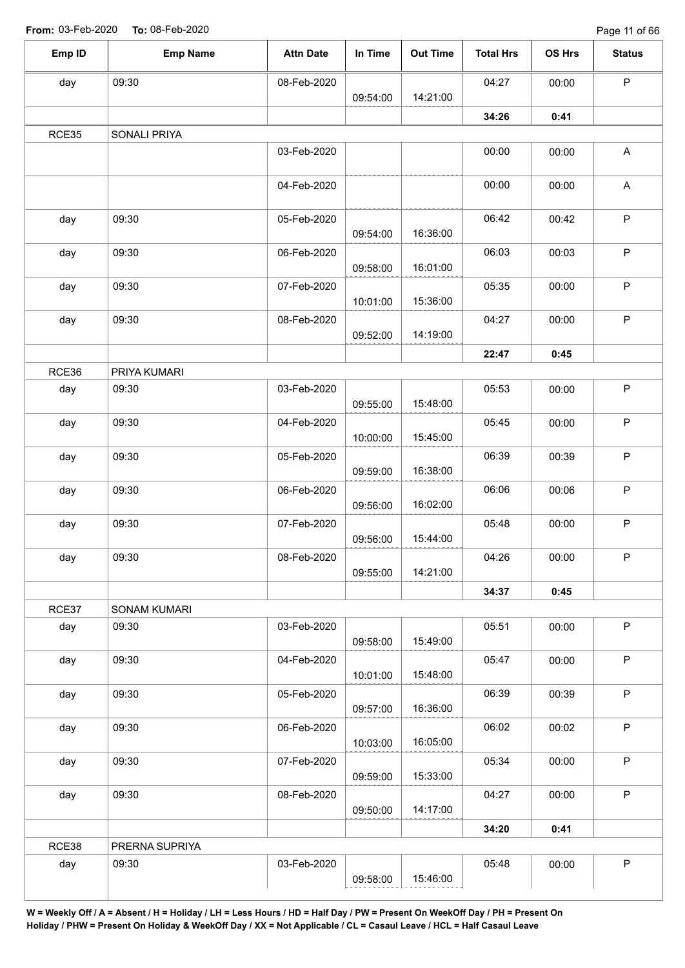Page 11 of 66

| Emp ID | <b>Emp Name</b> | <b>Attn Date</b> | In Time  | <b>Out Time</b> | <b>Total Hrs</b> | OS Hrs | <b>Status</b> |
|--------|-----------------|------------------|----------|-----------------|------------------|--------|---------------|
| day    | 09:30           | 08-Feb-2020      |          |                 | 04:27            | 00:00  | $\mathsf P$   |
|        |                 |                  | 09:54:00 | 14:21:00        |                  |        |               |
|        |                 |                  |          |                 | 34:26            | 0:41   |               |
| RCE35  | SONALI PRIYA    |                  |          |                 |                  |        |               |
|        |                 | 03-Feb-2020      |          |                 | 00:00            | 00:00  | $\mathsf{A}$  |
|        |                 | 04-Feb-2020      |          |                 | 00:00            | 00:00  | A             |
| day    | 09:30           | 05-Feb-2020      | 09:54:00 | 16:36:00        | 06:42            | 00:42  | $\sf P$       |
| day    | 09:30           | 06-Feb-2020      | 09:58:00 | 16:01:00        | 06:03            | 00:03  | $\sf P$       |
| day    | 09:30           | 07-Feb-2020      | 10:01:00 | 15:36:00        | 05:35            | 00:00  | $\mathsf P$   |
| day    | 09:30           | 08-Feb-2020      | 09:52:00 | 14:19:00        | 04:27            | 00:00  | P             |
|        |                 |                  |          |                 | 22:47            | 0:45   |               |
| RCE36  | PRIYA KUMARI    |                  |          |                 |                  |        |               |
| day    | 09:30           | 03-Feb-2020      | 09:55:00 | 15:48:00        | 05:53            | 00:00  | $\sf P$       |
| day    | 09:30           | 04-Feb-2020      | 10:00:00 | 15:45:00        | 05:45            | 00:00  | $\mathsf P$   |
| day    | 09:30           | 05-Feb-2020      | 09:59:00 | 16:38:00        | 06:39            | 00:39  | $\sf P$       |
| day    | 09:30           | 06-Feb-2020      |          | 16:02:00        | 06:06            | 00:06  | $\mathsf P$   |
| day    | 09:30           | 07-Feb-2020      | 09:56:00 |                 | 05:48            | 00:00  | $\sf P$       |
| day    | 09:30           | 08-Feb-2020      | 09:56:00 | 15:44:00        | 04:26            | 00:00  | P             |
|        |                 |                  | 09:55:00 | 14:21:00        |                  |        |               |
|        |                 |                  |          |                 | 34:37            | 0:45   |               |
| RCE37  | SONAM KUMARI    |                  |          |                 |                  |        |               |
| day    | 09:30           | 03-Feb-2020      | 09:58:00 | 15:49:00        | 05:51            | 00:00  | $\mathsf P$   |
| day    | 09:30           | 04-Feb-2020      | 10:01:00 | 15:48:00        | 05:47            | 00:00  | $\mathsf P$   |
| day    | 09:30           | 05-Feb-2020      | 09:57:00 | 16:36:00        | 06:39            | 00:39  | $\sf P$       |
| day    | 09:30           | 06-Feb-2020      | 10:03:00 | 16:05:00        | 06:02            | 00:02  | $\sf P$       |
| day    | 09:30           | 07-Feb-2020      | 09:59:00 | 15:33:00        | 05:34            | 00:00  | $\mathsf P$   |
| day    | 09:30           | 08-Feb-2020      | 09:50:00 | 14:17:00        | 04:27            | 00:00  | $\mathsf P$   |
|        |                 |                  |          |                 | 34:20            | 0:41   |               |
| RCE38  | PRERNA SUPRIYA  |                  |          |                 |                  |        |               |
| day    | 09:30           | 03-Feb-2020      | 09:58:00 | 15:46:00        | 05:48            | 00:00  | $\mathsf P$   |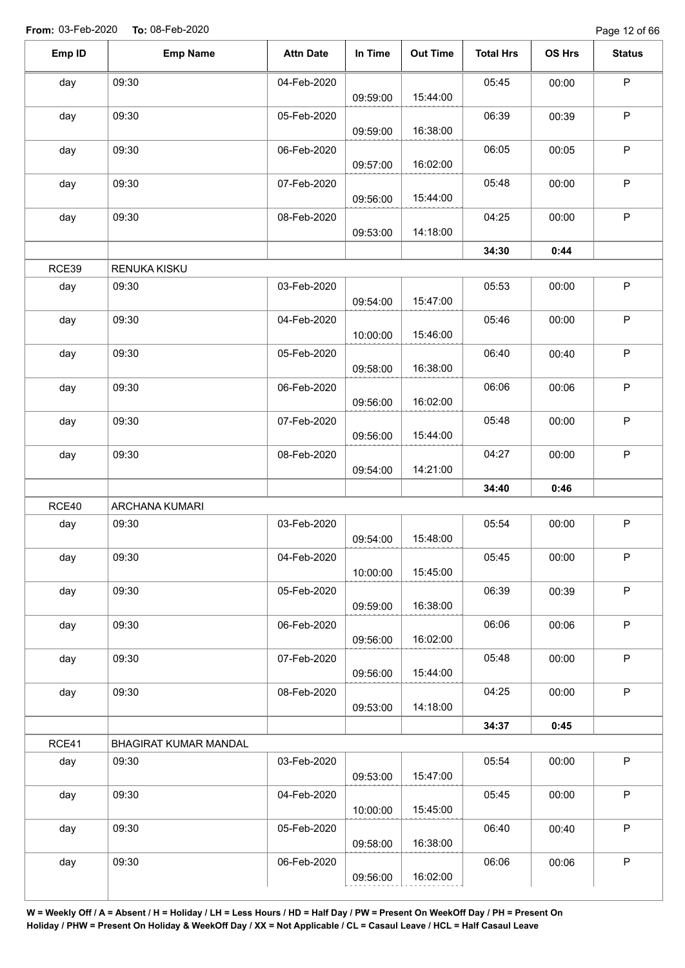| Emp ID | <b>Emp Name</b>       | <b>Attn Date</b> | In Time  | <b>Out Time</b> | <b>Total Hrs</b> | OS Hrs | <b>Status</b> |
|--------|-----------------------|------------------|----------|-----------------|------------------|--------|---------------|
| day    | 09:30                 | 04-Feb-2020      | 09:59:00 | 15:44:00        | 05:45            | 00:00  | $\sf P$       |
| day    | 09:30                 | 05-Feb-2020      | 09:59:00 | 16:38:00        | 06:39            | 00:39  | $\mathsf{P}$  |
| day    | 09:30                 | 06-Feb-2020      | 09:57:00 | 16:02:00        | 06:05            | 00:05  | $\mathsf{P}$  |
| day    | 09:30                 | 07-Feb-2020      | 09:56:00 | 15:44:00        | 05:48            | 00:00  | $\mathsf{P}$  |
| day    | 09:30                 | 08-Feb-2020      | 09:53:00 | 14:18:00        | 04:25            | 00:00  | P             |
|        |                       |                  |          |                 | 34:30            | 0:44   |               |
| RCE39  | RENUKA KISKU          |                  |          |                 |                  |        |               |
| day    | 09:30                 | 03-Feb-2020      | 09:54:00 | 15:47:00        | 05:53            | 00:00  | P             |
| day    | 09:30                 | 04-Feb-2020      | 10:00:00 | 15:46:00        | 05:46            | 00:00  | $\sf P$       |
| day    | 09:30                 | 05-Feb-2020      | 09:58:00 | 16:38:00        | 06:40            | 00:40  | $\sf P$       |
| day    | 09:30                 | 06-Feb-2020      | 09:56:00 | 16:02:00        | 06:06            | 00:06  | $\mathsf P$   |
| day    | 09:30                 | 07-Feb-2020      | 09:56:00 | 15:44:00        | 05:48            | 00:00  | $\mathsf P$   |
| day    | 09:30                 | 08-Feb-2020      | 09:54:00 | 14:21:00        | 04:27            | 00:00  | $\mathsf{P}$  |
|        |                       |                  |          |                 | 34:40            | 0:46   |               |
| RCE40  | ARCHANA KUMARI        |                  |          |                 |                  |        |               |
| day    | 09:30                 | 03-Feb-2020      | 09:54:00 | 15:48:00        | 05:54            | 00:00  | $\mathsf P$   |
| day    | 09:30                 | 04-Feb-2020      | 10:00:00 | 15:45:00        | 05:45            | 00:00  | P             |
| day    | 09:30                 | 05-Feb-2020      | 09:59:00 | 16:38:00        | 06:39            | 00:39  | $\mathsf P$   |
| day    | 09:30                 | 06-Feb-2020      | 09:56:00 | 16:02:00        | 06:06            | 00:06  | P             |
| day    | 09:30                 | 07-Feb-2020      | 09:56:00 | 15:44:00        | 05:48            | 00:00  | $\mathsf P$   |
| day    | 09:30                 | 08-Feb-2020      | 09:53:00 | 14:18:00        | 04:25            | 00:00  | P             |
|        |                       |                  |          |                 | 34:37            | 0:45   |               |
| RCE41  | BHAGIRAT KUMAR MANDAL |                  |          |                 |                  |        |               |
| day    | 09:30                 | 03-Feb-2020      | 09:53:00 | 15:47:00        | 05:54            | 00:00  | P             |
| day    | 09:30                 | 04-Feb-2020      | 10:00:00 | 15:45:00        | 05:45            | 00:00  | $\mathsf P$   |
| day    | 09:30                 | 05-Feb-2020      | 09:58:00 | 16:38:00        | 06:40            | 00:40  | P             |
| day    | 09:30                 | 06-Feb-2020      | 09:56:00 | 16:02:00        | 06:06            | 00:06  | $\mathsf P$   |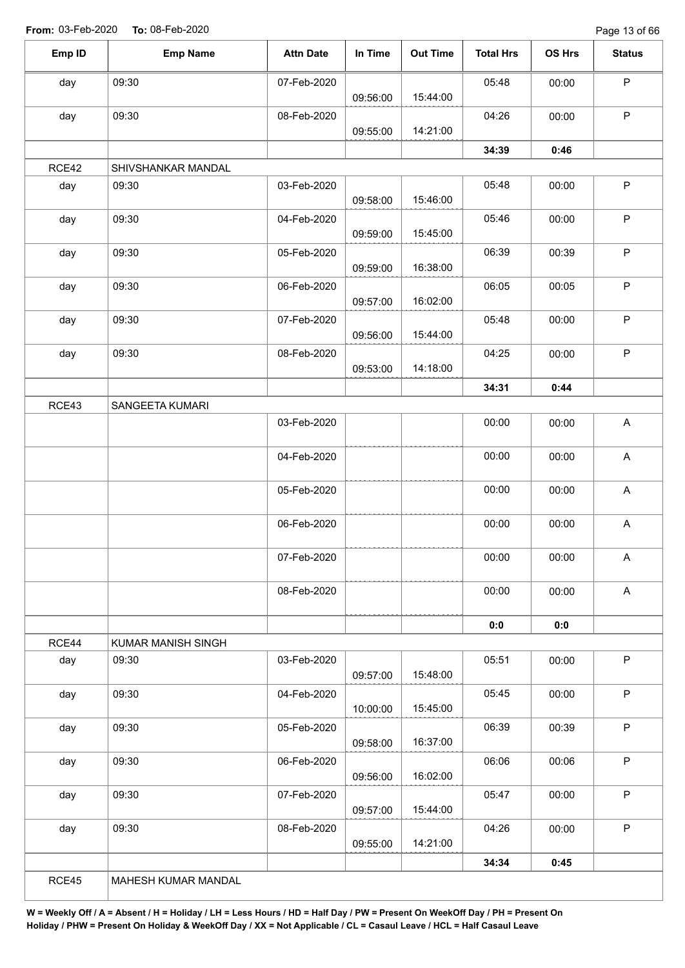Page 13 of 66

| Emp ID | <b>Emp Name</b>    | <b>Attn Date</b> | In Time  | <b>Out Time</b> | <b>Total Hrs</b> | OS Hrs | <b>Status</b>             |
|--------|--------------------|------------------|----------|-----------------|------------------|--------|---------------------------|
| day    | 09:30              | 07-Feb-2020      |          |                 | 05:48            | 00:00  | $\sf P$                   |
|        |                    |                  | 09:56:00 | 15:44:00        |                  |        |                           |
| day    | 09:30              | 08-Feb-2020      |          |                 | 04:26            | 00:00  | $\mathsf{P}$              |
|        |                    |                  | 09:55:00 | 14:21:00        |                  |        |                           |
|        |                    |                  |          |                 | 34:39            | 0:46   |                           |
| RCE42  | SHIVSHANKAR MANDAL |                  |          |                 |                  |        |                           |
| day    | 09:30              | 03-Feb-2020      | 09:58:00 | 15:46:00        | 05:48            | 00:00  | $\mathsf P$               |
| day    | 09:30              | 04-Feb-2020      | 09:59:00 | 15:45:00        | 05:46            | 00:00  | $\sf P$                   |
| day    | 09:30              | 05-Feb-2020      |          |                 | 06:39            | 00:39  | $\sf P$                   |
|        |                    |                  | 09:59:00 | 16:38:00        |                  |        |                           |
| day    | 09:30              | 06-Feb-2020      | 09:57:00 | 16:02:00        | 06:05            | 00:05  | $\sf P$                   |
| day    | 09:30              | 07-Feb-2020      |          |                 | 05:48            | 00:00  | $\mathsf P$               |
|        |                    |                  | 09:56:00 | 15:44:00        |                  |        |                           |
| day    | 09:30              | 08-Feb-2020      |          |                 | 04:25            | 00:00  | $\sf P$                   |
|        |                    |                  | 09:53:00 | 14:18:00        |                  |        |                           |
|        |                    |                  |          |                 | 34:31            | 0:44   |                           |
| RCE43  | SANGEETA KUMARI    |                  |          |                 |                  |        |                           |
|        |                    | 03-Feb-2020      |          |                 | 00:00            | 00:00  | $\mathsf{A}$              |
|        |                    | 04-Feb-2020      |          |                 | 00:00            | 00:00  | $\boldsymbol{\mathsf{A}}$ |
|        |                    | 05-Feb-2020      |          |                 | 00:00            | 00:00  | A                         |
|        |                    |                  |          |                 |                  |        |                           |
|        |                    | 06-Feb-2020      |          |                 | 00:00            | 00:00  | A                         |
|        |                    | 07-Feb-2020      |          |                 | 00:00            | 00:00  | A                         |
|        |                    |                  |          |                 |                  |        |                           |
|        |                    | 08-Feb-2020      |          |                 | 00:00            | 00:00  | $\mathsf{A}$              |
|        |                    |                  |          |                 | 0:0              | 0:0    |                           |
| RCE44  | KUMAR MANISH SINGH |                  |          |                 |                  |        |                           |
| day    | 09:30              | 03-Feb-2020      | 09:57:00 | 15:48:00        | 05:51            | 00:00  | P                         |
| day    | 09:30              | 04-Feb-2020      |          |                 | 05:45            | 00:00  | $\mathsf P$               |
|        |                    |                  | 10:00:00 | 15:45:00        |                  |        |                           |
| day    | 09:30              | 05-Feb-2020      |          |                 | 06:39            | 00:39  | $\mathsf{P}$              |
|        |                    |                  | 09:58:00 | 16:37:00        |                  |        |                           |
| day    | 09:30              | 06-Feb-2020      | 09:56:00 | 16:02:00        | 06:06            | 00:06  | $\mathsf P$               |
| day    | 09:30              | 07-Feb-2020      |          |                 | 05:47            | 00:00  | $\sf P$                   |
|        |                    |                  | 09:57:00 | 15:44:00        |                  |        |                           |
| day    | 09:30              | 08-Feb-2020      |          |                 | 04:26            | 00:00  | $\mathsf{P}$              |
|        |                    |                  | 09:55:00 | 14:21:00        |                  |        |                           |
|        |                    |                  |          |                 |                  |        |                           |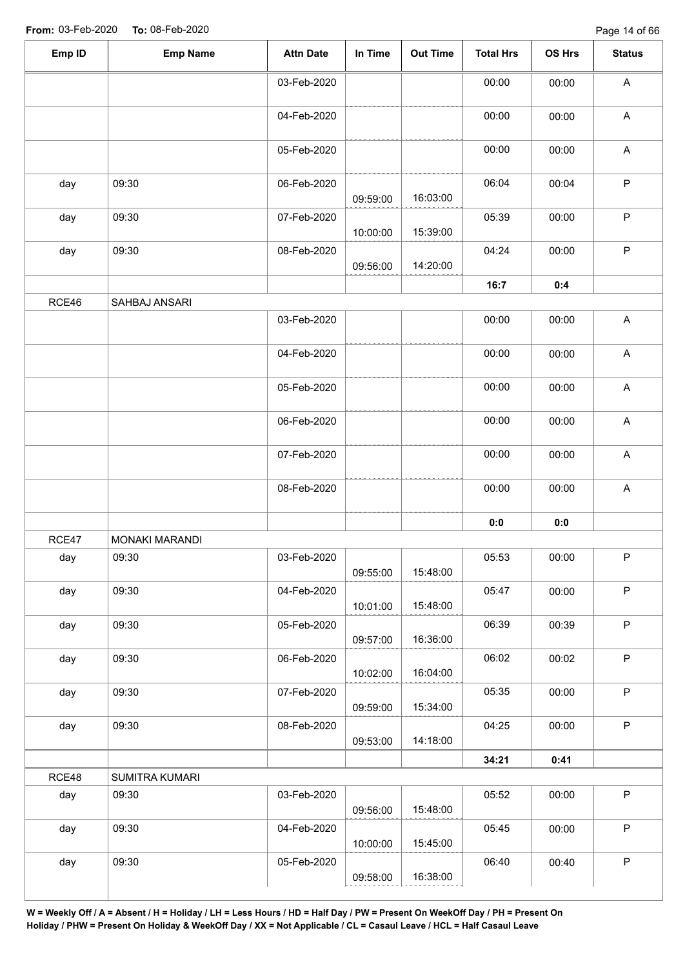| Emp ID | <b>Emp Name</b> | <b>Attn Date</b> | In Time  | Out Time | <b>Total Hrs</b> | OS Hrs | <b>Status</b>             |
|--------|-----------------|------------------|----------|----------|------------------|--------|---------------------------|
|        |                 | 03-Feb-2020      |          |          | 00:00            | 00:00  | A                         |
|        |                 | 04-Feb-2020      |          |          | 00:00            | 00:00  | $\boldsymbol{\mathsf{A}}$ |
|        |                 | 05-Feb-2020      |          |          | 00:00            | 00:00  | $\boldsymbol{\mathsf{A}}$ |
| day    | 09:30           | 06-Feb-2020      | 09:59:00 | 16:03:00 | 06:04            | 00:04  | $\mathsf P$               |
| day    | 09:30           | 07-Feb-2020      | 10:00:00 | 15:39:00 | 05:39            | 00:00  | P                         |
| day    | 09:30           | 08-Feb-2020      | 09:56:00 | 14:20:00 | 04:24            | 00:00  | $\mathsf P$               |
|        |                 |                  |          |          | 16:7             | 0:4    |                           |
| RCE46  | SAHBAJ ANSARI   |                  |          |          |                  |        |                           |
|        |                 | 03-Feb-2020      |          |          | 00:00            | 00:00  | $\boldsymbol{\mathsf{A}}$ |
|        |                 | 04-Feb-2020      |          |          | 00:00            | 00:00  | $\boldsymbol{\mathsf{A}}$ |
|        |                 | 05-Feb-2020      |          |          | 00:00            | 00:00  | $\boldsymbol{\mathsf{A}}$ |
|        |                 | 06-Feb-2020      |          |          | 00:00            | 00:00  | $\boldsymbol{\mathsf{A}}$ |
|        |                 | 07-Feb-2020      |          |          | 00:00            | 00:00  | $\boldsymbol{\mathsf{A}}$ |
|        |                 | 08-Feb-2020      |          |          | 00:00            | 00:00  | $\boldsymbol{\mathsf{A}}$ |
|        |                 |                  |          |          | 0:0              | $0:0$  |                           |
| RCE47  | MONAKI MARANDI  |                  |          |          |                  |        |                           |
| day    | 09:30           | 03-Feb-2020      | 09:55:00 | 15:48:00 | 05:53            | 00:00  | P                         |
| day    | 09:30           | 04-Feb-2020      | 10:01:00 | 15:48:00 | 05:47            | 00:00  | $\mathsf P$               |
| day    | 09:30           | 05-Feb-2020      | 09:57:00 | 16:36:00 | 06:39            | 00:39  | P                         |
| day    | 09:30           | 06-Feb-2020      | 10:02:00 | 16:04:00 | 06:02            | 00:02  | $\mathsf{P}$              |
| day    | 09:30           | 07-Feb-2020      | 09:59:00 | 15:34:00 | 05:35            | 00:00  | P                         |
| day    | 09:30           | 08-Feb-2020      | 09:53:00 | 14:18:00 | 04:25            | 00:00  | $\mathsf P$               |
|        |                 |                  |          |          | 34:21            | 0:41   |                           |
| RCE48  | SUMITRA KUMARI  |                  |          |          |                  |        |                           |
| day    | 09:30           | 03-Feb-2020      | 09:56:00 | 15:48:00 | 05:52            | 00:00  | $\mathsf P$               |
| day    | 09:30           | 04-Feb-2020      | 10:00:00 | 15:45:00 | 05:45            | 00:00  | $\mathsf P$               |
| day    | 09:30           | 05-Feb-2020      |          |          | 06:40            | 00:40  | P                         |
|        |                 |                  | 09:58:00 | 16:38:00 |                  |        |                           |
|        |                 |                  |          |          |                  |        |                           |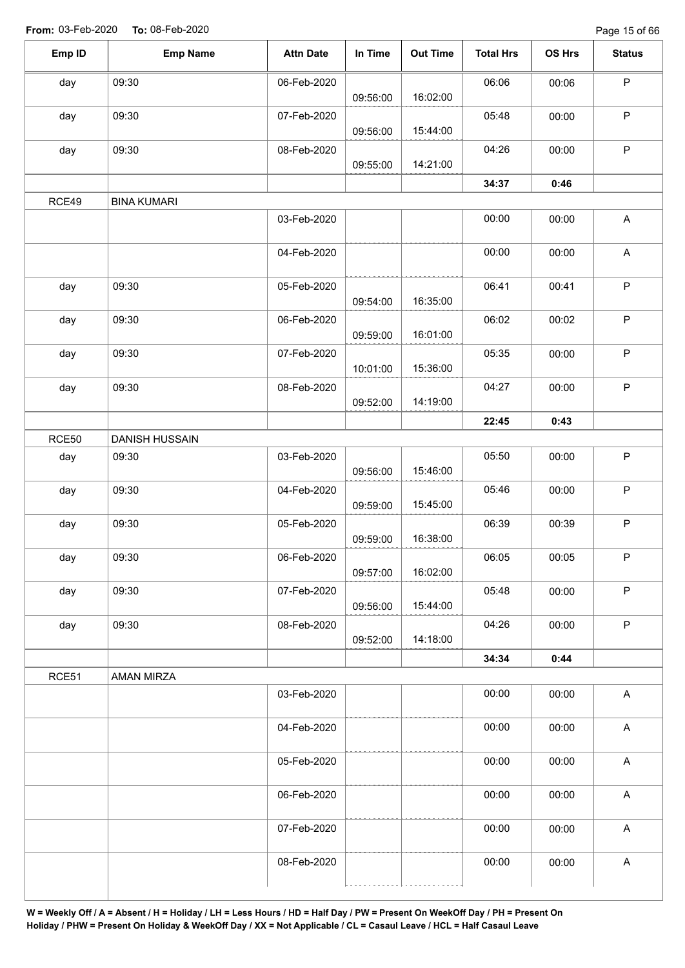Page 15 of 66

| Emp ID | <b>Emp Name</b>    | <b>Attn Date</b> | In Time  | <b>Out Time</b> | <b>Total Hrs</b> | OS Hrs | <b>Status</b>             |
|--------|--------------------|------------------|----------|-----------------|------------------|--------|---------------------------|
| day    | 09:30              | 06-Feb-2020      |          |                 | 06:06            | 00:06  | $\mathsf P$               |
|        |                    |                  | 09:56:00 | 16:02:00        |                  |        |                           |
| day    | 09:30              | 07-Feb-2020      | 09:56:00 | 15:44:00        | 05:48            | 00:00  | P                         |
| day    | 09:30              | 08-Feb-2020      | 09:55:00 | 14:21:00        | 04:26            | 00:00  | $\mathsf P$               |
|        |                    |                  |          |                 |                  |        |                           |
|        |                    |                  |          |                 | 34:37            | 0:46   |                           |
| RCE49  | <b>BINA KUMARI</b> |                  |          |                 |                  |        |                           |
|        |                    | 03-Feb-2020      |          |                 | 00:00            | 00:00  | A                         |
|        |                    | 04-Feb-2020      |          |                 | 00:00            | 00:00  | A                         |
| day    | 09:30              | 05-Feb-2020      |          |                 | 06:41            | 00:41  | $\sf P$                   |
|        |                    |                  | 09:54:00 | 16:35:00        |                  |        |                           |
| day    | 09:30              | 06-Feb-2020      | 09:59:00 | 16:01:00        | 06:02            | 00:02  | $\sf P$                   |
| day    | 09:30              | 07-Feb-2020      |          |                 | 05:35            | 00:00  | $\mathsf P$               |
|        |                    |                  | 10:01:00 | 15:36:00        |                  |        |                           |
| day    | 09:30              | 08-Feb-2020      |          |                 | 04:27            | 00:00  | $\sf P$                   |
|        |                    |                  | 09:52:00 | 14:19:00        |                  |        |                           |
|        |                    |                  |          |                 | 22:45            | 0:43   |                           |
| RCE50  | DANISH HUSSAIN     |                  |          |                 |                  |        |                           |
| day    | 09:30              | 03-Feb-2020      |          |                 | 05:50            | 00:00  | $\sf P$                   |
|        |                    |                  | 09:56:00 | 15:46:00        |                  |        |                           |
| day    | 09:30              | 04-Feb-2020      |          |                 | 05:46            | 00:00  | $\sf P$                   |
|        |                    |                  | 09:59:00 | 15:45:00        |                  |        |                           |
| day    | 09:30              | 05-Feb-2020      |          |                 | 06:39            | 00:39  | P                         |
|        |                    |                  | 09:59:00 | 16:38:00        |                  |        |                           |
| day    | 09:30              | 06-Feb-2020      |          |                 | 06:05            | 00:05  | $\mathsf P$               |
|        |                    |                  | 09:57:00 | 16:02:00        |                  |        |                           |
| day    | 09:30              | 07-Feb-2020      |          |                 | 05:48            | 00:00  | $\sf P$                   |
|        |                    |                  | 09:56:00 | 15:44:00        |                  |        |                           |
| day    | 09:30              | 08-Feb-2020      |          |                 | 04:26            | 00:00  | $\mathsf P$               |
|        |                    |                  | 09:52:00 | 14:18:00        |                  |        |                           |
|        |                    |                  |          |                 | 34:34            | 0:44   |                           |
| RCE51  | AMAN MIRZA         |                  |          |                 |                  |        |                           |
|        |                    | 03-Feb-2020      |          |                 | 00:00            | 00:00  | $\boldsymbol{\mathsf{A}}$ |
|        |                    | 04-Feb-2020      |          |                 | 00:00            | 00:00  | $\boldsymbol{\mathsf{A}}$ |
|        |                    |                  |          |                 |                  |        |                           |
|        |                    | 05-Feb-2020      |          |                 | 00:00            | 00:00  | $\boldsymbol{\mathsf{A}}$ |
|        |                    | 06-Feb-2020      |          |                 | 00:00            | 00:00  | $\boldsymbol{\mathsf{A}}$ |
|        |                    | 07-Feb-2020      |          |                 | 00:00            | 00:00  | $\boldsymbol{\mathsf{A}}$ |
|        |                    | 08-Feb-2020      |          |                 | 00:00            | 00:00  | $\boldsymbol{\mathsf{A}}$ |
|        |                    |                  |          |                 |                  |        |                           |
|        |                    |                  |          |                 |                  |        |                           |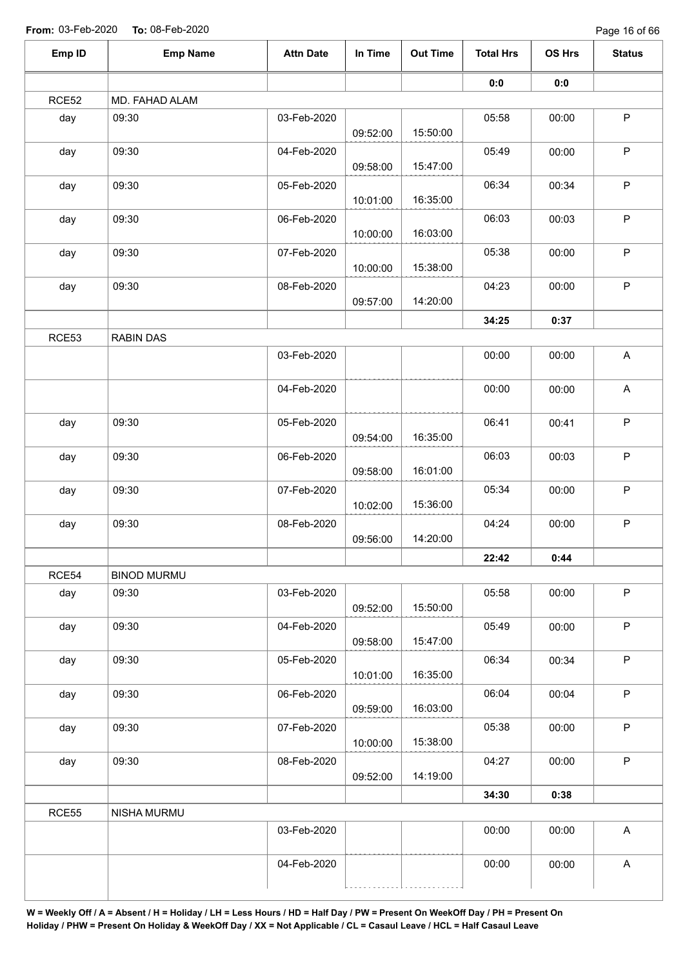Page 16 of 66

| Emp ID | <b>Emp Name</b>    | <b>Attn Date</b> | In Time  | <b>Out Time</b> | <b>Total Hrs</b> | OS Hrs | <b>Status</b>             |
|--------|--------------------|------------------|----------|-----------------|------------------|--------|---------------------------|
|        |                    |                  |          |                 | 0:0              | 0:0    |                           |
| RCE52  | MD. FAHAD ALAM     |                  |          |                 |                  |        |                           |
| day    | 09:30              | 03-Feb-2020      | 09:52:00 | 15:50:00        | 05:58            | 00:00  | $\sf P$                   |
| day    | 09:30              | 04-Feb-2020      | 09:58:00 | 15:47:00        | 05:49            | 00:00  | $\sf P$                   |
| day    | 09:30              | 05-Feb-2020      |          |                 | 06:34            | 00:34  | $\mathsf P$               |
| day    | 09:30              | 06-Feb-2020      | 10:01:00 | 16:35:00        | 06:03            | 00:03  | $\sf P$                   |
|        |                    |                  | 10:00:00 | 16:03:00        |                  |        |                           |
| day    | 09:30              | 07-Feb-2020      | 10:00:00 | 15:38:00        | 05:38            | 00:00  | $\mathsf P$               |
| day    | 09:30              | 08-Feb-2020      | 09:57:00 | 14:20:00        | 04:23            | 00:00  | $\sf P$                   |
|        |                    |                  |          |                 | 34:25            | 0:37   |                           |
| RCE53  | <b>RABIN DAS</b>   |                  |          |                 |                  |        |                           |
|        |                    | 03-Feb-2020      |          |                 | 00:00            | 00:00  | $\mathsf{A}$              |
|        |                    | 04-Feb-2020      |          |                 | 00:00            | 00:00  | $\boldsymbol{\mathsf{A}}$ |
| day    | 09:30              | 05-Feb-2020      | 09:54:00 | 16:35:00        | 06:41            | 00:41  | $\sf P$                   |
| day    | 09:30              | 06-Feb-2020      |          |                 | 06:03            | 00:03  | $\sf P$                   |
|        |                    |                  | 09:58:00 | 16:01:00        |                  |        |                           |
| day    | 09:30              | 07-Feb-2020      | 10:02:00 | 15:36:00        | 05:34            | 00:00  | $\sf P$                   |
| day    | 09:30              | 08-Feb-2020      | 09:56:00 | 14:20:00        | 04:24            | 00:00  | $\sf P$                   |
|        |                    |                  |          |                 | 22:42            | 0:44   |                           |
| RCE54  | <b>BINOD MURMU</b> |                  |          |                 |                  |        |                           |
| day    | 09:30              | 03-Feb-2020      | 09:52:00 | 15:50:00        | 05:58            | 00:00  | $\mathsf P$               |
| day    | 09:30              | 04-Feb-2020      |          | 15:47:00        | 05:49            | 00:00  | $\sf P$                   |
| day    | 09:30              | 05-Feb-2020      | 09:58:00 |                 | 06:34            | 00:34  | $\mathsf P$               |
|        |                    |                  | 10:01:00 | 16:35:00        |                  |        |                           |
| day    | 09:30              | 06-Feb-2020      | 09:59:00 | 16:03:00        | 06:04            | 00:04  | $\sf P$                   |
| day    | 09:30              | 07-Feb-2020      | 10:00:00 | 15:38:00        | 05:38            | 00:00  | $\mathsf P$               |
| day    | 09:30              | 08-Feb-2020      |          |                 | 04:27            | 00:00  | $\mathsf P$               |
|        |                    |                  | 09:52:00 | 14:19:00        |                  |        |                           |
| RCE55  | NISHA MURMU        |                  |          |                 | 34:30            | 0:38   |                           |
|        |                    | 03-Feb-2020      |          |                 | 00:00            | 00:00  | $\boldsymbol{\mathsf{A}}$ |
|        |                    | 04-Feb-2020      |          |                 | 00:00            | 00:00  | $\boldsymbol{\mathsf{A}}$ |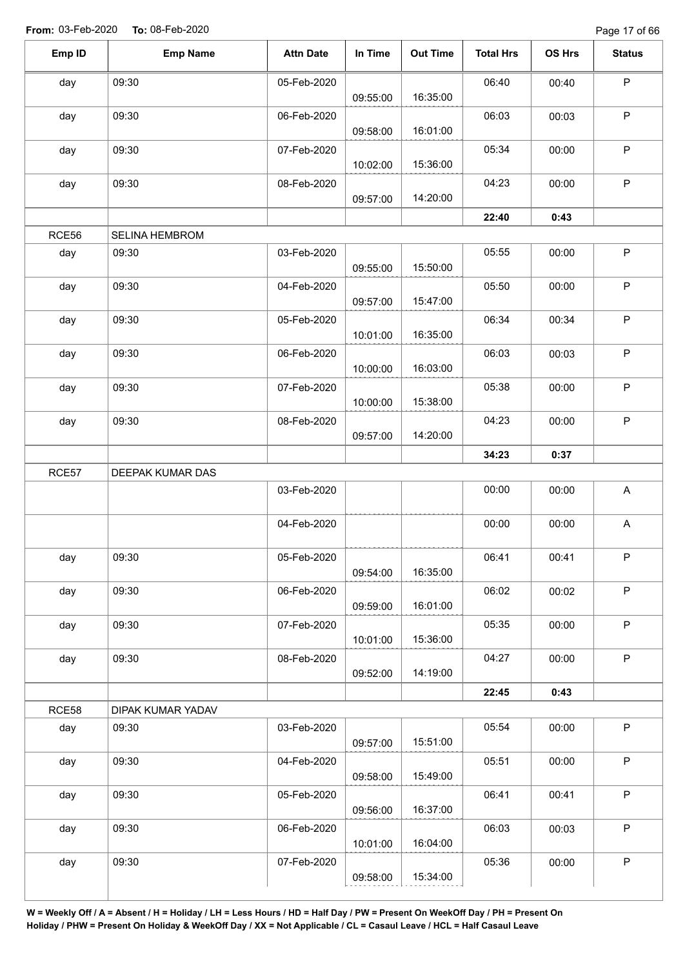Page 17 of 66

| Emp ID | <b>Emp Name</b>   | <b>Attn Date</b> | In Time  | <b>Out Time</b> | <b>Total Hrs</b> | OS Hrs | <b>Status</b> |
|--------|-------------------|------------------|----------|-----------------|------------------|--------|---------------|
| day    | 09:30             | 05-Feb-2020      |          |                 | 06:40            | 00:40  | $\mathsf P$   |
|        |                   |                  | 09:55:00 | 16:35:00        |                  |        |               |
| day    | 09:30             | 06-Feb-2020      |          | 16:01:00        | 06:03            | 00:03  | $\sf P$       |
|        |                   |                  | 09:58:00 |                 |                  |        |               |
| day    | 09:30             | 07-Feb-2020      | 10:02:00 | 15:36:00        | 05:34            | 00:00  | $\sf P$       |
| day    | 09:30             | 08-Feb-2020      |          |                 | 04:23            | 00:00  | $\sf P$       |
|        |                   |                  | 09:57:00 | 14:20:00        |                  |        |               |
|        |                   |                  |          |                 | 22:40            | 0:43   |               |
| RCE56  | SELINA HEMBROM    |                  |          |                 |                  |        |               |
| day    | 09:30             | 03-Feb-2020      |          |                 | 05:55            | 00:00  | $\sf P$       |
|        |                   |                  | 09:55:00 | 15:50:00        |                  |        |               |
| day    | 09:30             | 04-Feb-2020      |          |                 | 05:50            | 00:00  | $\mathsf P$   |
|        |                   |                  | 09:57:00 | 15:47:00        |                  |        |               |
| day    | 09:30             | 05-Feb-2020      |          |                 | 06:34            | 00:34  | $\sf P$       |
|        |                   |                  | 10:01:00 | 16:35:00        |                  |        |               |
| day    | 09:30             | 06-Feb-2020      |          |                 | 06:03            | 00:03  | $\mathsf P$   |
|        |                   |                  | 10:00:00 | 16:03:00        |                  |        |               |
| day    | 09:30             | 07-Feb-2020      |          |                 | 05:38            | 00:00  | $\sf P$       |
|        |                   |                  | 10:00:00 | 15:38:00        |                  |        |               |
| day    | 09:30             | 08-Feb-2020      |          |                 | 04:23            | 00:00  | $\mathsf P$   |
|        |                   |                  | 09:57:00 | 14:20:00        |                  |        |               |
|        |                   |                  |          |                 | 34:23            | 0:37   |               |
| RCE57  | DEEPAK KUMAR DAS  |                  |          |                 |                  |        |               |
|        |                   | 03-Feb-2020      |          |                 | 00:00            | 00:00  | A             |
|        |                   | 04-Feb-2020      |          |                 | 00:00            | 00:00  | A             |
|        |                   |                  |          |                 |                  |        |               |
| day    | 09:30             | 05-Feb-2020      |          |                 | 06:41            | 00:41  | P             |
|        |                   |                  | 09:54:00 | 16:35:00        |                  |        |               |
| day    | 09:30             | 06-Feb-2020      |          |                 | 06:02            | 00:02  | $\mathsf P$   |
|        |                   |                  | 09:59:00 | 16:01:00        |                  |        |               |
| day    | 09:30             | 07-Feb-2020      |          |                 | 05:35            | 00:00  | $\mathsf P$   |
|        |                   |                  | 10:01:00 | 15:36:00        |                  |        |               |
| day    | 09:30             | 08-Feb-2020      |          |                 | 04:27            | 00:00  | $\sf P$       |
|        |                   |                  | 09:52:00 | 14:19:00        |                  |        |               |
|        |                   |                  |          |                 | 22:45            | 0:43   |               |
| RCE58  | DIPAK KUMAR YADAV |                  |          |                 |                  |        |               |
| day    | 09:30             | 03-Feb-2020      |          |                 | 05:54            | 00:00  | $\mathsf P$   |
|        |                   |                  | 09:57:00 | 15:51:00        |                  |        |               |
| day    | 09:30             | 04-Feb-2020      |          |                 | 05:51            | 00:00  | $\mathsf P$   |
|        |                   |                  | 09:58:00 | 15:49:00        |                  |        |               |
| day    | 09:30             | 05-Feb-2020      |          |                 | 06:41            | 00:41  | $\sf P$       |
|        |                   |                  | 09:56:00 | 16:37:00        |                  |        |               |
| day    | 09:30             | 06-Feb-2020      | 10:01:00 | 16:04:00        | 06:03            | 00:03  | P             |
|        |                   |                  |          |                 |                  |        |               |
| day    | 09:30             | 07-Feb-2020      |          |                 | 05:36            | 00:00  | $\mathsf P$   |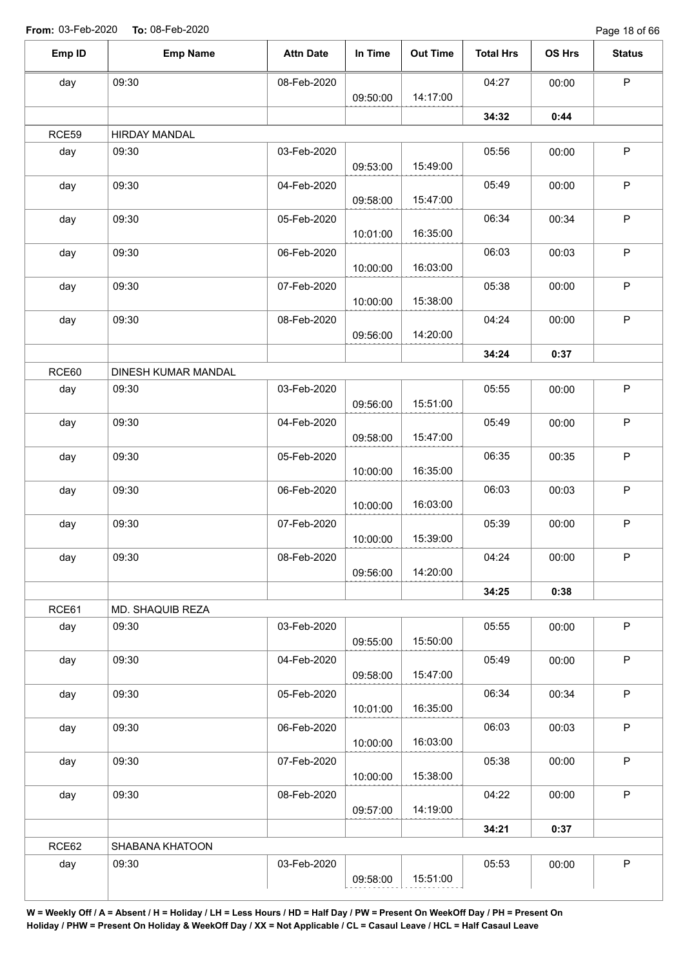Page 18 of 66

| Emp ID | <b>Emp Name</b>      | <b>Attn Date</b> | In Time  | <b>Out Time</b> | <b>Total Hrs</b> | OS Hrs | <b>Status</b> |
|--------|----------------------|------------------|----------|-----------------|------------------|--------|---------------|
| day    | 09:30                | 08-Feb-2020      |          |                 | 04:27            | 00:00  | $\mathsf P$   |
|        |                      |                  | 09:50:00 | 14:17:00        |                  |        |               |
|        |                      |                  |          |                 | 34:32            | 0:44   |               |
| RCE59  | <b>HIRDAY MANDAL</b> |                  |          |                 |                  |        |               |
| day    | 09:30                | 03-Feb-2020      |          |                 | 05:56            | 00:00  | $\sf P$       |
|        |                      |                  | 09:53:00 | 15:49:00        |                  |        |               |
| day    | 09:30                | 04-Feb-2020      | 09:58:00 | 15:47:00        | 05:49            | 00:00  | $\mathsf P$   |
| day    | 09:30                | 05-Feb-2020      | 10:01:00 | 16:35:00        | 06:34            | 00:34  | $\sf P$       |
| day    | 09:30                | 06-Feb-2020      | 10:00:00 | 16:03:00        | 06:03            | 00:03  | $\mathsf P$   |
| day    | 09:30                | 07-Feb-2020      | 10:00:00 | 15:38:00        | 05:38            | 00:00  | $\mathsf P$   |
|        |                      |                  |          |                 |                  |        | $\mathsf P$   |
| day    | 09:30                | 08-Feb-2020      | 09:56:00 | 14:20:00        | 04:24            | 00:00  |               |
|        |                      |                  |          |                 | 34:24            | 0:37   |               |
| RCE60  | DINESH KUMAR MANDAL  |                  |          |                 |                  |        |               |
|        | 09:30                | 03-Feb-2020      |          |                 | 05:55            |        | $\mathsf P$   |
| day    |                      |                  | 09:56:00 | 15:51:00        |                  | 00:00  |               |
| day    | 09:30                | 04-Feb-2020      |          |                 | 05:49            | 00:00  | $\sf P$       |
|        |                      |                  | 09:58:00 | 15:47:00        |                  |        |               |
| day    | 09:30                | 05-Feb-2020      |          |                 | 06:35            | 00:35  | $\mathsf P$   |
|        |                      |                  | 10:00:00 | 16:35:00        |                  |        |               |
| day    | 09:30                | 06-Feb-2020      |          |                 | 06:03            | 00:03  | $\sf P$       |
|        |                      |                  | 10:00:00 | 16:03:00        |                  |        |               |
| day    | 09:30                | 07-Feb-2020      | 10:00:00 | 15:39:00        | 05:39            | 00:00  | $\mathsf P$   |
| day    | 09:30                | 08-Feb-2020      |          |                 | 04:24            | 00:00  | P.            |
|        |                      |                  | 09:56:00 | 14:20:00        |                  |        |               |
|        |                      |                  |          |                 | 34:25            | 0:38   |               |
| RCE61  | MD. SHAQUIB REZA     |                  |          |                 |                  |        |               |
| day    | 09:30                | 03-Feb-2020      |          |                 | 05:55            | 00:00  | $\mathsf P$   |
|        |                      |                  | 09:55:00 | 15:50:00        |                  |        |               |
| day    | 09:30                | 04-Feb-2020      | 09:58:00 | 15:47:00        | 05:49            | 00:00  | P             |
| day    | 09:30                | 05-Feb-2020      |          |                 | 06:34            | 00:34  | $\mathsf P$   |
|        |                      |                  | 10:01:00 | 16:35:00        |                  |        |               |
| day    | 09:30                | 06-Feb-2020      | 10:00:00 | 16:03:00        | 06:03            | 00:03  | P             |
| day    | 09:30                | 07-Feb-2020      |          |                 | 05:38            | 00:00  | $\mathsf P$   |
|        |                      |                  | 10:00:00 | 15:38:00        |                  |        |               |
| day    | 09:30                | 08-Feb-2020      |          |                 | 04:22            | 00:00  | $\mathsf{P}$  |
|        |                      |                  | 09:57:00 | 14:19:00        |                  |        |               |
|        |                      |                  |          |                 | 34:21            | 0:37   |               |
| RCE62  | SHABANA KHATOON      |                  |          |                 |                  |        |               |
| day    | 09:30                | 03-Feb-2020      |          |                 | 05:53            | 00:00  | $\sf P$       |
|        |                      |                  | 09:58:00 | 15:51:00        |                  |        |               |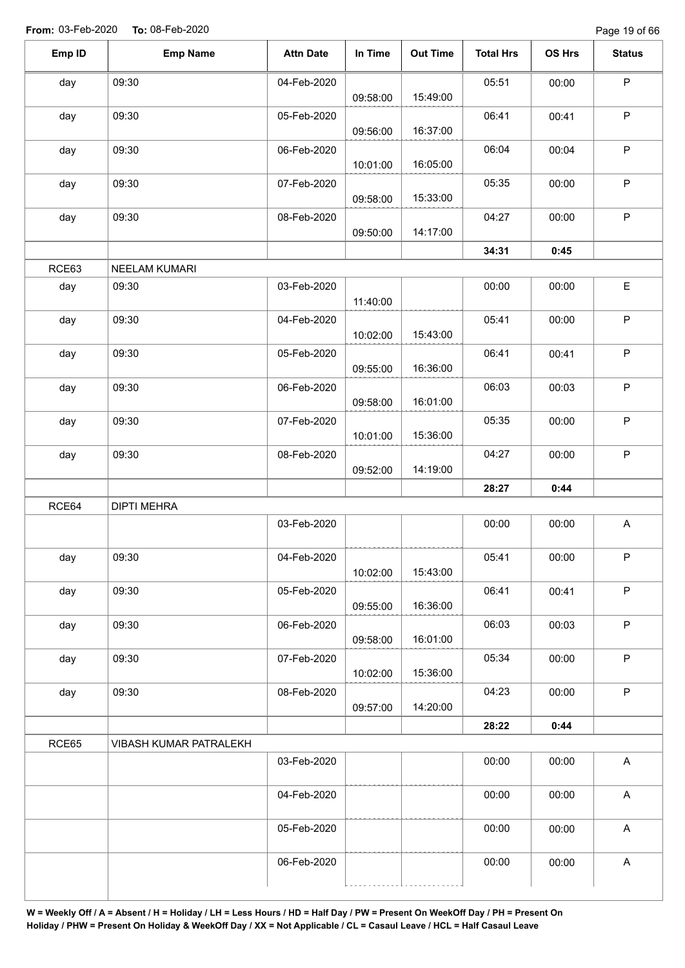| Emp ID | <b>Emp Name</b>        | <b>Attn Date</b> | In Time  | <b>Out Time</b> | <b>Total Hrs</b> | OS Hrs | <b>Status</b>             |
|--------|------------------------|------------------|----------|-----------------|------------------|--------|---------------------------|
| day    | 09:30                  | 04-Feb-2020      | 09:58:00 | 15:49:00        | 05:51            | 00:00  | $\mathsf P$               |
| day    | 09:30                  | 05-Feb-2020      | 09:56:00 | 16:37:00        | 06:41            | 00:41  | $\mathsf P$               |
| day    | 09:30                  | 06-Feb-2020      | 10:01:00 | 16:05:00        | 06:04            | 00:04  | $\mathsf P$               |
| day    | 09:30                  | 07-Feb-2020      | 09:58:00 | 15:33:00        | 05:35            | 00:00  | $\mathsf P$               |
| day    | 09:30                  | 08-Feb-2020      | 09:50:00 | 14:17:00        | 04:27            | 00:00  | $\sf P$                   |
|        |                        |                  |          |                 | 34:31            | 0:45   |                           |
| RCE63  | NEELAM KUMARI          |                  |          |                 |                  |        |                           |
| day    | 09:30                  | 03-Feb-2020      | 11:40:00 |                 | 00:00            | 00:00  | E                         |
| day    | 09:30                  | 04-Feb-2020      | 10:02:00 | 15:43:00        | 05:41            | 00:00  | $\mathsf P$               |
| day    | 09:30                  | 05-Feb-2020      | 09:55:00 | 16:36:00        | 06:41            | 00:41  | $\sf P$                   |
| day    | 09:30                  | 06-Feb-2020      | 09:58:00 | 16:01:00        | 06:03            | 00:03  | $\mathsf P$               |
| day    | 09:30                  | 07-Feb-2020      | 10:01:00 | 15:36:00        | 05:35            | 00:00  | $\mathsf P$               |
| day    | 09:30                  | 08-Feb-2020      | 09:52:00 | 14:19:00        | 04:27            | 00:00  | $\mathsf P$               |
|        |                        |                  |          |                 | 28:27            | 0:44   |                           |
| RCE64  | <b>DIPTI MEHRA</b>     |                  |          |                 |                  |        |                           |
|        |                        | 03-Feb-2020      |          |                 | 00:00            | 00:00  | $\mathsf{A}$              |
| day    | 09:30                  | 04-Feb-2020      | 10:02:00 | 15:43:00        | 05:41            | 00:00  | P                         |
| day    | 09:30                  | 05-Feb-2020      | 09:55:00 | 16:36:00        | 06:41            | 00:41  | $\sf P$                   |
| day    | 09:30                  | 06-Feb-2020      | 09:58:00 | 16:01:00        | 06:03            | 00:03  | $\mathsf P$               |
| day    | 09:30                  | 07-Feb-2020      | 10:02:00 | 15:36:00        | 05:34            | 00:00  | $\mathsf P$               |
| day    | 09:30                  | 08-Feb-2020      | 09:57:00 | 14:20:00        | 04:23            | 00:00  | $\sf P$                   |
|        |                        |                  |          |                 | 28:22            | 0:44   |                           |
| RCE65  | VIBASH KUMAR PATRALEKH |                  |          |                 |                  |        |                           |
|        |                        | 03-Feb-2020      |          |                 | 00:00            | 00:00  | $\mathsf{A}$              |
|        |                        | 04-Feb-2020      |          |                 | 00:00            | 00:00  | A                         |
|        |                        | 05-Feb-2020      |          |                 | 00:00            | 00:00  | $\boldsymbol{\mathsf{A}}$ |
|        |                        | 06-Feb-2020      |          |                 | 00:00            | 00:00  | $\boldsymbol{\mathsf{A}}$ |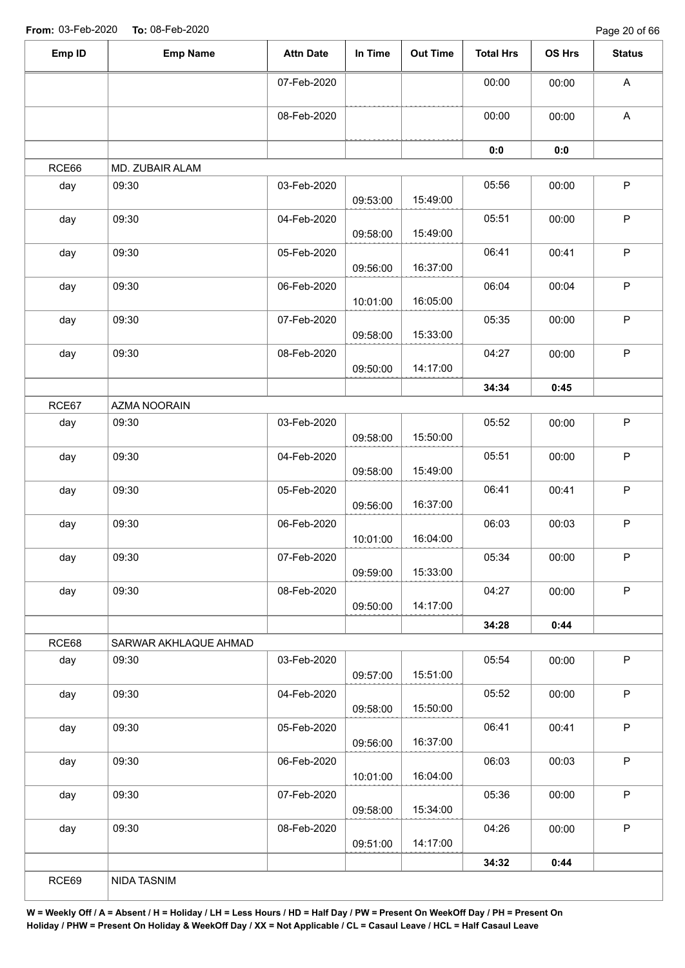Page 20 of 66

| Emp ID | <b>Emp Name</b>       | <b>Attn Date</b> | In Time  | <b>Out Time</b> | <b>Total Hrs</b> | OS Hrs | <b>Status</b>             |
|--------|-----------------------|------------------|----------|-----------------|------------------|--------|---------------------------|
|        |                       | 07-Feb-2020      |          |                 | 00:00            | 00:00  | $\boldsymbol{\mathsf{A}}$ |
|        |                       | 08-Feb-2020      |          |                 | 00:00            | 00:00  | A                         |
|        |                       |                  |          |                 | 0:0              | 0:0    |                           |
| RCE66  | MD. ZUBAIR ALAM       |                  |          |                 |                  |        |                           |
| day    | 09:30                 | 03-Feb-2020      | 09:53:00 | 15:49:00        | 05:56            | 00:00  | $\mathsf P$               |
| day    | 09:30                 | 04-Feb-2020      | 09:58:00 | 15:49:00        | 05:51            | 00:00  | $\mathsf P$               |
| day    | 09:30                 | 05-Feb-2020      | 09:56:00 | 16:37:00        | 06:41            | 00:41  | $\sf P$                   |
| day    | 09:30                 | 06-Feb-2020      | 10:01:00 | 16:05:00        | 06:04            | 00:04  | $\mathsf P$               |
| day    | 09:30                 | 07-Feb-2020      | 09:58:00 | 15:33:00        | 05:35            | 00:00  | $\mathsf P$               |
| day    | 09:30                 | 08-Feb-2020      | 09:50:00 | 14:17:00        | 04:27            | 00:00  | $\sf P$                   |
|        |                       |                  |          |                 | 34:34            | 0:45   |                           |
| RCE67  | AZMA NOORAIN          |                  |          |                 |                  |        |                           |
| day    | 09:30                 | 03-Feb-2020      | 09:58:00 | 15:50:00        | 05:52            | 00:00  | $\mathsf P$               |
| day    | 09:30                 | 04-Feb-2020      | 09:58:00 | 15:49:00        | 05:51            | 00:00  | $\sf P$                   |
| day    | 09:30                 | 05-Feb-2020      | 09:56:00 | 16:37:00        | 06:41            | 00:41  | $\sf P$                   |
| day    | 09:30                 | 06-Feb-2020      | 10:01:00 | 16:04:00        | 06:03            | 00:03  | $\mathsf P$               |
| day    | 09:30                 | 07-Feb-2020      | 09:59:00 | 15:33:00        | 05:34            | 00:00  | $\mathsf P$               |
| day    | 09:30                 | 08-Feb-2020      | 09:50:00 | 14:17:00        | 04:27            | 00:00  | $\mathsf P$               |
|        |                       |                  |          |                 | 34:28            | 0:44   |                           |
| RCE68  | SARWAR AKHLAQUE AHMAD |                  |          |                 |                  |        |                           |
| day    | 09:30                 | 03-Feb-2020      | 09:57:00 | 15:51:00        | 05:54            | 00:00  | $\mathsf P$               |
| day    | 09:30                 | 04-Feb-2020      | 09:58:00 | 15:50:00        | 05:52            | 00:00  | $\mathsf P$               |
| day    | 09:30                 | 05-Feb-2020      | 09:56:00 | 16:37:00        | 06:41            | 00:41  | $\mathsf P$               |
| day    | 09:30                 | 06-Feb-2020      | 10:01:00 | 16:04:00        | 06:03            | 00:03  | P                         |
| day    | 09:30                 | 07-Feb-2020      | 09:58:00 | 15:34:00        | 05:36            | 00:00  | $\mathsf P$               |
| day    | 09:30                 | 08-Feb-2020      | 09:51:00 | 14:17:00        | 04:26            | 00:00  | $\mathsf P$               |
|        |                       |                  |          |                 | 34:32            | 0:44   |                           |
| RCE69  | NIDA TASNIM           |                  |          |                 |                  |        |                           |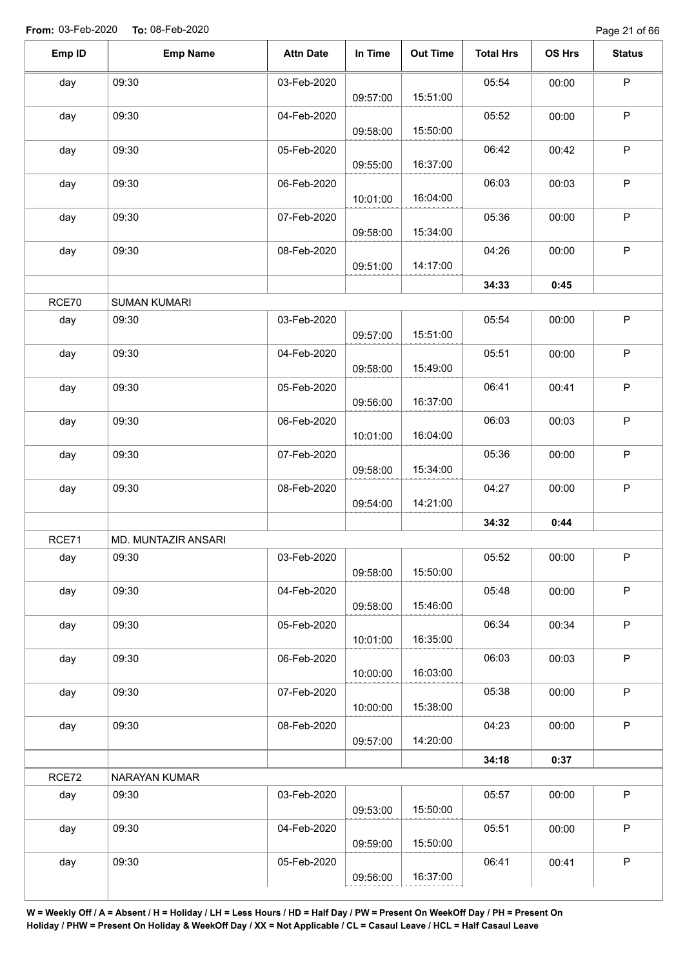Page 21 of 66

| Emp ID | <b>Emp Name</b>     | <b>Attn Date</b> | In Time  | <b>Out Time</b> | <b>Total Hrs</b> | OS Hrs | <b>Status</b> |
|--------|---------------------|------------------|----------|-----------------|------------------|--------|---------------|
| day    | 09:30               | 03-Feb-2020      | 09:57:00 | 15:51:00        | 05:54            | 00:00  | $\mathsf P$   |
| day    | 09:30               | 04-Feb-2020      | 09:58:00 | 15:50:00        | 05:52            | 00:00  | $\sf P$       |
| day    | 09:30               | 05-Feb-2020      | 09:55:00 | 16:37:00        | 06:42            | 00:42  | $\sf P$       |
| day    | 09:30               | 06-Feb-2020      | 10:01:00 | 16:04:00        | 06:03            | 00:03  | P             |
| day    | 09:30               | 07-Feb-2020      | 09:58:00 | 15:34:00        | 05:36            | 00:00  | $\sf P$       |
| day    | 09:30               | 08-Feb-2020      | 09:51:00 | 14:17:00        | 04:26            | 00:00  | $\mathsf P$   |
|        |                     |                  |          |                 | 34:33            | 0:45   |               |
| RCE70  | <b>SUMAN KUMARI</b> |                  |          |                 |                  |        |               |
| day    | 09:30               | 03-Feb-2020      | 09:57:00 | 15:51:00        | 05:54            | 00:00  | $\mathsf P$   |
| day    | 09:30               | 04-Feb-2020      | 09:58:00 | 15:49:00        | 05:51            | 00:00  | $\mathsf P$   |
| day    | 09:30               | 05-Feb-2020      | 09:56:00 | 16:37:00        | 06:41            | 00:41  | $\mathsf P$   |
| day    | 09:30               | 06-Feb-2020      | 10:01:00 | 16:04:00        | 06:03            | 00:03  | $\mathsf P$   |
| day    | 09:30               | 07-Feb-2020      | 09:58:00 | 15:34:00        | 05:36            | 00:00  | $\mathsf P$   |
| day    | 09:30               | 08-Feb-2020      | 09:54:00 | 14:21:00        | 04:27            | 00:00  | $\sf P$       |
|        |                     |                  |          |                 | 34:32            | 0:44   |               |
| RCE71  | MD. MUNTAZIR ANSARI |                  |          |                 |                  |        |               |
| day    | 09:30               | 03-Feb-2020      | 09:58:00 | 15:50:00        | 05:52            | 00:00  | P             |
| day    | 09:30               | 04-Feb-2020      | 09:58:00 | 15:46:00        | 05:48            | 00:00  | $\mathsf P$   |
| day    | 09:30               | 05-Feb-2020      | 10:01:00 | 16:35:00        | 06:34            | 00:34  | $\mathsf P$   |
| day    | 09:30               | 06-Feb-2020      | 10:00:00 | 16:03:00        | 06:03            | 00:03  | $\sf P$       |
| day    | 09:30               | 07-Feb-2020      | 10:00:00 | 15:38:00        | 05:38            | 00:00  | $\mathsf P$   |
| day    | 09:30               | 08-Feb-2020      | 09:57:00 | 14:20:00        | 04:23            | 00:00  | $\mathsf P$   |
|        |                     |                  |          |                 | 34:18            | 0:37   |               |
| RCE72  | NARAYAN KUMAR       |                  |          |                 |                  |        |               |
| day    | 09:30               | 03-Feb-2020      | 09:53:00 | 15:50:00        | 05:57            | 00:00  | $\sf P$       |
| day    | 09:30               | 04-Feb-2020      | 09:59:00 | 15:50:00        | 05:51            | 00:00  | $\mathsf P$   |
| day    | 09:30               | 05-Feb-2020      | 09:56:00 | 16:37:00        | 06:41            | 00:41  | $\sf P$       |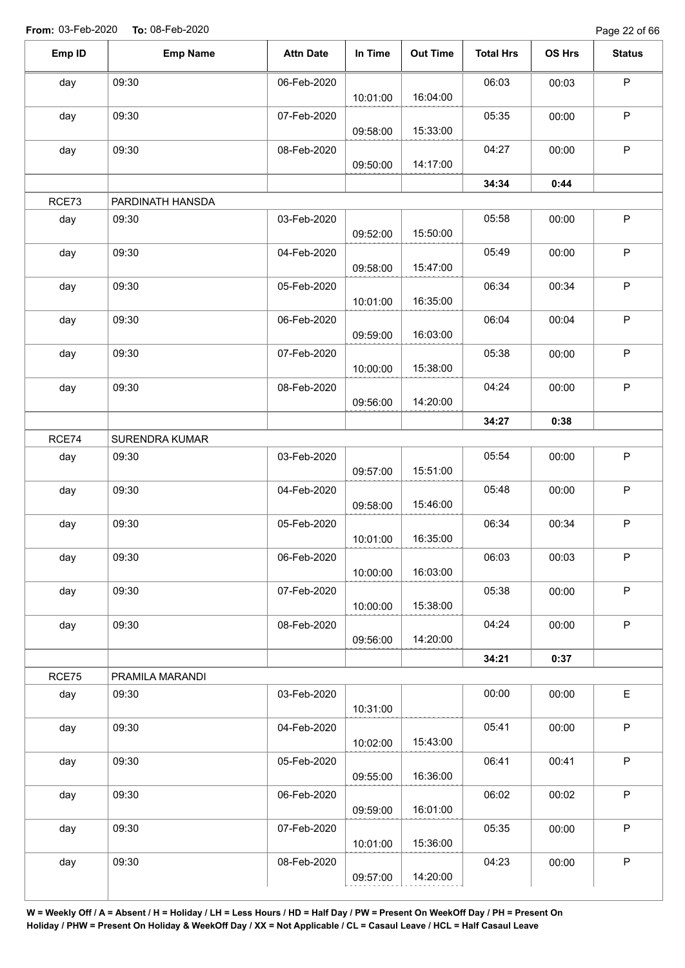Page 22 of 66

| Emp ID | <b>Emp Name</b>  | <b>Attn Date</b> | In Time  | <b>Out Time</b> | <b>Total Hrs</b> | OS Hrs | <b>Status</b> |
|--------|------------------|------------------|----------|-----------------|------------------|--------|---------------|
| day    | 09:30            | 06-Feb-2020      |          |                 | 06:03            | 00:03  | $\mathsf P$   |
|        |                  |                  | 10:01:00 | 16:04:00        |                  |        |               |
| day    | 09:30            | 07-Feb-2020      | 09:58:00 | 15:33:00        | 05:35            | 00:00  | $\mathsf P$   |
| day    | 09:30            | 08-Feb-2020      |          | 14:17:00        | 04:27            | 00:00  | $\mathsf P$   |
|        |                  |                  | 09:50:00 |                 | 34:34            | 0:44   |               |
| RCE73  | PARDINATH HANSDA |                  |          |                 |                  |        |               |
| day    | 09:30            | 03-Feb-2020      | 09:52:00 | 15:50:00        | 05:58            | 00:00  | $\mathsf P$   |
| day    | 09:30            | 04-Feb-2020      | 09:58:00 | 15:47:00        | 05:49            | 00:00  | $\mathsf P$   |
| day    | 09:30            | 05-Feb-2020      | 10:01:00 | 16:35:00        | 06:34            | 00:34  | $\mathsf P$   |
| day    | 09:30            | 06-Feb-2020      | 09:59:00 | 16:03:00        | 06:04            | 00:04  | $\mathsf P$   |
| day    | 09:30            | 07-Feb-2020      | 10:00:00 | 15:38:00        | 05:38            | 00:00  | $\mathsf P$   |
| day    | 09:30            | 08-Feb-2020      | 09:56:00 | 14:20:00        | 04:24            | 00:00  | $\mathsf P$   |
|        |                  |                  |          |                 | 34:27            | 0:38   |               |
| RCE74  | SURENDRA KUMAR   |                  |          |                 |                  |        |               |
| day    | 09:30            | 03-Feb-2020      | 09:57:00 | 15:51:00        | 05:54            | 00:00  | $\sf P$       |
| day    | 09:30            | 04-Feb-2020      | 09:58:00 | 15:46:00        | 05:48            | 00:00  | $\mathsf P$   |
| day    | 09:30            | 05-Feb-2020      | 10:01:00 | 16:35:00        | 06:34            | 00:34  | $\mathsf P$   |
| day    | 09:30            | 06-Feb-2020      | 10:00:00 | 16:03:00        | 06:03            | 00:03  | P             |
| day    | 09:30            | 07-Feb-2020      | 10:00:00 | 15:38:00        | 05:38            | 00:00  | $\mathsf P$   |
| day    | 09:30            | 08-Feb-2020      | 09:56:00 | 14:20:00        | 04:24            | 00:00  | $\mathsf P$   |
|        |                  |                  |          |                 | 34:21            | 0:37   |               |
| RCE75  | PRAMILA MARANDI  |                  |          |                 |                  |        |               |
| day    | 09:30            | 03-Feb-2020      | 10:31:00 |                 | 00:00            | 00:00  | E             |
| day    | 09:30            | 04-Feb-2020      | 10:02:00 | 15:43:00        | 05:41            | 00:00  | $\sf P$       |
| day    | 09:30            | 05-Feb-2020      | 09:55:00 | 16:36:00        | 06:41            | 00:41  | $\mathsf P$   |
| day    | 09:30            | 06-Feb-2020      | 09:59:00 | 16:01:00        | 06:02            | 00:02  | $\sf P$       |
| day    | 09:30            | 07-Feb-2020      | 10:01:00 | 15:36:00        | 05:35            | 00:00  | $\mathsf P$   |
| day    | 09:30            | 08-Feb-2020      | 09:57:00 | 14:20:00        | 04:23            | 00:00  | $\sf P$       |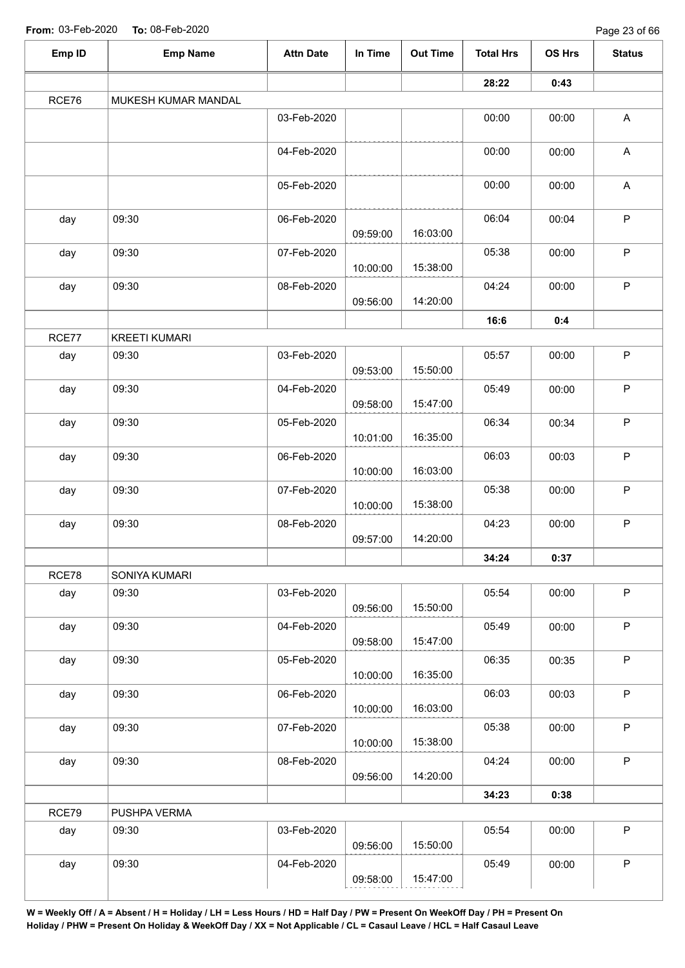| Emp ID | <b>Emp Name</b>      | <b>Attn Date</b> | In Time  | <b>Out Time</b> | <b>Total Hrs</b> | OS Hrs | <b>Status</b>             |
|--------|----------------------|------------------|----------|-----------------|------------------|--------|---------------------------|
|        |                      |                  |          |                 | 28:22            | 0:43   |                           |
| RCE76  | MUKESH KUMAR MANDAL  |                  |          |                 |                  |        |                           |
|        |                      | 03-Feb-2020      |          |                 | 00:00            | 00:00  | $\mathsf A$               |
|        |                      | 04-Feb-2020      |          |                 | 00:00            | 00:00  | A                         |
|        |                      | 05-Feb-2020      |          |                 | 00:00            | 00:00  | $\boldsymbol{\mathsf{A}}$ |
| day    | 09:30                | 06-Feb-2020      | 09:59:00 | 16:03:00        | 06:04            | 00:04  | $\mathsf P$               |
| day    | 09:30                | 07-Feb-2020      | 10:00:00 | 15:38:00        | 05:38            | 00:00  | $\sf P$                   |
| day    | 09:30                | 08-Feb-2020      | 09:56:00 | 14:20:00        | 04:24            | 00:00  | $\mathsf{P}$              |
|        |                      |                  |          |                 | 16:6             | 0:4    |                           |
| RCE77  | <b>KREETI KUMARI</b> |                  |          |                 |                  |        |                           |
| day    | 09:30                | 03-Feb-2020      | 09:53:00 | 15:50:00        | 05:57            | 00:00  | $\mathsf P$               |
| day    | 09:30                | 04-Feb-2020      | 09:58:00 | 15:47:00        | 05:49            | 00:00  | $\sf P$                   |
| day    | 09:30                | 05-Feb-2020      | 10:01:00 | 16:35:00        | 06:34            | 00:34  | $\mathsf P$               |
| day    | 09:30                | 06-Feb-2020      | 10:00:00 | 16:03:00        | 06:03            | 00:03  | $\mathsf P$               |
| day    | 09:30                | 07-Feb-2020      | 10:00:00 | 15:38:00        | 05:38            | 00:00  | $\sf P$                   |
| day    | 09:30                | 08-Feb-2020      | 09:57:00 | 14:20:00        | 04:23            | 00:00  | $\mathsf P$               |
|        |                      |                  |          |                 | 34:24            | 0:37   |                           |
| RCE78  | SONIYA KUMARI        |                  |          |                 |                  |        |                           |
| day    | 09:30                | 03-Feb-2020      | 09:56:00 | 15:50:00        | 05:54            | 00:00  | $\mathsf P$               |
| day    | 09:30                | 04-Feb-2020      | 09:58:00 | 15:47:00        | 05:49            | 00:00  | $\mathsf P$               |
| day    | 09:30                | 05-Feb-2020      | 10:00:00 | 16:35:00        | 06:35            | 00:35  | $\mathsf P$               |
| day    | 09:30                | 06-Feb-2020      | 10:00:00 | 16:03:00        | 06:03            | 00:03  | $\mathsf{P}$              |
| day    | 09:30                | 07-Feb-2020      | 10:00:00 | 15:38:00        | 05:38            | 00:00  | $\mathsf P$               |
| day    | 09:30                | 08-Feb-2020      | 09:56:00 | 14:20:00        | 04:24            | 00:00  | $\mathsf{P}$              |
|        |                      |                  |          |                 | 34:23            | 0:38   |                           |
| RCE79  | PUSHPA VERMA         |                  |          |                 |                  |        |                           |
| day    | 09:30                | 03-Feb-2020      | 09:56:00 | 15:50:00        | 05:54            | 00:00  | $\mathsf{P}$              |
| day    | 09:30                | 04-Feb-2020      | 09:58:00 | 15:47:00        | 05:49            | 00:00  | $\sf P$                   |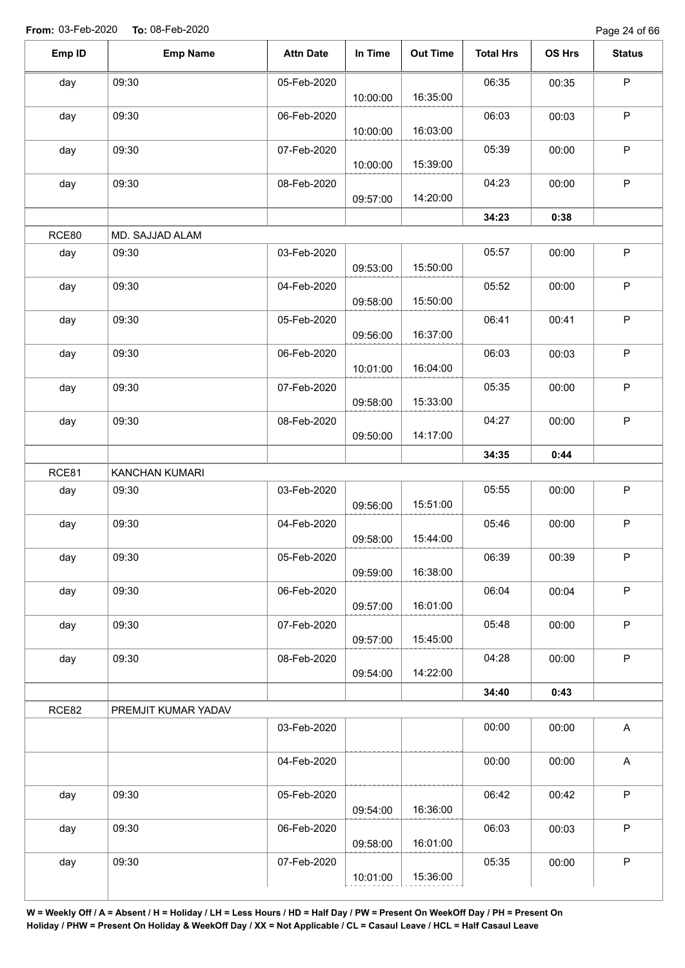Page 24 of 66

| Emp ID | <b>Emp Name</b>     | <b>Attn Date</b> | In Time  | <b>Out Time</b> | <b>Total Hrs</b> | OS Hrs | <b>Status</b>             |
|--------|---------------------|------------------|----------|-----------------|------------------|--------|---------------------------|
| day    | 09:30               | 05-Feb-2020      |          |                 | 06:35            | 00:35  | $\mathsf P$               |
|        |                     |                  | 10:00:00 | 16:35:00        |                  |        |                           |
| day    | 09:30               | 06-Feb-2020      |          |                 | 06:03            | 00:03  | P                         |
|        |                     |                  | 10:00:00 | 16:03:00        |                  |        |                           |
| day    | 09:30               | 07-Feb-2020      |          |                 | 05:39            | 00:00  | $\mathsf P$               |
|        |                     |                  | 10:00:00 | 15:39:00        |                  |        |                           |
| day    | 09:30               | 08-Feb-2020      |          |                 | 04:23            | 00:00  | $\mathsf P$               |
|        |                     |                  | 09:57:00 | 14:20:00        |                  |        |                           |
|        |                     |                  |          |                 | 34:23            | 0:38   |                           |
| RCE80  | MD. SAJJAD ALAM     |                  |          |                 |                  |        |                           |
| day    | 09:30               | 03-Feb-2020      | 09:53:00 | 15:50:00        | 05:57            | 00:00  | $\mathsf P$               |
|        |                     |                  |          |                 |                  |        | $\mathsf P$               |
| day    | 09:30               | 04-Feb-2020      | 09:58:00 | 15:50:00        | 05:52            | 00:00  |                           |
| day    | 09:30               | 05-Feb-2020      |          |                 | 06:41            | 00:41  | $\sf P$                   |
|        |                     |                  | 09:56:00 | 16:37:00        |                  |        |                           |
| day    | 09:30               | 06-Feb-2020      |          |                 | 06:03            | 00:03  | $\mathsf P$               |
|        |                     |                  | 10:01:00 | 16:04:00        |                  |        |                           |
| day    | 09:30               | 07-Feb-2020      |          |                 | 05:35            | 00:00  | $\mathsf P$               |
|        |                     |                  | 09:58:00 | 15:33:00        |                  |        |                           |
| day    | 09:30               | 08-Feb-2020      |          |                 | 04:27            | 00:00  | $\mathsf P$               |
|        |                     |                  | 09:50:00 | 14:17:00        |                  |        |                           |
|        |                     |                  |          |                 | 34:35            | 0:44   |                           |
| RCE81  | KANCHAN KUMARI      |                  |          |                 |                  |        |                           |
| day    | 09:30               | 03-Feb-2020      |          |                 | 05:55            | 00:00  | $\mathsf P$               |
|        |                     |                  | 09:56:00 | 15:51:00        |                  |        |                           |
| day    | 09:30               | 04-Feb-2020      |          |                 | 05:46            | 00:00  | $\mathsf P$               |
|        |                     |                  | 09:58:00 | 15:44:00        |                  |        |                           |
| day    | 09:30               | 05-Feb-2020      |          |                 | 06:39            | 00:39  | $\sf P$                   |
|        |                     |                  | 09:59:00 | 16:38:00        |                  |        |                           |
| day    | 09:30               | 06-Feb-2020      |          | 16:01:00        | 06:04            | 00:04  | $\sf P$                   |
|        | 09:30               | 07-Feb-2020      | 09:57:00 |                 | 05:48            | 00:00  | $\mathsf P$               |
| day    |                     |                  | 09:57:00 | 15:45:00        |                  |        |                           |
| day    | 09:30               | 08-Feb-2020      |          |                 | 04:28            | 00:00  | $\sf P$                   |
|        |                     |                  | 09:54:00 | 14:22:00        |                  |        |                           |
|        |                     |                  |          |                 | 34:40            | 0:43   |                           |
| RCE82  | PREMJIT KUMAR YADAV |                  |          |                 |                  |        |                           |
|        |                     | 03-Feb-2020      |          |                 | 00:00            | 00:00  | $\boldsymbol{\mathsf{A}}$ |
|        |                     |                  |          |                 |                  |        |                           |
|        |                     | 04-Feb-2020      |          |                 | 00:00            | 00:00  | $\mathsf{A}$              |
|        |                     |                  |          |                 |                  |        |                           |
| day    | 09:30               | 05-Feb-2020      |          |                 | 06:42            | 00:42  | $\sf P$                   |
|        |                     |                  | 09:54:00 | 16:36:00        |                  |        |                           |
| day    | 09:30               | 06-Feb-2020      |          |                 | 06:03            | 00:03  | $\mathsf P$               |
|        |                     |                  | 09:58:00 | 16:01:00        |                  |        |                           |
| day    | 09:30               | 07-Feb-2020      |          |                 | 05:35            | 00:00  | $\mathsf P$               |
|        |                     |                  | 10:01:00 | 15:36:00        |                  |        |                           |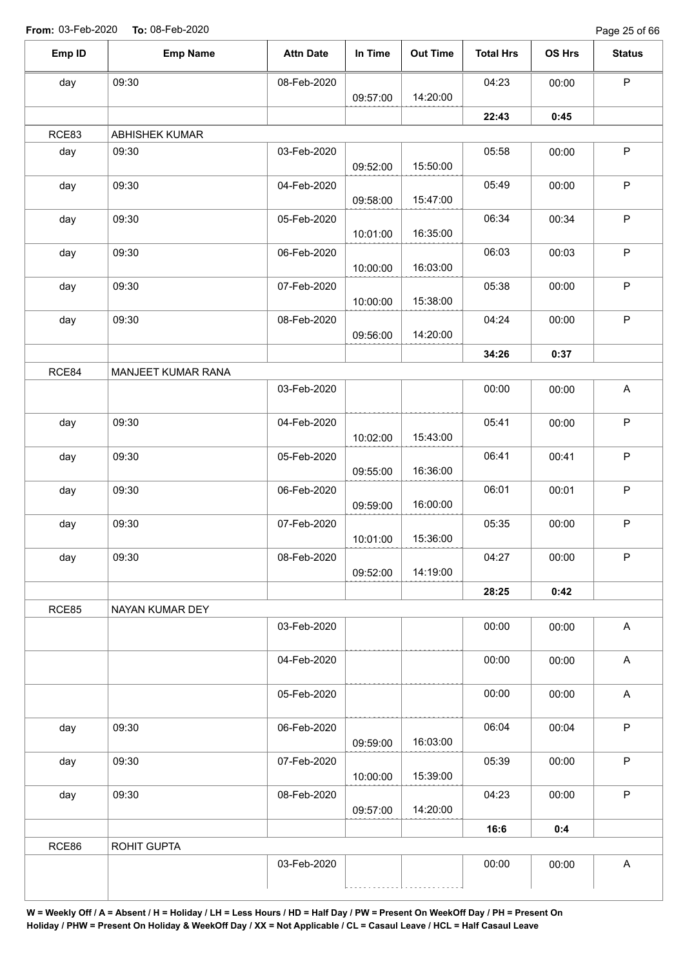Page 25 of 66

| Emp ID | <b>Emp Name</b>    | <b>Attn Date</b> | In Time  | <b>Out Time</b> | <b>Total Hrs</b> | OS Hrs | <b>Status</b>             |
|--------|--------------------|------------------|----------|-----------------|------------------|--------|---------------------------|
| day    | 09:30              | 08-Feb-2020      |          |                 | 04:23            | 00:00  | $\sf P$                   |
|        |                    |                  | 09:57:00 | 14:20:00        |                  |        |                           |
|        |                    |                  |          |                 | 22:43            | 0:45   |                           |
| RCE83  | ABHISHEK KUMAR     |                  |          |                 |                  |        |                           |
| day    | 09:30              | 03-Feb-2020      | 09:52:00 | 15:50:00        | 05:58            | 00:00  | $\sf P$                   |
| day    | 09:30              | 04-Feb-2020      | 09:58:00 | 15:47:00        | 05:49            | 00:00  | $\sf P$                   |
| day    | 09:30              | 05-Feb-2020      | 10:01:00 | 16:35:00        | 06:34            | 00:34  | $\sf P$                   |
| day    | 09:30              | 06-Feb-2020      | 10:00:00 | 16:03:00        | 06:03            | 00:03  | $\sf P$                   |
| day    | 09:30              | 07-Feb-2020      |          | 15:38:00        | 05:38            | 00:00  | $\sf P$                   |
| day    | 09:30              | 08-Feb-2020      | 10:00:00 |                 | 04:24            | 00:00  | $\mathsf P$               |
|        |                    |                  | 09:56:00 | 14:20:00        | 34:26            | 0:37   |                           |
| RCE84  | MANJEET KUMAR RANA |                  |          |                 |                  |        |                           |
|        |                    | 03-Feb-2020      |          |                 | 00:00            | 00:00  | A                         |
| day    | 09:30              | 04-Feb-2020      |          | 15:43:00        | 05:41            | 00:00  | $\sf P$                   |
| day    | 09:30              | 05-Feb-2020      | 10:02:00 |                 | 06:41            | 00:41  | $\mathsf P$               |
|        |                    |                  | 09:55:00 | 16:36:00        |                  |        |                           |
| day    | 09:30              | 06-Feb-2020      | 09:59:00 | 16:00:00        | 06:01            | 00:01  | $\sf P$                   |
| day    | 09:30              | 07-Feb-2020      | 10:01:00 | 15:36:00        | 05:35            | 00:00  | $\sf P$                   |
| day    | 09:30              | 08-Feb-2020      | 09:52:00 | 14:19:00        | 04:27            | 00:00  | P.                        |
|        |                    |                  |          |                 | 28:25            | 0:42   |                           |
| RCE85  | NAYAN KUMAR DEY    |                  |          |                 |                  |        |                           |
|        |                    | 03-Feb-2020      |          |                 | 00:00            | 00:00  | $\boldsymbol{\mathsf{A}}$ |
|        |                    | 04-Feb-2020      |          |                 | 00:00            | 00:00  | $\boldsymbol{\mathsf{A}}$ |
|        |                    | 05-Feb-2020      |          |                 | 00:00            | 00:00  | $\boldsymbol{\mathsf{A}}$ |
| day    | 09:30              | 06-Feb-2020      | 09:59:00 | 16:03:00        | 06:04            | 00:04  | $\sf P$                   |
| day    | 09:30              | 07-Feb-2020      |          |                 | 05:39            | 00:00  | $\mathsf P$               |
|        | 09:30              | 08-Feb-2020      | 10:00:00 | 15:39:00        | 04:23            | 00:00  | $\mathsf P$               |
| day    |                    |                  | 09:57:00 | 14:20:00        |                  |        |                           |
|        |                    |                  |          |                 | 16:6             | 0:4    |                           |
| RCE86  | ROHIT GUPTA        |                  |          |                 |                  |        |                           |
|        |                    | 03-Feb-2020      |          |                 | 00:00            | 00:00  | $\boldsymbol{\mathsf{A}}$ |
|        |                    |                  |          |                 |                  |        |                           |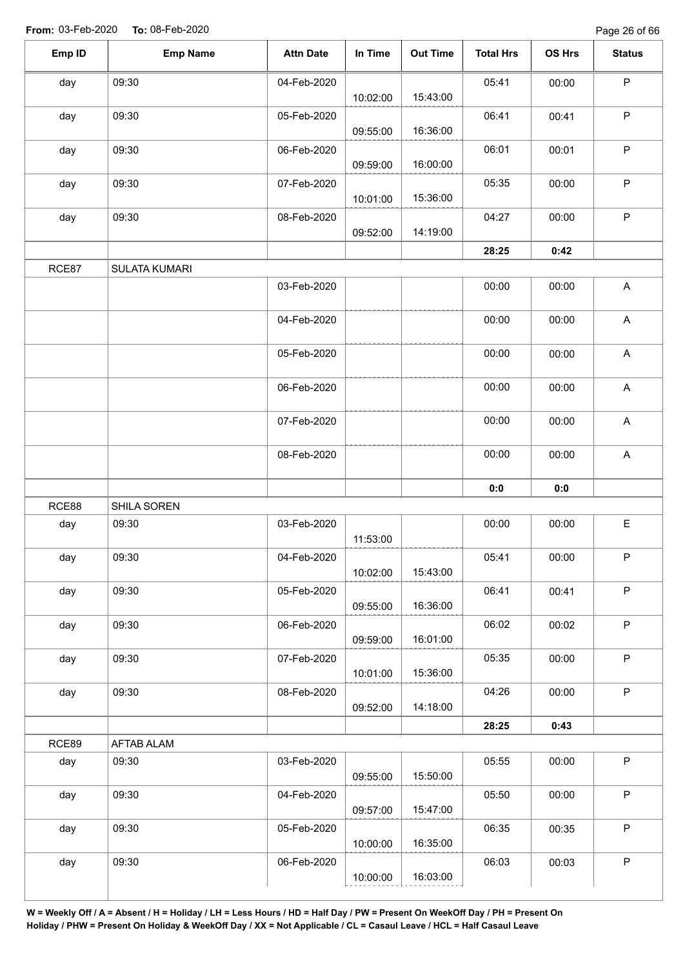| $\mathsf P$<br>09:30<br>05:41<br>04-Feb-2020<br>00:00<br>day<br>15:43:00<br>10:02:00<br>$\mathsf P$<br>06:41<br>09:30<br>00:41<br>05-Feb-2020<br>day<br>16:36:00<br>09:55:00<br>$\mathsf{P}$<br>09:30<br>06:01<br>06-Feb-2020<br>00:01<br>day<br>16:00:00<br>09:59:00<br>$\mathsf P$<br>05:35<br>09:30<br>00:00<br>day<br>07-Feb-2020<br>15:36:00<br>10:01:00<br>$\mathsf{P}$<br>09:30<br>04:27<br>00:00<br>day<br>08-Feb-2020<br>14:19:00<br>09:52:00<br>28:25<br>0:42<br>RCE87<br><b>SULATA KUMARI</b><br>A<br>03-Feb-2020<br>00:00<br>00:00<br>A<br>04-Feb-2020<br>00:00<br>00:00<br>$\boldsymbol{\mathsf{A}}$<br>05-Feb-2020<br>00:00<br>00:00<br>$\boldsymbol{\mathsf{A}}$<br>06-Feb-2020<br>00:00<br>00:00<br>$\boldsymbol{\mathsf{A}}$<br>07-Feb-2020<br>00:00<br>00:00<br>$\boldsymbol{\mathsf{A}}$<br>00:00<br>08-Feb-2020<br>00:00<br>0:0<br>0:0<br>RCE88<br>SHILA SOREN<br>E<br>03-Feb-2020<br>00:00<br>09:30<br>00:00<br>day<br>11:53:00<br>$\mathsf P$<br>09:30<br>04-Feb-2020<br>05:41<br>00:00<br>day<br>15:43:00<br>10:02:00<br>$\mathsf P$<br>09:30<br>06:41<br>day<br>05-Feb-2020<br>00:41<br>16:36:00<br>09:55:00<br>P<br>09:30<br>06:02<br>06-Feb-2020<br>00:02<br>day<br>16:01:00<br>09:59:00<br>$\mathsf P$<br>09:30<br>05:35<br>07-Feb-2020<br>day<br>00:00<br>15:36:00<br>10:01:00<br>P<br>09:30<br>04:26<br>08-Feb-2020<br>00:00<br>day<br>14:18:00<br>09:52:00<br>28:25<br>0:43<br>RCE89<br>AFTAB ALAM<br>P<br>05:55<br>09:30<br>03-Feb-2020<br>00:00<br>day<br>09:55:00<br>15:50:00<br>$\mathsf P$<br>05:50<br>09:30<br>day<br>04-Feb-2020<br>00:00<br>15:47:00<br>09:57:00<br>P<br>06:35<br>09:30<br>05-Feb-2020<br>00:35<br>day<br>16:35:00<br>10:00:00<br>$\mathsf P$<br>06:03<br>09:30<br>00:03<br>day<br>06-Feb-2020<br>16:03:00<br>10:00:00 | Emp ID | <b>Emp Name</b> | <b>Attn Date</b> | In Time | <b>Out Time</b> | <b>Total Hrs</b> | OS Hrs | <b>Status</b> |
|------------------------------------------------------------------------------------------------------------------------------------------------------------------------------------------------------------------------------------------------------------------------------------------------------------------------------------------------------------------------------------------------------------------------------------------------------------------------------------------------------------------------------------------------------------------------------------------------------------------------------------------------------------------------------------------------------------------------------------------------------------------------------------------------------------------------------------------------------------------------------------------------------------------------------------------------------------------------------------------------------------------------------------------------------------------------------------------------------------------------------------------------------------------------------------------------------------------------------------------------------------------------------------------------------------------------------------------------------------------------------------------------------------------------------------------------------------------------------------------------------------------------------------------------------------------------------------------------------------------------------------------------------------------------------------------------------------------------------------------------------------------------------|--------|-----------------|------------------|---------|-----------------|------------------|--------|---------------|
|                                                                                                                                                                                                                                                                                                                                                                                                                                                                                                                                                                                                                                                                                                                                                                                                                                                                                                                                                                                                                                                                                                                                                                                                                                                                                                                                                                                                                                                                                                                                                                                                                                                                                                                                                                              |        |                 |                  |         |                 |                  |        |               |
|                                                                                                                                                                                                                                                                                                                                                                                                                                                                                                                                                                                                                                                                                                                                                                                                                                                                                                                                                                                                                                                                                                                                                                                                                                                                                                                                                                                                                                                                                                                                                                                                                                                                                                                                                                              |        |                 |                  |         |                 |                  |        |               |
|                                                                                                                                                                                                                                                                                                                                                                                                                                                                                                                                                                                                                                                                                                                                                                                                                                                                                                                                                                                                                                                                                                                                                                                                                                                                                                                                                                                                                                                                                                                                                                                                                                                                                                                                                                              |        |                 |                  |         |                 |                  |        |               |
|                                                                                                                                                                                                                                                                                                                                                                                                                                                                                                                                                                                                                                                                                                                                                                                                                                                                                                                                                                                                                                                                                                                                                                                                                                                                                                                                                                                                                                                                                                                                                                                                                                                                                                                                                                              |        |                 |                  |         |                 |                  |        |               |
|                                                                                                                                                                                                                                                                                                                                                                                                                                                                                                                                                                                                                                                                                                                                                                                                                                                                                                                                                                                                                                                                                                                                                                                                                                                                                                                                                                                                                                                                                                                                                                                                                                                                                                                                                                              |        |                 |                  |         |                 |                  |        |               |
|                                                                                                                                                                                                                                                                                                                                                                                                                                                                                                                                                                                                                                                                                                                                                                                                                                                                                                                                                                                                                                                                                                                                                                                                                                                                                                                                                                                                                                                                                                                                                                                                                                                                                                                                                                              |        |                 |                  |         |                 |                  |        |               |
|                                                                                                                                                                                                                                                                                                                                                                                                                                                                                                                                                                                                                                                                                                                                                                                                                                                                                                                                                                                                                                                                                                                                                                                                                                                                                                                                                                                                                                                                                                                                                                                                                                                                                                                                                                              |        |                 |                  |         |                 |                  |        |               |
|                                                                                                                                                                                                                                                                                                                                                                                                                                                                                                                                                                                                                                                                                                                                                                                                                                                                                                                                                                                                                                                                                                                                                                                                                                                                                                                                                                                                                                                                                                                                                                                                                                                                                                                                                                              |        |                 |                  |         |                 |                  |        |               |
|                                                                                                                                                                                                                                                                                                                                                                                                                                                                                                                                                                                                                                                                                                                                                                                                                                                                                                                                                                                                                                                                                                                                                                                                                                                                                                                                                                                                                                                                                                                                                                                                                                                                                                                                                                              |        |                 |                  |         |                 |                  |        |               |
|                                                                                                                                                                                                                                                                                                                                                                                                                                                                                                                                                                                                                                                                                                                                                                                                                                                                                                                                                                                                                                                                                                                                                                                                                                                                                                                                                                                                                                                                                                                                                                                                                                                                                                                                                                              |        |                 |                  |         |                 |                  |        |               |
|                                                                                                                                                                                                                                                                                                                                                                                                                                                                                                                                                                                                                                                                                                                                                                                                                                                                                                                                                                                                                                                                                                                                                                                                                                                                                                                                                                                                                                                                                                                                                                                                                                                                                                                                                                              |        |                 |                  |         |                 |                  |        |               |
|                                                                                                                                                                                                                                                                                                                                                                                                                                                                                                                                                                                                                                                                                                                                                                                                                                                                                                                                                                                                                                                                                                                                                                                                                                                                                                                                                                                                                                                                                                                                                                                                                                                                                                                                                                              |        |                 |                  |         |                 |                  |        |               |
|                                                                                                                                                                                                                                                                                                                                                                                                                                                                                                                                                                                                                                                                                                                                                                                                                                                                                                                                                                                                                                                                                                                                                                                                                                                                                                                                                                                                                                                                                                                                                                                                                                                                                                                                                                              |        |                 |                  |         |                 |                  |        |               |
|                                                                                                                                                                                                                                                                                                                                                                                                                                                                                                                                                                                                                                                                                                                                                                                                                                                                                                                                                                                                                                                                                                                                                                                                                                                                                                                                                                                                                                                                                                                                                                                                                                                                                                                                                                              |        |                 |                  |         |                 |                  |        |               |
|                                                                                                                                                                                                                                                                                                                                                                                                                                                                                                                                                                                                                                                                                                                                                                                                                                                                                                                                                                                                                                                                                                                                                                                                                                                                                                                                                                                                                                                                                                                                                                                                                                                                                                                                                                              |        |                 |                  |         |                 |                  |        |               |
|                                                                                                                                                                                                                                                                                                                                                                                                                                                                                                                                                                                                                                                                                                                                                                                                                                                                                                                                                                                                                                                                                                                                                                                                                                                                                                                                                                                                                                                                                                                                                                                                                                                                                                                                                                              |        |                 |                  |         |                 |                  |        |               |
|                                                                                                                                                                                                                                                                                                                                                                                                                                                                                                                                                                                                                                                                                                                                                                                                                                                                                                                                                                                                                                                                                                                                                                                                                                                                                                                                                                                                                                                                                                                                                                                                                                                                                                                                                                              |        |                 |                  |         |                 |                  |        |               |
|                                                                                                                                                                                                                                                                                                                                                                                                                                                                                                                                                                                                                                                                                                                                                                                                                                                                                                                                                                                                                                                                                                                                                                                                                                                                                                                                                                                                                                                                                                                                                                                                                                                                                                                                                                              |        |                 |                  |         |                 |                  |        |               |
|                                                                                                                                                                                                                                                                                                                                                                                                                                                                                                                                                                                                                                                                                                                                                                                                                                                                                                                                                                                                                                                                                                                                                                                                                                                                                                                                                                                                                                                                                                                                                                                                                                                                                                                                                                              |        |                 |                  |         |                 |                  |        |               |
|                                                                                                                                                                                                                                                                                                                                                                                                                                                                                                                                                                                                                                                                                                                                                                                                                                                                                                                                                                                                                                                                                                                                                                                                                                                                                                                                                                                                                                                                                                                                                                                                                                                                                                                                                                              |        |                 |                  |         |                 |                  |        |               |
|                                                                                                                                                                                                                                                                                                                                                                                                                                                                                                                                                                                                                                                                                                                                                                                                                                                                                                                                                                                                                                                                                                                                                                                                                                                                                                                                                                                                                                                                                                                                                                                                                                                                                                                                                                              |        |                 |                  |         |                 |                  |        |               |
|                                                                                                                                                                                                                                                                                                                                                                                                                                                                                                                                                                                                                                                                                                                                                                                                                                                                                                                                                                                                                                                                                                                                                                                                                                                                                                                                                                                                                                                                                                                                                                                                                                                                                                                                                                              |        |                 |                  |         |                 |                  |        |               |
|                                                                                                                                                                                                                                                                                                                                                                                                                                                                                                                                                                                                                                                                                                                                                                                                                                                                                                                                                                                                                                                                                                                                                                                                                                                                                                                                                                                                                                                                                                                                                                                                                                                                                                                                                                              |        |                 |                  |         |                 |                  |        |               |
|                                                                                                                                                                                                                                                                                                                                                                                                                                                                                                                                                                                                                                                                                                                                                                                                                                                                                                                                                                                                                                                                                                                                                                                                                                                                                                                                                                                                                                                                                                                                                                                                                                                                                                                                                                              |        |                 |                  |         |                 |                  |        |               |
|                                                                                                                                                                                                                                                                                                                                                                                                                                                                                                                                                                                                                                                                                                                                                                                                                                                                                                                                                                                                                                                                                                                                                                                                                                                                                                                                                                                                                                                                                                                                                                                                                                                                                                                                                                              |        |                 |                  |         |                 |                  |        |               |
|                                                                                                                                                                                                                                                                                                                                                                                                                                                                                                                                                                                                                                                                                                                                                                                                                                                                                                                                                                                                                                                                                                                                                                                                                                                                                                                                                                                                                                                                                                                                                                                                                                                                                                                                                                              |        |                 |                  |         |                 |                  |        |               |
|                                                                                                                                                                                                                                                                                                                                                                                                                                                                                                                                                                                                                                                                                                                                                                                                                                                                                                                                                                                                                                                                                                                                                                                                                                                                                                                                                                                                                                                                                                                                                                                                                                                                                                                                                                              |        |                 |                  |         |                 |                  |        |               |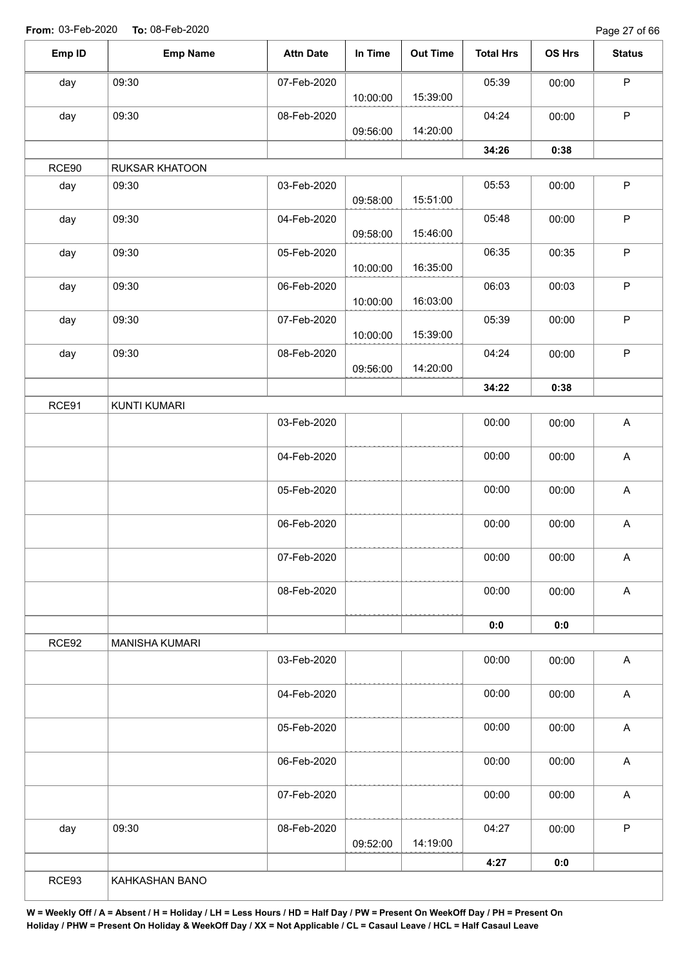Page 27 of 66

| Emp ID | <b>Emp Name</b>       | <b>Attn Date</b> | In Time  | <b>Out Time</b> | <b>Total Hrs</b> | OS Hrs | <b>Status</b>             |
|--------|-----------------------|------------------|----------|-----------------|------------------|--------|---------------------------|
| day    | 09:30                 | 07-Feb-2020      |          |                 | 05:39            | 00:00  | $\mathsf P$               |
|        |                       |                  | 10:00:00 | 15:39:00        |                  |        |                           |
| day    | 09:30                 | 08-Feb-2020      |          | 14:20:00        | 04:24            | 00:00  | $\mathsf P$               |
|        |                       |                  | 09:56:00 |                 | 34:26            | 0:38   |                           |
| RCE90  | <b>RUKSAR KHATOON</b> |                  |          |                 |                  |        |                           |
| day    | 09:30                 | 03-Feb-2020      |          |                 | 05:53            | 00:00  | $\sf P$                   |
|        |                       |                  | 09:58:00 | 15:51:00        |                  |        |                           |
| day    | 09:30                 | 04-Feb-2020      |          |                 | 05:48            | 00:00  | $\mathsf P$               |
|        |                       |                  | 09:58:00 | 15:46:00        |                  |        |                           |
| day    | 09:30                 | 05-Feb-2020      |          |                 | 06:35            | 00:35  | $\sf P$                   |
|        |                       |                  | 10:00:00 | 16:35:00        |                  |        |                           |
| day    | 09:30                 | 06-Feb-2020      |          | 16:03:00        | 06:03            | 00:03  | $\mathsf P$               |
|        | 09:30                 | 07-Feb-2020      | 10:00:00 |                 | 05:39            | 00:00  | $\mathsf P$               |
| day    |                       |                  | 10:00:00 | 15:39:00        |                  |        |                           |
| day    | 09:30                 | 08-Feb-2020      |          |                 | 04:24            | 00:00  | $\mathsf P$               |
|        |                       |                  | 09:56:00 | 14:20:00        |                  |        |                           |
|        |                       |                  |          |                 | 34:22            | 0:38   |                           |
| RCE91  | <b>KUNTI KUMARI</b>   |                  |          |                 |                  |        |                           |
|        |                       | 03-Feb-2020      |          |                 | 00:00            | 00:00  | $\mathsf{A}$              |
|        |                       |                  |          |                 |                  |        |                           |
|        |                       | 04-Feb-2020      |          |                 | 00:00            | 00:00  | $\boldsymbol{\mathsf{A}}$ |
|        |                       |                  |          |                 |                  |        |                           |
|        |                       | 05-Feb-2020      |          |                 | 00:00            | 00:00  | A                         |
|        |                       | 06-Feb-2020      |          |                 | 00:00            | 00:00  | A                         |
|        |                       |                  |          |                 |                  |        |                           |
|        |                       | 07-Feb-2020      |          |                 | 00:00            | 00:00  | A                         |
|        |                       |                  |          |                 |                  |        |                           |
|        |                       | 08-Feb-2020      |          |                 | 00:00            | 00:00  | $\boldsymbol{\mathsf{A}}$ |
|        |                       |                  |          |                 |                  |        |                           |
|        |                       |                  |          |                 | 0:0              | 0:0    |                           |
| RCE92  | <b>MANISHA KUMARI</b> | 03-Feb-2020      |          |                 | 00:00            | 00:00  | $\boldsymbol{\mathsf{A}}$ |
|        |                       |                  |          |                 |                  |        |                           |
|        |                       | 04-Feb-2020      |          |                 | 00:00            | 00:00  | $\boldsymbol{\mathsf{A}}$ |
|        |                       |                  |          |                 |                  |        |                           |
|        |                       | 05-Feb-2020      |          |                 | 00:00            | 00:00  | $\boldsymbol{\mathsf{A}}$ |
|        |                       |                  |          |                 |                  |        |                           |
|        |                       | 06-Feb-2020      |          |                 | 00:00            | 00:00  | $\mathsf A$               |
|        |                       |                  |          |                 |                  |        |                           |
|        |                       | 07-Feb-2020      |          |                 | 00:00            | 00:00  | $\boldsymbol{\mathsf{A}}$ |
|        | 09:30                 |                  |          |                 | 04:27            |        | $\mathsf P$               |
| day    |                       | 08-Feb-2020      | 09:52:00 | 14:19:00        |                  | 00:00  |                           |
|        |                       |                  |          |                 |                  |        |                           |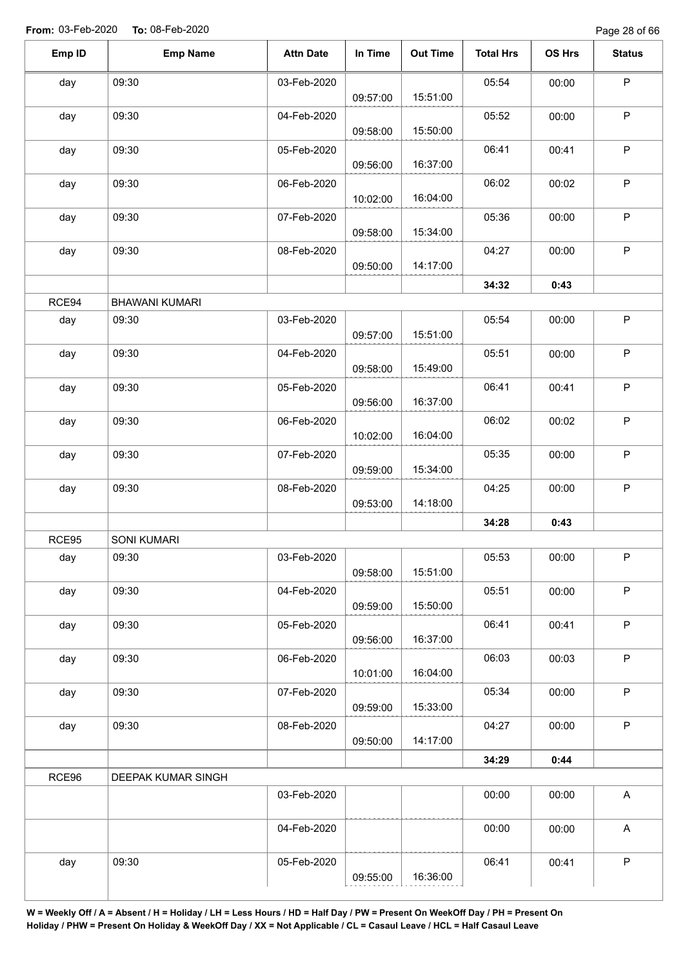Page 28 of 66

| Emp ID | <b>Emp Name</b>       | <b>Attn Date</b> | In Time  | <b>Out Time</b> | <b>Total Hrs</b> | OS Hrs | <b>Status</b>             |
|--------|-----------------------|------------------|----------|-----------------|------------------|--------|---------------------------|
| day    | 09:30                 | 03-Feb-2020      | 09:57:00 | 15:51:00        | 05:54            | 00:00  | $\mathsf P$               |
| day    | 09:30                 | 04-Feb-2020      | 09:58:00 | 15:50:00        | 05:52            | 00:00  | $\sf P$                   |
| day    | 09:30                 | 05-Feb-2020      | 09:56:00 | 16:37:00        | 06:41            | 00:41  | $\sf P$                   |
| day    | 09:30                 | 06-Feb-2020      | 10:02:00 | 16:04:00        | 06:02            | 00:02  | P                         |
| day    | 09:30                 | 07-Feb-2020      | 09:58:00 | 15:34:00        | 05:36            | 00:00  | $\mathsf P$               |
| day    | 09:30                 | 08-Feb-2020      | 09:50:00 | 14:17:00        | 04:27            | 00:00  | $\sf P$                   |
|        |                       |                  |          |                 | 34:32            | 0:43   |                           |
| RCE94  | <b>BHAWANI KUMARI</b> |                  |          |                 |                  |        |                           |
| day    | 09:30                 | 03-Feb-2020      | 09:57:00 | 15:51:00        | 05:54            | 00:00  | $\mathsf P$               |
| day    | 09:30                 | 04-Feb-2020      | 09:58:00 | 15:49:00        | 05:51            | 00:00  | $\mathsf P$               |
| day    | 09:30                 | 05-Feb-2020      | 09:56:00 | 16:37:00        | 06:41            | 00:41  | $\sf P$                   |
| day    | 09:30                 | 06-Feb-2020      | 10:02:00 | 16:04:00        | 06:02            | 00:02  | $\mathsf P$               |
| day    | 09:30                 | 07-Feb-2020      | 09:59:00 | 15:34:00        | 05:35            | 00:00  | $\sf P$                   |
| day    | 09:30                 | 08-Feb-2020      | 09:53:00 | 14:18:00        | 04:25            | 00:00  | $\sf P$                   |
|        |                       |                  |          |                 | 34:28            | 0:43   |                           |
| RCE95  | <b>SONI KUMARI</b>    |                  |          |                 |                  |        |                           |
| day    | 09:30                 | 03-Feb-2020      | 09:58:00 | 15:51:00        | 05:53            | 00:00  | $\mathsf{P}$              |
| day    | 09:30                 | 04-Feb-2020      | 09:59:00 | 15:50:00        | 05:51            | 00:00  | $\mathsf P$               |
| day    | 09:30                 | 05-Feb-2020      | 09:56:00 | 16:37:00        | 06:41            | 00:41  | $\mathsf P$               |
| day    | 09:30                 | 06-Feb-2020      | 10:01:00 | 16:04:00        | 06:03            | 00:03  | $\sf P$                   |
| day    | 09:30                 | 07-Feb-2020      | 09:59:00 | 15:33:00        | 05:34            | 00:00  | $\mathsf P$               |
| day    | 09:30                 | 08-Feb-2020      | 09:50:00 | 14:17:00        | 04:27            | 00:00  | $\mathsf P$               |
|        |                       |                  |          |                 | 34:29            | 0:44   |                           |
| RCE96  | DEEPAK KUMAR SINGH    |                  |          |                 |                  |        |                           |
|        |                       | 03-Feb-2020      |          |                 | 00:00            | 00:00  | $\boldsymbol{\mathsf{A}}$ |
|        |                       | 04-Feb-2020      |          |                 | 00:00            | 00:00  | A                         |
| day    | 09:30                 | 05-Feb-2020      | 09:55:00 | 16:36:00        | 06:41            | 00:41  | $\mathsf P$               |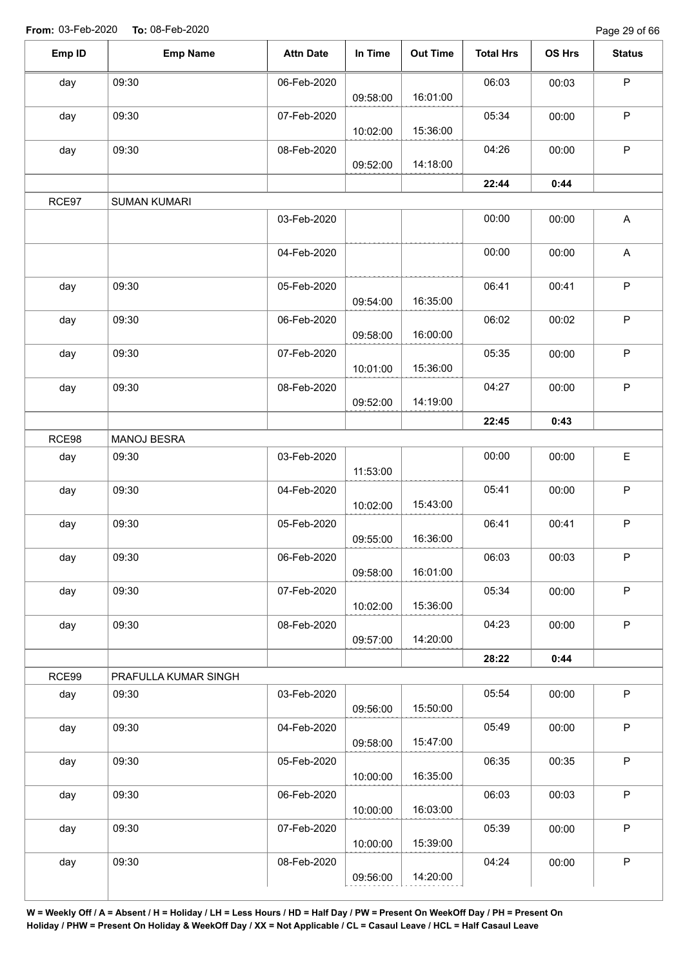Page 29 of 66

| Emp ID | <b>Emp Name</b>      | <b>Attn Date</b> | In Time  | <b>Out Time</b> | <b>Total Hrs</b> | OS Hrs | <b>Status</b> |
|--------|----------------------|------------------|----------|-----------------|------------------|--------|---------------|
| day    | 09:30                | 06-Feb-2020      |          |                 | 06:03            | 00:03  | $\sf P$       |
|        |                      |                  | 09:58:00 | 16:01:00        |                  |        |               |
| day    | 09:30                | 07-Feb-2020      | 10:02:00 | 15:36:00        | 05:34            | 00:00  | P             |
| day    | 09:30                | 08-Feb-2020      | 09:52:00 | 14:18:00        | 04:26            | 00:00  | P             |
|        |                      |                  |          |                 |                  |        |               |
|        |                      |                  |          |                 | 22:44            | 0:44   |               |
| RCE97  | <b>SUMAN KUMARI</b>  |                  |          |                 |                  |        |               |
|        |                      | 03-Feb-2020      |          |                 | 00:00            | 00:00  | A             |
|        |                      | 04-Feb-2020      |          |                 | 00:00            | 00:00  | A             |
| day    | 09:30                | 05-Feb-2020      |          |                 | 06:41            | 00:41  | $\mathsf P$   |
|        |                      |                  | 09:54:00 | 16:35:00        |                  |        |               |
| day    | 09:30                | 06-Feb-2020      |          |                 | 06:02            | 00:02  | $\sf P$       |
|        |                      |                  | 09:58:00 | 16:00:00        |                  |        |               |
| day    | 09:30                | 07-Feb-2020      |          |                 | 05:35            | 00:00  | $\mathsf P$   |
|        |                      |                  | 10:01:00 | 15:36:00        |                  |        |               |
| day    | 09:30                | 08-Feb-2020      |          |                 | 04:27            | 00:00  | $\sf P$       |
|        |                      |                  | 09:52:00 | 14:19:00        |                  |        |               |
|        |                      |                  |          |                 | 22:45            | 0:43   |               |
| RCE98  | MANOJ BESRA          |                  |          |                 |                  |        |               |
| day    | 09:30                | 03-Feb-2020      |          |                 | 00:00            | 00:00  | E             |
|        |                      |                  | 11:53:00 |                 |                  |        |               |
| day    | 09:30                | 04-Feb-2020      |          |                 | 05:41            | 00:00  | $\mathsf P$   |
|        |                      |                  | 10:02:00 | 15:43:00        |                  |        |               |
| day    | 09:30                | 05-Feb-2020      | 09:55:00 | 16:36:00        | 06:41            | 00:41  | P             |
| day    | 09:30                | 06-Feb-2020      |          |                 | 06:03            | 00:03  | $\mathsf P$   |
|        |                      |                  | 09:58:00 | 16:01:00        |                  |        |               |
| day    | 09:30                | 07-Feb-2020      |          |                 | 05:34            | 00:00  | $\mathsf P$   |
|        |                      |                  | 10:02:00 | 15:36:00        |                  |        |               |
| day    | 09:30                | 08-Feb-2020      |          |                 | 04:23            | 00:00  | $\mathsf P$   |
|        |                      |                  | 09:57:00 | 14:20:00        |                  |        |               |
|        |                      |                  |          |                 | 28:22            | 0:44   |               |
| RCE99  | PRAFULLA KUMAR SINGH |                  |          |                 |                  |        |               |
| day    | 09:30                | 03-Feb-2020      |          |                 | 05:54            | 00:00  | $\sf P$       |
|        |                      |                  | 09:56:00 | 15:50:00        |                  |        |               |
| day    | 09:30                | 04-Feb-2020      |          |                 | 05:49            | 00:00  | $\mathsf P$   |
|        |                      |                  | 09:58:00 | 15:47:00        |                  |        |               |
| day    | 09:30                | 05-Feb-2020      |          |                 | 06:35            | 00:35  | $\sf P$       |
|        |                      |                  | 10:00:00 | 16:35:00        |                  |        |               |
| day    | 09:30                | 06-Feb-2020      |          |                 | 06:03            | 00:03  | $\mathsf P$   |
|        |                      |                  | 10:00:00 | 16:03:00        |                  |        |               |
| day    | 09:30                | 07-Feb-2020      |          |                 | 05:39            | 00:00  | $\mathsf P$   |
|        |                      |                  | 10:00:00 | 15:39:00        |                  |        |               |
| day    | 09:30                | 08-Feb-2020      |          |                 | 04:24            | 00:00  | P             |
|        |                      |                  | 09:56:00 | 14:20:00        |                  |        |               |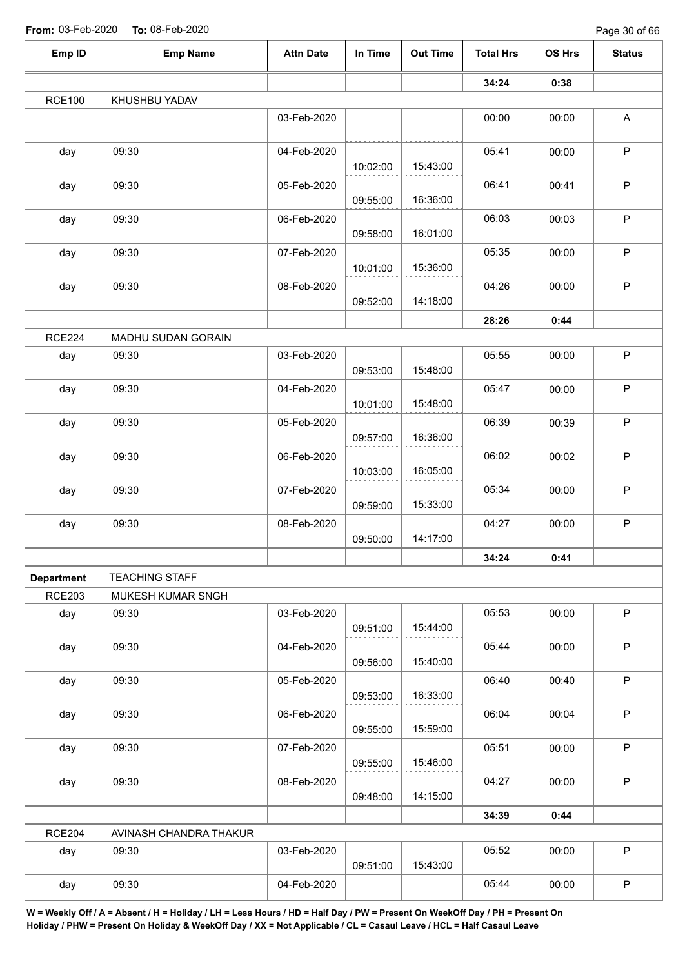| Emp ID            | <b>Emp Name</b>        | <b>Attn Date</b> | In Time  | <b>Out Time</b> | <b>Total Hrs</b> | OS Hrs | <b>Status</b> |
|-------------------|------------------------|------------------|----------|-----------------|------------------|--------|---------------|
|                   |                        |                  |          |                 | 34:24            | 0:38   |               |
| <b>RCE100</b>     | KHUSHBU YADAV          |                  |          |                 |                  |        |               |
|                   |                        | 03-Feb-2020      |          |                 | 00:00            | 00:00  | $\mathsf A$   |
| day               | 09:30                  | 04-Feb-2020      | 10:02:00 | 15:43:00        | 05:41            | 00:00  | $\mathsf P$   |
| day               | 09:30                  | 05-Feb-2020      | 09:55:00 | 16:36:00        | 06:41            | 00:41  | $\sf P$       |
| day               | 09:30                  | 06-Feb-2020      | 09:58:00 | 16:01:00        | 06:03            | 00:03  | $\mathsf P$   |
| day               | 09:30                  | 07-Feb-2020      | 10:01:00 | 15:36:00        | 05:35            | 00:00  | $\sf P$       |
| day               | 09:30                  | 08-Feb-2020      | 09:52:00 | 14:18:00        | 04:26            | 00:00  | P             |
|                   |                        |                  |          |                 | 28:26            | 0:44   |               |
| <b>RCE224</b>     | MADHU SUDAN GORAIN     |                  |          |                 |                  |        |               |
| day               | 09:30                  | 03-Feb-2020      | 09:53:00 | 15:48:00        | 05:55            | 00:00  | $\mathsf P$   |
| day               | 09:30                  | 04-Feb-2020      | 10:01:00 | 15:48:00        | 05:47            | 00:00  | $\mathsf P$   |
| day               | 09:30                  | 05-Feb-2020      | 09:57:00 | 16:36:00        | 06:39            | 00:39  | $\sf P$       |
| day               | 09:30                  | 06-Feb-2020      | 10:03:00 | 16:05:00        | 06:02            | 00:02  | $\mathsf P$   |
| day               | 09:30                  | 07-Feb-2020      | 09:59:00 | 15:33:00        | 05:34            | 00:00  | $\sf P$       |
| day               | 09:30                  | 08-Feb-2020      | 09:50:00 | 14:17:00        | 04:27            | 00:00  | $\mathsf P$   |
|                   |                        |                  |          |                 | 34:24            | 0:41   |               |
| <b>Department</b> | <b>TEACHING STAFF</b>  |                  |          |                 |                  |        |               |
| <b>RCE203</b>     | MUKESH KUMAR SNGH      |                  |          |                 |                  |        |               |
| day               | 09:30                  | 03-Feb-2020      | 09:51:00 | 15:44:00        | 05:53            | 00:00  | $\mathsf P$   |
| day               | 09:30                  | 04-Feb-2020      | 09:56:00 | 15:40:00        | 05:44            | 00:00  | $\sf P$       |
| day               | 09:30                  | 05-Feb-2020      | 09:53:00 | 16:33:00        | 06:40            | 00:40  | $\mathsf P$   |
| day               | 09:30                  | 06-Feb-2020      | 09:55:00 | 15:59:00        | 06:04            | 00:04  | $\sf P$       |
| day               | 09:30                  | 07-Feb-2020      | 09:55:00 | 15:46:00        | 05:51            | 00:00  | $\mathsf P$   |
| day               | 09:30                  | 08-Feb-2020      | 09:48:00 | 14:15:00        | 04:27            | 00:00  | $\mathsf P$   |
|                   |                        |                  |          |                 | 34:39            | 0:44   |               |
| <b>RCE204</b>     | AVINASH CHANDRA THAKUR |                  |          |                 |                  |        |               |
| day               | 09:30                  | 03-Feb-2020      | 09:51:00 | 15:43:00        | 05:52            | 00:00  | $\mathsf P$   |
| day               | 09:30                  | 04-Feb-2020      |          |                 | 05:44            | 00:00  | $\sf P$       |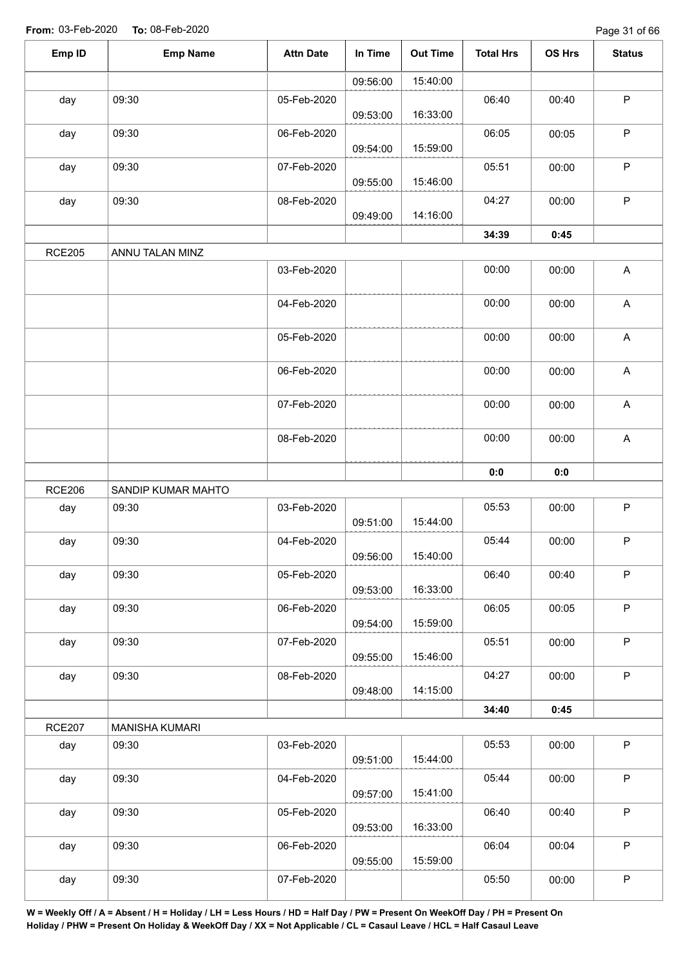| Emp ID        | <b>Emp Name</b>       | <b>Attn Date</b> | In Time  | <b>Out Time</b> | <b>Total Hrs</b> | OS Hrs | <b>Status</b> |
|---------------|-----------------------|------------------|----------|-----------------|------------------|--------|---------------|
|               |                       |                  | 09:56:00 | 15:40:00        |                  |        |               |
| day           | 09:30                 | 05-Feb-2020      | 09:53:00 | 16:33:00        | 06:40            | 00:40  | $\mathsf P$   |
| day           | 09:30                 | 06-Feb-2020      | 09:54:00 | 15:59:00        | 06:05            | 00:05  | $\sf P$       |
| day           | 09:30                 | 07-Feb-2020      | 09:55:00 | 15:46:00        | 05:51            | 00:00  | ${\sf P}$     |
| day           | 09:30                 | 08-Feb-2020      | 09:49:00 | 14:16:00        | 04:27            | 00:00  | $\sf P$       |
|               |                       |                  |          |                 | 34:39            | 0:45   |               |
| <b>RCE205</b> | ANNU TALAN MINZ       |                  |          |                 |                  |        |               |
|               |                       | 03-Feb-2020      |          |                 | 00:00            | 00:00  | A             |
|               |                       | 04-Feb-2020      |          |                 | 00:00            | 00:00  | $\mathsf A$   |
|               |                       | 05-Feb-2020      |          |                 | 00:00            | 00:00  | A             |
|               |                       | 06-Feb-2020      |          |                 | 00:00            | 00:00  | $\mathsf A$   |
|               |                       | 07-Feb-2020      |          |                 | 00:00            | 00:00  | $\mathsf A$   |
|               |                       | 08-Feb-2020      |          |                 | 00:00            | 00:00  | A             |
|               |                       |                  |          |                 | 0:0              | 0:0    |               |
| <b>RCE206</b> | SANDIP KUMAR MAHTO    |                  |          |                 |                  |        |               |
| day           | 09:30                 | 03-Feb-2020      | 09:51:00 | 15:44:00        | 05:53            | 00:00  | $\sf P$       |
| day           | 09:30                 | 04-Feb-2020      | 09:56:00 | 15:40:00        | 05:44            | 00:00  | $\mathsf P$   |
| day           | 09:30                 | 05-Feb-2020      | 09:53:00 | 16:33:00        | 06:40            | 00:40  | $\mathsf P$   |
| day           | 09:30                 | 06-Feb-2020      | 09:54:00 | 15:59:00        | 06:05            | 00:05  | $\mathsf P$   |
| day           | 09:30                 | 07-Feb-2020      | 09:55:00 | 15:46:00        | 05:51            | 00:00  | $\mathsf P$   |
| day           | 09:30                 | 08-Feb-2020      | 09:48:00 | 14:15:00        | 04:27            | 00:00  | $\sf P$       |
|               |                       |                  |          |                 | 34:40            | 0:45   |               |
| <b>RCE207</b> | <b>MANISHA KUMARI</b> |                  |          |                 |                  |        |               |
| day           | 09:30                 | 03-Feb-2020      | 09:51:00 | 15:44:00        | 05:53            | 00:00  | $\mathsf P$   |
| day           | 09:30                 | 04-Feb-2020      | 09:57:00 | 15:41:00        | 05:44            | 00:00  | $\mathsf P$   |
| day           | 09:30                 | 05-Feb-2020      | 09:53:00 | 16:33:00        | 06:40            | 00:40  | $\mathsf P$   |
| day           | 09:30                 | 06-Feb-2020      | 09:55:00 | 15:59:00        | 06:04            | 00:04  | P             |
| day           | 09:30                 | 07-Feb-2020      |          |                 | 05:50            | 00:00  | $\sf P$       |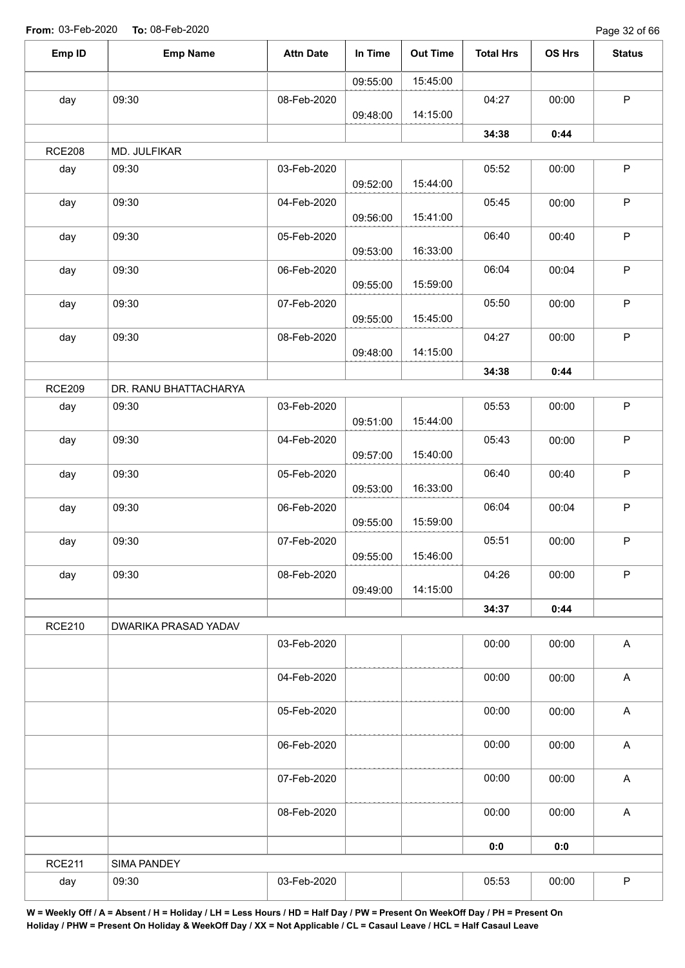Page 32 of 66

| Emp ID        | <b>Emp Name</b>       | <b>Attn Date</b> | In Time  | <b>Out Time</b> | <b>Total Hrs</b> | OS Hrs | <b>Status</b>             |
|---------------|-----------------------|------------------|----------|-----------------|------------------|--------|---------------------------|
|               |                       |                  | 09:55:00 | 15:45:00        |                  |        |                           |
| day           | 09:30                 | 08-Feb-2020      | 09:48:00 | 14:15:00        | 04:27            | 00:00  | $\mathsf P$               |
|               |                       |                  |          |                 | 34:38            | 0:44   |                           |
| <b>RCE208</b> | MD. JULFIKAR          |                  |          |                 |                  |        |                           |
| day           | 09:30                 | 03-Feb-2020      | 09:52:00 | 15:44:00        | 05:52            | 00:00  | $\mathsf P$               |
| day           | 09:30                 | 04-Feb-2020      | 09:56:00 | 15:41:00        | 05:45            | 00:00  | $\sf P$                   |
| day           | 09:30                 | 05-Feb-2020      | 09:53:00 | 16:33:00        | 06:40            | 00:40  | $\sf P$                   |
| day           | 09:30                 | 06-Feb-2020      | 09:55:00 | 15:59:00        | 06:04            | 00:04  | $\sf P$                   |
| day           | 09:30                 | 07-Feb-2020      | 09:55:00 | 15:45:00        | 05:50            | 00:00  | $\mathsf P$               |
| day           | 09:30                 | 08-Feb-2020      |          |                 | 04:27            | 00:00  | $\sf P$                   |
|               |                       |                  | 09:48:00 | 14:15:00        | 34:38            | 0:44   |                           |
| <b>RCE209</b> | DR. RANU BHATTACHARYA |                  |          |                 |                  |        |                           |
| day           | 09:30                 | 03-Feb-2020      | 09:51:00 | 15:44:00        | 05:53            | 00:00  | $\sf P$                   |
| day           | 09:30                 | 04-Feb-2020      | 09:57:00 | 15:40:00        | 05:43            | 00:00  | $\sf P$                   |
| day           | 09:30                 | 05-Feb-2020      | 09:53:00 | 16:33:00        | 06:40            | 00:40  | $\sf P$                   |
| day           | 09:30                 | 06-Feb-2020      | 09:55:00 | 15:59:00        | 06:04            | 00:04  | $\sf P$                   |
| day           | 09:30                 | 07-Feb-2020      | 09:55:00 | 15:46:00        | 05:51            | 00:00  | $\mathsf P$               |
| day           | 09:30                 | 08-Feb-2020      | 09:49:00 | 14:15:00        | 04:26            | 00:00  | $\sf P$                   |
|               |                       |                  |          |                 | 34:37            | 0:44   |                           |
| <b>RCE210</b> | DWARIKA PRASAD YADAV  |                  |          |                 |                  |        |                           |
|               |                       | 03-Feb-2020      |          |                 | 00:00            | 00:00  | $\boldsymbol{\mathsf{A}}$ |
|               |                       | 04-Feb-2020      |          |                 | 00:00            | 00:00  | $\boldsymbol{\mathsf{A}}$ |
|               |                       | 05-Feb-2020      |          |                 | 00:00            | 00:00  | $\boldsymbol{\mathsf{A}}$ |
|               |                       | 06-Feb-2020      |          |                 | 00:00            | 00:00  | $\boldsymbol{\mathsf{A}}$ |
|               |                       | 07-Feb-2020      |          |                 | 00:00            | 00:00  | $\boldsymbol{\mathsf{A}}$ |
|               |                       | 08-Feb-2020      |          |                 | 00:00            | 00:00  | $\boldsymbol{\mathsf{A}}$ |
|               |                       |                  |          |                 | 0:0              | 0:0    |                           |
| <b>RCE211</b> | SIMA PANDEY           |                  |          |                 |                  |        |                           |
| day           | 09:30                 | 03-Feb-2020      |          |                 | 05:53            | 00:00  | $\mathsf P$               |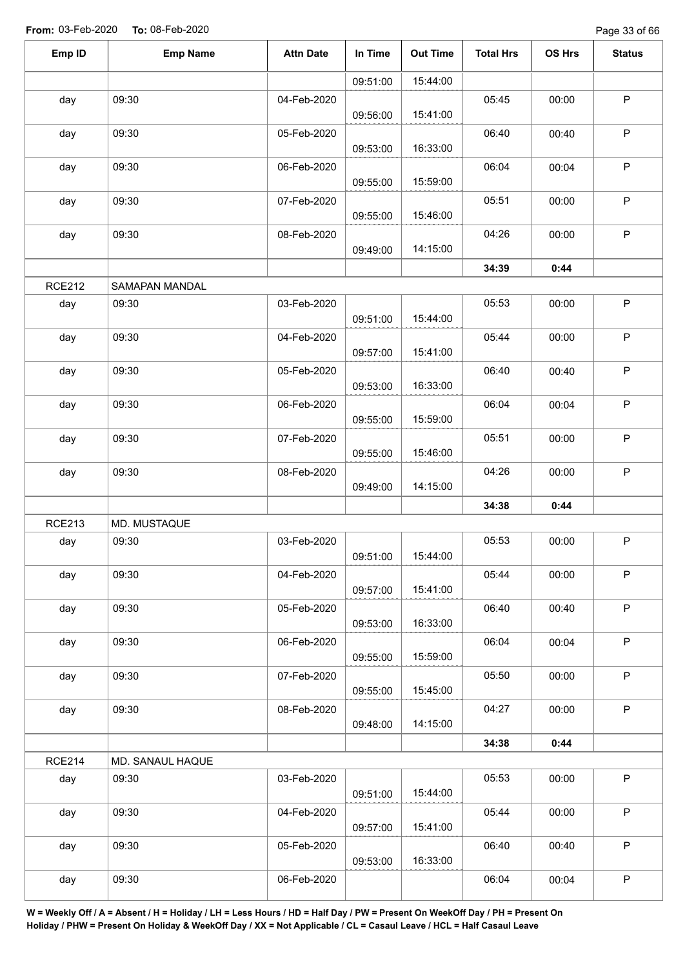Page 33 of 66

| Emp ID        | <b>Emp Name</b>  | <b>Attn Date</b> | In Time  | <b>Out Time</b> | <b>Total Hrs</b> | OS Hrs | <b>Status</b> |
|---------------|------------------|------------------|----------|-----------------|------------------|--------|---------------|
|               |                  |                  | 09:51:00 | 15:44:00        |                  |        |               |
| day           | 09:30            | 04-Feb-2020      | 09:56:00 | 15:41:00        | 05:45            | 00:00  | $\mathsf P$   |
| day           | 09:30            | 05-Feb-2020      | 09:53:00 | 16:33:00        | 06:40            | 00:40  | $\sf P$       |
| day           | 09:30            | 06-Feb-2020      | 09:55:00 | 15:59:00        | 06:04            | 00:04  | $\mathsf P$   |
| day           | 09:30            | 07-Feb-2020      | 09:55:00 | 15:46:00        | 05:51            | 00:00  | $\sf P$       |
| day           | 09:30            | 08-Feb-2020      | 09:49:00 | 14:15:00        | 04:26            | 00:00  | $\mathsf P$   |
|               |                  |                  |          |                 | 34:39            | 0:44   |               |
| <b>RCE212</b> | SAMAPAN MANDAL   |                  |          |                 |                  |        |               |
| day           | 09:30            | 03-Feb-2020      | 09:51:00 | 15:44:00        | 05:53            | 00:00  | $\mathsf P$   |
| day           | 09:30            | 04-Feb-2020      | 09:57:00 | 15:41:00        | 05:44            | 00:00  | $\mathsf P$   |
| day           | 09:30            | 05-Feb-2020      | 09:53:00 | 16:33:00        | 06:40            | 00:40  | $\sf P$       |
| day           | 09:30            | 06-Feb-2020      | 09:55:00 | 15:59:00        | 06:04            | 00:04  | P             |
| day           | 09:30            | 07-Feb-2020      | 09:55:00 | 15:46:00        | 05:51            | 00:00  | $\mathsf P$   |
| day           | 09:30            | 08-Feb-2020      | 09:49:00 | 14:15:00        | 04:26            | 00:00  | $\sf P$       |
|               |                  |                  |          |                 | 34:38            | 0:44   |               |
| <b>RCE213</b> | MD. MUSTAQUE     |                  |          |                 |                  |        |               |
| day           | 09:30            | 03-Feb-2020      | 09:51:00 | 15:44:00        | 05:53            | 00:00  | P             |
| day           | 09:30            | 04-Feb-2020      | 09:57:00 | 15:41:00        | 05:44            | 00:00  | $\mathsf P$   |
| day           | 09:30            | 05-Feb-2020      | 09:53:00 | 16:33:00        | 06:40            | 00:40  | $\mathsf{P}$  |
| day           | 09:30            | 06-Feb-2020      | 09:55:00 | 15:59:00        | 06:04            | 00:04  | $\mathsf P$   |
| day           | 09:30            | 07-Feb-2020      | 09:55:00 | 15:45:00        | 05:50            | 00:00  | P             |
| day           | 09:30            | 08-Feb-2020      | 09:48:00 | 14:15:00        | 04:27            | 00:00  | $\mathsf P$   |
|               |                  |                  |          |                 | 34:38            | 0:44   |               |
| <b>RCE214</b> | MD. SANAUL HAQUE |                  |          |                 |                  |        |               |
| day           | 09:30            | 03-Feb-2020      | 09:51:00 | 15:44:00        | 05:53            | 00:00  | $\mathsf P$   |
| day           | 09:30            | 04-Feb-2020      | 09:57:00 | 15:41:00        | 05:44            | 00:00  | $\mathsf P$   |
| day           | 09:30            | 05-Feb-2020      | 09:53:00 | 16:33:00        | 06:40            | 00:40  | $\mathsf P$   |
| day           | 09:30            | 06-Feb-2020      |          |                 | 06:04            | 00:04  | $\mathsf P$   |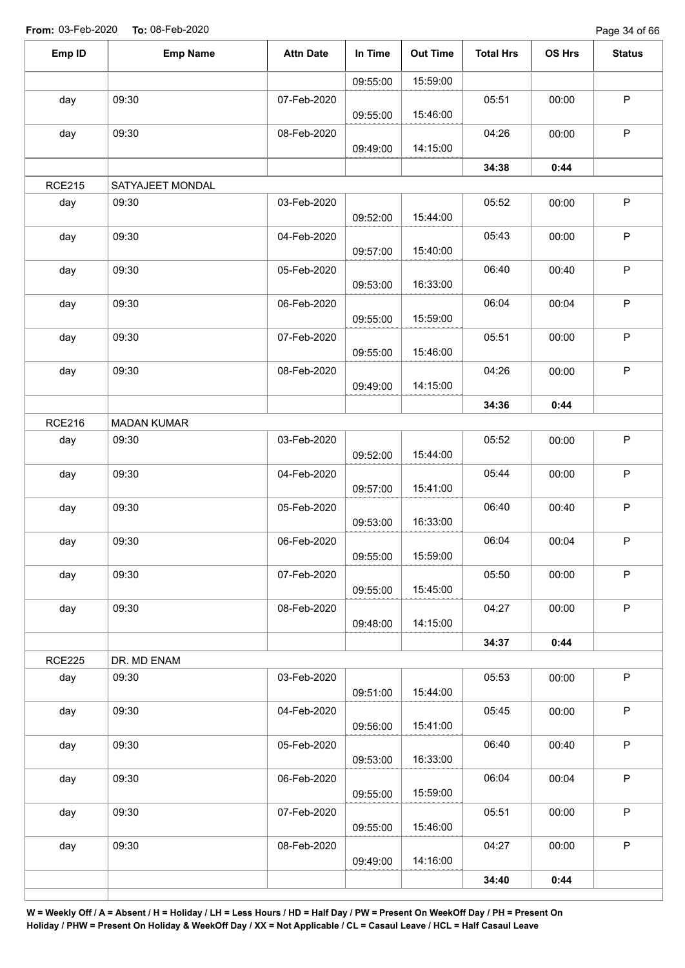| Emp ID        | <b>Emp Name</b>    | <b>Attn Date</b> | In Time  | <b>Out Time</b> | <b>Total Hrs</b> | OS Hrs | <b>Status</b> |
|---------------|--------------------|------------------|----------|-----------------|------------------|--------|---------------|
|               |                    |                  | 09:55:00 | 15:59:00        |                  |        |               |
| day           | 09:30              | 07-Feb-2020      | 09:55:00 | 15:46:00        | 05:51            | 00:00  | $\mathsf{P}$  |
| day           | 09:30              | 08-Feb-2020      | 09:49:00 | 14:15:00        | 04:26            | 00:00  | $\mathsf P$   |
|               |                    |                  |          |                 | 34:38            | 0:44   |               |
| <b>RCE215</b> | SATYAJEET MONDAL   |                  |          |                 |                  |        |               |
| day           | 09:30              | 03-Feb-2020      | 09:52:00 | 15:44:00        | 05:52            | 00:00  | $\mathsf P$   |
| day           | 09:30              | 04-Feb-2020      | 09:57:00 | 15:40:00        | 05:43            | 00:00  | $\sf P$       |
| day           | 09:30              | 05-Feb-2020      | 09:53:00 | 16:33:00        | 06:40            | 00:40  | $\sf P$       |
| day           | 09:30              | 06-Feb-2020      | 09:55:00 | 15:59:00        | 06:04            | 00:04  | $\sf P$       |
| day           | 09:30              | 07-Feb-2020      | 09:55:00 | 15:46:00        | 05:51            | 00:00  | $\sf P$       |
| day           | 09:30              | 08-Feb-2020      | 09:49:00 | 14:15:00        | 04:26            | 00:00  | $\mathsf P$   |
|               |                    |                  |          |                 | 34:36            | 0:44   |               |
| <b>RCE216</b> | <b>MADAN KUMAR</b> |                  |          |                 |                  |        |               |
| day           | 09:30              | 03-Feb-2020      | 09:52:00 | 15:44:00        | 05:52            | 00:00  | $\mathsf P$   |
| day           | 09:30              | 04-Feb-2020      | 09:57:00 | 15:41:00        | 05:44            | 00:00  | $\sf P$       |
| day           | 09:30              | 05-Feb-2020      | 09:53:00 | 16:33:00        | 06:40            | 00:40  | $\mathsf P$   |
| day           | 09:30              | 06-Feb-2020      | 09:55:00 | 15:59:00        | 06:04            | 00:04  | $\sf P$       |
| day           | 09:30              | 07-Feb-2020      | 09:55:00 | 15:45:00        | 05:50            | 00:00  | $\mathsf{P}$  |
| day           | 09:30              | 08-Feb-2020      | 09:48:00 | 14:15:00        | 04:27            | 00:00  | P             |
|               |                    |                  |          |                 | 34:37            | 0:44   |               |
| <b>RCE225</b> | DR. MD ENAM        |                  |          |                 |                  |        |               |
| day           | 09:30              | 03-Feb-2020      | 09:51:00 | 15:44:00        | 05:53            | 00:00  | P             |
| day           | 09:30              | 04-Feb-2020      | 09:56:00 | 15:41:00        | 05:45            | 00:00  | $\mathsf P$   |
| day           | 09:30              | 05-Feb-2020      | 09:53:00 | 16:33:00        | 06:40            | 00:40  | P             |
| day           | 09:30              | 06-Feb-2020      | 09:55:00 | 15:59:00        | 06:04            | 00:04  | $\mathsf{P}$  |
| day           | 09:30              | 07-Feb-2020      | 09:55:00 | 15:46:00        | 05:51            | 00:00  | $\mathsf{P}$  |
| day           | 09:30              | 08-Feb-2020      | 09:49:00 | 14:16:00        | 04:27            | 00:00  | $\mathsf{P}$  |
|               |                    |                  |          |                 | 34:40            | 0:44   |               |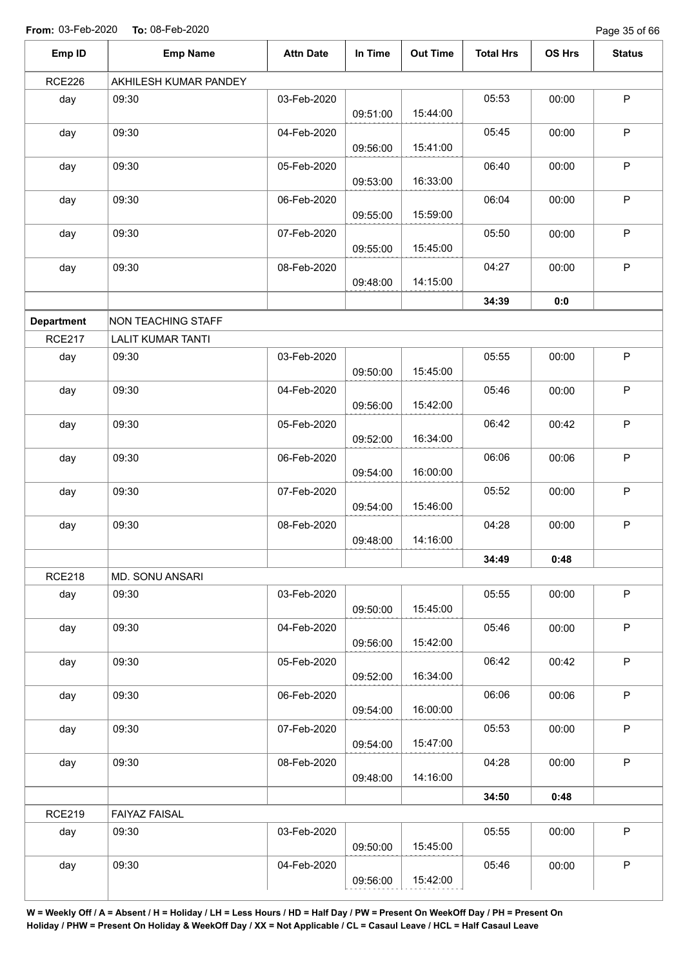Page 35 of 66

| Emp ID            | <b>Emp Name</b>           | <b>Attn Date</b> | In Time  | <b>Out Time</b> | <b>Total Hrs</b> | OS Hrs | <b>Status</b> |
|-------------------|---------------------------|------------------|----------|-----------------|------------------|--------|---------------|
| <b>RCE226</b>     | AKHILESH KUMAR PANDEY     |                  |          |                 |                  |        |               |
| day               | 09:30                     | 03-Feb-2020      | 09:51:00 | 15:44:00        | 05:53            | 00:00  | $\mathsf P$   |
| day               | 09:30                     | 04-Feb-2020      | 09:56:00 | 15:41:00        | 05:45            | 00:00  | $\mathsf{P}$  |
| day               | 09:30                     | 05-Feb-2020      | 09:53:00 | 16:33:00        | 06:40            | 00:00  | $\mathsf P$   |
| day               | 09:30                     | 06-Feb-2020      | 09:55:00 | 15:59:00        | 06:04            | 00:00  | $\mathsf{P}$  |
| day               | 09:30                     | 07-Feb-2020      | 09:55:00 | 15:45:00        | 05:50            | 00:00  | $\sf P$       |
| day               | 09:30                     | 08-Feb-2020      | 09:48:00 | 14:15:00        | 04:27            | 00:00  | $\mathsf{P}$  |
|                   |                           |                  |          |                 | 34:39            | 0:0    |               |
| <b>Department</b> | <b>NON TEACHING STAFF</b> |                  |          |                 |                  |        |               |
| <b>RCE217</b>     | <b>LALIT KUMAR TANTI</b>  |                  |          |                 |                  |        |               |
| day               | 09:30                     | 03-Feb-2020      | 09:50:00 | 15:45:00        | 05:55            | 00:00  | P             |
| day               | 09:30                     | 04-Feb-2020      | 09:56:00 | 15:42:00        | 05:46            | 00:00  | $\mathsf P$   |
| day               | 09:30                     | 05-Feb-2020      | 09:52:00 | 16:34:00        | 06:42            | 00:42  | $\mathsf P$   |
| day               | 09:30                     | 06-Feb-2020      | 09:54:00 | 16:00:00        | 06:06            | 00:06  | $\mathsf P$   |
| day               | 09:30                     | 07-Feb-2020      | 09:54:00 | 15:46:00        | 05:52            | 00:00  | $\mathsf{P}$  |
| day               | 09:30                     | 08-Feb-2020      | 09:48:00 | 14:16:00        | 04:28            | 00:00  | $\mathsf P$   |
|                   |                           |                  |          |                 | 34:49            | 0:48   |               |
| <b>RCE218</b>     | MD. SONU ANSARI           |                  |          |                 |                  |        |               |
| day               | 09:30                     | 03-Feb-2020      | 09:50:00 | 15:45:00        | 05:55            | 00:00  | $\mathsf P$   |
| day               | 09:30                     | 04-Feb-2020      | 09:56:00 | 15:42:00        | 05:46            | 00:00  | $\sf P$       |
| day               | 09:30                     | 05-Feb-2020      | 09:52:00 | 16:34:00        | 06:42            | 00:42  | $\mathsf P$   |
| day               | 09:30                     | 06-Feb-2020      | 09:54:00 | 16:00:00        | 06:06            | 00:06  | $\mathsf P$   |
| day               | 09:30                     | 07-Feb-2020      | 09:54:00 | 15:47:00        | 05:53            | 00:00  | P             |
| day               | 09:30                     | 08-Feb-2020      | 09:48:00 | 14:16:00        | 04:28            | 00:00  | $\mathsf P$   |
|                   |                           |                  |          |                 | 34:50            | 0:48   |               |
| <b>RCE219</b>     | FAIYAZ FAISAL             |                  |          |                 |                  |        |               |
| day               | 09:30                     | 03-Feb-2020      | 09:50:00 | 15:45:00        | 05:55            | 00:00  | $\mathsf P$   |
| day               | 09:30                     | 04-Feb-2020      |          |                 | 05:46            | 00:00  | P             |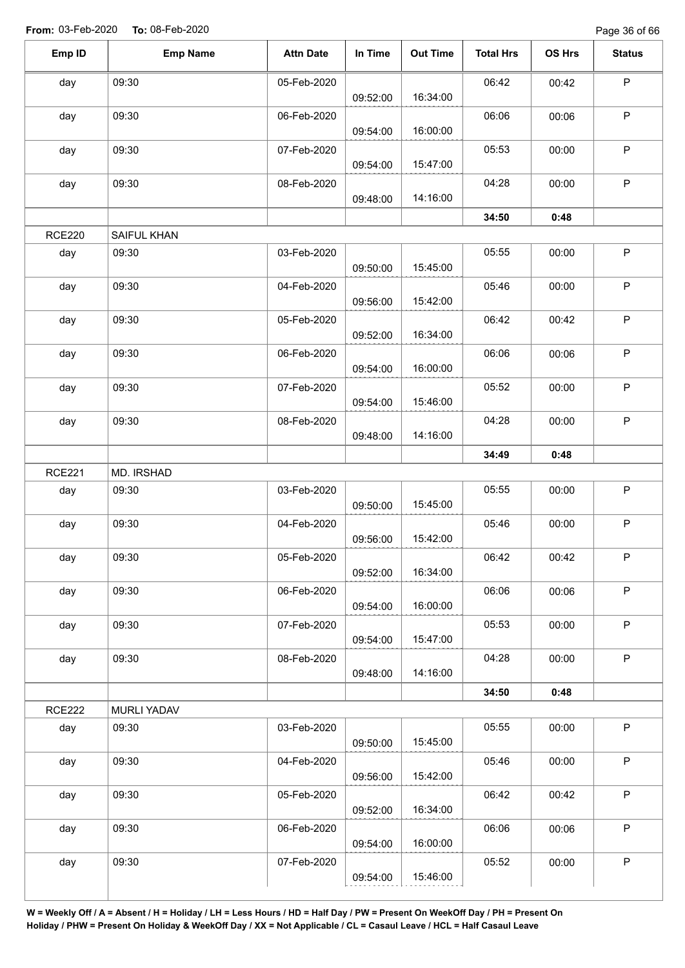Page 36 of 66

| Emp ID        | <b>Emp Name</b>    | <b>Attn Date</b> | In Time  | <b>Out Time</b> | <b>Total Hrs</b> | OS Hrs | <b>Status</b> |
|---------------|--------------------|------------------|----------|-----------------|------------------|--------|---------------|
| day           | 09:30              | 05-Feb-2020      |          |                 | 06:42            | 00:42  | P             |
|               |                    |                  | 09:52:00 | 16:34:00        |                  |        |               |
| day           | 09:30              | 06-Feb-2020      | 09:54:00 | 16:00:00        | 06:06            | 00:06  | $\mathsf P$   |
| day           | 09:30              | 07-Feb-2020      |          |                 | 05:53            | 00:00  | P             |
|               |                    |                  | 09:54:00 | 15:47:00        |                  |        |               |
| day           | 09:30              | 08-Feb-2020      | 09:48:00 | 14:16:00        | 04:28            | 00:00  | $\mathsf P$   |
|               |                    |                  |          |                 | 34:50            | 0:48   |               |
| <b>RCE220</b> | SAIFUL KHAN        |                  |          |                 |                  |        |               |
| day           | 09:30              | 03-Feb-2020      |          |                 | 05:55            | 00:00  | P             |
|               |                    |                  | 09:50:00 | 15:45:00        |                  |        |               |
| day           | 09:30              | 04-Feb-2020      | 09:56:00 | 15:42:00        | 05:46            | 00:00  | P             |
| day           | 09:30              | 05-Feb-2020      |          |                 | 06:42            | 00:42  | $\sf P$       |
|               |                    |                  | 09:52:00 | 16:34:00        |                  |        |               |
| day           | 09:30              | 06-Feb-2020      |          |                 | 06:06            | 00:06  | $\mathsf P$   |
|               |                    |                  | 09:54:00 | 16:00:00        |                  |        |               |
| day           | 09:30              | 07-Feb-2020      | 09:54:00 | 15:46:00        | 05:52            | 00:00  | $\mathsf P$   |
| day           | 09:30              | 08-Feb-2020      |          |                 | 04:28            | 00:00  | $\mathsf P$   |
|               |                    |                  | 09:48:00 | 14:16:00        |                  |        |               |
|               |                    |                  |          |                 | 34:49            | 0:48   |               |
| <b>RCE221</b> | MD. IRSHAD         |                  |          |                 |                  |        |               |
| day           | 09:30              | 03-Feb-2020      |          |                 | 05:55            | 00:00  | P             |
|               |                    |                  | 09:50:00 | 15:45:00        |                  |        |               |
| day           | 09:30              | 04-Feb-2020      |          |                 | 05:46            | 00:00  | $\mathsf P$   |
|               |                    |                  | 09:56:00 | 15:42:00        |                  |        |               |
| day           | 09:30              | 05-Feb-2020      |          |                 | 06:42            | 00:42  | $\mathsf P$   |
|               |                    |                  | 09:52:00 | 16:34:00        |                  |        |               |
| day           | 09:30              | 06-Feb-2020      |          |                 | 06:06            | 00:06  | $\mathsf P$   |
|               |                    |                  | 09:54:00 | 16:00:00        |                  |        |               |
| day           | 09:30              | 07-Feb-2020      | 09:54:00 | 15:47:00        | 05:53            | 00:00  | $\mathsf P$   |
| day           | 09:30              | 08-Feb-2020      |          |                 | 04:28            | 00:00  | $\sf P$       |
|               |                    |                  | 09:48:00 | 14:16:00        |                  |        |               |
|               |                    |                  |          |                 | 34:50            | 0:48   |               |
| <b>RCE222</b> | <b>MURLI YADAV</b> |                  |          |                 |                  |        |               |
| day           | 09:30              | 03-Feb-2020      |          |                 | 05:55            | 00:00  | $\sf P$       |
|               |                    |                  | 09:50:00 | 15:45:00        |                  |        |               |
| day           | 09:30              | 04-Feb-2020      |          |                 | 05:46            | 00:00  | $\mathsf P$   |
|               |                    |                  | 09:56:00 | 15:42:00        |                  |        |               |
| day           | 09:30              | 05-Feb-2020      |          |                 | 06:42            | 00:42  | $\sf P$       |
|               |                    |                  | 09:52:00 | 16:34:00        |                  |        |               |
| day           | 09:30              | 06-Feb-2020      |          |                 | 06:06            | 00:06  | $\mathsf P$   |
|               |                    |                  | 09:54:00 | 16:00:00        |                  |        |               |
| day           | 09:30              | 07-Feb-2020      |          |                 | 05:52            | 00:00  | $\sf P$       |
|               |                    |                  | 09:54:00 | 15:46:00        |                  |        |               |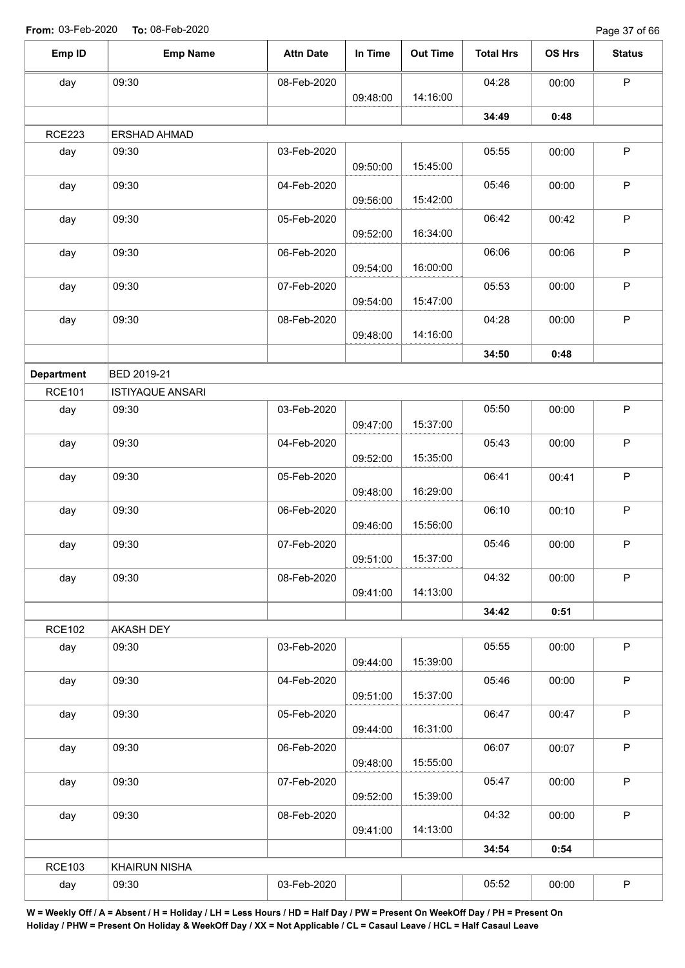Page 37 of 66

| Emp ID            | <b>Emp Name</b>         | <b>Attn Date</b> | In Time  | <b>Out Time</b> | <b>Total Hrs</b> | OS Hrs | <b>Status</b> |
|-------------------|-------------------------|------------------|----------|-----------------|------------------|--------|---------------|
| day               | 09:30                   | 08-Feb-2020      |          |                 | 04:28            | 00:00  | $\mathsf P$   |
|                   |                         |                  | 09:48:00 | 14:16:00        |                  |        |               |
|                   |                         |                  |          |                 | 34:49            | 0:48   |               |
| <b>RCE223</b>     | ERSHAD AHMAD            |                  |          |                 |                  |        |               |
| day               | 09:30                   | 03-Feb-2020      | 09:50:00 | 15:45:00        | 05:55            | 00:00  | $\mathsf P$   |
| day               | 09:30                   | 04-Feb-2020      | 09:56:00 | 15:42:00        | 05:46            | 00:00  | $\mathsf P$   |
| day               | 09:30                   | 05-Feb-2020      | 09:52:00 | 16:34:00        | 06:42            | 00:42  | $\mathsf P$   |
| day               | 09:30                   | 06-Feb-2020      | 09:54:00 | 16:00:00        | 06:06            | 00:06  | $\mathsf P$   |
| day               | 09:30                   | 07-Feb-2020      | 09:54:00 | 15:47:00        | 05:53            | 00:00  | $\mathsf P$   |
| day               | 09:30                   | 08-Feb-2020      |          |                 | 04:28            | 00:00  | $\sf P$       |
|                   |                         |                  | 09:48:00 | 14:16:00        |                  |        |               |
|                   |                         |                  |          |                 | 34:50            | 0:48   |               |
| <b>Department</b> | BED 2019-21             |                  |          |                 |                  |        |               |
| <b>RCE101</b>     | <b>ISTIYAQUE ANSARI</b> |                  |          |                 |                  |        |               |
| day               | 09:30                   | 03-Feb-2020      | 09:47:00 | 15:37:00        | 05:50            | 00:00  | $\sf P$       |
| day               | 09:30                   | 04-Feb-2020      | 09:52:00 | 15:35:00        | 05:43            | 00:00  | $\mathsf P$   |
| day               | 09:30                   | 05-Feb-2020      | 09:48:00 | 16:29:00        | 06:41            | 00:41  | $\mathsf P$   |
| day               | 09:30                   | 06-Feb-2020      | 09:46:00 | 15:56:00        | 06:10            | 00:10  | $\mathsf P$   |
| day               | 09:30                   | 07-Feb-2020      | 09:51:00 | 15:37:00        | 05:46            | 00:00  | $\mathsf P$   |
| day               | 09:30                   | 08-Feb-2020      | 09:41:00 | 14:13:00        | 04:32            | 00:00  | $\mathsf P$   |
|                   |                         |                  |          |                 | 34:42            | 0:51   |               |
| <b>RCE102</b>     | AKASH DEY               |                  |          |                 |                  |        |               |
| day               | 09:30                   | 03-Feb-2020      | 09:44:00 | 15:39:00        | 05:55            | 00:00  | $\mathsf P$   |
| day               | 09:30                   | 04-Feb-2020      | 09:51:00 | 15:37:00        | 05:46            | 00:00  | $\mathsf P$   |
| day               | 09:30                   | 05-Feb-2020      | 09:44:00 | 16:31:00        | 06:47            | 00:47  | $\mathsf P$   |
| day               | 09:30                   | 06-Feb-2020      | 09:48:00 | 15:55:00        | 06:07            | 00:07  | $\mathsf P$   |
| day               | 09:30                   | 07-Feb-2020      | 09:52:00 | 15:39:00        | 05:47            | 00:00  | $\sf P$       |
| day               | 09:30                   | 08-Feb-2020      | 09:41:00 | 14:13:00        | 04:32            | 00:00  | P             |
|                   |                         |                  |          |                 | 34:54            | 0:54   |               |
| <b>RCE103</b>     | <b>KHAIRUN NISHA</b>    |                  |          |                 |                  |        |               |
| day               | 09:30                   | 03-Feb-2020      |          |                 | 05:52            | 00:00  | $\mathsf P$   |
|                   |                         |                  |          |                 |                  |        |               |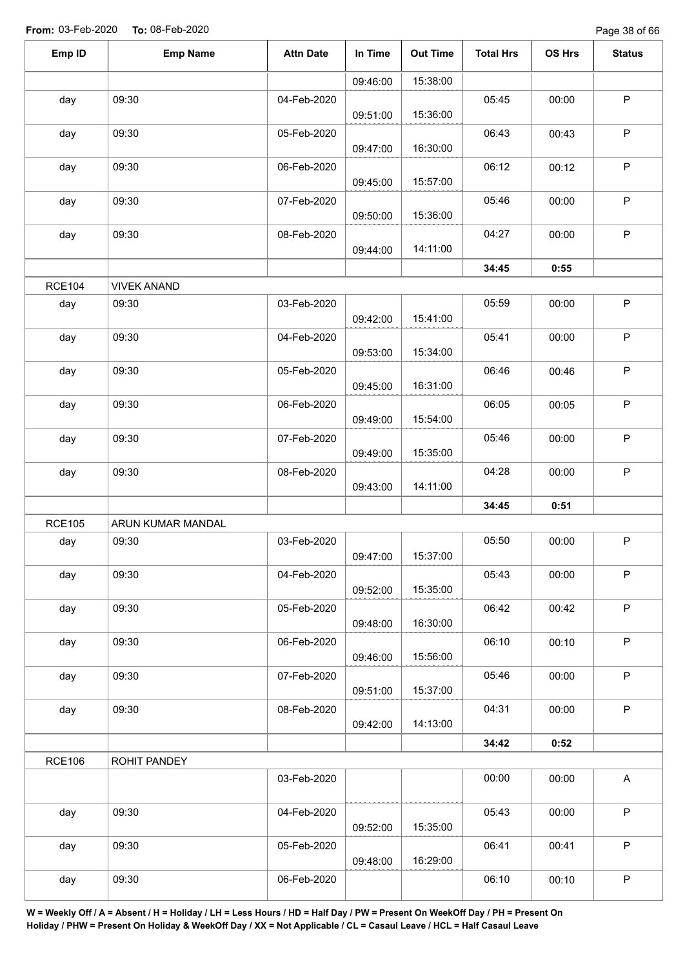Page 38 of 66

| Emp ID        | <b>Emp Name</b>    | <b>Attn Date</b> | In Time  | <b>Out Time</b> | <b>Total Hrs</b> | OS Hrs | <b>Status</b> |
|---------------|--------------------|------------------|----------|-----------------|------------------|--------|---------------|
|               |                    |                  | 09:46:00 | 15:38:00        |                  |        |               |
| day           | 09:30              | 04-Feb-2020      | 09:51:00 | 15:36:00        | 05:45            | 00:00  | P             |
| day           | 09:30              | 05-Feb-2020      | 09:47:00 | 16:30:00        | 06:43            | 00:43  | $\sf P$       |
| day           | 09:30              | 06-Feb-2020      | 09:45:00 | 15:57:00        | 06:12            | 00:12  | $\mathsf P$   |
| day           | 09:30              | 07-Feb-2020      | 09:50:00 | 15:36:00        | 05:46            | 00:00  | $\sf P$       |
| day           | 09:30              | 08-Feb-2020      | 09:44:00 | 14:11:00        | 04:27            | 00:00  | $\sf P$       |
|               |                    |                  |          |                 | 34:45            | 0:55   |               |
| <b>RCE104</b> | <b>VIVEK ANAND</b> |                  |          |                 |                  |        |               |
| day           | 09:30              | 03-Feb-2020      | 09:42:00 | 15:41:00        | 05:59            | 00:00  | $\mathsf P$   |
| day           | 09:30              | 04-Feb-2020      | 09:53:00 | 15:34:00        | 05:41            | 00:00  | P             |
| day           | 09:30              | 05-Feb-2020      | 09:45:00 | 16:31:00        | 06:46            | 00:46  | $\sf P$       |
| day           | 09:30              | 06-Feb-2020      | 09:49:00 | 15:54:00        | 06:05            | 00:05  | P             |
| day           | 09:30              | 07-Feb-2020      | 09:49:00 | 15:35:00        | 05:46            | 00:00  | P             |
| day           | 09:30              | 08-Feb-2020      | 09:43:00 | 14:11:00        | 04:28            | 00:00  | $\sf P$       |
|               |                    |                  |          |                 | 34:45            | 0:51   |               |
| <b>RCE105</b> | ARUN KUMAR MANDAL  |                  |          |                 |                  |        |               |
| day           | 09:30              | 03-Feb-2020      | 09:47:00 | 15:37:00        | 05:50            | 00:00  | P             |
| day           | 09:30              | 04-Feb-2020      | 09:52:00 | 15:35:00        | 05:43            | 00:00  | P             |
| day           | 09:30              | 05-Feb-2020      | 09:48:00 | 16:30:00        | 06:42            | 00:42  | $\mathsf{P}$  |
| day           | 09:30              | 06-Feb-2020      | 09:46:00 | 15:56:00        | 06:10            | 00:10  | $\sf P$       |
| day           | 09:30              | 07-Feb-2020      | 09:51:00 | 15:37:00        | 05:46            | 00:00  | P             |
| day           | 09:30              | 08-Feb-2020      | 09:42:00 | 14:13:00        | 04:31            | 00:00  | $\mathsf P$   |
|               |                    |                  |          |                 | 34:42            | 0:52   |               |
| <b>RCE106</b> | ROHIT PANDEY       |                  |          |                 |                  |        |               |
|               |                    | 03-Feb-2020      |          |                 | 00:00            | 00:00  | $\mathsf{A}$  |
| day           | 09:30              | 04-Feb-2020      | 09:52:00 | 15:35:00        | 05:43            | 00:00  | P             |
| day           | 09:30              | 05-Feb-2020      | 09:48:00 | 16:29:00        | 06:41            | 00:41  | P             |
| day           | 09:30              | 06-Feb-2020      |          |                 | 06:10            | 00:10  | P             |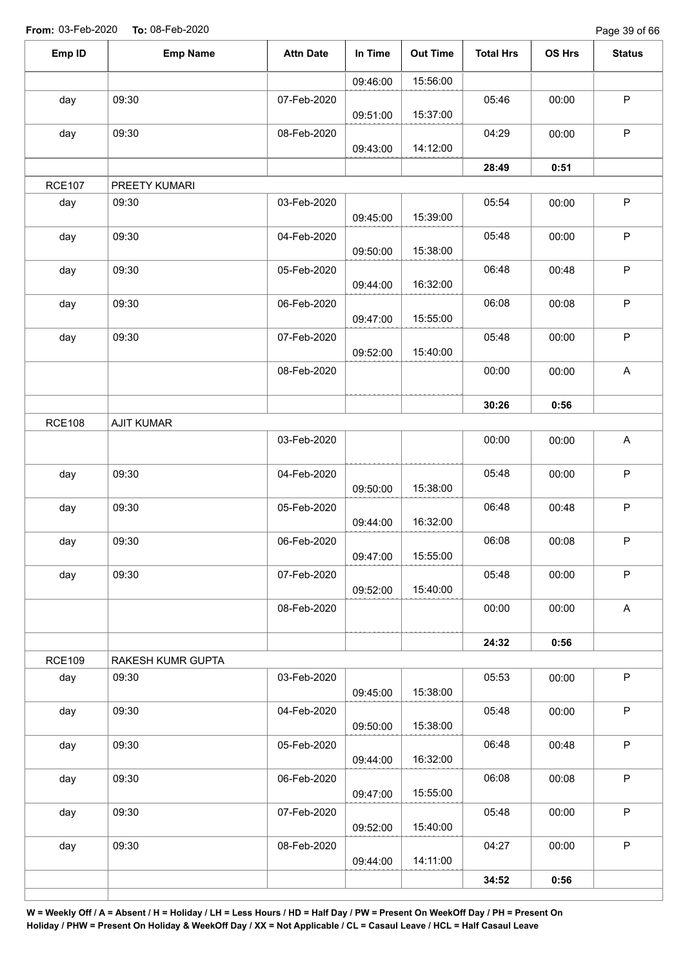Page 39 of 66

| Emp ID        | <b>Emp Name</b>   | <b>Attn Date</b> | In Time  | <b>Out Time</b> | <b>Total Hrs</b> | OS Hrs | <b>Status</b>             |
|---------------|-------------------|------------------|----------|-----------------|------------------|--------|---------------------------|
|               |                   |                  | 09:46:00 | 15:56:00        |                  |        |                           |
| day           | 09:30             | 07-Feb-2020      | 09:51:00 | 15:37:00        | 05:46            | 00:00  | $\mathsf P$               |
| day           | 09:30             | 08-Feb-2020      | 09:43:00 | 14:12:00        | 04:29            | 00:00  | $\mathsf P$               |
|               |                   |                  |          |                 | 28:49            | 0:51   |                           |
| <b>RCE107</b> | PREETY KUMARI     |                  |          |                 |                  |        |                           |
| day           | 09:30             | 03-Feb-2020      | 09:45:00 | 15:39:00        | 05:54            | 00:00  | $\sf P$                   |
| day           | 09:30             | 04-Feb-2020      | 09:50:00 | 15:38:00        | 05:48            | 00:00  | $\mathsf P$               |
| day           | 09:30             | 05-Feb-2020      | 09:44:00 | 16:32:00        | 06:48            | 00:48  | $\mathsf P$               |
| day           | 09:30             | 06-Feb-2020      | 09:47:00 | 15:55:00        | 06:08            | 00:08  | $\sf P$                   |
| day           | 09:30             | 07-Feb-2020      | 09:52:00 | 15:40:00        | 05:48            | 00:00  | $\sf P$                   |
|               |                   | 08-Feb-2020      |          |                 | 00:00            | 00:00  | $\boldsymbol{\mathsf{A}}$ |
|               |                   |                  |          |                 | 30:26            | 0:56   |                           |
| <b>RCE108</b> | <b>AJIT KUMAR</b> |                  |          |                 |                  |        |                           |
|               |                   | 03-Feb-2020      |          |                 | 00:00            | 00:00  | $\boldsymbol{\mathsf{A}}$ |
| day           | 09:30             | 04-Feb-2020      | 09:50:00 | 15:38:00        | 05:48            | 00:00  | $\sf P$                   |
| day           | 09:30             | 05-Feb-2020      | 09:44:00 | 16:32:00        | 06:48            | 00:48  | $\mathsf P$               |
| day           | 09:30             | 06-Feb-2020      | 09:47:00 | 15:55:00        | 06:08            | 00:08  | P                         |
| day           | 09:30             | 07-Feb-2020      | 09:52:00 | 15:40:00        | 05:48            | 00:00  | $\mathsf P$               |
|               |                   | 08-Feb-2020      |          |                 | 00:00            | 00:00  | $\mathsf{A}$              |
|               |                   |                  |          |                 | 24:32            | 0:56   |                           |
| <b>RCE109</b> | RAKESH KUMR GUPTA |                  |          |                 |                  |        |                           |
| day           | 09:30             | 03-Feb-2020      | 09:45:00 | 15:38:00        | 05:53            | 00:00  | $\mathsf P$               |
| day           | 09:30             | 04-Feb-2020      | 09:50:00 | 15:38:00        | 05:48            | 00:00  | $\mathsf P$               |
| day           | 09:30             | 05-Feb-2020      | 09:44:00 | 16:32:00        | 06:48            | 00:48  | $\mathsf P$               |
| day           | 09:30             | 06-Feb-2020      | 09:47:00 | 15:55:00        | 06:08            | 00:08  | $\mathsf P$               |
| day           | 09:30             | 07-Feb-2020      | 09:52:00 | 15:40:00        | 05:48            | 00:00  | $\sf P$                   |
| day           | 09:30             | 08-Feb-2020      | 09:44:00 | 14:11:00        | 04:27            | 00:00  | $\mathsf P$               |
|               |                   |                  |          |                 | 34:52            | 0:56   |                           |
|               |                   |                  |          |                 |                  |        |                           |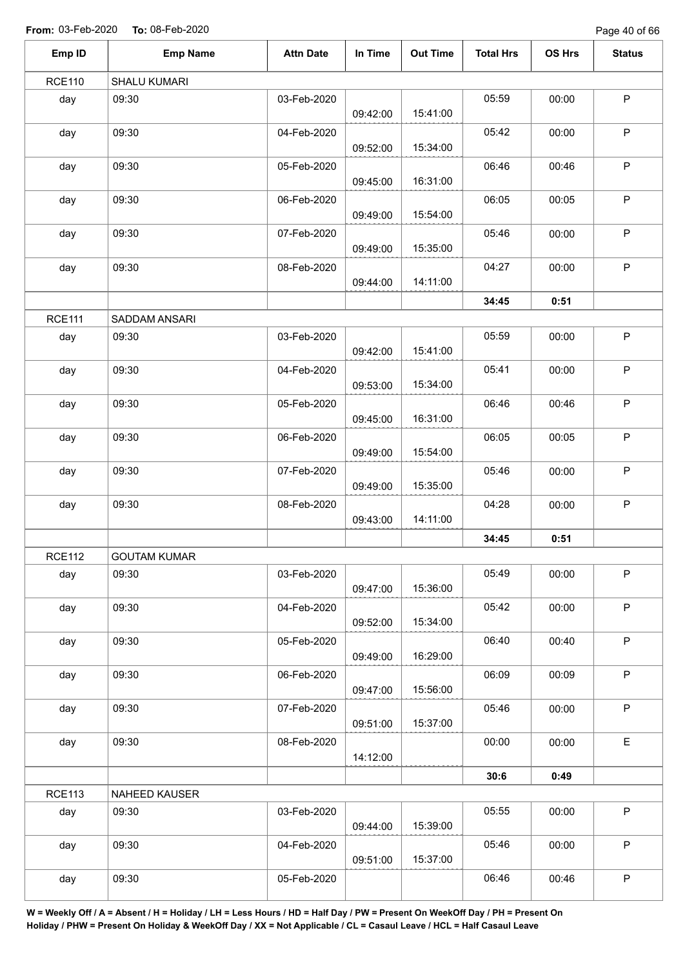Page 40 of 66

| Emp ID        | <b>Emp Name</b>     | <b>Attn Date</b> | In Time  | <b>Out Time</b> | <b>Total Hrs</b> | OS Hrs | <b>Status</b> |
|---------------|---------------------|------------------|----------|-----------------|------------------|--------|---------------|
| <b>RCE110</b> | SHALU KUMARI        |                  |          |                 |                  |        |               |
| day           | 09:30               | 03-Feb-2020      | 09:42:00 | 15:41:00        | 05:59            | 00:00  | $\mathsf P$   |
| day           | 09:30               | 04-Feb-2020      | 09:52:00 | 15:34:00        | 05:42            | 00:00  | $\mathsf P$   |
| day           | 09:30               | 05-Feb-2020      | 09:45:00 | 16:31:00        | 06:46            | 00:46  | $\mathsf P$   |
| day           | 09:30               | 06-Feb-2020      | 09:49:00 | 15:54:00        | 06:05            | 00:05  | $\mathsf P$   |
| day           | 09:30               | 07-Feb-2020      | 09:49:00 | 15:35:00        | 05:46            | 00:00  | $\mathsf P$   |
| day           | 09:30               | 08-Feb-2020      | 09:44:00 | 14:11:00        | 04:27            | 00:00  | $\mathsf P$   |
|               |                     |                  |          |                 | 34:45            | 0:51   |               |
| <b>RCE111</b> | SADDAM ANSARI       |                  |          |                 |                  |        |               |
| day           | 09:30               | 03-Feb-2020      | 09:42:00 | 15:41:00        | 05:59            | 00:00  | $\mathsf P$   |
| day           | 09:30               | 04-Feb-2020      | 09:53:00 | 15:34:00        | 05:41            | 00:00  | $\mathsf P$   |
| day           | 09:30               | 05-Feb-2020      | 09:45:00 | 16:31:00        | 06:46            | 00:46  | $\mathsf P$   |
| day           | 09:30               | 06-Feb-2020      | 09:49:00 | 15:54:00        | 06:05            | 00:05  | $\mathsf P$   |
| day           | 09:30               | 07-Feb-2020      | 09:49:00 | 15:35:00        | 05:46            | 00:00  | $\mathsf P$   |
| day           | 09:30               | 08-Feb-2020      | 09:43:00 | 14:11:00        | 04:28            | 00:00  | $\mathsf P$   |
|               |                     |                  |          |                 | 34:45            | 0:51   |               |
| <b>RCE112</b> | <b>GOUTAM KUMAR</b> |                  |          |                 |                  |        |               |
| day           | 09:30               | 03-Feb-2020      | 09:47:00 | 15:36:00        | 05:49            | 00:00  | $\sf P$       |
| day           | 09:30               | 04-Feb-2020      | 09:52:00 | 15:34:00        | 05:42            | 00:00  | $\sf P$       |
| day           | 09:30               | 05-Feb-2020      | 09:49:00 | 16:29:00        | 06:40            | 00:40  | $\mathsf P$   |
| day           | 09:30               | 06-Feb-2020      | 09:47:00 | 15:56:00        | 06:09            | 00:09  | $\mathsf P$   |
| day           | 09:30               | 07-Feb-2020      | 09:51:00 | 15:37:00        | 05:46            | 00:00  | $\mathsf P$   |
| day           | 09:30               | 08-Feb-2020      | 14:12:00 |                 | 00:00            | 00:00  | $\mathsf E$   |
|               |                     |                  |          |                 | 30:6             | 0:49   |               |
| <b>RCE113</b> | NAHEED KAUSER       |                  |          |                 |                  |        |               |
| day           | 09:30               | 03-Feb-2020      | 09:44:00 | 15:39:00        | 05:55            | 00:00  | $\mathsf P$   |
| day           | 09:30               | 04-Feb-2020      | 09:51:00 | 15:37:00        | 05:46            | 00:00  | $\mathsf P$   |
| day           | 09:30               | 05-Feb-2020      |          |                 | 06:46            | 00:46  | $\sf P$       |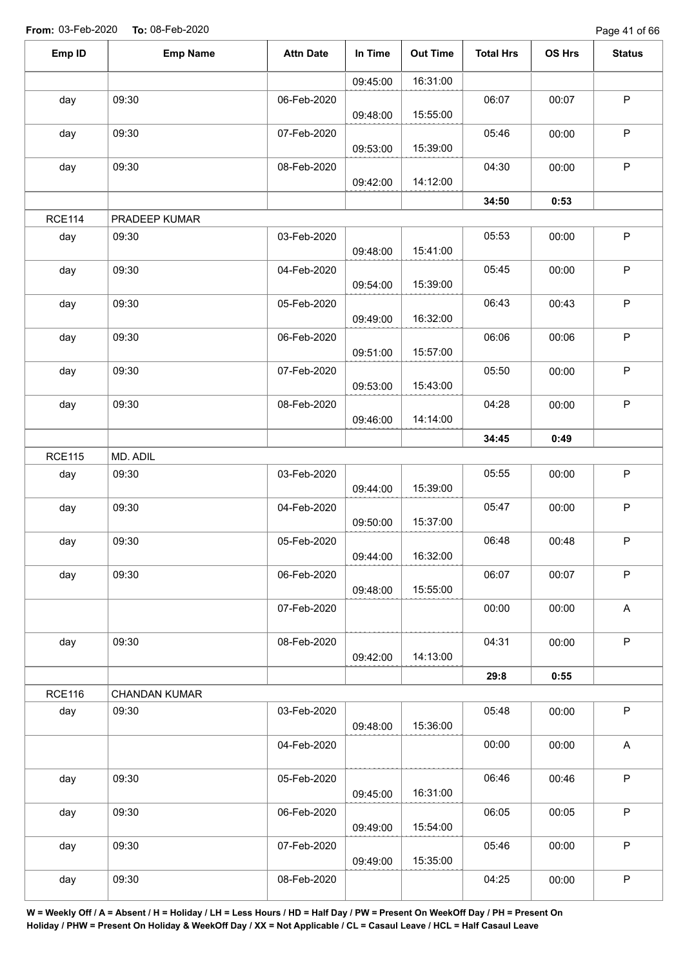Page 41 of 66

| Emp ID        | <b>Emp Name</b>      | <b>Attn Date</b> | In Time  | <b>Out Time</b> | <b>Total Hrs</b> | OS Hrs | <b>Status</b>             |
|---------------|----------------------|------------------|----------|-----------------|------------------|--------|---------------------------|
|               |                      |                  | 09:45:00 | 16:31:00        |                  |        |                           |
| day           | 09:30                | 06-Feb-2020      |          |                 | 06:07            | 00:07  | $\mathsf P$               |
|               |                      |                  | 09:48:00 | 15:55:00        |                  |        |                           |
| day           | 09:30                | 07-Feb-2020      |          |                 | 05:46            | 00:00  | $\mathsf P$               |
|               |                      |                  | 09:53:00 | 15:39:00        |                  |        |                           |
| day           | 09:30                | 08-Feb-2020      | 09:42:00 | 14:12:00        | 04:30            | 00:00  | $\sf P$                   |
|               |                      |                  |          |                 | 34:50            | 0:53   |                           |
| <b>RCE114</b> | PRADEEP KUMAR        |                  |          |                 |                  |        |                           |
| day           | 09:30                | 03-Feb-2020      |          |                 | 05:53            | 00:00  | $\sf P$                   |
|               |                      |                  | 09:48:00 | 15:41:00        |                  |        |                           |
| day           | 09:30                | 04-Feb-2020      |          |                 | 05:45            | 00:00  | $\mathsf P$               |
|               |                      |                  | 09:54:00 | 15:39:00        |                  |        |                           |
| day           | 09:30                | 05-Feb-2020      |          |                 | 06:43            | 00:43  | $\sf P$                   |
|               |                      |                  | 09:49:00 | 16:32:00        |                  |        |                           |
| day           | 09:30                | 06-Feb-2020      | 09:51:00 | 15:57:00        | 06:06            | 00:06  | $\mathsf P$               |
| day           | 09:30                | 07-Feb-2020      |          |                 | 05:50            | 00:00  | $\mathsf P$               |
|               |                      |                  | 09:53:00 | 15:43:00        |                  |        |                           |
| day           | 09:30                | 08-Feb-2020      |          |                 | 04:28            | 00:00  | $\mathsf P$               |
|               |                      |                  | 09:46:00 | 14:14:00        |                  |        |                           |
|               |                      |                  |          |                 | 34:45            | 0:49   |                           |
| <b>RCE115</b> | MD. ADIL             |                  |          |                 |                  |        |                           |
| day           | 09:30                | 03-Feb-2020      |          |                 | 05:55            | 00:00  | $\mathsf P$               |
|               |                      |                  | 09:44:00 | 15:39:00        |                  |        | $\sf P$                   |
| day           | 09:30                | 04-Feb-2020      | 09:50:00 | 15:37:00        | 05:47            | 00:00  |                           |
| day           | 09:30                | 05-Feb-2020      |          |                 | 06:48            | 00:48  | $\mathsf P$               |
|               |                      |                  | 09:44:00 | 16:32:00        |                  |        |                           |
| day           | 09:30                | 06-Feb-2020      |          |                 | 06:07            | 00:07  | $\sf P$                   |
|               |                      |                  | 09:48:00 | 15:55:00        |                  |        |                           |
|               |                      | 07-Feb-2020      |          |                 | 00:00            | 00:00  | $\boldsymbol{\mathsf{A}}$ |
|               |                      |                  |          |                 |                  |        | $\sf P$                   |
| day           | 09:30                | 08-Feb-2020      | 09:42:00 | 14:13:00        | 04:31            | 00:00  |                           |
|               |                      |                  |          |                 | 29:8             | 0:55   |                           |
| <b>RCE116</b> | <b>CHANDAN KUMAR</b> |                  |          |                 |                  |        |                           |
| day           | 09:30                | 03-Feb-2020      |          |                 | 05:48            | 00:00  | $\sf P$                   |
|               |                      |                  | 09:48:00 | 15:36:00        |                  |        |                           |
|               |                      | 04-Feb-2020      |          |                 | 00:00            | 00:00  | A                         |
|               |                      |                  |          |                 |                  |        |                           |
| day           | 09:30                | 05-Feb-2020      | 09:45:00 | 16:31:00        | 06:46            | 00:46  | $\sf P$                   |
| day           | 09:30                | 06-Feb-2020      |          |                 | 06:05            | 00:05  | $\sf P$                   |
|               |                      |                  | 09:49:00 | 15:54:00        |                  |        |                           |
| day           | 09:30                | 07-Feb-2020      |          |                 | 05:46            | 00:00  | $\sf P$                   |
|               |                      |                  | 09:49:00 | 15:35:00        |                  |        |                           |
| day           | 09:30                | 08-Feb-2020      |          |                 | 04:25            | 00:00  | ${\sf P}$                 |
|               |                      |                  |          |                 |                  |        |                           |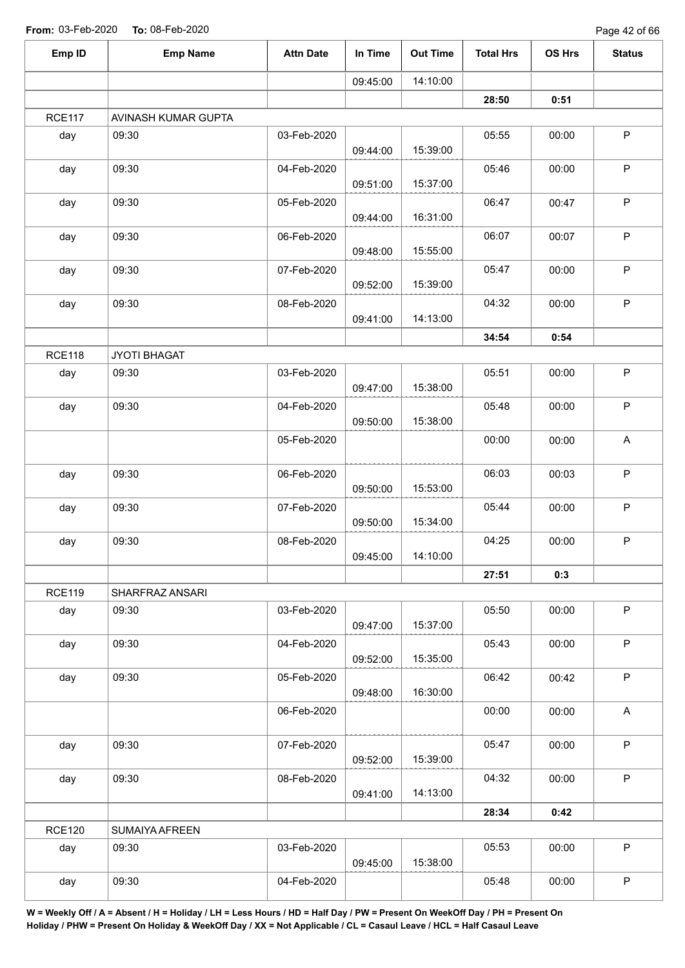| Emp ID        | <b>Emp Name</b>     | <b>Attn Date</b> | In Time  | <b>Out Time</b> | <b>Total Hrs</b> | OS Hrs | <b>Status</b> |
|---------------|---------------------|------------------|----------|-----------------|------------------|--------|---------------|
|               |                     |                  | 09:45:00 | 14:10:00        |                  |        |               |
|               |                     |                  |          |                 | 28:50            | 0:51   |               |
| <b>RCE117</b> | AVINASH KUMAR GUPTA |                  |          |                 |                  |        |               |
| day           | 09:30               | 03-Feb-2020      | 09:44:00 | 15:39:00        | 05:55            | 00:00  | $\sf P$       |
| day           | 09:30               | 04-Feb-2020      | 09:51:00 | 15:37:00        | 05:46            | 00:00  | $\sf P$       |
| day           | 09:30               | 05-Feb-2020      | 09:44:00 | 16:31:00        | 06:47            | 00:47  | $\sf P$       |
| day           | 09:30               | 06-Feb-2020      | 09:48:00 | 15:55:00        | 06:07            | 00:07  | $\sf P$       |
| day           | 09:30               | 07-Feb-2020      | 09:52:00 | 15:39:00        | 05:47            | 00:00  | $\sf P$       |
| day           | 09:30               | 08-Feb-2020      | 09:41:00 | 14:13:00        | 04:32            | 00:00  | $\mathsf P$   |
|               |                     |                  |          |                 | 34:54            | 0:54   |               |
| <b>RCE118</b> | JYOTI BHAGAT        |                  |          |                 |                  |        |               |
| day           | 09:30               | 03-Feb-2020      | 09:47:00 | 15:38:00        | 05:51            | 00:00  | $\sf P$       |
| day           | 09:30               | 04-Feb-2020      | 09:50:00 | 15:38:00        | 05:48            | 00:00  | $\sf P$       |
|               |                     | 05-Feb-2020      |          |                 | 00:00            | 00:00  | A             |
| day           | 09:30               | 06-Feb-2020      | 09:50:00 | 15:53:00        | 06:03            | 00:03  | $\sf P$       |
| day           | 09:30               | 07-Feb-2020      | 09:50:00 | 15:34:00        | 05:44            | 00:00  | $\mathsf P$   |
| day           | 09:30               | 08-Feb-2020      | 09:45:00 | 14:10:00        | 04:25            | 00:00  | $\sf P$       |
|               |                     |                  |          |                 | 27:51            | 0:3    |               |
| <b>RCE119</b> | SHARFRAZ ANSARI     |                  |          |                 |                  |        |               |
| day           | 09:30               | 03-Feb-2020      | 09:47:00 | 15:37:00        | 05:50            | 00:00  | P             |
| day           | 09:30               | 04-Feb-2020      | 09:52:00 | 15:35:00        | 05:43            | 00:00  | $\mathsf P$   |
| day           | 09:30               | 05-Feb-2020      | 09:48:00 | 16:30:00        | 06:42            | 00:42  | $\mathsf P$   |
|               |                     | 06-Feb-2020      |          |                 | 00:00            | 00:00  | $\mathsf A$   |
| day           | 09:30               | 07-Feb-2020      | 09:52:00 | 15:39:00        | 05:47            | 00:00  | $\mathsf P$   |
| day           | 09:30               | 08-Feb-2020      | 09:41:00 | 14:13:00        | 04:32            | 00:00  | $\mathsf P$   |
|               |                     |                  |          |                 | 28:34            | 0:42   |               |
| <b>RCE120</b> | SUMAIYA AFREEN      |                  |          |                 |                  |        |               |
| day           | 09:30               | 03-Feb-2020      | 09:45:00 | 15:38:00        | 05:53            | 00:00  | $\mathsf P$   |
| day           | 09:30               | 04-Feb-2020      |          |                 | 05:48            | 00:00  | $\sf P$       |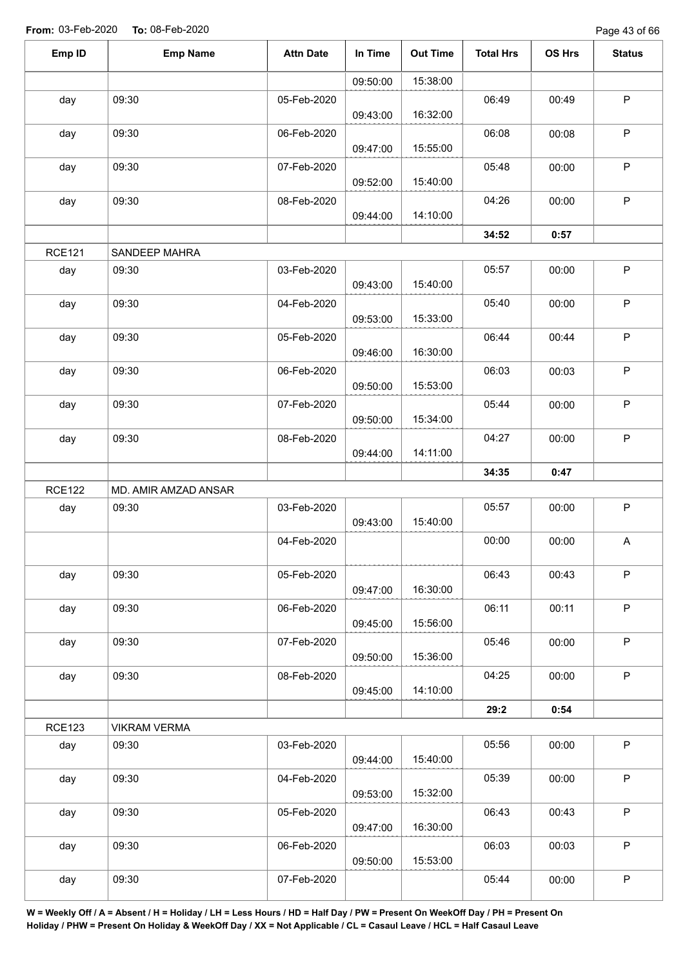Page 43 of 66

| Emp ID        | <b>Emp Name</b>      | <b>Attn Date</b> | In Time  | <b>Out Time</b> | <b>Total Hrs</b> | OS Hrs | <b>Status</b>             |
|---------------|----------------------|------------------|----------|-----------------|------------------|--------|---------------------------|
|               |                      |                  | 09:50:00 | 15:38:00        |                  |        |                           |
| day           | 09:30                | 05-Feb-2020      |          |                 | 06:49            | 00:49  | $\sf P$                   |
|               |                      |                  | 09:43:00 | 16:32:00        |                  |        |                           |
| day           | 09:30                | 06-Feb-2020      | 09:47:00 | 15:55:00        | 06:08            | 00:08  | $\mathsf P$               |
| day           | 09:30                | 07-Feb-2020      | 09:52:00 | 15:40:00        | 05:48            | 00:00  | $\mathsf P$               |
| day           | 09:30                | 08-Feb-2020      | 09:44:00 | 14:10:00        | 04:26            | 00:00  | $\mathsf P$               |
|               |                      |                  |          |                 | 34:52            | 0:57   |                           |
| <b>RCE121</b> | SANDEEP MAHRA        |                  |          |                 |                  |        |                           |
| day           | 09:30                | 03-Feb-2020      | 09:43:00 | 15:40:00        | 05:57            | 00:00  | $\mathsf P$               |
| day           | 09:30                | 04-Feb-2020      | 09:53:00 | 15:33:00        | 05:40            | 00:00  | $\sf P$                   |
| day           | 09:30                | 05-Feb-2020      |          |                 | 06:44            | 00:44  | $\mathsf P$               |
|               |                      |                  | 09:46:00 | 16:30:00        |                  |        |                           |
| day           | 09:30                | 06-Feb-2020      |          |                 | 06:03            | 00:03  | $\mathsf P$               |
|               |                      |                  | 09:50:00 | 15:53:00        |                  |        |                           |
| day           | 09:30                | 07-Feb-2020      | 09:50:00 | 15:34:00        | 05:44            | 00:00  | $\mathsf P$               |
| day           | 09:30                | 08-Feb-2020      | 09:44:00 | 14:11:00        | 04:27            | 00:00  | $\mathsf P$               |
|               |                      |                  |          |                 | 34:35            | 0:47   |                           |
| <b>RCE122</b> | MD. AMIR AMZAD ANSAR |                  |          |                 |                  |        |                           |
| day           | 09:30                | 03-Feb-2020      | 09:43:00 | 15:40:00        | 05:57            | 00:00  | $\mathsf P$               |
|               |                      | 04-Feb-2020      |          |                 | 00:00            | 00:00  | $\boldsymbol{\mathsf{A}}$ |
| day           | 09:30                | 05-Feb-2020      |          |                 | 06:43            | 00:43  | $\mathsf P$               |
|               |                      |                  | 09:47:00 | 16:30:00        |                  |        |                           |
| day           | 09:30                | 06-Feb-2020      | 09:45:00 | 15:56:00        | 06:11            | 00:11  | $\mathsf P$               |
| day           | 09:30                | 07-Feb-2020      |          |                 | 05:46            | 00:00  | $\mathsf P$               |
|               |                      |                  | 09:50:00 | 15:36:00        | 04:25            |        | $\mathsf P$               |
| day           | 09:30                | 08-Feb-2020      | 09:45:00 | 14:10:00        |                  | 00:00  |                           |
|               |                      |                  |          |                 | 29:2             | 0:54   |                           |
| <b>RCE123</b> | <b>VIKRAM VERMA</b>  |                  |          |                 |                  |        |                           |
| day           | 09:30                | 03-Feb-2020      | 09:44:00 | 15:40:00        | 05:56            | 00:00  | $\sf P$                   |
| day           | 09:30                | 04-Feb-2020      | 09:53:00 | 15:32:00        | 05:39            | 00:00  | $\mathsf P$               |
| day           | 09:30                | 05-Feb-2020      | 09:47:00 | 16:30:00        | 06:43            | 00:43  | $\mathsf P$               |
| day           | 09:30                | 06-Feb-2020      |          |                 | 06:03            | 00:03  | $\sf P$                   |
| day           | 09:30                | 07-Feb-2020      | 09:50:00 | 15:53:00        | 05:44            | 00:00  | $\mathsf P$               |
|               |                      |                  |          |                 |                  |        |                           |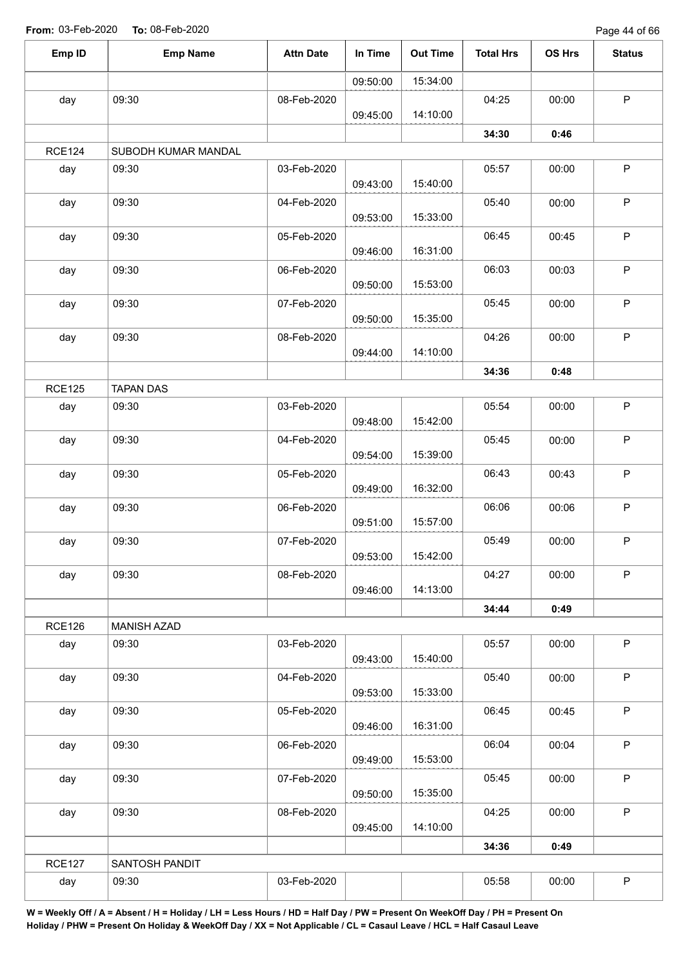Page 44 of 66

| Emp ID        | <b>Emp Name</b>     | <b>Attn Date</b> | In Time  | <b>Out Time</b> | <b>Total Hrs</b> | OS Hrs | <b>Status</b> |
|---------------|---------------------|------------------|----------|-----------------|------------------|--------|---------------|
|               |                     |                  | 09:50:00 | 15:34:00        |                  |        |               |
| day           | 09:30               | 08-Feb-2020      | 09:45:00 | 14:10:00        | 04:25            | 00:00  | P             |
|               |                     |                  |          |                 | 34:30            | 0:46   |               |
| <b>RCE124</b> | SUBODH KUMAR MANDAL |                  |          |                 |                  |        |               |
| day           | 09:30               | 03-Feb-2020      | 09:43:00 | 15:40:00        | 05:57            | 00:00  | $\mathsf P$   |
| day           | 09:30               | 04-Feb-2020      | 09:53:00 | 15:33:00        | 05:40            | 00:00  | $\sf P$       |
| day           | 09:30               | 05-Feb-2020      | 09:46:00 | 16:31:00        | 06:45            | 00:45  | $\sf P$       |
| day           | 09:30               | 06-Feb-2020      |          |                 | 06:03            | 00:03  | $\sf P$       |
| day           | 09:30               | 07-Feb-2020      | 09:50:00 | 15:53:00        | 05:45            | 00:00  | $\sf P$       |
| day           | 09:30               | 08-Feb-2020      | 09:50:00 | 15:35:00        | 04:26            | 00:00  | $\mathsf P$   |
|               |                     |                  | 09:44:00 | 14:10:00        | 34:36            | 0:48   |               |
| <b>RCE125</b> | <b>TAPAN DAS</b>    |                  |          |                 |                  |        |               |
| day           | 09:30               | 03-Feb-2020      | 09:48:00 | 15:42:00        | 05:54            | 00:00  | $\mathsf P$   |
| day           | 09:30               | 04-Feb-2020      | 09:54:00 | 15:39:00        | 05:45            | 00:00  | $\sf P$       |
| day           | 09:30               | 05-Feb-2020      | 09:49:00 | 16:32:00        | 06:43            | 00:43  | $\mathsf P$   |
| day           | 09:30               | 06-Feb-2020      | 09:51:00 | 15:57:00        | 06:06            | 00:06  | $\sf P$       |
| day           | 09:30               | 07-Feb-2020      | 09:53:00 | 15:42:00        | 05:49            | 00:00  | $\mathsf P$   |
| day           | 09:30               | 08-Feb-2020      | 09:46:00 | 14:13:00        | 04:27            | 00:00  | $\mathsf P$   |
|               |                     |                  |          |                 | 34:44            | 0:49   |               |
| <b>RCE126</b> | <b>MANISH AZAD</b>  |                  |          |                 |                  |        |               |
| day           | 09:30               | 03-Feb-2020      | 09:43:00 | 15:40:00        | 05:57            | 00:00  | $\mathsf P$   |
| day           | 09:30               | 04-Feb-2020      | 09:53:00 | 15:33:00        | 05:40            | 00:00  | $\mathsf P$   |
| day           | 09:30               | 05-Feb-2020      | 09:46:00 | 16:31:00        | 06:45            | 00:45  | $\sf P$       |
| day           | 09:30               | 06-Feb-2020      | 09:49:00 | 15:53:00        | 06:04            | 00:04  | $\mathsf P$   |
| day           | 09:30               | 07-Feb-2020      |          |                 | 05:45            | 00:00  | $\mathsf P$   |
| day           | 09:30               | 08-Feb-2020      | 09:50:00 | 15:35:00        | 04:25            | 00:00  | P             |
|               |                     |                  | 09:45:00 | 14:10:00        |                  |        |               |
|               |                     |                  |          |                 | 34:36            | 0:49   |               |
| <b>RCE127</b> | SANTOSH PANDIT      |                  |          |                 | 05:58            |        | $\sf P$       |
| day           | 09:30               | 03-Feb-2020      |          |                 |                  | 00:00  |               |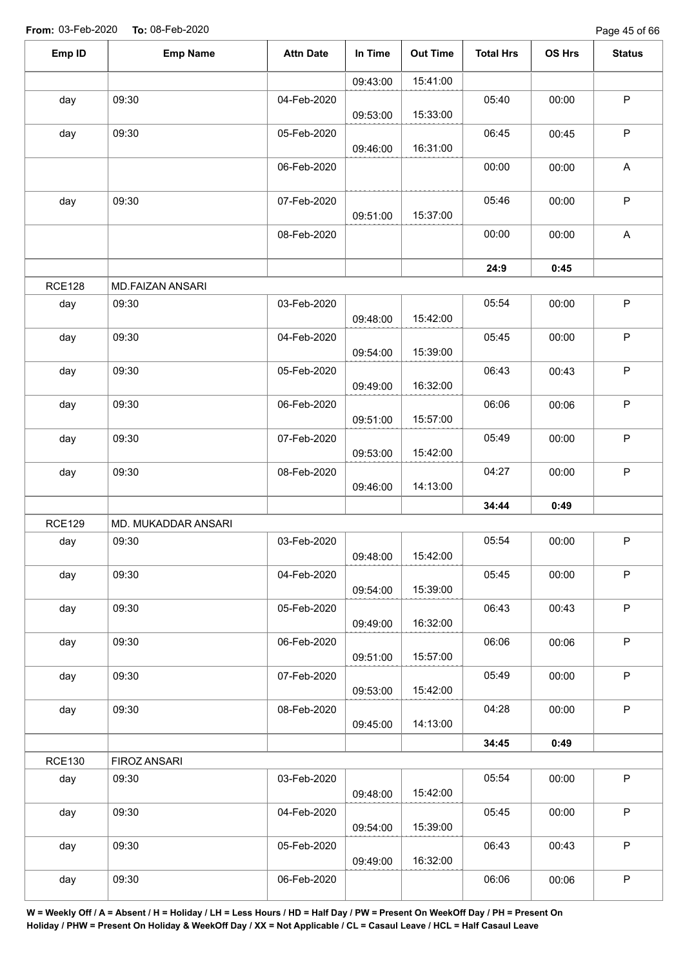| Emp ID        | <b>Emp Name</b>     | <b>Attn Date</b> | In Time  | <b>Out Time</b> | <b>Total Hrs</b> | OS Hrs | <b>Status</b>             |
|---------------|---------------------|------------------|----------|-----------------|------------------|--------|---------------------------|
|               |                     |                  | 09:43:00 | 15:41:00        |                  |        |                           |
| day           | 09:30               | 04-Feb-2020      | 09:53:00 | 15:33:00        | 05:40            | 00:00  | $\sf P$                   |
| day           | 09:30               | 05-Feb-2020      | 09:46:00 | 16:31:00        | 06:45            | 00:45  | $\mathsf P$               |
|               |                     | 06-Feb-2020      |          |                 | 00:00            | 00:00  | $\boldsymbol{\mathsf{A}}$ |
| day           | 09:30               | 07-Feb-2020      | 09:51:00 | 15:37:00        | 05:46            | 00:00  | $\sf P$                   |
|               |                     | 08-Feb-2020      |          |                 | 00:00            | 00:00  | $\boldsymbol{\mathsf{A}}$ |
|               |                     |                  |          |                 | 24:9             | 0:45   |                           |
| <b>RCE128</b> | MD.FAIZAN ANSARI    |                  |          |                 |                  |        |                           |
| day           | 09:30               | 03-Feb-2020      | 09:48:00 | 15:42:00        | 05:54            | 00:00  | $\mathsf P$               |
| day           | 09:30               | 04-Feb-2020      | 09:54:00 | 15:39:00        | 05:45            | 00:00  | $\sf P$                   |
| day           | 09:30               | 05-Feb-2020      | 09:49:00 | 16:32:00        | 06:43            | 00:43  | $\mathsf P$               |
| day           | 09:30               | 06-Feb-2020      | 09:51:00 | 15:57:00        | 06:06            | 00:06  | $\sf P$                   |
| day           | 09:30               | 07-Feb-2020      | 09:53:00 | 15:42:00        | 05:49            | 00:00  | $\sf P$                   |
| day           | 09:30               | 08-Feb-2020      | 09:46:00 | 14:13:00        | 04:27            | 00:00  | $\sf P$                   |
|               |                     |                  |          |                 | 34:44            | 0:49   |                           |
| <b>RCE129</b> | MD. MUKADDAR ANSARI |                  |          |                 |                  |        |                           |
| day           | 09:30               | 03-Feb-2020      | 09:48:00 | 15:42:00        | 05:54            | 00:00  | P                         |
| day           | 09:30               | 04-Feb-2020      | 09:54:00 | 15:39:00        | 05:45            | 00:00  | $\sf P$                   |
| day           | 09:30               | 05-Feb-2020      | 09:49:00 | 16:32:00        | 06:43            | 00:43  | $\mathsf P$               |
| day           | 09:30               | 06-Feb-2020      | 09:51:00 | 15:57:00        | 06:06            | 00:06  | $\mathsf P$               |
| day           | 09:30               | 07-Feb-2020      | 09:53:00 | 15:42:00        | 05:49            | 00:00  | $\sf P$                   |
| day           | 09:30               | 08-Feb-2020      | 09:45:00 | 14:13:00        | 04:28            | 00:00  | $\mathsf P$               |
|               |                     |                  |          |                 | 34:45            | 0:49   |                           |
| <b>RCE130</b> | FIROZ ANSARI        |                  |          |                 |                  |        |                           |
| day           | 09:30               | 03-Feb-2020      | 09:48:00 | 15:42:00        | 05:54            | 00:00  | $\mathsf P$               |
| day           | 09:30               | 04-Feb-2020      | 09:54:00 | 15:39:00        | 05:45            | 00:00  | $\mathsf P$               |
| day           | 09:30               | 05-Feb-2020      | 09:49:00 | 16:32:00        | 06:43            | 00:43  | P                         |
| day           | 09:30               | 06-Feb-2020      |          |                 | 06:06            | 00:06  | ${\sf P}$                 |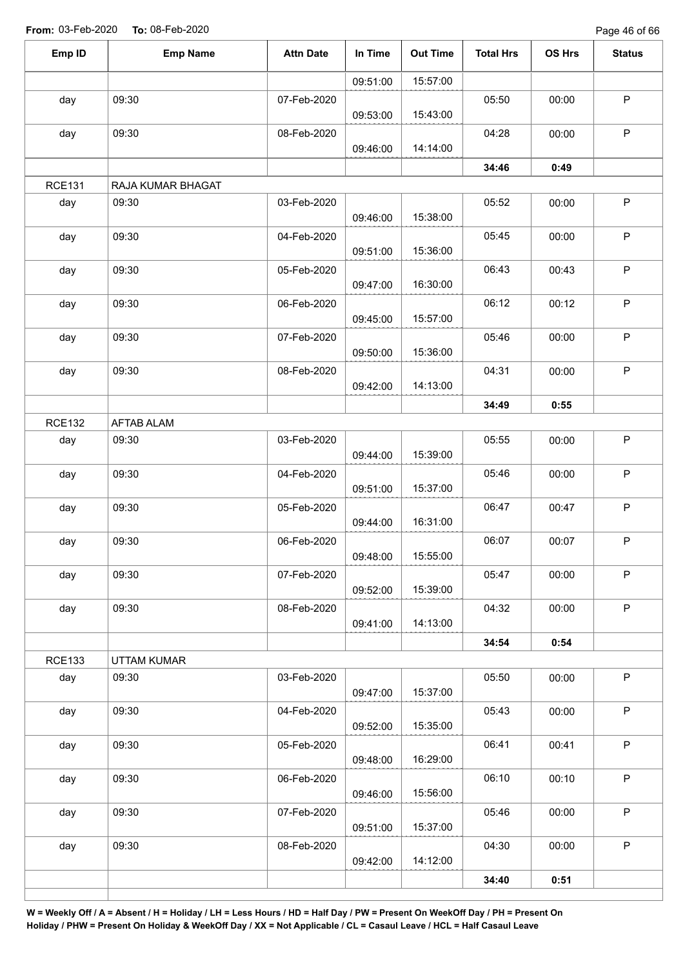Page 46 of 66

| Emp ID               | <b>Emp Name</b>      | <b>Attn Date</b> | In Time  | <b>Out Time</b> | <b>Total Hrs</b> | OS Hrs | <b>Status</b> |
|----------------------|----------------------|------------------|----------|-----------------|------------------|--------|---------------|
|                      |                      |                  | 09:51:00 | 15:57:00        |                  |        |               |
| day                  | 09:30                | 07-Feb-2020      |          |                 | 05:50            | 00:00  | $\sf P$       |
|                      |                      |                  | 09:53:00 | 15:43:00        |                  |        |               |
| day                  | 09:30                | 08-Feb-2020      | 09:46:00 | 14:14:00        | 04:28            | 00:00  | $\mathsf P$   |
|                      |                      |                  |          |                 | 34:46            | 0:49   |               |
| <b>RCE131</b>        | RAJA KUMAR BHAGAT    |                  |          |                 |                  |        |               |
| day                  | 09:30                | 03-Feb-2020      |          |                 | 05:52            | 00:00  | $\sf P$       |
| day                  | 09:30                | 04-Feb-2020      | 09:46:00 | 15:38:00        | 05:45            | 00:00  | $\mathsf P$   |
|                      |                      |                  | 09:51:00 | 15:36:00        |                  |        |               |
| day                  | 09:30                | 05-Feb-2020      |          |                 | 06:43            | 00:43  | $\sf P$       |
|                      |                      |                  | 09:47:00 | 16:30:00        |                  |        |               |
| day                  | 09:30                | 06-Feb-2020      | 09:45:00 | 15:57:00        | 06:12            | 00:12  | $\sf P$       |
| day                  | 09:30                | 07-Feb-2020      |          |                 | 05:46            | 00:00  | $\sf P$       |
|                      |                      |                  | 09:50:00 | 15:36:00        |                  |        |               |
| day                  | 09:30                | 08-Feb-2020      |          |                 | 04:31            | 00:00  | $\mathsf P$   |
|                      |                      |                  | 09:42:00 | 14:13:00        |                  |        |               |
|                      |                      |                  |          |                 | 34:49            | 0:55   |               |
| <b>RCE132</b>        | <b>AFTAB ALAM</b>    |                  |          |                 | 05:55            |        | $\sf P$       |
| day                  | 09:30                | 03-Feb-2020      | 09:44:00 | 15:39:00        |                  | 00:00  |               |
| day                  | 09:30                | 04-Feb-2020      |          |                 | 05:46            | 00:00  | $\mathsf P$   |
|                      |                      |                  | 09:51:00 | 15:37:00        |                  |        |               |
| day                  | 09:30                | 05-Feb-2020      |          |                 | 06:47            | 00:47  | $\mathsf P$   |
|                      |                      |                  | 09:44:00 | 16:31:00        |                  |        |               |
| day                  | 09:30                | 06-Feb-2020      | 09:48:00 | 15:55:00        | 06:07            | 00:07  | $\mathsf P$   |
| day                  | 09:30                | 07-Feb-2020      |          |                 | 05:47            | 00:00  | $\mathsf P$   |
|                      |                      |                  | 09:52:00 | 15:39:00        |                  |        |               |
| day                  | 09:30                | 08-Feb-2020      |          |                 | 04:32            | 00:00  | P             |
|                      |                      |                  | 09:41:00 | 14:13:00        |                  |        |               |
|                      |                      |                  |          |                 | 34:54            | 0:54   |               |
| <b>RCE133</b><br>day | UTTAM KUMAR<br>09:30 | 03-Feb-2020      |          |                 | 05:50            | 00:00  | $\mathsf P$   |
|                      |                      |                  | 09:47:00 | 15:37:00        |                  |        |               |
| day                  | 09:30                | 04-Feb-2020      |          |                 | 05:43            | 00:00  | $\sf P$       |
|                      |                      |                  | 09:52:00 | 15:35:00        |                  |        |               |
| day                  | 09:30                | 05-Feb-2020      |          |                 | 06:41            | 00:41  | $\mathsf P$   |
|                      |                      |                  | 09:48:00 | 16:29:00        |                  |        |               |
| day                  | 09:30                | 06-Feb-2020      | 09:46:00 | 15:56:00        | 06:10            | 00:10  | $\sf P$       |
| day                  | 09:30                | 07-Feb-2020      |          |                 | 05:46            | 00:00  | $\mathsf P$   |
|                      |                      |                  | 09:51:00 | 15:37:00        |                  |        |               |
| day                  | 09:30                | 08-Feb-2020      |          |                 | 04:30            | 00:00  | $\mathsf P$   |
|                      |                      |                  | 09:42:00 | 14:12:00        |                  |        |               |
|                      |                      |                  |          |                 | 34:40            | 0:51   |               |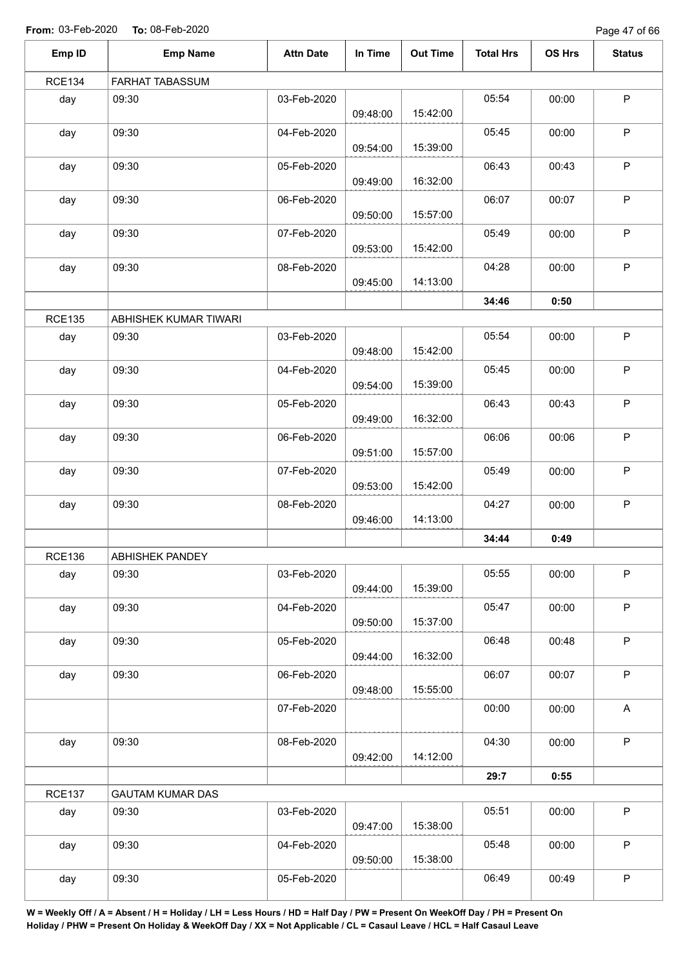Page 47 of 66

| Emp ID        | <b>Emp Name</b>         | <b>Attn Date</b> | In Time  | <b>Out Time</b> | <b>Total Hrs</b> | OS Hrs | <b>Status</b>             |
|---------------|-------------------------|------------------|----------|-----------------|------------------|--------|---------------------------|
| <b>RCE134</b> | FARHAT TABASSUM         |                  |          |                 |                  |        |                           |
| day           | 09:30                   | 03-Feb-2020      | 09:48:00 | 15:42:00        | 05:54            | 00:00  | $\sf P$                   |
| day           | 09:30                   | 04-Feb-2020      | 09:54:00 | 15:39:00        | 05:45            | 00:00  | $\mathsf P$               |
| day           | 09:30                   | 05-Feb-2020      | 09:49:00 | 16:32:00        | 06:43            | 00:43  | $\sf P$                   |
| day           | 09:30                   | 06-Feb-2020      | 09:50:00 | 15:57:00        | 06:07            | 00:07  | $\mathsf P$               |
| day           | 09:30                   | 07-Feb-2020      | 09:53:00 | 15:42:00        | 05:49            | 00:00  | $\sf P$                   |
| day           | 09:30                   | 08-Feb-2020      | 09:45:00 | 14:13:00        | 04:28            | 00:00  | $\mathsf P$               |
|               |                         |                  |          |                 | 34:46            | 0:50   |                           |
| <b>RCE135</b> | ABHISHEK KUMAR TIWARI   |                  |          |                 |                  |        |                           |
| day           | 09:30                   | 03-Feb-2020      | 09:48:00 | 15:42:00        | 05:54            | 00:00  | $\sf P$                   |
| day           | 09:30                   | 04-Feb-2020      | 09:54:00 | 15:39:00        | 05:45            | 00:00  | $\sf P$                   |
| day           | 09:30                   | 05-Feb-2020      | 09:49:00 | 16:32:00        | 06:43            | 00:43  | $\mathsf P$               |
| day           | 09:30                   | 06-Feb-2020      | 09:51:00 | 15:57:00        | 06:06            | 00:06  | $\sf P$                   |
| day           | 09:30                   | 07-Feb-2020      | 09:53:00 | 15:42:00        | 05:49            | 00:00  | $\sf P$                   |
| day           | 09:30                   | 08-Feb-2020      | 09:46:00 | 14:13:00        | 04:27            | 00:00  | $\sf P$                   |
|               |                         |                  |          |                 | 34:44            | 0:49   |                           |
| <b>RCE136</b> | ABHISHEK PANDEY         |                  |          |                 |                  |        |                           |
| day           | 09:30                   | 03-Feb-2020      | 09:44:00 | 15:39:00        | 05:55            | 00:00  | $\sf P$                   |
| day           | 09:30                   | 04-Feb-2020      | 09:50:00 | 15:37:00        | 05:47            | 00:00  | $\mathsf P$               |
| day           | 09:30                   | 05-Feb-2020      | 09:44:00 | 16:32:00        | 06:48            | 00:48  | $\sf P$                   |
| day           | 09:30                   | 06-Feb-2020      | 09:48:00 | 15:55:00        | 06:07            | 00:07  | $\mathsf P$               |
|               |                         | 07-Feb-2020      |          |                 | 00:00            | 00:00  | $\boldsymbol{\mathsf{A}}$ |
| day           | 09:30                   | 08-Feb-2020      | 09:42:00 | 14:12:00        | 04:30            | 00:00  | $\mathsf{P}$              |
|               |                         |                  |          |                 | 29:7             | 0:55   |                           |
| <b>RCE137</b> | <b>GAUTAM KUMAR DAS</b> |                  |          |                 |                  |        |                           |
| day           | 09:30                   | 03-Feb-2020      | 09:47:00 | 15:38:00        | 05:51            | 00:00  | $\mathsf{P}$              |
| day           | 09:30                   | 04-Feb-2020      | 09:50:00 | 15:38:00        | 05:48            | 00:00  | $\mathsf P$               |
| day           | 09:30                   | 05-Feb-2020      |          |                 | 06:49            | 00:49  | $\sf P$                   |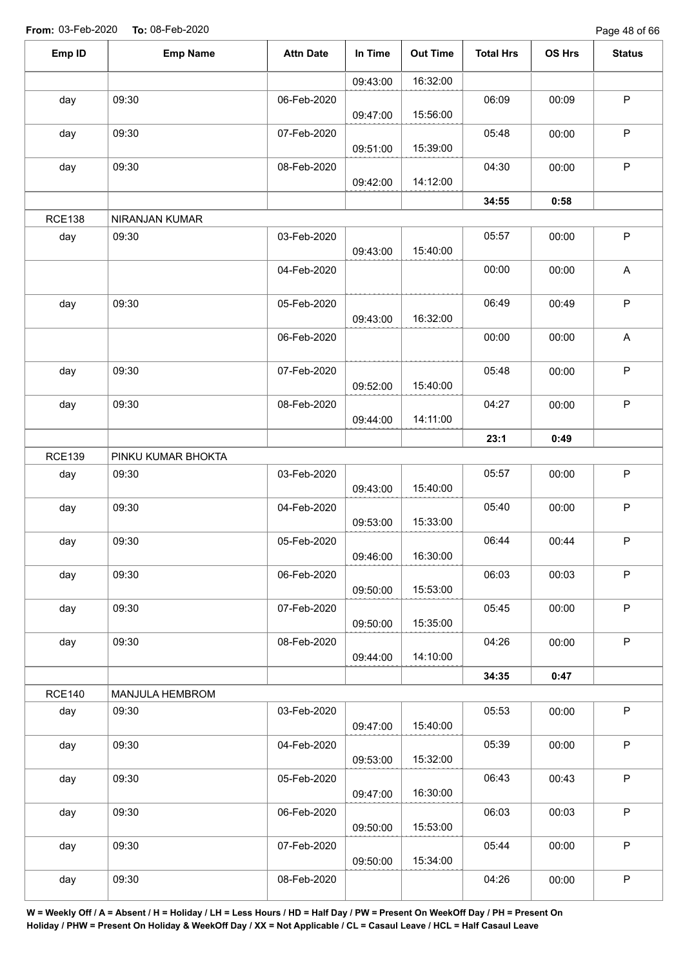Page 48 of 66

| Emp ID        | <b>Emp Name</b>    | <b>Attn Date</b> | In Time  | <b>Out Time</b> | <b>Total Hrs</b> | OS Hrs | <b>Status</b> |
|---------------|--------------------|------------------|----------|-----------------|------------------|--------|---------------|
|               |                    |                  | 09:43:00 | 16:32:00        |                  |        |               |
| day           | 09:30              | 06-Feb-2020      | 09:47:00 | 15:56:00        | 06:09            | 00:09  | $\sf P$       |
| day           | 09:30              | 07-Feb-2020      | 09:51:00 | 15:39:00        | 05:48            | 00:00  | $\mathsf P$   |
| day           | 09:30              | 08-Feb-2020      | 09:42:00 | 14:12:00        | 04:30            | 00:00  | $\sf P$       |
|               |                    |                  |          |                 | 34:55            | 0:58   |               |
| <b>RCE138</b> | NIRANJAN KUMAR     |                  |          |                 |                  |        |               |
| day           | 09:30              | 03-Feb-2020      | 09:43:00 | 15:40:00        | 05:57            | 00:00  | $\sf P$       |
|               |                    | 04-Feb-2020      |          |                 | 00:00            | 00:00  | A             |
| day           | 09:30              | 05-Feb-2020      | 09:43:00 | 16:32:00        | 06:49            | 00:49  | $\sf P$       |
|               |                    | 06-Feb-2020      |          |                 | 00:00            | 00:00  | A             |
| day           | 09:30              | 07-Feb-2020      | 09:52:00 | 15:40:00        | 05:48            | 00:00  | $\sf P$       |
| day           | 09:30              | 08-Feb-2020      | 09:44:00 | 14:11:00        | 04:27            | 00:00  | $\sf P$       |
|               |                    |                  |          |                 | 23:1             | 0:49   |               |
| <b>RCE139</b> | PINKU KUMAR BHOKTA |                  |          |                 |                  |        |               |
| day           | 09:30              | 03-Feb-2020      | 09:43:00 | 15:40:00        | 05:57            | 00:00  | $\sf P$       |
| day           | 09:30              | 04-Feb-2020      | 09:53:00 | 15:33:00        | 05:40            | 00:00  | $\mathsf P$   |
| day           | 09:30              | 05-Feb-2020      | 09:46:00 | 16:30:00        | 06:44            | 00:44  | ${\sf P}$     |
| day           | 09:30              | 06-Feb-2020      | 09:50:00 | 15:53:00        | 06:03            | 00:03  | $\mathsf P$   |
| day           | 09:30              | 07-Feb-2020      | 09:50:00 | 15:35:00        | 05:45            | 00:00  | $\mathsf P$   |
| day           | 09:30              | 08-Feb-2020      | 09:44:00 | 14:10:00        | 04:26            | 00:00  | $\sf P$       |
|               |                    |                  |          |                 | 34:35            | 0:47   |               |
| <b>RCE140</b> | MANJULA HEMBROM    |                  |          |                 |                  |        |               |
| day           | 09:30              | 03-Feb-2020      | 09:47:00 | 15:40:00        | 05:53            | 00:00  | $\mathsf P$   |
| day           | 09:30              | 04-Feb-2020      | 09:53:00 | 15:32:00        | 05:39            | 00:00  | P             |
| day           | 09:30              | 05-Feb-2020      | 09:47:00 | 16:30:00        | 06:43            | 00:43  | $\mathsf P$   |
| day           | 09:30              | 06-Feb-2020      | 09:50:00 | 15:53:00        | 06:03            | 00:03  | $\mathsf P$   |
| day           | 09:30              | 07-Feb-2020      | 09:50:00 | 15:34:00        | 05:44            | 00:00  | $\sf P$       |
| day           | 09:30              | 08-Feb-2020      |          |                 | 04:26            | 00:00  | $\sf P$       |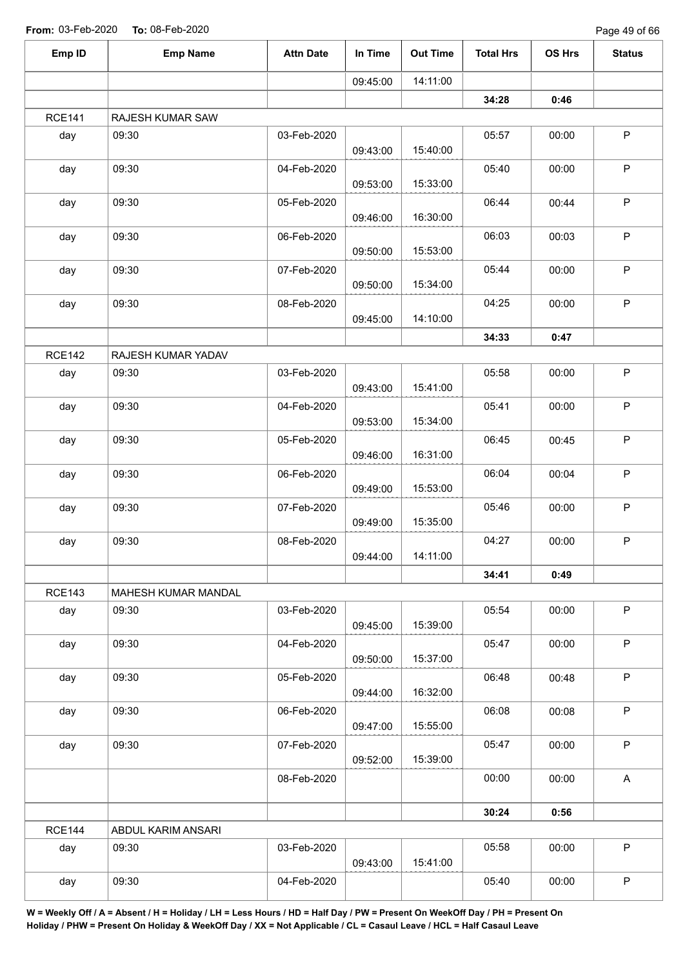Page 49 of 66

| Emp ID        | <b>Emp Name</b>     | <b>Attn Date</b> | In Time  | <b>Out Time</b> | <b>Total Hrs</b> | OS Hrs | <b>Status</b> |
|---------------|---------------------|------------------|----------|-----------------|------------------|--------|---------------|
|               |                     |                  | 09:45:00 | 14:11:00        |                  |        |               |
|               |                     |                  |          |                 | 34:28            | 0:46   |               |
| <b>RCE141</b> | RAJESH KUMAR SAW    |                  |          |                 |                  |        |               |
| day           | 09:30               | 03-Feb-2020      | 09:43:00 | 15:40:00        | 05:57            | 00:00  | $\sf P$       |
| day           | 09:30               | 04-Feb-2020      | 09:53:00 | 15:33:00        | 05:40            | 00:00  | P             |
| day           | 09:30               | 05-Feb-2020      | 09:46:00 | 16:30:00        | 06:44            | 00:44  | P             |
| day           | 09:30               | 06-Feb-2020      | 09:50:00 | 15:53:00        | 06:03            | 00:03  | P             |
| day           | 09:30               | 07-Feb-2020      | 09:50:00 | 15:34:00        | 05:44            | 00:00  | $\sf P$       |
| day           | 09:30               | 08-Feb-2020      | 09:45:00 | 14:10:00        | 04:25            | 00:00  | $\mathsf P$   |
|               |                     |                  |          |                 | 34:33            | 0:47   |               |
| <b>RCE142</b> | RAJESH KUMAR YADAV  |                  |          |                 |                  |        |               |
| day           | 09:30               | 03-Feb-2020      | 09:43:00 | 15:41:00        | 05:58            | 00:00  | $\sf P$       |
| day           | 09:30               | 04-Feb-2020      | 09:53:00 | 15:34:00        | 05:41            | 00:00  | P             |
| day           | 09:30               | 05-Feb-2020      | 09:46:00 | 16:31:00        | 06:45            | 00:45  | $\sf P$       |
| day           | 09:30               | 06-Feb-2020      | 09:49:00 | 15:53:00        | 06:04            | 00:04  | P             |
| day           | 09:30               | 07-Feb-2020      | 09:49:00 | 15:35:00        | 05:46            | 00:00  | $\mathsf P$   |
| day           | 09:30               | 08-Feb-2020      | 09:44:00 | 14:11:00        | 04:27            | 00:00  | P             |
|               |                     |                  |          |                 | 34:41            | 0:49   |               |
| <b>RCE143</b> | MAHESH KUMAR MANDAL |                  |          |                 |                  |        |               |
| day           | 09:30               | 03-Feb-2020      | 09:45:00 | 15:39:00        | 05:54            | 00:00  | P             |
| day           | 09:30               | 04-Feb-2020      | 09:50:00 | 15:37:00        | 05:47            | 00:00  | P             |
| day           | 09:30               | 05-Feb-2020      | 09:44:00 | 16:32:00        | 06:48            | 00:48  | P             |
| day           | 09:30               | 06-Feb-2020      | 09:47:00 | 15:55:00        | 06:08            | 00:08  | P             |
| day           | 09:30               | 07-Feb-2020      | 09:52:00 | 15:39:00        | 05:47            | 00:00  | $\mathsf P$   |
|               |                     | 08-Feb-2020      |          |                 | 00:00            | 00:00  | A             |
|               |                     |                  |          |                 | 30:24            | 0:56   |               |
| <b>RCE144</b> | ABDUL KARIM ANSARI  |                  |          |                 |                  |        |               |
| day           | 09:30               | 03-Feb-2020      | 09:43:00 | 15:41:00        | 05:58            | 00:00  | $\mathsf P$   |
| day           | 09:30               | 04-Feb-2020      |          |                 | 05:40            | 00:00  | P             |
|               |                     |                  |          |                 |                  |        |               |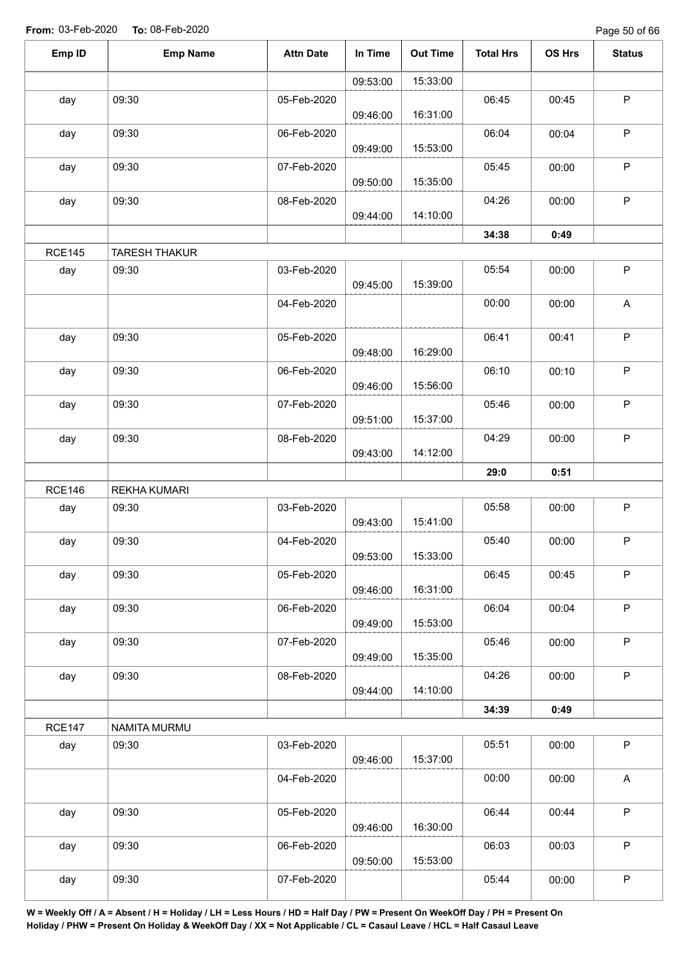Page 50 of 66

| Emp ID        | <b>Emp Name</b>      | <b>Attn Date</b> | In Time  | <b>Out Time</b> | <b>Total Hrs</b> | OS Hrs | <b>Status</b> |
|---------------|----------------------|------------------|----------|-----------------|------------------|--------|---------------|
|               |                      |                  | 09:53:00 | 15:33:00        |                  |        |               |
| day           | 09:30                | 05-Feb-2020      | 09:46:00 | 16:31:00        | 06:45            | 00:45  | $\mathsf P$   |
| day           | 09:30                | 06-Feb-2020      | 09:49:00 | 15:53:00        | 06:04            | 00:04  | $\mathsf P$   |
| day           | 09:30                | 07-Feb-2020      | 09:50:00 | 15:35:00        | 05:45            | 00:00  | $\sf P$       |
| day           | 09:30                | 08-Feb-2020      | 09:44:00 | 14:10:00        | 04:26            | 00:00  | $\mathsf P$   |
|               |                      |                  |          |                 | 34:38            | 0:49   |               |
| <b>RCE145</b> | <b>TARESH THAKUR</b> |                  |          |                 |                  |        |               |
| day           | 09:30                | 03-Feb-2020      | 09:45:00 | 15:39:00        | 05:54            | 00:00  | $\sf P$       |
|               |                      | 04-Feb-2020      |          |                 | 00:00            | 00:00  | A             |
| day           | 09:30                | 05-Feb-2020      | 09:48:00 | 16:29:00        | 06:41            | 00:41  | $\mathsf P$   |
| day           | 09:30                | 06-Feb-2020      | 09:46:00 | 15:56:00        | 06:10            | 00:10  | $\mathsf P$   |
| day           | 09:30                | 07-Feb-2020      | 09:51:00 | 15:37:00        | 05:46            | 00:00  | $\sf P$       |
| day           | 09:30                | 08-Feb-2020      | 09:43:00 | 14:12:00        | 04:29            | 00:00  | $\mathsf P$   |
|               |                      |                  |          |                 | 29:0             | 0:51   |               |
| <b>RCE146</b> | <b>REKHA KUMARI</b>  |                  |          |                 |                  |        |               |
| day           | 09:30                | 03-Feb-2020      | 09:43:00 | 15:41:00        | 05:58            | 00:00  | $\sf P$       |
| day           | 09:30                | 04-Feb-2020      | 09:53:00 | 15:33:00        | 05:40            | 00:00  | $\mathsf P$   |
| day           | 09:30                | 05-Feb-2020      | 09:46:00 | 16:31:00        | 06:45            | 00:45  | $\mathsf P$   |
| day           | 09:30                | 06-Feb-2020      | 09:49:00 | 15:53:00        | 06:04            | 00:04  | $\mathsf P$   |
| day           | 09:30                | 07-Feb-2020      | 09:49:00 | 15:35:00        | 05:46            | 00:00  | $\mathsf P$   |
| day           | 09:30                | 08-Feb-2020      | 09:44:00 | 14:10:00        | 04:26            | 00:00  | P             |
|               |                      |                  |          |                 | 34:39            | 0:49   |               |
| <b>RCE147</b> | NAMITA MURMU         |                  |          |                 |                  |        |               |
| day           | 09:30                | 03-Feb-2020      | 09:46:00 | 15:37:00        | 05:51            | 00:00  | $\mathsf P$   |
|               |                      | 04-Feb-2020      |          |                 | 00:00            | 00:00  | $\mathsf{A}$  |
| day           | 09:30                | 05-Feb-2020      | 09:46:00 | 16:30:00        | 06:44            | 00:44  | $\mathsf P$   |
| day           | 09:30                | 06-Feb-2020      | 09:50:00 | 15:53:00        | 06:03            | 00:03  | $\mathsf P$   |
| day           | 09:30                | 07-Feb-2020      |          |                 | 05:44            | 00:00  | $\sf P$       |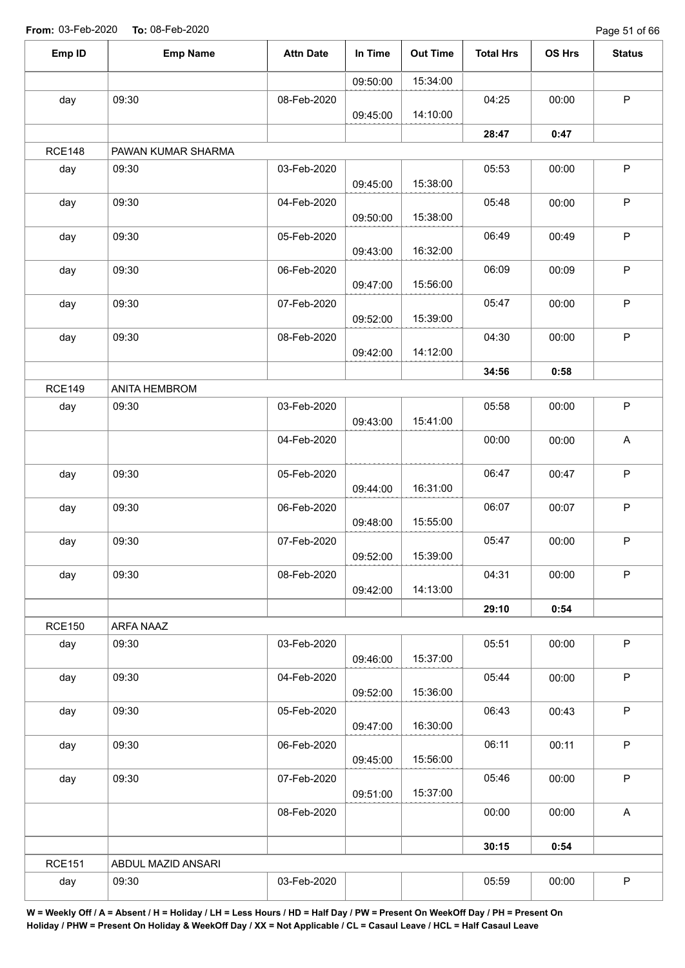Page 51 of 66

| Emp ID        | <b>Emp Name</b>        | <b>Attn Date</b> | In Time  | <b>Out Time</b> | <b>Total Hrs</b> | OS Hrs | <b>Status</b> |
|---------------|------------------------|------------------|----------|-----------------|------------------|--------|---------------|
|               |                        |                  | 09:50:00 | 15:34:00        |                  |        |               |
| day           | 09:30                  | 08-Feb-2020      |          |                 | 04:25            | 00:00  | $\mathsf P$   |
|               |                        |                  | 09:45:00 | 14:10:00        |                  |        |               |
|               |                        |                  |          |                 | 28:47            | 0:47   |               |
| <b>RCE148</b> | PAWAN KUMAR SHARMA     |                  |          |                 |                  |        |               |
| day           | 09:30                  | 03-Feb-2020      | 09:45:00 | 15:38:00        | 05:53            | 00:00  | P             |
| day           | 09:30                  | 04-Feb-2020      | 09:50:00 | 15:38:00        | 05:48            | 00:00  | $\sf P$       |
| day           | 09:30                  | 05-Feb-2020      | 09:43:00 | 16:32:00        | 06:49            | 00:49  | $\mathsf P$   |
| day           | 09:30                  | 06-Feb-2020      | 09:47:00 | 15:56:00        | 06:09            | 00:09  | $\sf P$       |
| day           | 09:30                  | 07-Feb-2020      | 09:52:00 | 15:39:00        | 05:47            | 00:00  | $\sf P$       |
| day           | 09:30                  | 08-Feb-2020      |          |                 | 04:30            | 00:00  | $\mathsf P$   |
|               |                        |                  | 09:42:00 | 14:12:00        |                  |        |               |
| <b>RCE149</b> |                        |                  |          |                 | 34:56            | 0:58   |               |
| day           | ANITA HEMBROM<br>09:30 | 03-Feb-2020      |          |                 | 05:58            | 00:00  | $\mathsf P$   |
|               |                        |                  | 09:43:00 | 15:41:00        |                  |        |               |
|               |                        | 04-Feb-2020      |          |                 | 00:00            | 00:00  | A             |
| day           | 09:30                  | 05-Feb-2020      | 09:44:00 | 16:31:00        | 06:47            | 00:47  | $\mathsf P$   |
| day           | 09:30                  | 06-Feb-2020      | 09:48:00 | 15:55:00        | 06:07            | 00:07  | $\mathsf P$   |
| day           | 09:30                  | 07-Feb-2020      | 09:52:00 | 15:39:00        | 05:47            | 00:00  | $\mathsf P$   |
| day           | 09:30                  | 08-Feb-2020      | 09:42:00 | 14:13:00        | 04:31            | 00:00  | $\mathsf P$   |
|               |                        |                  |          |                 | 29:10            | 0:54   |               |
| <b>RCE150</b> | ARFA NAAZ              |                  |          |                 |                  |        |               |
| day           | 09:30                  | 03-Feb-2020      | 09:46:00 | 15:37:00        | 05:51            | 00:00  | $\mathsf P$   |
| day           | 09:30                  | 04-Feb-2020      | 09:52:00 | 15:36:00        | 05:44            | 00:00  | $\mathsf P$   |
| day           | 09:30                  | 05-Feb-2020      | 09:47:00 | 16:30:00        | 06:43            | 00:43  | $\mathsf P$   |
| day           | 09:30                  | 06-Feb-2020      | 09:45:00 | 15:56:00        | 06:11            | 00:11  | $\mathsf P$   |
| day           | 09:30                  | 07-Feb-2020      | 09:51:00 | 15:37:00        | 05:46            | 00:00  | $\mathsf P$   |
|               |                        | 08-Feb-2020      |          |                 | 00:00            | 00:00  | A             |
|               |                        |                  |          |                 | 30:15            | 0:54   |               |
| <b>RCE151</b> | ABDUL MAZID ANSARI     |                  |          |                 |                  |        |               |
| day           | 09:30                  | 03-Feb-2020      |          |                 | 05:59            | 00:00  | $\sf P$       |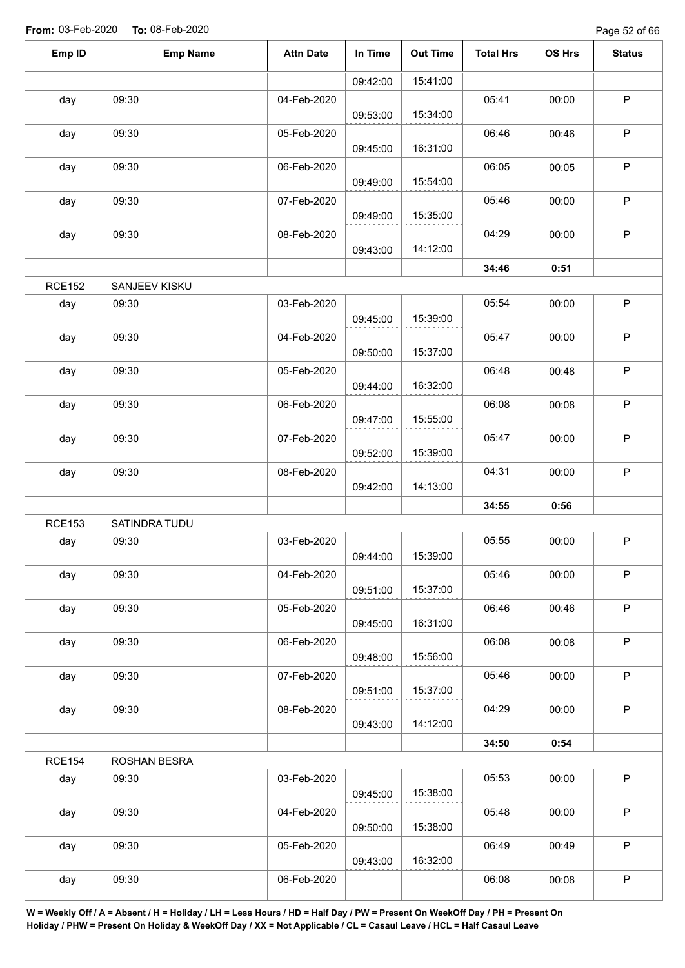Page 52 of 66

| Emp ID<br>OS Hrs<br><b>Emp Name</b><br><b>Attn Date</b><br>In Time<br><b>Out Time</b><br><b>Total Hrs</b> | <b>Status</b> |
|-----------------------------------------------------------------------------------------------------------|---------------|
| 15:41:00<br>09:42:00                                                                                      |               |
| 09:30<br>05:41<br>day<br>04-Feb-2020<br>00:00                                                             | $\sf P$       |
| 15:34:00<br>09:53:00                                                                                      |               |
| 09:30<br>05-Feb-2020<br>06:46<br>00:46<br>day                                                             | $\mathsf P$   |
| 16:31:00<br>09:45:00                                                                                      |               |
| 09:30<br>06:05<br>day<br>06-Feb-2020<br>00:05                                                             | $\sf P$       |
| 15:54:00<br>09:49:00                                                                                      |               |
| 09:30<br>05:46<br>day<br>07-Feb-2020<br>00:00<br>15:35:00<br>09:49:00                                     | $\mathsf P$   |
| 09:30<br>04:29<br>day<br>08-Feb-2020<br>00:00                                                             | $\sf P$       |
| 14:12:00<br>09:43:00                                                                                      |               |
| 34:46<br>0:51                                                                                             |               |
| <b>RCE152</b><br>SANJEEV KISKU                                                                            |               |
| 09:30<br>03-Feb-2020<br>05:54<br>day<br>00:00                                                             | $\sf P$       |
| 15:39:00<br>09:45:00                                                                                      |               |
| 09:30<br>day<br>04-Feb-2020<br>05:47<br>00:00                                                             | $\mathsf P$   |
| 15:37:00<br>09:50:00                                                                                      |               |
| 09:30<br>05-Feb-2020<br>06:48<br>day<br>00:48                                                             | $\sf P$       |
| 16:32:00<br>09:44:00                                                                                      |               |
| 09:30<br>06-Feb-2020<br>06:08<br>00:08<br>day<br>15:55:00<br>09:47:00                                     | $\mathsf P$   |
| 09:30<br>05:47<br>07-Feb-2020<br>day<br>00:00                                                             | $\mathsf P$   |
| 15:39:00<br>09:52:00                                                                                      |               |
| 09:30<br>08-Feb-2020<br>04:31<br>00:00<br>day                                                             | $\mathsf P$   |
| 14:13:00<br>09:42:00                                                                                      |               |
| 34:55<br>0:56                                                                                             |               |
| <b>RCE153</b><br>SATINDRA TUDU                                                                            |               |
| 09:30<br>03-Feb-2020<br>05:55<br>00:00<br>day                                                             | $\mathsf P$   |
| 15:39:00<br>09:44:00                                                                                      |               |
| 05:46<br>day<br>09:30<br>04-Feb-2020<br>00:00                                                             | $\mathsf P$   |
| 15:37:00<br>09:51:00                                                                                      |               |
| 06:46<br>09:30<br>00:46<br>05-Feb-2020<br>day                                                             | $\mathsf P$   |
| 16:31:00<br>09:45:00                                                                                      |               |
| 06:08<br>09:30<br>00:08<br>day<br>06-Feb-2020<br>15:56:00<br>09:48:00                                     | $\sf P$       |
| 09:30<br>05:46<br>07-Feb-2020<br>00:00<br>day                                                             | P             |
| 15:37:00<br>09:51:00                                                                                      |               |
| 04:29<br>09:30<br>08-Feb-2020<br>00:00<br>day                                                             | $\sf P$       |
| 14:12:00<br>09:43:00                                                                                      |               |
| 34:50<br>0:54                                                                                             |               |
| <b>RCE154</b><br>ROSHAN BESRA                                                                             |               |
| 05:53<br>09:30<br>03-Feb-2020<br>00:00<br>day                                                             | $\mathsf P$   |
|                                                                                                           |               |
| 15:38:00<br>09:45:00                                                                                      |               |
| 09:30<br>05:48<br>04-Feb-2020<br>00:00<br>day                                                             | $\mathsf{P}$  |
| 15:38:00<br>09:50:00                                                                                      |               |
| 06:49<br>09:30<br>05-Feb-2020<br>day<br>00:49                                                             | $\sf P$       |
| 16:32:00<br>09:43:00<br>06:08<br>09:30<br>06-Feb-2020<br>00:08<br>day                                     | $\sf P$       |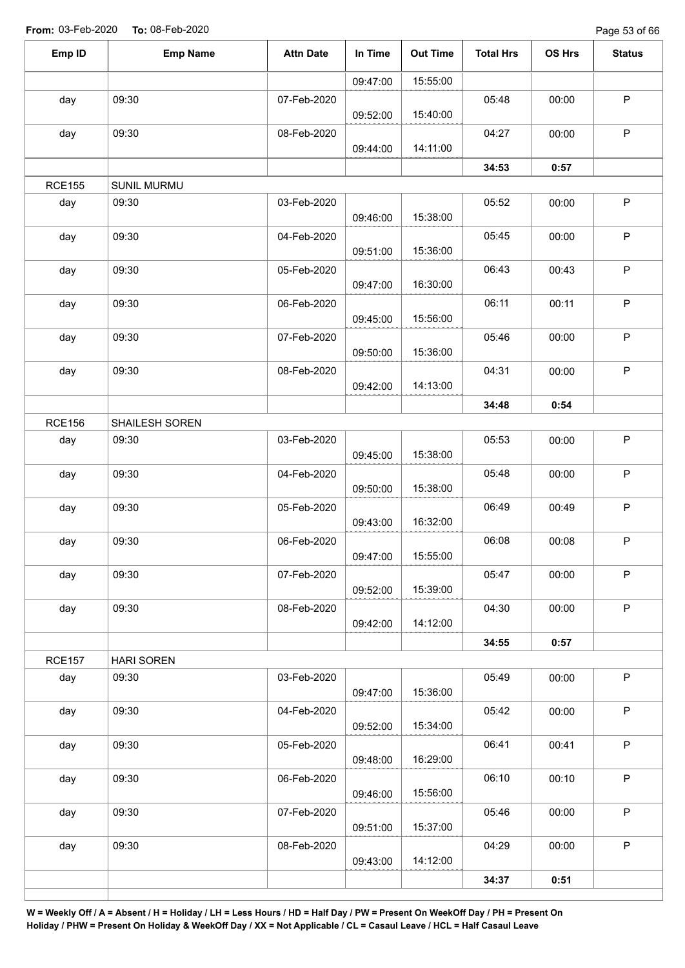Page 53 of 66

| 15:55:00<br>09:47:00<br>$\mathsf P$<br>09:30<br>05:48<br>day<br>07-Feb-2020<br>00:00<br>15:40:00<br>09:52:00<br>$\mathsf P$<br>09:30<br>04:27<br>day<br>08-Feb-2020<br>00:00<br>14:11:00<br>09:44:00<br>34:53<br>0:57<br><b>RCE155</b><br><b>SUNIL MURMU</b><br>$\sf P$<br>day<br>09:30<br>03-Feb-2020<br>05:52<br>00:00<br>15:38:00<br>09:46:00<br>$\sf P$<br>day<br>09:30<br>05:45<br>04-Feb-2020<br>00:00<br>15:36:00<br>09:51:00<br>$\sf P$<br>09:30<br>06:43<br>05-Feb-2020<br>00:43<br>day<br>16:30:00<br>09:47:00<br>$\sf P$<br>09:30<br>06:11<br>06-Feb-2020<br>00:11<br>day<br>15:56:00<br>09:45:00<br>$\sf P$<br>09:30<br>07-Feb-2020<br>05:46<br>00:00<br>day<br>15:36:00<br>09:50:00<br>$\mathsf P$<br>09:30<br>04:31<br>08-Feb-2020<br>day<br>00:00<br>14:13:00<br>09:42:00<br>34:48<br>0:54<br><b>RCE156</b><br>SHAILESH SOREN<br>$\mathsf P$<br>05:53<br>09:30<br>03-Feb-2020<br>00:00<br>day<br>15:38:00<br>09:45:00 |
|--------------------------------------------------------------------------------------------------------------------------------------------------------------------------------------------------------------------------------------------------------------------------------------------------------------------------------------------------------------------------------------------------------------------------------------------------------------------------------------------------------------------------------------------------------------------------------------------------------------------------------------------------------------------------------------------------------------------------------------------------------------------------------------------------------------------------------------------------------------------------------------------------------------------------------------|
|                                                                                                                                                                                                                                                                                                                                                                                                                                                                                                                                                                                                                                                                                                                                                                                                                                                                                                                                      |
|                                                                                                                                                                                                                                                                                                                                                                                                                                                                                                                                                                                                                                                                                                                                                                                                                                                                                                                                      |
|                                                                                                                                                                                                                                                                                                                                                                                                                                                                                                                                                                                                                                                                                                                                                                                                                                                                                                                                      |
|                                                                                                                                                                                                                                                                                                                                                                                                                                                                                                                                                                                                                                                                                                                                                                                                                                                                                                                                      |
|                                                                                                                                                                                                                                                                                                                                                                                                                                                                                                                                                                                                                                                                                                                                                                                                                                                                                                                                      |
|                                                                                                                                                                                                                                                                                                                                                                                                                                                                                                                                                                                                                                                                                                                                                                                                                                                                                                                                      |
|                                                                                                                                                                                                                                                                                                                                                                                                                                                                                                                                                                                                                                                                                                                                                                                                                                                                                                                                      |
|                                                                                                                                                                                                                                                                                                                                                                                                                                                                                                                                                                                                                                                                                                                                                                                                                                                                                                                                      |
|                                                                                                                                                                                                                                                                                                                                                                                                                                                                                                                                                                                                                                                                                                                                                                                                                                                                                                                                      |
|                                                                                                                                                                                                                                                                                                                                                                                                                                                                                                                                                                                                                                                                                                                                                                                                                                                                                                                                      |
|                                                                                                                                                                                                                                                                                                                                                                                                                                                                                                                                                                                                                                                                                                                                                                                                                                                                                                                                      |
|                                                                                                                                                                                                                                                                                                                                                                                                                                                                                                                                                                                                                                                                                                                                                                                                                                                                                                                                      |
|                                                                                                                                                                                                                                                                                                                                                                                                                                                                                                                                                                                                                                                                                                                                                                                                                                                                                                                                      |
|                                                                                                                                                                                                                                                                                                                                                                                                                                                                                                                                                                                                                                                                                                                                                                                                                                                                                                                                      |
| $\mathsf P$<br>05:48<br>09:30<br>04-Feb-2020<br>00:00<br>day<br>15:38:00<br>09:50:00                                                                                                                                                                                                                                                                                                                                                                                                                                                                                                                                                                                                                                                                                                                                                                                                                                                 |
| $\mathsf P$<br>06:49<br>09:30<br>00:49<br>05-Feb-2020<br>day<br>16:32:00<br>09:43:00                                                                                                                                                                                                                                                                                                                                                                                                                                                                                                                                                                                                                                                                                                                                                                                                                                                 |
| $\sf P$<br>09:30<br>06:08<br>00:08<br>day<br>06-Feb-2020<br>15:55:00<br>09:47:00                                                                                                                                                                                                                                                                                                                                                                                                                                                                                                                                                                                                                                                                                                                                                                                                                                                     |
| P<br>05:47<br>day<br>09:30<br>00:00<br>07-Feb-2020<br>15:39:00<br>09:52:00                                                                                                                                                                                                                                                                                                                                                                                                                                                                                                                                                                                                                                                                                                                                                                                                                                                           |
| P<br>09:30<br>04:30<br>08-Feb-2020<br>00:00<br>day<br>14:12:00<br>09:42:00                                                                                                                                                                                                                                                                                                                                                                                                                                                                                                                                                                                                                                                                                                                                                                                                                                                           |
| 34:55<br>0:57                                                                                                                                                                                                                                                                                                                                                                                                                                                                                                                                                                                                                                                                                                                                                                                                                                                                                                                        |
| <b>RCE157</b><br><b>HARI SOREN</b>                                                                                                                                                                                                                                                                                                                                                                                                                                                                                                                                                                                                                                                                                                                                                                                                                                                                                                   |
| P<br>09:30<br>05:49<br>03-Feb-2020<br>00:00<br>day<br>15:36:00<br>09:47:00                                                                                                                                                                                                                                                                                                                                                                                                                                                                                                                                                                                                                                                                                                                                                                                                                                                           |
| $\mathsf P$<br>09:30<br>05:42<br>04-Feb-2020<br>00:00<br>day<br>15:34:00<br>09:52:00                                                                                                                                                                                                                                                                                                                                                                                                                                                                                                                                                                                                                                                                                                                                                                                                                                                 |
| $\mathsf P$<br>06:41<br>09:30<br>00:41<br>05-Feb-2020<br>day<br>16:29:00<br>09:48:00                                                                                                                                                                                                                                                                                                                                                                                                                                                                                                                                                                                                                                                                                                                                                                                                                                                 |
| $\mathsf P$<br>06:10<br>09:30<br>06-Feb-2020<br>00:10<br>day<br>15:56:00<br>09:46:00                                                                                                                                                                                                                                                                                                                                                                                                                                                                                                                                                                                                                                                                                                                                                                                                                                                 |
| $\mathsf P$<br>05:46<br>09:30<br>07-Feb-2020<br>00:00<br>day<br>15:37:00<br>09:51:00                                                                                                                                                                                                                                                                                                                                                                                                                                                                                                                                                                                                                                                                                                                                                                                                                                                 |
| $\mathsf P$<br>04:29<br>09:30<br>00:00<br>08-Feb-2020<br>day<br>14:12:00<br>09:43:00                                                                                                                                                                                                                                                                                                                                                                                                                                                                                                                                                                                                                                                                                                                                                                                                                                                 |
| 34:37<br>0:51                                                                                                                                                                                                                                                                                                                                                                                                                                                                                                                                                                                                                                                                                                                                                                                                                                                                                                                        |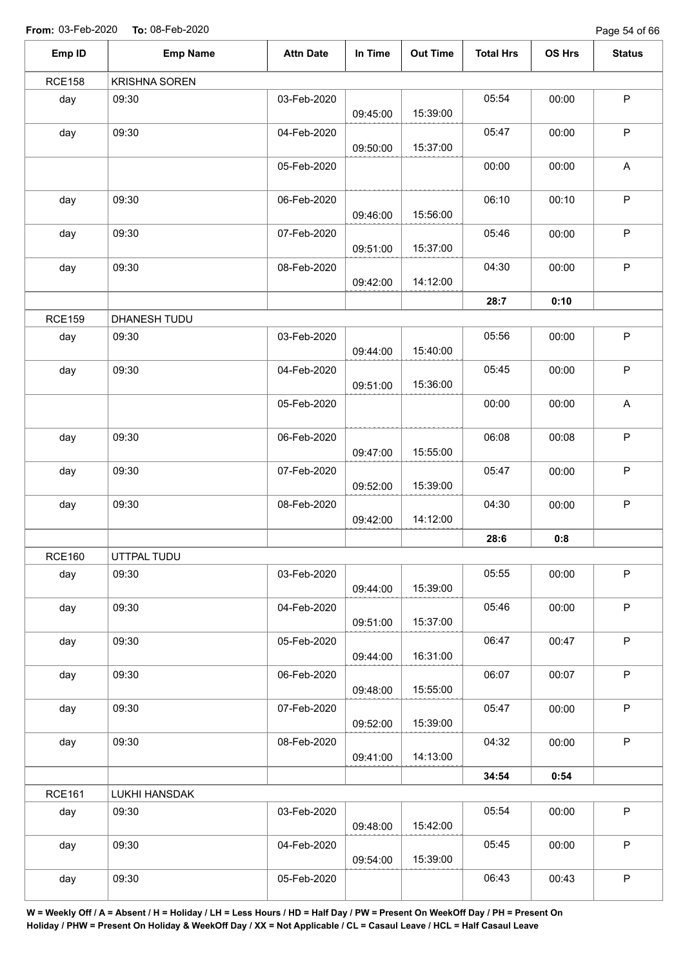Page 54 of 66

| Emp ID        | <b>Emp Name</b>      | <b>Attn Date</b> | In Time  | <b>Out Time</b> | <b>Total Hrs</b> | OS Hrs | <b>Status</b> |
|---------------|----------------------|------------------|----------|-----------------|------------------|--------|---------------|
| <b>RCE158</b> | <b>KRISHNA SOREN</b> |                  |          |                 |                  |        |               |
| day           | 09:30                | 03-Feb-2020      | 09:45:00 | 15:39:00        | 05:54            | 00:00  | $\sf P$       |
| day           | 09:30                | 04-Feb-2020      | 09:50:00 | 15:37:00        | 05:47            | 00:00  | $\mathsf P$   |
|               |                      | 05-Feb-2020      |          |                 | 00:00            | 00:00  | A             |
| day           | 09:30                | 06-Feb-2020      | 09:46:00 | 15:56:00        | 06:10            | 00:10  | $\mathsf P$   |
| day           | 09:30                | 07-Feb-2020      | 09:51:00 | 15:37:00        | 05:46            | 00:00  | $\mathsf P$   |
| day           | 09:30                | 08-Feb-2020      | 09:42:00 | 14:12:00        | 04:30            | 00:00  | $\mathsf P$   |
|               |                      |                  |          |                 | 28:7             | 0:10   |               |
| <b>RCE159</b> | DHANESH TUDU         |                  |          |                 |                  |        |               |
| day           | 09:30                | 03-Feb-2020      | 09:44:00 | 15:40:00        | 05:56            | 00:00  | $\mathsf P$   |
| day           | 09:30                | 04-Feb-2020      | 09:51:00 | 15:36:00        | 05:45            | 00:00  | $\mathsf P$   |
|               |                      | 05-Feb-2020      |          |                 | 00:00            | 00:00  | $\mathsf A$   |
| day           | 09:30                | 06-Feb-2020      | 09:47:00 | 15:55:00        | 06:08            | 00:08  | $\mathsf P$   |
| day           | 09:30                | 07-Feb-2020      | 09:52:00 | 15:39:00        | 05:47            | 00:00  | $\sf P$       |
| day           | 09:30                | 08-Feb-2020      | 09:42:00 | 14:12:00        | 04:30            | 00:00  | $\mathsf P$   |
|               |                      |                  |          |                 | 28:6             | 0:8    |               |
| <b>RCE160</b> | UTTPAL TUDU          |                  |          |                 |                  |        |               |
| day           | 09:30                | 03-Feb-2020      | 09:44:00 | 15:39:00        | 05:55            | 00:00  | $\mathsf P$   |
| day           | 09:30                | 04-Feb-2020      | 09:51:00 | 15:37:00        | 05:46            | 00:00  | $\mathsf P$   |
| day           | 09:30                | 05-Feb-2020      | 09:44:00 | 16:31:00        | 06:47            | 00:47  | $\sf P$       |
| day           | 09:30                | 06-Feb-2020      | 09:48:00 | 15:55:00        | 06:07            | 00:07  | $\mathsf P$   |
| day           | 09:30                | 07-Feb-2020      | 09:52:00 | 15:39:00        | 05:47            | 00:00  | $\mathsf{P}$  |
| day           | 09:30                | 08-Feb-2020      | 09:41:00 | 14:13:00        | 04:32            | 00:00  | $\mathsf P$   |
|               |                      |                  |          |                 | 34:54            | 0:54   |               |
| <b>RCE161</b> | LUKHI HANSDAK        |                  |          |                 |                  |        |               |
| day           | 09:30                | 03-Feb-2020      | 09:48:00 | 15:42:00        | 05:54            | 00:00  | $\sf P$       |
| day           | 09:30                | 04-Feb-2020      | 09:54:00 | 15:39:00        | 05:45            | 00:00  | $\mathsf P$   |
| day           | 09:30                | 05-Feb-2020      |          |                 | 06:43            | 00:43  | $\sf P$       |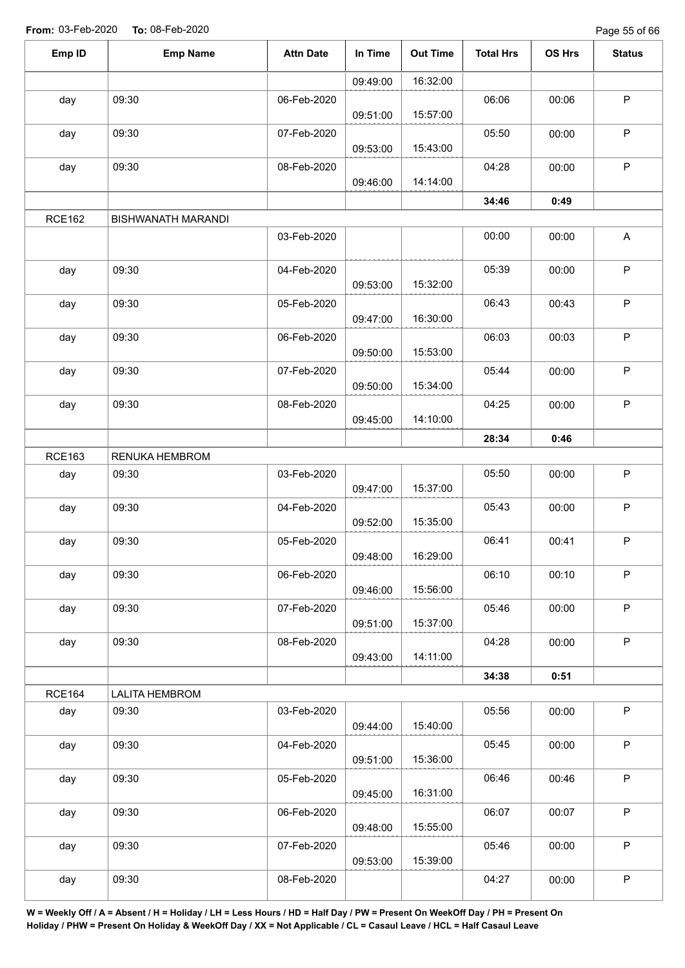Page 55 of 66

| Emp ID        | <b>Emp Name</b>           | <b>Attn Date</b> | In Time  | <b>Out Time</b> | <b>Total Hrs</b> | OS Hrs | <b>Status</b>             |
|---------------|---------------------------|------------------|----------|-----------------|------------------|--------|---------------------------|
|               |                           |                  | 09:49:00 | 16:32:00        |                  |        |                           |
| day           | 09:30                     | 06-Feb-2020      | 09:51:00 | 15:57:00        | 06:06            | 00:06  | $\mathsf P$               |
| day           | 09:30                     | 07-Feb-2020      | 09:53:00 | 15:43:00        | 05:50            | 00:00  | $\mathsf P$               |
| day           | 09:30                     | 08-Feb-2020      | 09:46:00 | 14:14:00        | 04:28            | 00:00  | $\sf P$                   |
|               |                           |                  |          |                 | 34:46            | 0:49   |                           |
| <b>RCE162</b> | <b>BISHWANATH MARANDI</b> |                  |          |                 |                  |        |                           |
|               |                           | 03-Feb-2020      |          |                 | 00:00            | 00:00  | $\boldsymbol{\mathsf{A}}$ |
| day           | 09:30                     | 04-Feb-2020      | 09:53:00 | 15:32:00        | 05:39            | 00:00  | $\mathsf P$               |
| day           | 09:30                     | 05-Feb-2020      | 09:47:00 | 16:30:00        | 06:43            | 00:43  | $\sf P$                   |
| day           | 09:30                     | 06-Feb-2020      | 09:50:00 | 15:53:00        | 06:03            | 00:03  | $\mathsf P$               |
| day           | 09:30                     | 07-Feb-2020      | 09:50:00 | 15:34:00        | 05:44            | 00:00  | $\sf P$                   |
| day           | 09:30                     | 08-Feb-2020      | 09:45:00 | 14:10:00        | 04:25            | 00:00  | $\mathsf P$               |
|               |                           |                  |          |                 | 28:34            | 0:46   |                           |
| <b>RCE163</b> | RENUKA HEMBROM            |                  |          |                 |                  |        |                           |
| day           | 09:30                     | 03-Feb-2020      | 09:47:00 | 15:37:00        | 05:50            | 00:00  | $\mathsf P$               |
| day           | 09:30                     | 04-Feb-2020      | 09:52:00 | 15:35:00        | 05:43            | 00:00  | $\mathsf P$               |
| day           | 09:30                     | 05-Feb-2020      | 09:48:00 | 16:29:00        | 06:41            | 00:41  | $\mathsf P$               |
| day           | 09:30                     | 06-Feb-2020      | 09:46:00 | 15:56:00        | 06:10            | 00:10  | $\mathsf P$               |
| day           | 09:30                     | 07-Feb-2020      | 09:51:00 | 15:37:00        | 05:46            | 00:00  | $\mathsf P$               |
| day           | 09:30                     | 08-Feb-2020      | 09:43:00 | 14:11:00        | 04:28            | 00:00  | $\sf P$                   |
|               |                           |                  |          |                 | 34:38            | 0:51   |                           |
| <b>RCE164</b> | LALITA HEMBROM            |                  |          |                 |                  |        |                           |
| day           | 09:30                     | 03-Feb-2020      | 09:44:00 | 15:40:00        | 05:56            | 00:00  | $\mathsf P$               |
| day           | 09:30                     | 04-Feb-2020      | 09:51:00 | 15:36:00        | 05:45            | 00:00  | P                         |
| day           | 09:30                     | 05-Feb-2020      | 09:45:00 | 16:31:00        | 06:46            | 00:46  | $\mathsf P$               |
| day           | 09:30                     | 06-Feb-2020      | 09:48:00 | 15:55:00        | 06:07            | 00:07  | $\mathsf P$               |
| day           | 09:30                     | 07-Feb-2020      | 09:53:00 | 15:39:00        | 05:46            | 00:00  | $\mathsf P$               |
| day           | 09:30                     | 08-Feb-2020      |          |                 | 04:27            | 00:00  | $\sf P$                   |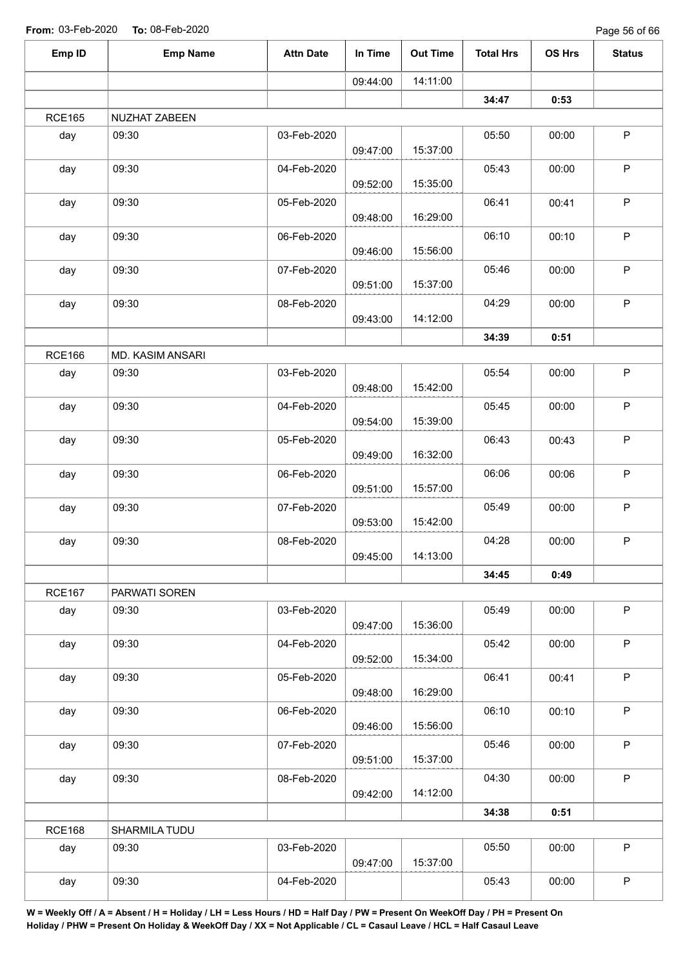| Emp ID        | <b>Emp Name</b>  | <b>Attn Date</b> | In Time  | <b>Out Time</b> | <b>Total Hrs</b> | OS Hrs | <b>Status</b> |
|---------------|------------------|------------------|----------|-----------------|------------------|--------|---------------|
|               |                  |                  | 09:44:00 | 14:11:00        |                  |        |               |
|               |                  |                  |          |                 | 34:47            | 0:53   |               |
| <b>RCE165</b> | NUZHAT ZABEEN    |                  |          |                 |                  |        |               |
| day           | 09:30            | 03-Feb-2020      | 09:47:00 | 15:37:00        | 05:50            | 00:00  | $\mathsf P$   |
| day           | 09:30            | 04-Feb-2020      | 09:52:00 | 15:35:00        | 05:43            | 00:00  | $\mathsf P$   |
| day           | 09:30            | 05-Feb-2020      | 09:48:00 | 16:29:00        | 06:41            | 00:41  | $\mathsf P$   |
| day           | 09:30            | 06-Feb-2020      | 09:46:00 | 15:56:00        | 06:10            | 00:10  | $\mathsf P$   |
| day           | 09:30            | 07-Feb-2020      | 09:51:00 | 15:37:00        | 05:46            | 00:00  | $\sf P$       |
| day           | 09:30            | 08-Feb-2020      | 09:43:00 | 14:12:00        | 04:29            | 00:00  | $\sf P$       |
|               |                  |                  |          |                 | 34:39            | 0:51   |               |
| <b>RCE166</b> | MD. KASIM ANSARI |                  |          |                 |                  |        |               |
| day           | 09:30            | 03-Feb-2020      | 09:48:00 | 15:42:00        | 05:54            | 00:00  | $\sf P$       |
| day           | 09:30            | 04-Feb-2020      | 09:54:00 | 15:39:00        | 05:45            | 00:00  | $\mathsf P$   |
| day           | 09:30            | 05-Feb-2020      | 09:49:00 | 16:32:00        | 06:43            | 00:43  | $\mathsf P$   |
| day           | 09:30            | 06-Feb-2020      | 09:51:00 | 15:57:00        | 06:06            | 00:06  | $\mathsf P$   |
| day           | 09:30            | 07-Feb-2020      | 09:53:00 | 15:42:00        | 05:49            | 00:00  | $\mathsf P$   |
| day           | 09:30            | 08-Feb-2020      | 09:45:00 | 14:13:00        | 04:28            | 00:00  | $\mathsf P$   |
|               |                  |                  |          |                 | 34:45            | 0:49   |               |
| <b>RCE167</b> | PARWATI SOREN    |                  |          |                 |                  |        |               |
| day           | 09:30            | 03-Feb-2020      | 09:47:00 | 15:36:00        | 05:49            | 00:00  | P             |
| day           | 09:30            | 04-Feb-2020      | 09:52:00 | 15:34:00        | 05:42            | 00:00  | P             |
| day           | 09:30            | 05-Feb-2020      | 09:48:00 | 16:29:00        | 06:41            | 00:41  | P             |
| day           | 09:30            | 06-Feb-2020      | 09:46:00 | 15:56:00        | 06:10            | 00:10  | $\mathsf P$   |
| day           | 09:30            | 07-Feb-2020      | 09:51:00 | 15:37:00        | 05:46            | 00:00  | P             |
| day           | 09:30            | 08-Feb-2020      | 09:42:00 | 14:12:00        | 04:30            | 00:00  | $\mathsf P$   |
|               |                  |                  |          |                 | 34:38            | 0:51   |               |
| <b>RCE168</b> | SHARMILA TUDU    |                  |          |                 |                  |        |               |
| day           | 09:30            | 03-Feb-2020      | 09:47:00 | 15:37:00        | 05:50            | 00:00  | $\mathsf{P}$  |
| day           | 09:30            | 04-Feb-2020      |          |                 | 05:43            | 00:00  | $\mathsf P$   |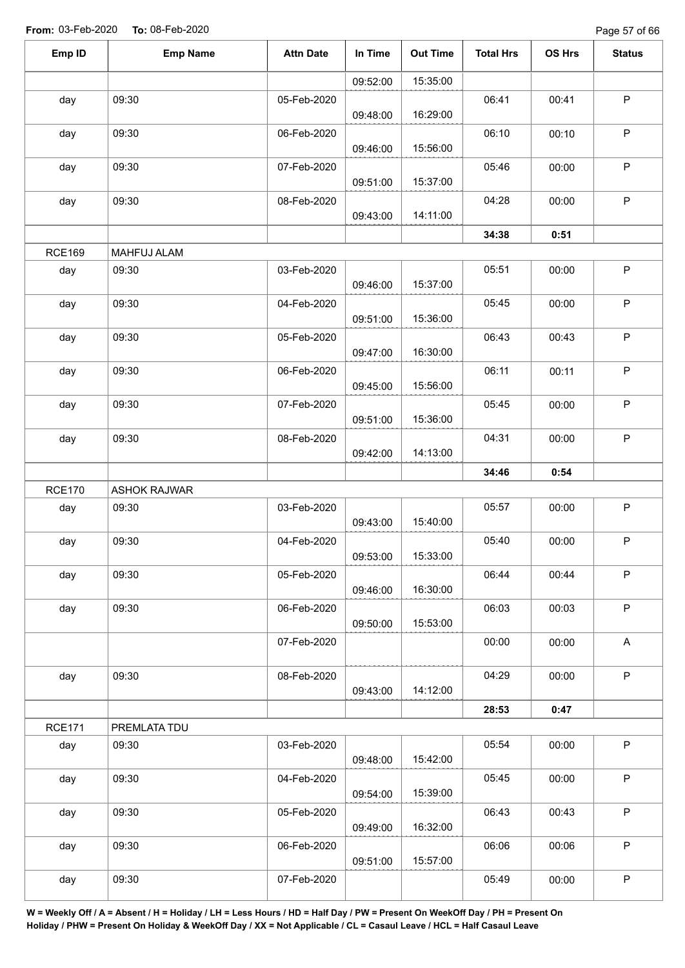Page 57 of 66

| Emp ID        | <b>Emp Name</b>     | <b>Attn Date</b> | In Time  | <b>Out Time</b> | <b>Total Hrs</b> | OS Hrs | <b>Status</b> |
|---------------|---------------------|------------------|----------|-----------------|------------------|--------|---------------|
|               |                     |                  | 09:52:00 | 15:35:00        |                  |        |               |
| day           | 09:30               | 05-Feb-2020      | 09:48:00 | 16:29:00        | 06:41            | 00:41  | $\mathsf P$   |
| day           | 09:30               | 06-Feb-2020      | 09:46:00 | 15:56:00        | 06:10            | 00:10  | $\mathsf P$   |
| day           | 09:30               | 07-Feb-2020      | 09:51:00 | 15:37:00        | 05:46            | 00:00  | P             |
| day           | 09:30               | 08-Feb-2020      |          | 14:11:00        | 04:28            | 00:00  | $\mathsf P$   |
|               |                     |                  | 09:43:00 |                 | 34:38            | 0:51   |               |
| <b>RCE169</b> | MAHFUJ ALAM         |                  |          |                 |                  |        |               |
| day           | 09:30               | 03-Feb-2020      | 09:46:00 | 15:37:00        | 05:51            | 00:00  | $\sf P$       |
| day           | 09:30               | 04-Feb-2020      | 09:51:00 | 15:36:00        | 05:45            | 00:00  | $\mathsf P$   |
| day           | 09:30               | 05-Feb-2020      | 09:47:00 | 16:30:00        | 06:43            | 00:43  | $\sf P$       |
| day           | 09:30               | 06-Feb-2020      | 09:45:00 | 15:56:00        | 06:11            | 00:11  | $\mathsf P$   |
| day           | 09:30               | 07-Feb-2020      | 09:51:00 | 15:36:00        | 05:45            | 00:00  | $\mathsf P$   |
| day           | 09:30               | 08-Feb-2020      | 09:42:00 | 14:13:00        | 04:31            | 00:00  | $\mathsf P$   |
|               |                     |                  |          |                 | 34:46            | 0:54   |               |
| <b>RCE170</b> | <b>ASHOK RAJWAR</b> |                  |          |                 |                  |        |               |
| day           | 09:30               | 03-Feb-2020      | 09:43:00 | 15:40:00        | 05:57            | 00:00  | $\mathsf P$   |
| day           | 09:30               | 04-Feb-2020      | 09:53:00 | 15:33:00        | 05:40            | 00:00  | $\mathsf P$   |
| day           | 09:30               | 05-Feb-2020      | 09:46:00 | 16:30:00        | 06:44            | 00:44  | $\mathsf P$   |
| day           | 09:30               | 06-Feb-2020      | 09:50:00 | 15:53:00        | 06:03            | 00:03  | $\mathsf P$   |
|               |                     | 07-Feb-2020      |          |                 | 00:00            | 00:00  | $\mathsf A$   |
| day           | 09:30               | 08-Feb-2020      | 09:43:00 | 14:12:00        | 04:29            | 00:00  | $\mathsf P$   |
|               |                     |                  |          |                 | 28:53            | 0:47   |               |
| <b>RCE171</b> | PREMLATA TDU        |                  |          |                 |                  |        |               |
| day           | 09:30               | 03-Feb-2020      | 09:48:00 | 15:42:00        | 05:54            | 00:00  | $\sf P$       |
| day           | 09:30               | 04-Feb-2020      | 09:54:00 | 15:39:00        | 05:45            | 00:00  | $\mathsf P$   |
| day           | 09:30               | 05-Feb-2020      | 09:49:00 | 16:32:00        | 06:43            | 00:43  | $\mathsf P$   |
| day           | 09:30               | 06-Feb-2020      | 09:51:00 | 15:57:00        | 06:06            | 00:06  | $\mathsf P$   |
| day           | 09:30               | 07-Feb-2020      |          |                 | 05:49            | 00:00  | $\mathsf P$   |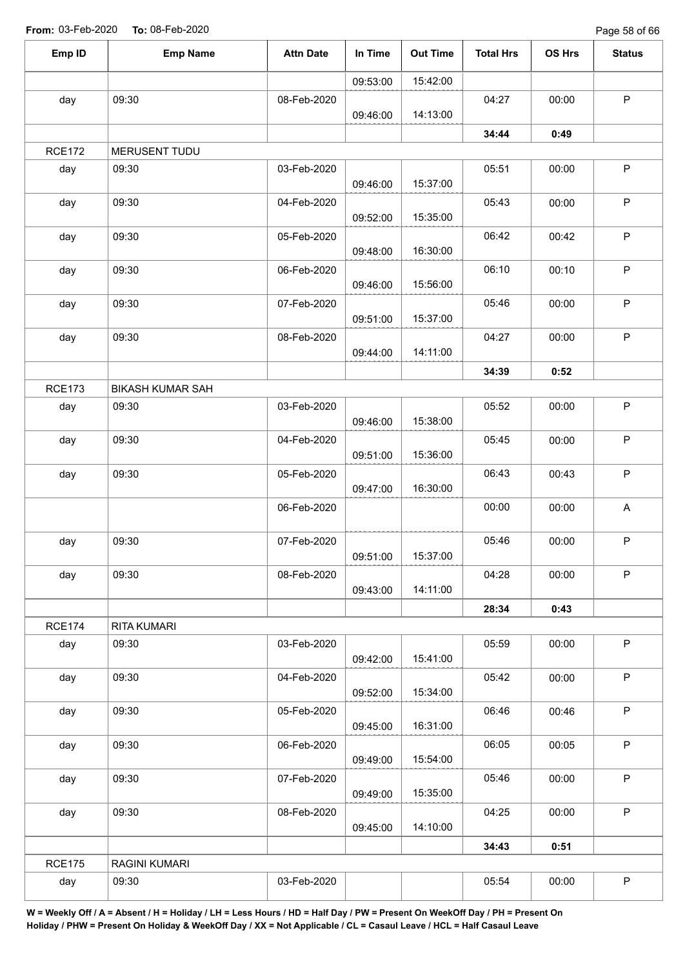Page 58 of 66

| Emp ID        | <b>Emp Name</b>         | <b>Attn Date</b> | In Time  | <b>Out Time</b> | <b>Total Hrs</b> | OS Hrs | <b>Status</b> |
|---------------|-------------------------|------------------|----------|-----------------|------------------|--------|---------------|
|               |                         |                  | 09:53:00 | 15:42:00        |                  |        |               |
| day           | 09:30                   | 08-Feb-2020      | 09:46:00 | 14:13:00        | 04:27            | 00:00  | $\mathsf P$   |
|               |                         |                  |          |                 | 34:44            | 0:49   |               |
| <b>RCE172</b> | MERUSENT TUDU           |                  |          |                 |                  |        |               |
| day           | 09:30                   | 03-Feb-2020      | 09:46:00 | 15:37:00        | 05:51            | 00:00  | $\mathsf P$   |
| day           | 09:30                   | 04-Feb-2020      | 09:52:00 | 15:35:00        | 05:43            | 00:00  | $\sf P$       |
| day           | 09:30                   | 05-Feb-2020      | 09:48:00 | 16:30:00        | 06:42            | 00:42  | $\sf P$       |
| day           | 09:30                   | 06-Feb-2020      |          |                 | 06:10            | 00:10  | $\sf P$       |
| day           | 09:30                   | 07-Feb-2020      | 09:46:00 | 15:56:00        | 05:46            | 00:00  | $\sf P$       |
| day           | 09:30                   | 08-Feb-2020      | 09:51:00 | 15:37:00        | 04:27            | 00:00  | $\sf P$       |
|               |                         |                  | 09:44:00 | 14:11:00        |                  |        |               |
|               |                         |                  |          |                 | 34:39            | 0:52   |               |
| <b>RCE173</b> | <b>BIKASH KUMAR SAH</b> |                  |          |                 |                  |        |               |
| day           | 09:30                   | 03-Feb-2020      | 09:46:00 | 15:38:00        | 05:52            | 00:00  | $\sf P$       |
| day           | 09:30                   | 04-Feb-2020      | 09:51:00 | 15:36:00        | 05:45            | 00:00  | $\sf P$       |
| day           | 09:30                   | 05-Feb-2020      | 09:47:00 | 16:30:00        | 06:43            | 00:43  | $\mathsf P$   |
|               |                         | 06-Feb-2020      |          |                 | 00:00            | 00:00  | A             |
| day           | 09:30                   | 07-Feb-2020      | 09:51:00 | 15:37:00        | 05:46            | 00:00  | P             |
| day           | 09:30                   | 08-Feb-2020      | 09:43:00 | 14:11:00        | 04:28            | 00:00  | P             |
|               |                         |                  |          |                 | 28:34            | 0:43   |               |
| <b>RCE174</b> | RITA KUMARI             |                  |          |                 |                  |        |               |
| day           | 09:30                   | 03-Feb-2020      | 09:42:00 | 15:41:00        | 05:59            | 00:00  | $\mathsf P$   |
| day           | 09:30                   | 04-Feb-2020      | 09:52:00 | 15:34:00        | 05:42            | 00:00  | $\mathsf P$   |
| day           | 09:30                   | 05-Feb-2020      | 09:45:00 | 16:31:00        | 06:46            | 00:46  | $\sf P$       |
| day           | 09:30                   | 06-Feb-2020      | 09:49:00 | 15:54:00        | 06:05            | 00:05  | $\mathsf P$   |
| day           | 09:30                   | 07-Feb-2020      | 09:49:00 | 15:35:00        | 05:46            | 00:00  | $\sf P$       |
| day           | 09:30                   | 08-Feb-2020      | 09:45:00 | 14:10:00        | 04:25            | 00:00  | P             |
|               |                         |                  |          |                 | 34:43            | 0:51   |               |
| <b>RCE175</b> | RAGINI KUMARI           |                  |          |                 |                  |        |               |
| day           | 09:30                   | 03-Feb-2020      |          |                 | 05:54            | 00:00  | $\mathsf P$   |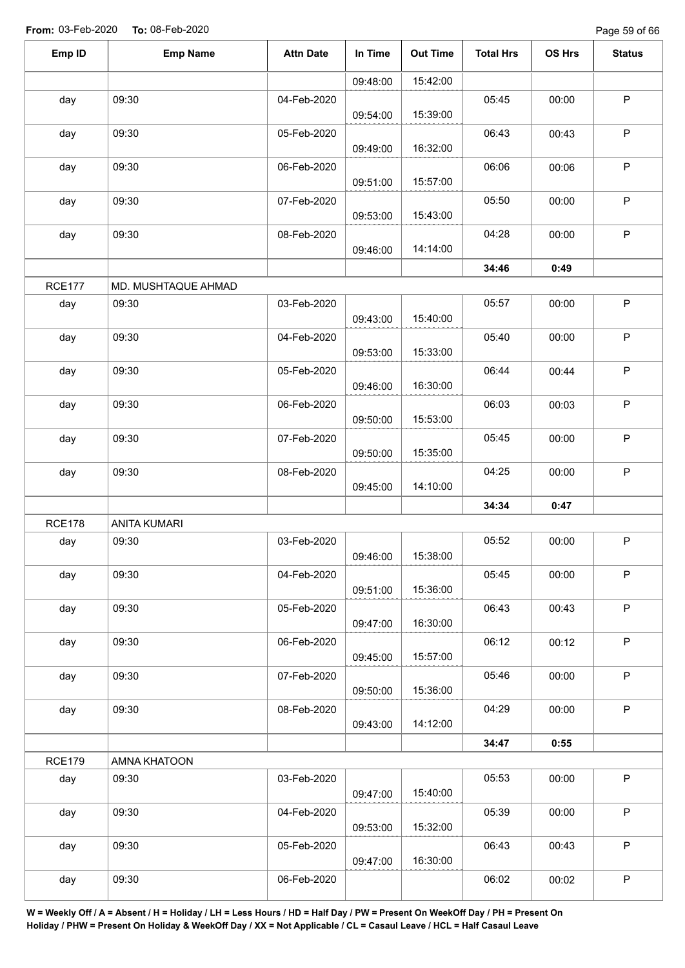Page 59 of 66

| <b>Emp Name</b>                      |                     |          |          | <b>Total Hrs</b> | OS Hrs | <b>Status</b> |
|--------------------------------------|---------------------|----------|----------|------------------|--------|---------------|
|                                      |                     | 09:48:00 | 15:42:00 |                  |        |               |
| 09:30<br>day                         | 04-Feb-2020         | 09:54:00 | 15:39:00 | 05:45            | 00:00  | $\sf P$       |
| 09:30<br>day                         | 05-Feb-2020         | 09:49:00 | 16:32:00 | 06:43            | 00:43  | $\mathsf P$   |
| 09:30<br>day                         | 06-Feb-2020         | 09:51:00 | 15:57:00 | 06:06            | 00:06  | $\mathsf P$   |
| 09:30<br>day                         | 07-Feb-2020         | 09:53:00 | 15:43:00 | 05:50            | 00:00  | $\mathsf P$   |
| day<br>09:30                         | 08-Feb-2020         | 09:46:00 | 14:14:00 | 04:28            | 00:00  | $\mathsf P$   |
|                                      |                     |          |          | 34:46            | 0:49   |               |
| <b>RCE177</b>                        | MD. MUSHTAQUE AHMAD |          |          |                  |        |               |
| day<br>09:30                         | 03-Feb-2020         | 09:43:00 | 15:40:00 | 05:57            | 00:00  | $\mathsf P$   |
| 09:30<br>day                         | 04-Feb-2020         | 09:53:00 | 15:33:00 | 05:40            | 00:00  | $\mathsf P$   |
| 09:30<br>day                         | 05-Feb-2020         | 09:46:00 | 16:30:00 | 06:44            | 00:44  | $\mathsf P$   |
| 09:30<br>day                         | 06-Feb-2020         | 09:50:00 | 15:53:00 | 06:03            | 00:03  | P             |
| 09:30<br>day                         | 07-Feb-2020         | 09:50:00 | 15:35:00 | 05:45            | 00:00  | $\mathsf P$   |
| 09:30<br>day                         | 08-Feb-2020         | 09:45:00 | 14:10:00 | 04:25            | 00:00  | P             |
|                                      |                     |          |          | 34:34            | 0:47   |               |
| <b>RCE178</b><br><b>ANITA KUMARI</b> |                     |          |          |                  |        |               |
| 09:30<br>day                         | 03-Feb-2020         | 09:46:00 | 15:38:00 | 05:52            | 00:00  | $\mathsf P$   |
| 09:30<br>day                         | 04-Feb-2020         | 09:51:00 | 15:36:00 | 05:45            | 00:00  | $\mathsf P$   |
| 09:30<br>day                         | 05-Feb-2020         | 09:47:00 | 16:30:00 | 06:43            | 00:43  | $\mathsf P$   |
| 09:30<br>day                         | 06-Feb-2020         | 09:45:00 | 15:57:00 | 06:12            | 00:12  | $\sf P$       |
| 09:30<br>day                         | 07-Feb-2020         | 09:50:00 | 15:36:00 | 05:46            | 00:00  | P             |
| 09:30<br>day                         | 08-Feb-2020         | 09:43:00 | 14:12:00 | 04:29            | 00:00  | $\sf P$       |
|                                      |                     |          |          | 34:47            | 0:55   |               |
| <b>RCE179</b><br>AMNA KHATOON        |                     |          |          |                  |        |               |
| 09:30<br>day                         | 03-Feb-2020         | 09:47:00 | 15:40:00 | 05:53            | 00:00  | $\mathsf P$   |
| 09:30<br>day                         | 04-Feb-2020         | 09:53:00 | 15:32:00 | 05:39            | 00:00  | $\mathsf P$   |
| 09:30<br>day                         | 05-Feb-2020         | 09:47:00 | 16:30:00 | 06:43            | 00:43  | $\mathsf P$   |
| 09:30<br>day                         | 06-Feb-2020         |          |          | 06:02            | 00:02  | $\sf P$       |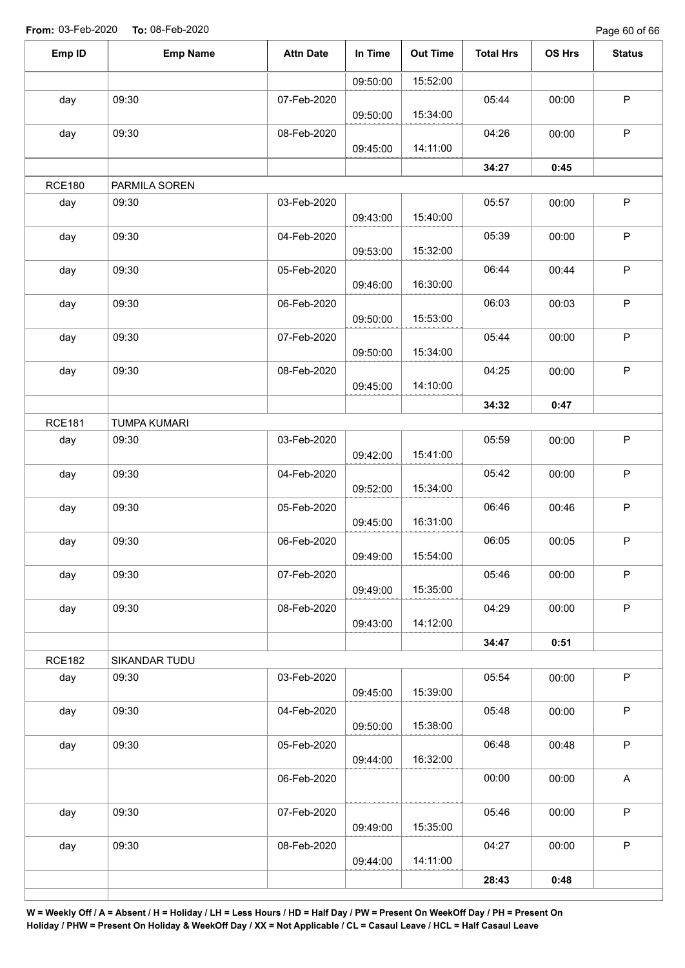Page 60 of 66

| Emp ID        | <b>Emp Name</b>     | <b>Attn Date</b> | In Time  | <b>Out Time</b> | <b>Total Hrs</b> | OS Hrs | <b>Status</b>             |
|---------------|---------------------|------------------|----------|-----------------|------------------|--------|---------------------------|
|               |                     |                  | 09:50:00 | 15:52:00        |                  |        |                           |
| day           | 09:30               | 07-Feb-2020      | 09:50:00 | 15:34:00        | 05:44            | 00:00  | $\sf P$                   |
| day           | 09:30               | 08-Feb-2020      | 09:45:00 | 14:11:00        | 04:26            | 00:00  | $\mathsf P$               |
|               |                     |                  |          |                 | 34:27            | 0:45   |                           |
| <b>RCE180</b> | PARMILA SOREN       |                  |          |                 |                  |        |                           |
| day           | 09:30               | 03-Feb-2020      | 09:43:00 | 15:40:00        | 05:57            | 00:00  | $\sf P$                   |
| day           | 09:30               | 04-Feb-2020      | 09:53:00 | 15:32:00        | 05:39            | 00:00  | $\sf P$                   |
| day           | 09:30               | 05-Feb-2020      | 09:46:00 | 16:30:00        | 06:44            | 00:44  | $\sf P$                   |
| day           | 09:30               | 06-Feb-2020      | 09:50:00 | 15:53:00        | 06:03            | 00:03  | $\sf P$                   |
| day           | 09:30               | 07-Feb-2020      | 09:50:00 | 15:34:00        | 05:44            | 00:00  | $\sf P$                   |
| day           | 09:30               | 08-Feb-2020      | 09:45:00 | 14:10:00        | 04:25            | 00:00  | $\mathsf P$               |
|               |                     |                  |          |                 | 34:32            | 0:47   |                           |
| <b>RCE181</b> | <b>TUMPA KUMARI</b> |                  |          |                 |                  |        |                           |
| day           | 09:30               | 03-Feb-2020      | 09:42:00 | 15:41:00        | 05:59            | 00:00  | $\sf P$                   |
| day           | 09:30               | 04-Feb-2020      | 09:52:00 | 15:34:00        | 05:42            | 00:00  | $\mathsf P$               |
| day           | 09:30               | 05-Feb-2020      | 09:45:00 | 16:31:00        | 06:46            | 00:46  | $\mathsf P$               |
| day           | 09:30               | 06-Feb-2020      | 09:49:00 | 15:54:00        | 06:05            | 00:05  | $\mathsf P$               |
| day           | 09:30               | 07-Feb-2020      | 09:49:00 | 15:35:00        | 05:46            | 00:00  | $\mathsf P$               |
| day           | 09:30               | 08-Feb-2020      | 09:43:00 | 14:12:00        | 04:29            | 00:00  | P                         |
|               |                     |                  |          |                 | 34:47            | 0:51   |                           |
| <b>RCE182</b> | SIKANDAR TUDU       |                  |          |                 |                  |        |                           |
| day           | 09:30               | 03-Feb-2020      | 09:45:00 | 15:39:00        | 05:54            | 00:00  | $\mathsf P$               |
| day           | 09:30               | 04-Feb-2020      | 09:50:00 | 15:38:00        | 05:48            | 00:00  | $\sf P$                   |
| day           | 09:30               | 05-Feb-2020      | 09:44:00 | 16:32:00        | 06:48            | 00:48  | $\mathsf P$               |
|               |                     | 06-Feb-2020      |          |                 | 00:00            | 00:00  | $\boldsymbol{\mathsf{A}}$ |
| day           | 09:30               | 07-Feb-2020      | 09:49:00 | 15:35:00        | 05:46            | 00:00  | $\mathsf P$               |
| day           | 09:30               | 08-Feb-2020      | 09:44:00 | 14:11:00        | 04:27            | 00:00  | $\mathsf P$               |
|               |                     |                  |          |                 | 28:43            | 0:48   |                           |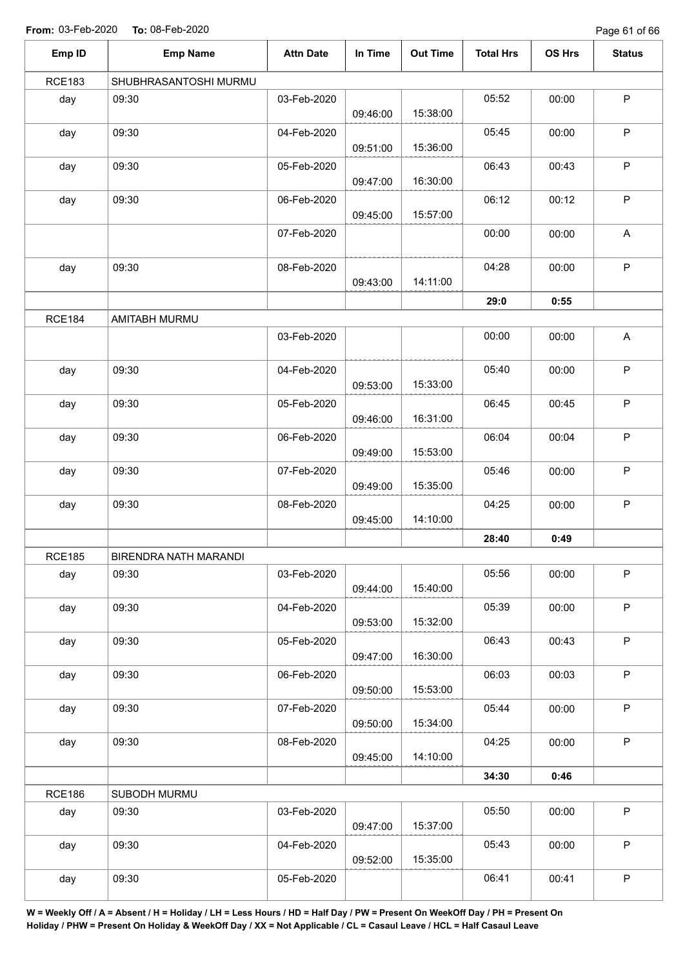Page 61 of 66

| Emp ID        | <b>Emp Name</b>       | <b>Attn Date</b> | In Time  | <b>Out Time</b> | <b>Total Hrs</b> | OS Hrs                                                                                                                                    | <b>Status</b> |
|---------------|-----------------------|------------------|----------|-----------------|------------------|-------------------------------------------------------------------------------------------------------------------------------------------|---------------|
| <b>RCE183</b> | SHUBHRASANTOSHI MURMU |                  |          |                 |                  |                                                                                                                                           |               |
| day           | 09:30                 | 03-Feb-2020      | 09:46:00 | 15:38:00        | 05:52            | 00:00                                                                                                                                     | $\mathsf P$   |
| day           | 09:30                 | 04-Feb-2020      | 09:51:00 | 15:36:00        | 05:45            | 00:00                                                                                                                                     | $\mathsf P$   |
| day           | 09:30                 | 05-Feb-2020      | 09:47:00 | 16:30:00        | 06:43            | 00:43                                                                                                                                     | $\mathsf P$   |
| day           | 09:30                 | 06-Feb-2020      | 09:45:00 | 15:57:00        | 06:12            | 00:12                                                                                                                                     | $\mathsf P$   |
|               |                       | 07-Feb-2020      |          |                 | 00:00            | 00:00                                                                                                                                     | A             |
| day           | 09:30                 | 08-Feb-2020      | 09:43:00 | 14:11:00        | 04:28            | 00:00                                                                                                                                     | $\mathsf P$   |
|               |                       |                  |          |                 | 29:0             | 0:55<br>00:00<br>00:00<br>00:45<br>00:04<br>00:00<br>00:00<br>0:49<br>00:00<br>00:00<br>00:43<br>00:03<br>00:00<br>00:00<br>0:46<br>00:00 |               |
| <b>RCE184</b> | AMITABH MURMU         |                  |          |                 |                  |                                                                                                                                           |               |
|               |                       | 03-Feb-2020      |          |                 | 00:00            |                                                                                                                                           | A             |
| day           | 09:30                 | 04-Feb-2020      | 09:53:00 | 15:33:00        | 05:40            |                                                                                                                                           | P             |
| day           | 09:30                 | 05-Feb-2020      | 09:46:00 | 16:31:00        | 06:45            |                                                                                                                                           | $\sf P$       |
| day           | 09:30                 | 06-Feb-2020      | 09:49:00 | 15:53:00        | 06:04            |                                                                                                                                           | $\mathsf P$   |
| day           | 09:30                 | 07-Feb-2020      | 09:49:00 | 15:35:00        | 05:46            |                                                                                                                                           | $\sf P$       |
| day           | 09:30                 | 08-Feb-2020      | 09:45:00 | 14:10:00        | 04:25            |                                                                                                                                           | $\sf P$       |
|               |                       |                  |          |                 | 28:40            |                                                                                                                                           |               |
| <b>RCE185</b> | BIRENDRA NATH MARANDI |                  |          |                 |                  |                                                                                                                                           |               |
| day           | 09:30                 | 03-Feb-2020      | 09:44:00 | 15:40:00        | 05:56            |                                                                                                                                           | $\sf P$       |
| day           | 09:30                 | 04-Feb-2020      | 09:53:00 | 15:32:00        | 05:39            |                                                                                                                                           | $\mathsf P$   |
| day           | 09:30                 | 05-Feb-2020      | 09:47:00 | 16:30:00        | 06:43            |                                                                                                                                           | $\mathsf P$   |
| day           | 09:30                 | 06-Feb-2020      | 09:50:00 | 15:53:00        | 06:03            |                                                                                                                                           | $\mathsf P$   |
| day           | 09:30                 | 07-Feb-2020      | 09:50:00 | 15:34:00        | 05:44            |                                                                                                                                           | $\mathsf P$   |
| day           | 09:30                 | 08-Feb-2020      | 09:45:00 | 14:10:00        | 04:25            |                                                                                                                                           | $\mathsf P$   |
|               |                       |                  |          |                 | 34:30            |                                                                                                                                           |               |
| <b>RCE186</b> | SUBODH MURMU          |                  |          |                 |                  |                                                                                                                                           |               |
| day           | 09:30                 | 03-Feb-2020      | 09:47:00 | 15:37:00        | 05:50            |                                                                                                                                           | $\mathsf P$   |
| day           | 09:30                 | 04-Feb-2020      | 09:52:00 | 15:35:00        | 05:43            | 00:00                                                                                                                                     | $\mathsf P$   |
| day           | 09:30                 | 05-Feb-2020      |          |                 | 06:41            | 00:41                                                                                                                                     | $\sf P$       |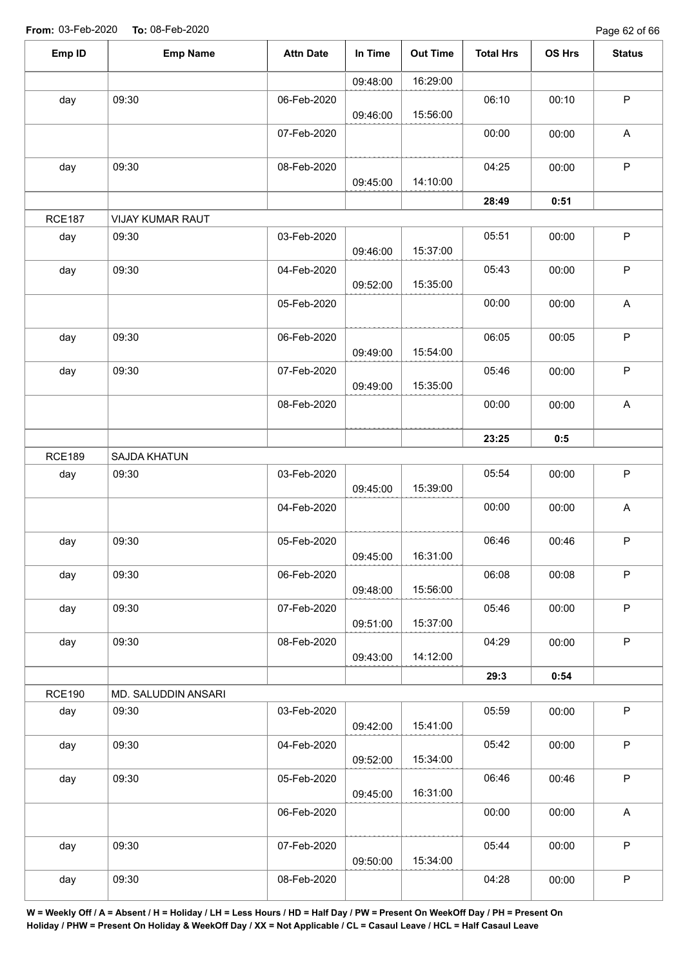Page 62 of 66

| Emp ID        | <b>Emp Name</b>         | <b>Attn Date</b> | In Time  | <b>Out Time</b> | <b>Total Hrs</b> | OS Hrs | <b>Status</b>             |
|---------------|-------------------------|------------------|----------|-----------------|------------------|--------|---------------------------|
|               |                         |                  | 09:48:00 | 16:29:00        |                  |        |                           |
| day           | 09:30                   | 06-Feb-2020      | 09:46:00 | 15:56:00        | 06:10            | 00:10  | $\mathsf P$               |
|               |                         | 07-Feb-2020      |          |                 | 00:00            | 00:00  | A                         |
| day           | 09:30                   | 08-Feb-2020      | 09:45:00 | 14:10:00        | 04:25            | 00:00  | $\sf P$                   |
|               |                         |                  |          |                 | 28:49            | 0:51   |                           |
| <b>RCE187</b> | <b>VIJAY KUMAR RAUT</b> |                  |          |                 |                  |        |                           |
| day           | 09:30                   | 03-Feb-2020      | 09:46:00 | 15:37:00        | 05:51            | 00:00  | $\mathsf P$               |
| day           | 09:30                   | 04-Feb-2020      | 09:52:00 | 15:35:00        | 05:43            | 00:00  | $\mathsf P$               |
|               |                         | 05-Feb-2020      |          |                 | 00:00            | 00:00  | A                         |
| day           | 09:30                   | 06-Feb-2020      | 09:49:00 | 15:54:00        | 06:05            | 00:05  | $\sf P$                   |
| day           | 09:30                   | 07-Feb-2020      | 09:49:00 | 15:35:00        | 05:46            | 00:00  | $\mathsf P$               |
|               |                         | 08-Feb-2020      |          |                 | 00:00            | 00:00  | $\boldsymbol{\mathsf{A}}$ |
|               |                         |                  |          |                 | 23:25            | 0:5    |                           |
| <b>RCE189</b> | SAJDA KHATUN            |                  |          |                 |                  |        |                           |
| day           | 09:30                   | 03-Feb-2020      | 09:45:00 | 15:39:00        | 05:54            | 00:00  | $\sf P$                   |
|               |                         | 04-Feb-2020      |          |                 | 00:00            | 00:00  | $\boldsymbol{\mathsf{A}}$ |
| day           | 09:30                   | 05-Feb-2020      | 09:45:00 | 16:31:00        | 06:46            | 00:46  | P                         |
| day           | 09:30                   | 06-Feb-2020      | 09:48:00 | 15:56:00        | 06:08            | 00:08  | P                         |
| day           | 09:30                   | 07-Feb-2020      | 09:51:00 | 15:37:00        | 05:46            | 00:00  | $\mathsf P$               |
| day           | 09:30                   | 08-Feb-2020      | 09:43:00 | 14:12:00        | 04:29            | 00:00  | $\sf P$                   |
|               |                         |                  |          |                 | 29:3             | 0:54   |                           |
| <b>RCE190</b> | MD. SALUDDIN ANSARI     |                  |          |                 |                  |        |                           |
| day           | 09:30                   | 03-Feb-2020      | 09:42:00 | 15:41:00        | 05:59            | 00:00  | $\mathsf P$               |
| day           | 09:30                   | 04-Feb-2020      | 09:52:00 | 15:34:00        | 05:42            | 00:00  | P                         |
| day           | 09:30                   | 05-Feb-2020      | 09:45:00 | 16:31:00        | 06:46            | 00:46  | $\sf P$                   |
|               |                         | 06-Feb-2020      |          |                 | 00:00            | 00:00  | $\mathsf{A}$              |
| day           | 09:30                   | 07-Feb-2020      | 09:50:00 | 15:34:00        | 05:44            | 00:00  | $\mathsf P$               |
| day           | 09:30                   | 08-Feb-2020      |          |                 | 04:28            | 00:00  | $\sf P$                   |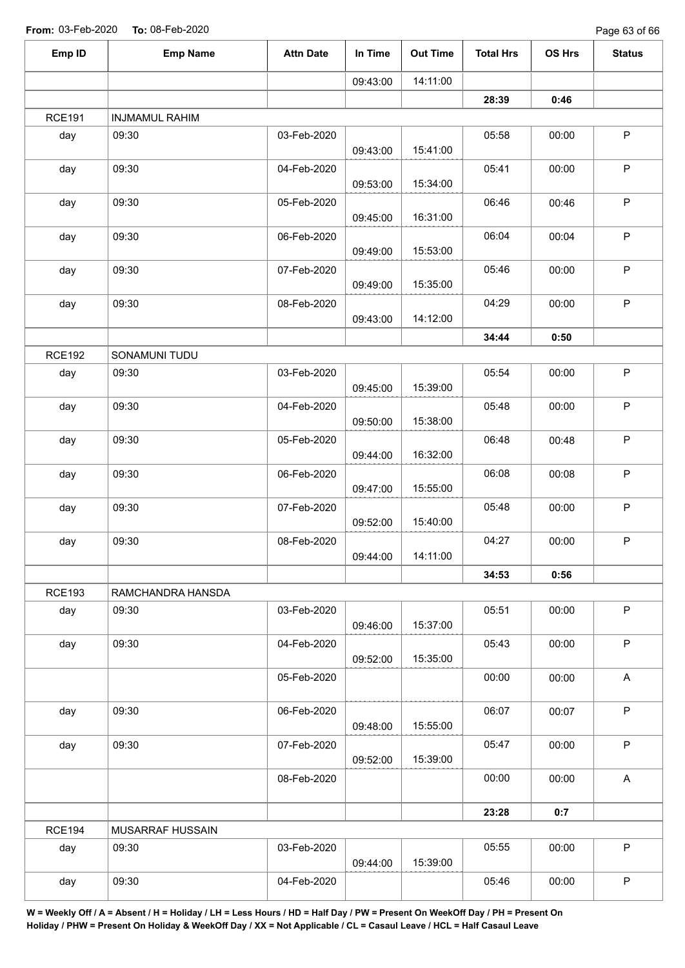Page 63 of 66

| Emp ID        | <b>Emp Name</b>       | <b>Attn Date</b> | In Time  | <b>Out Time</b> | <b>Total Hrs</b> | OS Hrs                                                                                                                                            | <b>Status</b>             |
|---------------|-----------------------|------------------|----------|-----------------|------------------|---------------------------------------------------------------------------------------------------------------------------------------------------|---------------------------|
|               |                       |                  | 09:43:00 | 14:11:00        |                  |                                                                                                                                                   |                           |
|               |                       |                  |          |                 | 28:39            | 0:46                                                                                                                                              |                           |
| <b>RCE191</b> | <b>INJMAMUL RAHIM</b> |                  |          |                 |                  |                                                                                                                                                   |                           |
| day           | 09:30                 | 03-Feb-2020      | 09:43:00 | 15:41:00        | 05:58            | 00:00                                                                                                                                             | $\sf P$                   |
| day           | 09:30                 | 04-Feb-2020      | 09:53:00 | 15:34:00        | 05:41            | 00:00                                                                                                                                             | P                         |
| day           | 09:30                 | 05-Feb-2020      | 09:45:00 | 16:31:00        | 06:46            | 00:46                                                                                                                                             | P                         |
| day           | 09:30                 | 06-Feb-2020      | 09:49:00 | 15:53:00        | 06:04            | 00:04                                                                                                                                             | P                         |
| day           | 09:30                 | 07-Feb-2020      | 09:49:00 | 15:35:00        | 05:46            | 00:00                                                                                                                                             | $\sf P$                   |
| day           | 09:30                 | 08-Feb-2020      | 09:43:00 | 14:12:00        | 04:29            | 00:00                                                                                                                                             | $\mathsf P$               |
|               |                       |                  |          |                 | 34:44            | 0:50<br>00:00<br>00:00<br>00:48<br>00:08<br>00:00<br>00:00<br>0:56<br>00:00<br>00:00<br>00:00<br>00:07<br>00:00<br>00:00<br>0:7<br>00:00<br>00:00 |                           |
| <b>RCE192</b> | SONAMUNI TUDU         |                  |          |                 |                  |                                                                                                                                                   |                           |
| day           | 09:30                 | 03-Feb-2020      | 09:45:00 | 15:39:00        | 05:54            |                                                                                                                                                   | $\sf P$                   |
| day           | 09:30                 | 04-Feb-2020      | 09:50:00 | 15:38:00        | 05:48            |                                                                                                                                                   | P                         |
| day           | 09:30                 | 05-Feb-2020      | 09:44:00 | 16:32:00        | 06:48            |                                                                                                                                                   | $\sf P$                   |
| day           | 09:30                 | 06-Feb-2020      | 09:47:00 | 15:55:00        | 06:08            |                                                                                                                                                   | P                         |
| day           | 09:30                 | 07-Feb-2020      | 09:52:00 | 15:40:00        | 05:48            |                                                                                                                                                   | $\sf P$                   |
| day           | 09:30                 | 08-Feb-2020      | 09:44:00 | 14:11:00        | 04:27            |                                                                                                                                                   | P                         |
|               |                       |                  |          |                 | 34:53            |                                                                                                                                                   |                           |
| <b>RCE193</b> | RAMCHANDRA HANSDA     |                  |          |                 |                  |                                                                                                                                                   |                           |
| day           | 09:30                 | 03-Feb-2020      | 09:46:00 | 15:37:00        | 05:51            |                                                                                                                                                   | P                         |
| day           | 09:30                 | 04-Feb-2020      | 09:52:00 | 15:35:00        | 05:43            |                                                                                                                                                   | P                         |
|               |                       | 05-Feb-2020      |          |                 | 00:00            |                                                                                                                                                   | A                         |
| day           | 09:30                 | 06-Feb-2020      | 09:48:00 | 15:55:00        | 06:07            |                                                                                                                                                   | $\sf P$                   |
| day           | 09:30                 | 07-Feb-2020      | 09:52:00 | 15:39:00        | 05:47            |                                                                                                                                                   | $\mathsf P$               |
|               |                       | 08-Feb-2020      |          |                 | 00:00            |                                                                                                                                                   | $\boldsymbol{\mathsf{A}}$ |
|               |                       |                  |          |                 | 23:28            |                                                                                                                                                   |                           |
| <b>RCE194</b> | MUSARRAF HUSSAIN      |                  |          |                 |                  |                                                                                                                                                   |                           |
| day           | 09:30                 | 03-Feb-2020      | 09:44:00 | 15:39:00        | 05:55            |                                                                                                                                                   | $\mathsf P$               |
| day           | 09:30                 | 04-Feb-2020      |          |                 | 05:46            |                                                                                                                                                   | $\mathsf P$               |
|               |                       |                  |          |                 |                  |                                                                                                                                                   |                           |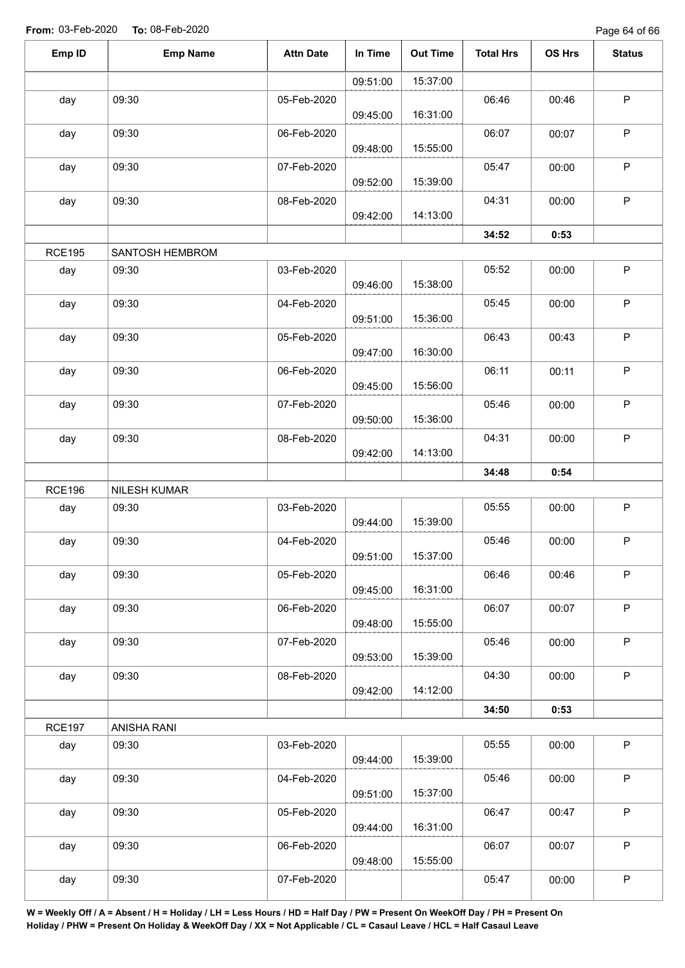Page 64 of 66

| Emp ID        | <b>Emp Name</b>     | <b>Attn Date</b> | In Time  | <b>Out Time</b> | <b>Total Hrs</b> | <b>OS Hrs</b> | <b>Status</b> |
|---------------|---------------------|------------------|----------|-----------------|------------------|---------------|---------------|
|               |                     |                  | 09:51:00 | 15:37:00        |                  |               |               |
| day           | 09:30               | 05-Feb-2020      | 09:45:00 | 16:31:00        | 06:46            | 00:46         | $\mathsf P$   |
| day           | 09:30               | 06-Feb-2020      | 09:48:00 | 15:55:00        | 06:07            | 00:07         | $\mathsf P$   |
| day           | 09:30               | 07-Feb-2020      | 09:52:00 | 15:39:00        | 05:47            | 00:00         | $\mathsf P$   |
| day           | 09:30               | 08-Feb-2020      | 09:42:00 | 14:13:00        | 04:31            | 00:00         | $\mathsf P$   |
|               |                     |                  |          |                 | 34:52            | 0:53          |               |
| <b>RCE195</b> | SANTOSH HEMBROM     |                  |          |                 |                  |               |               |
| day           | 09:30               | 03-Feb-2020      | 09:46:00 | 15:38:00        | 05:52            | 00:00         | $\sf P$       |
| day           | 09:30               | 04-Feb-2020      | 09:51:00 | 15:36:00        | 05:45            | 00:00         | $\mathsf P$   |
| day           | 09:30               | 05-Feb-2020      | 09:47:00 | 16:30:00        | 06:43            | 00:43         | $\mathsf P$   |
| day           | 09:30               | 06-Feb-2020      | 09:45:00 | 15:56:00        | 06:11            | 00:11         | $\sf P$       |
| day           | 09:30               | 07-Feb-2020      | 09:50:00 | 15:36:00        | 05:46            | 00:00         | P             |
| day           | 09:30               | 08-Feb-2020      | 09:42:00 | 14:13:00        | 04:31            | 00:00         | $\mathsf P$   |
|               |                     |                  |          |                 | 34:48            | 0:54          |               |
| <b>RCE196</b> | <b>NILESH KUMAR</b> |                  |          |                 |                  |               |               |
| day           | 09:30               | 03-Feb-2020      | 09:44:00 | 15:39:00        | 05:55            | 00:00         | $\mathsf P$   |
| day           | 09:30               | 04-Feb-2020      | 09:51:00 | 15:37:00        | 05:46            | 00:00         | $\mathsf P$   |
| day           | 09:30               | 05-Feb-2020      | 09:45:00 | 16:31:00        | 06:46            | 00:46         | $\mathsf P$   |
| day           | 09:30               | 06-Feb-2020      | 09:48:00 | 15:55:00        | 06:07            | 00:07         | $\mathsf P$   |
| day           | 09:30               | 07-Feb-2020      | 09:53:00 | 15:39:00        | 05:46            | 00:00         | $\sf P$       |
| day           | 09:30               | 08-Feb-2020      | 09:42:00 | 14:12:00        | 04:30            | 00:00         | P             |
|               |                     |                  |          |                 | 34:50            | 0:53          |               |
| <b>RCE197</b> | ANISHA RANI         |                  |          |                 |                  |               |               |
| day           | 09:30               | 03-Feb-2020      | 09:44:00 | 15:39:00        | 05:55            | 00:00         | $\mathsf P$   |
| day           | 09:30               | 04-Feb-2020      | 09:51:00 | 15:37:00        | 05:46            | 00:00         | $\mathsf P$   |
| day           | 09:30               | 05-Feb-2020      | 09:44:00 | 16:31:00        | 06:47            | 00:47         | $\mathsf P$   |
| day           | 09:30               | 06-Feb-2020      | 09:48:00 | 15:55:00        | 06:07            | 00:07         | $\mathsf P$   |
| day           | 09:30               | 07-Feb-2020      |          |                 | 05:47            | 00:00         | $\sf P$       |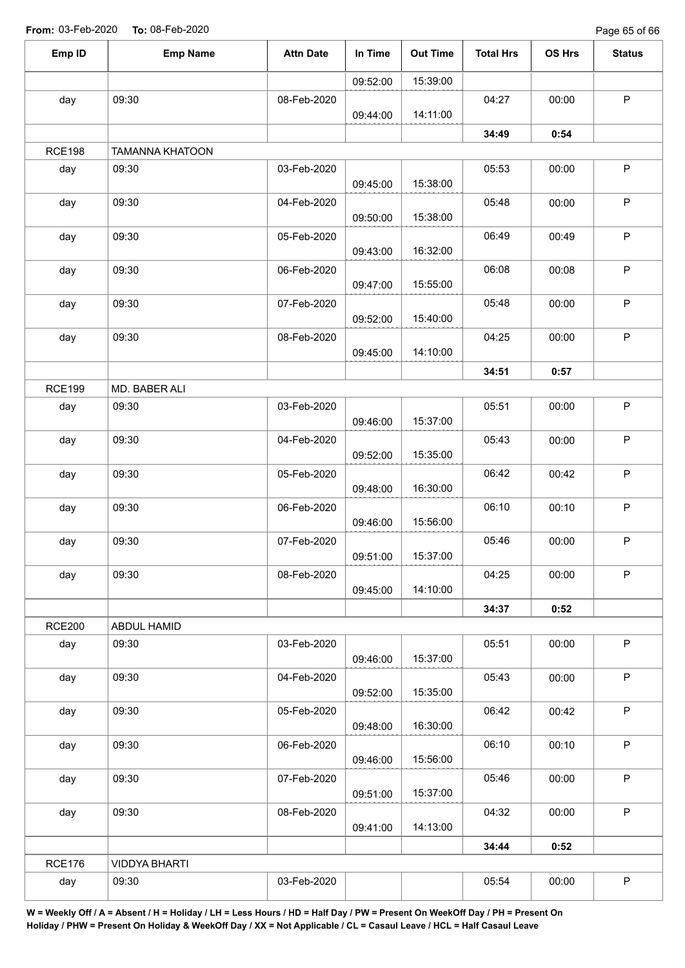Page 65 of 66

| Emp ID<br><b>Emp Name</b><br><b>Attn Date</b><br>In Time<br><b>Out Time</b><br><b>Total Hrs</b><br>OS Hrs<br>15:39:00<br>09:52:00<br>09:30<br>08-Feb-2020<br>04:27<br>day<br>00:00<br>14:11:00<br>09:44:00<br>34:49<br>0:54<br><b>RCE198</b><br><b>TAMANNA KHATOON</b><br>09:30<br>03-Feb-2020<br>05:53<br>00:00<br>day<br>15:38:00<br>09:45:00<br>09:30<br>day<br>04-Feb-2020<br>05:48<br>00:00<br>15:38:00<br>09:50:00<br>09:30<br>05-Feb-2020<br>06:49<br>day<br>00:49<br>16:32:00<br>09:43:00<br>09:30<br>06:08<br>06-Feb-2020<br>day<br>00:08<br>15:55:00<br>09:47:00<br>09:30<br>05:48<br>07-Feb-2020<br>day<br>00:00<br>15:40:00<br>09:52:00<br>09:30<br>04:25<br>day<br>08-Feb-2020<br>00:00<br>14:10:00<br>09:45:00<br>34:51<br>0:57<br><b>RCE199</b><br>MD. BABER ALI<br>05:51<br>03-Feb-2020<br>00:00<br>day<br>09:30<br>15:37:00<br>09:46:00<br>05:43<br>09:30<br>00:00<br>day<br>04-Feb-2020<br>15:35:00<br>09:52:00<br>09:30<br>06:42<br>00:42<br>day<br>05-Feb-2020<br>16:30:00<br>09:48:00<br>06:10<br>09:30<br>06-Feb-2020<br>00:10<br>day<br>15:56:00<br>09:46:00<br>05:46<br>09:30<br>07-Feb-2020<br>00:00<br>day<br>15:37:00<br>09:51:00<br>04:25<br>09:30<br>08-Feb-2020<br>00:00<br>day<br>14:10:00<br>09:45:00<br>34:37<br>0:52<br><b>RCE200</b><br>ABDUL HAMID<br>05:51<br>09:30<br>03-Feb-2020<br>00:00<br>day<br>15:37:00<br>09:46:00<br>09:30<br>05:43<br>04-Feb-2020<br>00:00<br>day<br>15:35:00<br>09:52:00<br>06:42<br>09:30<br>05-Feb-2020<br>00:42<br>day<br>16:30:00<br>09:48:00<br>06:10<br>09:30<br>00:10<br>06-Feb-2020<br>day<br>15:56:00<br>09:46:00<br>05:46<br>09:30<br>00:00<br>day<br>07-Feb-2020<br>15:37:00<br>09:51:00<br>04:32<br>09:30<br>00:00<br>day<br>08-Feb-2020 |  |          |          |               |               |
|----------------------------------------------------------------------------------------------------------------------------------------------------------------------------------------------------------------------------------------------------------------------------------------------------------------------------------------------------------------------------------------------------------------------------------------------------------------------------------------------------------------------------------------------------------------------------------------------------------------------------------------------------------------------------------------------------------------------------------------------------------------------------------------------------------------------------------------------------------------------------------------------------------------------------------------------------------------------------------------------------------------------------------------------------------------------------------------------------------------------------------------------------------------------------------------------------------------------------------------------------------------------------------------------------------------------------------------------------------------------------------------------------------------------------------------------------------------------------------------------------------------------------------------------------------------------------------------------------------------------------------------------------------------------------------------------------------------------|--|----------|----------|---------------|---------------|
|                                                                                                                                                                                                                                                                                                                                                                                                                                                                                                                                                                                                                                                                                                                                                                                                                                                                                                                                                                                                                                                                                                                                                                                                                                                                                                                                                                                                                                                                                                                                                                                                                                                                                                                      |  |          |          |               | <b>Status</b> |
|                                                                                                                                                                                                                                                                                                                                                                                                                                                                                                                                                                                                                                                                                                                                                                                                                                                                                                                                                                                                                                                                                                                                                                                                                                                                                                                                                                                                                                                                                                                                                                                                                                                                                                                      |  |          |          |               |               |
|                                                                                                                                                                                                                                                                                                                                                                                                                                                                                                                                                                                                                                                                                                                                                                                                                                                                                                                                                                                                                                                                                                                                                                                                                                                                                                                                                                                                                                                                                                                                                                                                                                                                                                                      |  |          |          |               | $\mathsf P$   |
|                                                                                                                                                                                                                                                                                                                                                                                                                                                                                                                                                                                                                                                                                                                                                                                                                                                                                                                                                                                                                                                                                                                                                                                                                                                                                                                                                                                                                                                                                                                                                                                                                                                                                                                      |  |          |          |               |               |
|                                                                                                                                                                                                                                                                                                                                                                                                                                                                                                                                                                                                                                                                                                                                                                                                                                                                                                                                                                                                                                                                                                                                                                                                                                                                                                                                                                                                                                                                                                                                                                                                                                                                                                                      |  |          |          |               |               |
|                                                                                                                                                                                                                                                                                                                                                                                                                                                                                                                                                                                                                                                                                                                                                                                                                                                                                                                                                                                                                                                                                                                                                                                                                                                                                                                                                                                                                                                                                                                                                                                                                                                                                                                      |  |          |          |               | $\mathsf P$   |
|                                                                                                                                                                                                                                                                                                                                                                                                                                                                                                                                                                                                                                                                                                                                                                                                                                                                                                                                                                                                                                                                                                                                                                                                                                                                                                                                                                                                                                                                                                                                                                                                                                                                                                                      |  |          |          |               | $\sf P$       |
|                                                                                                                                                                                                                                                                                                                                                                                                                                                                                                                                                                                                                                                                                                                                                                                                                                                                                                                                                                                                                                                                                                                                                                                                                                                                                                                                                                                                                                                                                                                                                                                                                                                                                                                      |  |          |          |               | $\sf P$       |
|                                                                                                                                                                                                                                                                                                                                                                                                                                                                                                                                                                                                                                                                                                                                                                                                                                                                                                                                                                                                                                                                                                                                                                                                                                                                                                                                                                                                                                                                                                                                                                                                                                                                                                                      |  |          |          |               |               |
|                                                                                                                                                                                                                                                                                                                                                                                                                                                                                                                                                                                                                                                                                                                                                                                                                                                                                                                                                                                                                                                                                                                                                                                                                                                                                                                                                                                                                                                                                                                                                                                                                                                                                                                      |  |          |          |               | $\sf P$       |
|                                                                                                                                                                                                                                                                                                                                                                                                                                                                                                                                                                                                                                                                                                                                                                                                                                                                                                                                                                                                                                                                                                                                                                                                                                                                                                                                                                                                                                                                                                                                                                                                                                                                                                                      |  |          |          |               | $\sf P$       |
|                                                                                                                                                                                                                                                                                                                                                                                                                                                                                                                                                                                                                                                                                                                                                                                                                                                                                                                                                                                                                                                                                                                                                                                                                                                                                                                                                                                                                                                                                                                                                                                                                                                                                                                      |  |          |          |               | $\sf P$       |
|                                                                                                                                                                                                                                                                                                                                                                                                                                                                                                                                                                                                                                                                                                                                                                                                                                                                                                                                                                                                                                                                                                                                                                                                                                                                                                                                                                                                                                                                                                                                                                                                                                                                                                                      |  |          |          | 0:52<br>00:00 |               |
|                                                                                                                                                                                                                                                                                                                                                                                                                                                                                                                                                                                                                                                                                                                                                                                                                                                                                                                                                                                                                                                                                                                                                                                                                                                                                                                                                                                                                                                                                                                                                                                                                                                                                                                      |  |          |          |               |               |
|                                                                                                                                                                                                                                                                                                                                                                                                                                                                                                                                                                                                                                                                                                                                                                                                                                                                                                                                                                                                                                                                                                                                                                                                                                                                                                                                                                                                                                                                                                                                                                                                                                                                                                                      |  |          |          |               | $\sf P$       |
|                                                                                                                                                                                                                                                                                                                                                                                                                                                                                                                                                                                                                                                                                                                                                                                                                                                                                                                                                                                                                                                                                                                                                                                                                                                                                                                                                                                                                                                                                                                                                                                                                                                                                                                      |  |          |          |               | $\sf P$       |
|                                                                                                                                                                                                                                                                                                                                                                                                                                                                                                                                                                                                                                                                                                                                                                                                                                                                                                                                                                                                                                                                                                                                                                                                                                                                                                                                                                                                                                                                                                                                                                                                                                                                                                                      |  |          |          |               | $\mathsf P$   |
|                                                                                                                                                                                                                                                                                                                                                                                                                                                                                                                                                                                                                                                                                                                                                                                                                                                                                                                                                                                                                                                                                                                                                                                                                                                                                                                                                                                                                                                                                                                                                                                                                                                                                                                      |  |          |          |               | $\sf P$       |
|                                                                                                                                                                                                                                                                                                                                                                                                                                                                                                                                                                                                                                                                                                                                                                                                                                                                                                                                                                                                                                                                                                                                                                                                                                                                                                                                                                                                                                                                                                                                                                                                                                                                                                                      |  |          |          |               |               |
|                                                                                                                                                                                                                                                                                                                                                                                                                                                                                                                                                                                                                                                                                                                                                                                                                                                                                                                                                                                                                                                                                                                                                                                                                                                                                                                                                                                                                                                                                                                                                                                                                                                                                                                      |  |          |          |               | P             |
|                                                                                                                                                                                                                                                                                                                                                                                                                                                                                                                                                                                                                                                                                                                                                                                                                                                                                                                                                                                                                                                                                                                                                                                                                                                                                                                                                                                                                                                                                                                                                                                                                                                                                                                      |  |          |          |               | P             |
|                                                                                                                                                                                                                                                                                                                                                                                                                                                                                                                                                                                                                                                                                                                                                                                                                                                                                                                                                                                                                                                                                                                                                                                                                                                                                                                                                                                                                                                                                                                                                                                                                                                                                                                      |  |          |          |               |               |
|                                                                                                                                                                                                                                                                                                                                                                                                                                                                                                                                                                                                                                                                                                                                                                                                                                                                                                                                                                                                                                                                                                                                                                                                                                                                                                                                                                                                                                                                                                                                                                                                                                                                                                                      |  |          |          |               |               |
|                                                                                                                                                                                                                                                                                                                                                                                                                                                                                                                                                                                                                                                                                                                                                                                                                                                                                                                                                                                                                                                                                                                                                                                                                                                                                                                                                                                                                                                                                                                                                                                                                                                                                                                      |  |          |          |               | $\mathsf P$   |
|                                                                                                                                                                                                                                                                                                                                                                                                                                                                                                                                                                                                                                                                                                                                                                                                                                                                                                                                                                                                                                                                                                                                                                                                                                                                                                                                                                                                                                                                                                                                                                                                                                                                                                                      |  |          |          |               | $\mathsf P$   |
|                                                                                                                                                                                                                                                                                                                                                                                                                                                                                                                                                                                                                                                                                                                                                                                                                                                                                                                                                                                                                                                                                                                                                                                                                                                                                                                                                                                                                                                                                                                                                                                                                                                                                                                      |  |          |          |               | $\sf P$       |
|                                                                                                                                                                                                                                                                                                                                                                                                                                                                                                                                                                                                                                                                                                                                                                                                                                                                                                                                                                                                                                                                                                                                                                                                                                                                                                                                                                                                                                                                                                                                                                                                                                                                                                                      |  |          |          |               | $\mathsf P$   |
|                                                                                                                                                                                                                                                                                                                                                                                                                                                                                                                                                                                                                                                                                                                                                                                                                                                                                                                                                                                                                                                                                                                                                                                                                                                                                                                                                                                                                                                                                                                                                                                                                                                                                                                      |  |          |          |               | $\sf P$       |
|                                                                                                                                                                                                                                                                                                                                                                                                                                                                                                                                                                                                                                                                                                                                                                                                                                                                                                                                                                                                                                                                                                                                                                                                                                                                                                                                                                                                                                                                                                                                                                                                                                                                                                                      |  |          |          |               | P             |
|                                                                                                                                                                                                                                                                                                                                                                                                                                                                                                                                                                                                                                                                                                                                                                                                                                                                                                                                                                                                                                                                                                                                                                                                                                                                                                                                                                                                                                                                                                                                                                                                                                                                                                                      |  | 09:41:00 | 14:13:00 |               |               |
| 34:44<br><b>RCE176</b><br><b>VIDDYA BHARTI</b>                                                                                                                                                                                                                                                                                                                                                                                                                                                                                                                                                                                                                                                                                                                                                                                                                                                                                                                                                                                                                                                                                                                                                                                                                                                                                                                                                                                                                                                                                                                                                                                                                                                                       |  |          |          |               |               |
| 05:54<br>09:30<br>03-Feb-2020<br>day                                                                                                                                                                                                                                                                                                                                                                                                                                                                                                                                                                                                                                                                                                                                                                                                                                                                                                                                                                                                                                                                                                                                                                                                                                                                                                                                                                                                                                                                                                                                                                                                                                                                                 |  |          |          |               | $\mathsf P$   |